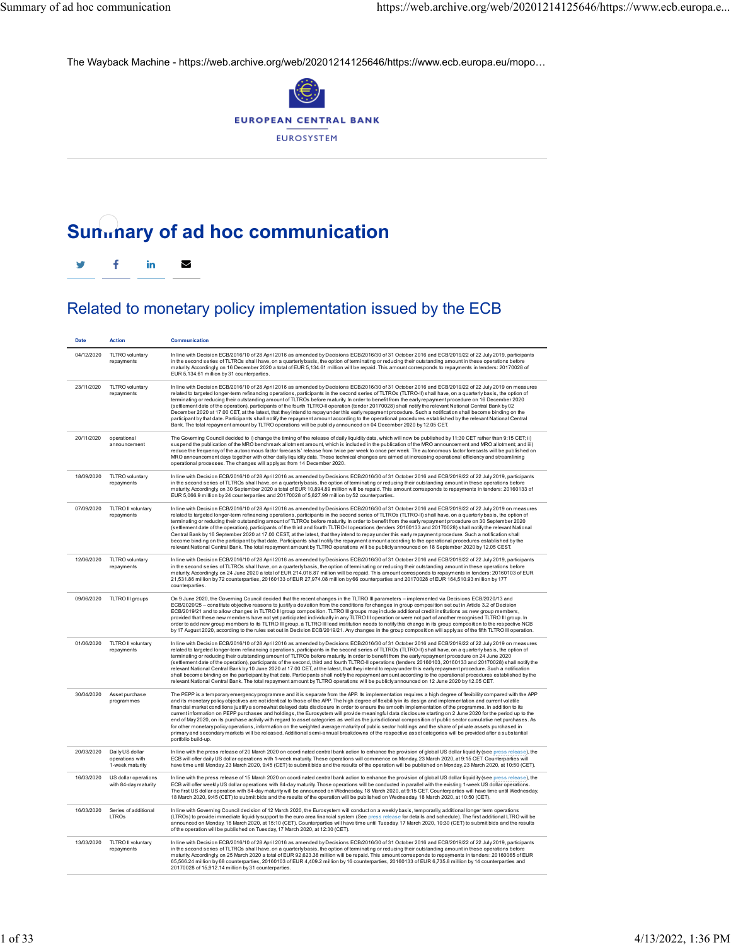The Wayback Machine - https://web.archive.org/web/20201214125646/https://www.ecb.europa.eu/mopo…



## **Summary of ad hoc communication**



## Related to monetary policy implementation issued by the ECB

| <b>Date</b> | <b>Action</b>                                         | Communication                                                                                                                                                                                                                                                                                                                                                                                                                                                                                                                                                                                                                                                                                                                                                                                                                                                                                                                                                                                                                                                                                                                                                                  |
|-------------|-------------------------------------------------------|--------------------------------------------------------------------------------------------------------------------------------------------------------------------------------------------------------------------------------------------------------------------------------------------------------------------------------------------------------------------------------------------------------------------------------------------------------------------------------------------------------------------------------------------------------------------------------------------------------------------------------------------------------------------------------------------------------------------------------------------------------------------------------------------------------------------------------------------------------------------------------------------------------------------------------------------------------------------------------------------------------------------------------------------------------------------------------------------------------------------------------------------------------------------------------|
| 04/12/2020  | TLTRO voluntary<br>repayments                         | In line with Decision ECB/2016/10 of 28 April 2016 as amended by Decisions ECB/2016/30 of 31 October 2016 and ECB/2019/22 of 22 July 2019, participants<br>in the second series of TLTROs shall have, on a quarterly basis, the option of terminating or reducing their outstanding amount in these operations before<br>maturity. Accordingly, on 16 December 2020 a total of EUR 5,134.61 million will be repaid. This amount corresponds to repayments in tenders: 20170028 of<br>EUR 5,134.61 million by 31 counterparties.                                                                                                                                                                                                                                                                                                                                                                                                                                                                                                                                                                                                                                                |
| 23/11/2020  | TLTRO voluntary<br>repayments                         | In line with Decision ECB/2016/10 of 28 April 2016 as amended by Decisions ECB/2016/30 of 31 October 2016 and ECB/2019/22 of 22 July 2019 on measures<br>related to targeted longer-term refinancing operations, participants in the second series of TLTROs (TLTRO-II) shall have, on a quarterly basis, the option of<br>terminating or reducing their outstanding amount of TLTROs before maturity. In order to benefit from the early repayment procedure on 16 December 2020<br>(settlement date of the operation), participants of the fourth TLTRO-II operation (tender 20170028) shall notify the relevant National Central Bank by 02<br>December 2020 at 17.00 CET, at the latest, that they intend to repayunder this early repayment procedure. Such a notification shall become binding on the<br>participant by that date. Participants shall notify the repayment amount according to the operational procedures established by the relevant National Central<br>Bank. The total repayment amount by TLTRO operations will be publicly announced on 04 December 2020 by 12.05 CET.                                                                              |
| 20/11/2020  | operational<br>announcement                           | The Governing Council decided to i) change the timing of the release of daily liquidity data, which will now be published by 11:30 CET rather than 9:15 CET; ii)<br>suspend the publication of the MRO benchmark allotment amount, which is included in the publication of the MRO announcement and MRO allotment; and iii)<br>reduce the frequency of the autonomous factor forecasts' release from twice per week to once per week. The autonomous factor forecasts will be published on<br>MRO announcement days together with other daily liquidity data. These technical changes are aimed at increasing operational efficiency and streamlining<br>operational processes. The changes will apply as from 14 December 2020.                                                                                                                                                                                                                                                                                                                                                                                                                                               |
| 18/09/2020  | TLTRO voluntary<br>repayments                         | In line with Decision ECB/2016/10 of 28 April 2016 as amended by Decisions ECB/2016/30 of 31 October 2016 and ECB/2019/22 of 22 July 2019, participants<br>in the second series of TLTROs shall have, on a quarterly basis, the option of terminating or reducing their outstanding amount in these operations before<br>maturity. Accordingly, on 30 September 2020 a total of EUR 10,894.89 million will be repaid. This amount corresponds to repayments in tenders: 20160133 of<br>EUR 5,066.9 million by 24 counterparties and 20170028 of 5,827.99 million by 52 counterparties.                                                                                                                                                                                                                                                                                                                                                                                                                                                                                                                                                                                         |
| 07/09/2020  | TLTRO II voluntary<br>repayments                      | In line with Decision ECB/2016/10 of 28 April 2016 as amended by Decisions ECB/2016/30 of 31 October 2016 and ECB/2019/22 of 22 July 2019 on measures<br>related to targeted longer-term refinancing operations, participants in the second series of TLTROs (TLTRO-II) shall have, on a quarterly basis, the option of<br>terminating or reducing their outstanding amount of TLTROs before maturity. In order to benefit from the early repayment procedure on 30 September 2020<br>(settlement date of the operation), participants of the third and fourth TLTRO-II operations (tenders 20160133 and 20170028) shall notify the relevant National<br>Central Bank by 16 September 2020 at 17.00 CEST, at the latest, that they intend to repay under this early repayment procedure. Such a notification shall<br>become binding on the participant by that date. Participants shall notify the repayment amount according to the operational procedures established by the<br>relevant National Central Bank. The total repayment amount by TLTRO operations will be publicly announced on 18 September 2020 by 12.05 CEST.                                               |
| 12/06/2020  | TLTRO voluntary<br>repayments                         | In line with Decision ECB/2016/10 of 28 April 2016 as amended by Decisions ECB/2016/30 of 31 October 2016 and ECB/2019/22 of 22 July 2019, participants<br>in the second series of TLTROs shall have, on a quarterly basis, the option of terminating or reducing their outstanding amount in these operations before<br>maturity. Accordingly, on 24 June 2020 a total of EUR 214,016.87 million will be repaid. This amount corresponds to repayments in tenders: 20160103 of EUR<br>21,531.86 million by 72 counterparties, 20160133 of EUR 27,974.08 million by 66 counterparties and 20170028 of EUR 164,510.93 million by 177<br>counterparties.                                                                                                                                                                                                                                                                                                                                                                                                                                                                                                                         |
| 09/06/2020  | TLTRO III groups                                      | On 9 June 2020, the Governing Council decided that the recent changes in the TLTRO III parameters - implemented via Decisions ECB/2020/13 and<br>ECB/2020/25 - constitute objective reasons to justify a deviation from the conditions for changes in group composition set out in Article 3.2 of Decision<br>ECB/2019/21 and to allow changes in TLTRO III group composition. TLTRO III groups may include additional credit institutions as new group members,<br>provided that these new members have not yet participated individually in any TLTRO III operation or were not part of another recognised TLTRO III group. In<br>order to add new group members to its TLTRO III group, a TLTRO III lead institution needs to notify this change in its group composition to the respective NCB<br>by 17 August 2020, according to the rules set out in Decision ECB/2019/21. Any changes in the group composition will apply as of the fifth TLTRO III operation.                                                                                                                                                                                                          |
| 01/06/2020  | TLTRO II voluntary<br>repayments                      | In line with Decision ECB/2016/10 of 28 April 2016 as amended by Decisions ECB/2016/30 of 31 October 2016 and ECB/2019/22 of 22 July 2019 on measures<br>related to targeted longer-term refinancing operations, participants in the second series of TLTROs (TLTRO-II) shall have, on a quarterly basis, the option of<br>terminating or reducing their outstanding amount of TLTROs before maturity. In order to benefit from the early repayment procedure on 24 June 2020<br>(settlement date of the operation), participants of the second, third and fourth TLTRO-II operations (tenders 20160103, 20160133 and 20170028) shall notify the<br>relevant National Central Bank by 10 June 2020 at 17.00 CET, at the latest, that they intend to repay under this early repayment procedure. Such a notification<br>shall become binding on the participant by that date. Participants shall notify the repayment amount according to the operational procedures established by the<br>relevant National Central Bank. The total repayment amount by TLTRO operations will be publicly announced on 12 June 2020 by 12.05 CET.                                              |
| 30/04/2020  | Asset purchase<br>programmes                          | The PEPP is a temporary emergency programme and it is separate from the APP. Its implementation requires a high degree of flexibility compared with the APP<br>and its monetary policy objectives are not identical to those of the APP. The high degree of flexibility in its design and implementation and current volatile<br>financial market conditions justify a somewhat delayed data disclosure in order to ensure the smooth implementation of the programme. In addition to its<br>current information on PEPP purchases and holdings, the Eurosystem will provide meaningful data disclosure starting on 2 June 2020 for the period up to the<br>end of May 2020, on its purchase activity with regard to asset categories as well as the jurisdictional composition of public sector cumulative net purchases. As<br>for other monetary policy operations, information on the weighted average maturity of public sector holdings and the share of private assets purchased in<br>primary and secondary markets will be released. Additional semi-annual breakdowns of the respective asset categories will be provided after a substantial<br>portfolio build-up. |
| 20/03/2020  | Daily US dollar<br>operations with<br>1-week maturity | In line with the press release of 20 March 2020 on coordinated central bank action to enhance the provision of global US dollar liquidity (see press release), the<br>ECB will offer daily US dollar operations with 1-week maturity. These operations will commence on Monday, 23 March 2020, at 9:15 CET. Counterparties will<br>have time until Monday, 23 March 2020, 9:45 (CET) to submit bids and the results of the operation will be published on Monday, 23 March 2020, at 10:50 (CET).                                                                                                                                                                                                                                                                                                                                                                                                                                                                                                                                                                                                                                                                               |
| 16/03/2020  | US dollar operations<br>with 84-day maturity          | In line with the press release of 15 March 2020 on coordinated central bank action to enhance the provision of global US dollar liquidity (see press release), the<br>ECB will offer weekly US dollar operations with 84-day maturity. Those operations will be conducted in parallel with the existing 1-week US dollar operations.<br>The first US dollar operation with 84-day maturity will be announced on Wednesday, 18 March 2020, at 9:15 CET. Counterparties will have time until Wednesday,<br>18 March 2020, 9:45 (CET) to submit bids and the results of the operation will be published on Wednesday, 18 March 2020, at 10:50 (CET).                                                                                                                                                                                                                                                                                                                                                                                                                                                                                                                              |
| 16/03/2020  | Series of additional<br>LTROs                         | In line with Governing Council decision of 12 March 2020, the Eurosystem will conduct on a weekly basis, temporarily, additional longer term operations<br>(LTROs) to provide immediate liquidity support to the euro area financial system (See press release for details and schedule). The first additional LTRO will be<br>announced on Monday, 16 March 2020, at 15:10 (CET). Counterparties will have time until Tuesday, 17 March 2020, 10:30 (CET) to submit bids and the results<br>of the operation will be published on Tuesday, 17 March 2020, at 12:30 (CET).                                                                                                                                                                                                                                                                                                                                                                                                                                                                                                                                                                                                     |
| 13/03/2020  | TLTRO II voluntary<br>repayments                      | In line with Decision ECB/2016/10 of 28 April 2016 as amended by Decisions ECB/2016/30 of 31 October 2016 and ECB/2019/22 of 22 July 2019, participants<br>in the second series of TLTROs shall have, on a quarterly basis, the option of terminating or reducing their outstanding amount in these operations before<br>maturity. Accordingly, on 25 March 2020 a total of EUR 92,623.38 million will be repaid. This amount corresponds to repayments in tenders: 20160065 of EUR<br>65,566.24 million by 68 counterparties, 20160103 of EUR 4,409.2 million by 16 counterparties, 20160133 of EUR 6,735.8 million by 14 counterparties and<br>20170028 of 15,912.14 million by 31 counterparties.                                                                                                                                                                                                                                                                                                                                                                                                                                                                           |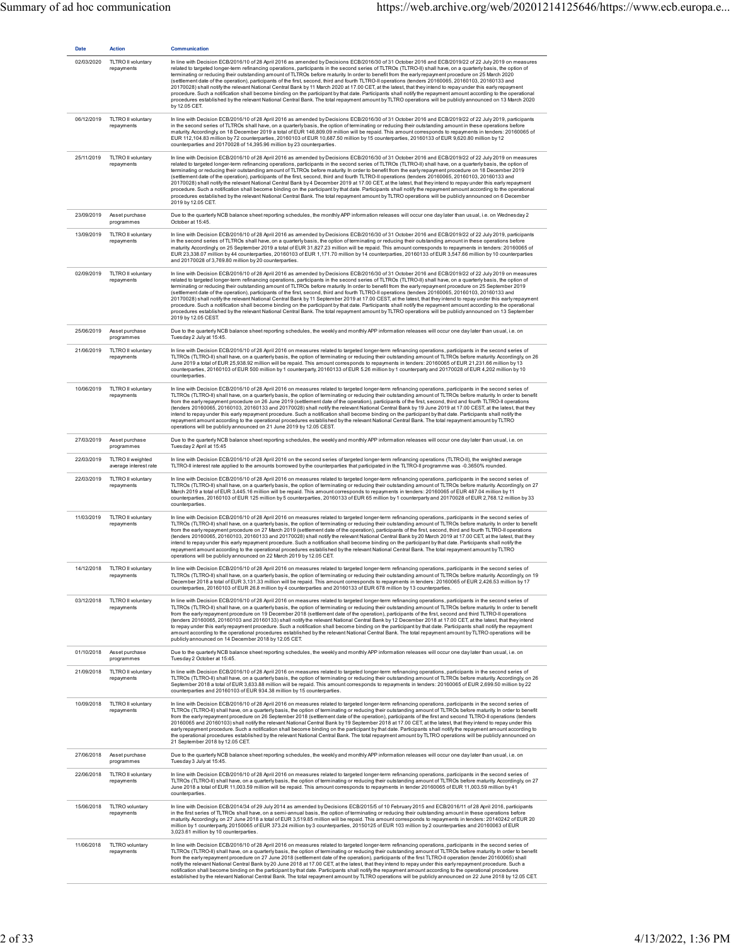| <b>Date</b> | <b>Action</b>                               | Communication                                                                                                                                                                                                                                                                                                                                                                                                                                                                                                                                                                                                                                                                                                                                                                                                                                                                                                                                                                                                                                                                                                                                                          |
|-------------|---------------------------------------------|------------------------------------------------------------------------------------------------------------------------------------------------------------------------------------------------------------------------------------------------------------------------------------------------------------------------------------------------------------------------------------------------------------------------------------------------------------------------------------------------------------------------------------------------------------------------------------------------------------------------------------------------------------------------------------------------------------------------------------------------------------------------------------------------------------------------------------------------------------------------------------------------------------------------------------------------------------------------------------------------------------------------------------------------------------------------------------------------------------------------------------------------------------------------|
| 02/03/2020  | TLTRO II voluntary<br>repayments            | In line with Decision ECB/2016/10 of 28 April 2016 as amended by Decisions ECB/2016/30 of 31 October 2016 and ECB/2019/22 of 22 July 2019 on measures<br>related to targeted longer-term refinancing operations, participants in the second series of TLTROs (TLTRO-II) shall have, on a quarterly basis, the option of<br>terminating or reducing their outstanding amount of TLTROs before maturity. In order to benefit from the early repayment procedure on 25 March 2020<br>(settlement date of the operation), participants of the first, second, third and fourth TLTRO-II operations (tenders 20160065, 20160103, 20160133 and<br>20170028) shall notify the relevant National Central Bank by 11 March 2020 at 17.00 CET, at the latest, that they intend to repay under this early repayment<br>procedure. Such a notification shall become binding on the participant by that date. Participants shall notify the repayment amount according to the operational<br>procedures established by the relevant National Central Bank. The total repayment amount by TLTRO operations will be publicly announced on 13 March 2020<br>by 12.05 CET.               |
| 06/12/2019  | TLTRO II voluntary<br>repayments            | In line with Decision ECB/2016/10 of 28 April 2016 as amended by Decisions ECB/2016/30 of 31 October 2016 and ECB/2019/22 of 22 July 2019, participants<br>in the second series of TLTROs shall have, on a quarterly basis, the option of terminating or reducing their outstanding amount in these operations before<br>maturity. Accordingly, on 18 December 2019 a total of EUR 146,809.09 million will be repaid. This amount corresponds to repayments in tenders: 20160065 of<br>EUR 112,104.83 million by 72 counterparties, 20160103 of EUR 10,687.50 million by 15 counterparties, 20160133 of EUR 9,620.80 million by 12<br>counterparties and 20170028 of 14,395.96 million by 23 counterparties.                                                                                                                                                                                                                                                                                                                                                                                                                                                           |
| 25/11/2019  | TLTRO II voluntary<br>repayments            | In line with Decision ECB/2016/10 of 28 April 2016 as amended by Decisions ECB/2016/30 of 31 October 2016 and ECB/2019/22 of 22 July 2019 on measures<br>related to targeted longer-term refinancing operations, participants in the second series of TLTROs (TLTRO-II) shall have, on a quarterly basis, the option of<br>terminating or reducing their outstanding amount of TLTROs before maturity. In order to benefit from the early repayment procedure on 18 December 2019<br>(settlement date of the operation), participants of the first, second, third and fourth TLTRO-II operations (tenders 20160065, 20160103, 20160133 and<br>20170028) shall notify the relevant National Central Bank by 4 December 2019 at 17.00 CET, at the latest, that they intend to repay under this early repayment<br>procedure. Such a notification shall become binding on the participant by that date. Participants shall notify the repayment amount according to the operational<br>procedures established by the relevant National Central Bank. The total repayment amount by TLTRO operations will be publicly announced on 6 December<br>2019 by 12.05 CET.        |
| 23/09/2019  | Asset purchase<br>programmes                | Due to the quarterly NCB balance sheet reporting schedules, the monthly APP information releases will occur one day later than usual, i.e. on Wednesday 2<br>October at 15:45.                                                                                                                                                                                                                                                                                                                                                                                                                                                                                                                                                                                                                                                                                                                                                                                                                                                                                                                                                                                         |
| 13/09/2019  | TLTRO II voluntary<br>repayments            | In line with Decision ECB/2016/10 of 28 April 2016 as amended by Decisions ECB/2016/30 of 31 October 2016 and ECB/2019/22 of 22 July 2019, participants<br>in the second series of TLTROs shall have, on a quarterly basis, the option of terminating or reducing their outstanding amount in these operations before<br>maturity. Accordingly, on 25 September 2019 a total of EUR 31,827.23 million will be repaid. This amount corresponds to repayments in tenders: 20160065 of<br>EUR 23,338.07 million by 44 counterparties, 20160103 of EUR 1,171.70 million by 14 counterparties, 20160133 of EUR 3,547.66 million by 10 counterparties<br>and 20170028 of 3,769.80 million by 20 counterparties.                                                                                                                                                                                                                                                                                                                                                                                                                                                              |
| 02/09/2019  | TLTRO II voluntary<br>repayments            | In line with Decision ECB/2016/10 of 28 April 2016 as amended by Decisions ECB/2016/30 of 31 October 2016 and ECB/2019/22 of 22 July 2019 on measures<br>related to targeted longer-term refinancing operations, participants in the second series of TLTROs (TLTRO-II) shall have, on a quarterly basis, the option of<br>terminating or reducing their outstanding amount of TLTROs before maturity. In order to benefit from the early repayment procedure on 25 September 2019<br>(settlement date of the operation), participants of the first, second, third and fourth TLTRO-II operations (tenders 20160065, 20160103, 20160133 and<br>20170028) shall notify the relevant National Central Bank by 11 September 2019 at 17.00 CEST, at the latest, that they intend to repay under this early repayment<br>procedure. Such a notification shall become binding on the participant by that date. Participants shall notify the repayment amount according to the operational<br>procedures established by the relevant National Central Bank. The total repayment amount by TLTRO operations will be publicly announced on 13 September<br>2019 by 12.05 CEST. |
| 25/06/2019  | Asset purchase<br>programmes                | Due to the quarterly NCB balance sheet reporting schedules, the weekly and monthly APP information releases will occur one day later than usual, i.e. on<br>Tuesday 2 July at 15:45.                                                                                                                                                                                                                                                                                                                                                                                                                                                                                                                                                                                                                                                                                                                                                                                                                                                                                                                                                                                   |
| 21/06/2019  | TLTRO II voluntary<br>repayments            | In line with Decision ECB/2016/10 of 28 April 2016 on measures related to targeted longer-term refinancing operations, participants in the second series of<br>TLTROs (TLTRO-II) shall have, on a quarterly basis, the option of terminating or reducing their outstanding amount of TLTROs before maturity. Accordingly, on 26<br>June 2019 a total of EUR 25,938.92 million will be repaid. This amount corresponds to repayments in tenders: 20160065 of EUR 21,231.66 million by 13<br>counterparties, 20160103 of EUR 500 million by 1 counterparty, 20160133 of EUR 5.26 million by 1 counterparty and 20170028 of EUR 4,202 million by 10<br>counterparties.                                                                                                                                                                                                                                                                                                                                                                                                                                                                                                    |
| 10/06/2019  | TLTRO II voluntary<br>repayments            | In line with Decision ECB/2016/10 of 28 April 2016 on measures related to targeted longer-term refinancing operations, participants in the second series of<br>TLTROs (TLTRO-II) shall have, on a quarterly basis, the option of terminating or reducing their outstanding amount of TLTROs before maturity. In order to benefit<br>from the early repayment procedure on 26 June 2019 (settlement date of the operation), participants of the first, second, third and fourth TLTRO-II operations<br>(tenders 20160065, 20160103, 20160133 and 20170028) shall notify the relevant National Central Bank by 19 June 2019 at 17.00 CEST, at the latest, that they<br>intend to repay under this early repayment procedure. Such a notification shall become binding on the participant by that date. Participants shall notify the<br>repayment amount according to the operational procedures established by the relevant National Central Bank. The total repayment amount by TLTRO<br>operations will be publicly announced on 21 June 2019 by 12.05 CEST.                                                                                                          |
| 27/03/2019  | Asset purchase<br>programmes                | Due to the quarterly NCB balance sheet reporting schedules, the weekly and monthly APP information releases will occur one day later than usual, i.e. on<br>Tuesday 2 April at 15:45                                                                                                                                                                                                                                                                                                                                                                                                                                                                                                                                                                                                                                                                                                                                                                                                                                                                                                                                                                                   |
| 22/03/2019  | TLTRO II weighted<br>average interest rate  | In line with Decision ECB/2016/10 of 28 April 2016 on the second series of targeted longer-term refinancing operations (TLTRO-II), the weighted average<br>TLTRO-II interest rate applied to the amounts borrowed by the counterparties that participated in the TLTRO-II programme was -0.3650% rounded.                                                                                                                                                                                                                                                                                                                                                                                                                                                                                                                                                                                                                                                                                                                                                                                                                                                              |
| 22/03/2019  | TLTRO II voluntary<br>repayments            | In line with Decision ECB/2016/10 of 28 April 2016 on measures related to targeted longer-term refinancing operations, participants in the second series of<br>TLTROs (TLTRO-II) shall have, on a quarterly basis, the option of terminating or reducing their outstanding amount of TLTROs before maturity. Accordingly, on 27<br>March 2019 a total of EUR 3,445.16 million will be repaid. This amount corresponds to repayments in tenders: 20160065 of EUR 487.04 million by 11<br>counterparties, 20160103 of EUR 125 million by 5 counterparties, 20160133 of EUR 65 million by 1 counterparty and 20170028 of EUR 2,768.12 million by 33<br>counterparties.                                                                                                                                                                                                                                                                                                                                                                                                                                                                                                    |
| 11/03/2019  | TLTRO II voluntary<br>repayments            | In line with Decision ECB/2016/10 of 28 April 2016 on measures related to targeted longer-term refinancing operations, participants in the second series of<br>TLTROs (TLTRO-II) shall have, on a quarterly basis, the option of terminating or reducing their outstanding amount of TLTROs before maturity. In order to benefit<br>from the early repayment procedure on 27 March 2019 (settlement date of the operation), participants of the first, second, third and fourth TLTRO-II operations<br>(tenders 20160065, 20160103, 20160133 and 20170028) shall notify the relevant National Central Bank by 20 March 2019 at 17.00 CET, at the latest, that they<br>intend to repay under this early repayment procedure. Such a notification shall become binding on the participant by that date. Participants shall notify the<br>repayment amount according to the operational procedures established by the relevant National Central Bank. The total repayment amount by TLTRO<br>operations will be publicly announced on 22 March 2019 by 12.05 CET.                                                                                                         |
|             | 14/12/2018 TLTRO II voluntary<br>repayments | In line with Decision ECB/2016/10 of 28 April 2016 on measures related to targeted longer-term refinancing operations, participants in the second series of<br>TETROS (TETRO-II) shall have, on a quarterly basis, the option of terminating or reducing their outstanding amount of TETROs before maturity. Accordingly, on 19<br>December 2018 a total of EUR 3,131.33 million will be repaid. This amount corresponds to repayments in tenders: 20160065 of EUR 2,426.53 million by 17<br>counterparties, 20160103 of EUR 26.8 million by 4 counterparties and 20160133 of EUR 678 million by 13 counterparties.                                                                                                                                                                                                                                                                                                                                                                                                                                                                                                                                                    |
| 03/12/2018  | TLTRO II voluntary<br>repayments            | In line with Decision ECB/2016/10 of 28 April 2016 on measures related to targeted longer-term refinancing operations, participants in the second series of<br>TLTROs (TLTRO-II) shall have, on a quarterly basis, the option of terminating or reducing their outstanding amount of TLTROs before maturity. In order to benefit<br>from the early repayment procedure on 19 December 2018 (settlement date of the operation), participants of the first, second and third TLTRO-II operations<br>(tenders 20160065, 20160103 and 20160133) shall notify the relevant National Central Bank by 12 December 2018 at 17.00 CET, at the latest, that they intend<br>to repay under this early repayment procedure. Such a notification shall become binding on the participant by that date. Participants shall notify the repayment<br>amount according to the operational procedures established by the relevant National Central Bank. The total repayment amount by TLTRO operations will be<br>publicly announced on 14 December 2018 by 12.05 CET.                                                                                                                  |
| 01/10/2018  | Asset purchase<br>programmes                | Due to the quarterly NCB balance sheet reporting schedules, the weekly and monthly APP information releases will occur one day later than usual, i.e. on<br>Tuesday 2 October at 15:45.                                                                                                                                                                                                                                                                                                                                                                                                                                                                                                                                                                                                                                                                                                                                                                                                                                                                                                                                                                                |
| 21/09/2018  | TLTRO II voluntary<br>repayments            | In line with Decision ECB/2016/10 of 28 April 2016 on measures related to targeted longer-term refinancing operations, participants in the second series of<br>TLTROs (TLTRO-II) shall have, on a quarterly basis, the option of terminating or reducing their outstanding amount of TLTROs before maturity. Accordingly, on 26<br>September 2018 a total of EUR 3,633.88 million will be repaid. This amount corresponds to repayments in tenders: 20160065 of EUR 2,699.50 million by 22<br>counterparties and 20160103 of EUR 934.38 million by 15 counterparties.                                                                                                                                                                                                                                                                                                                                                                                                                                                                                                                                                                                                  |
| 10/09/2018  | TLTRO II voluntary<br>repayments            | In line with Decision ECB/2016/10 of 28 April 2016 on measures related to targeted longer-term refinancing operations, participants in the second series of<br>TLTROs (TLTRO-II) shall have, on a quarterly basis, the option of terminating or reducing their outstanding amount of TLTROs before maturity. In order to benefit<br>from the early repayment procedure on 26 September 2018 (settlement date of the operation), participants of the first and second TLTRO-II operations (tenders<br>20160065 and 20160103) shall notify the relevant National Central Bank by 19 September 2018 at 17.00 CET, at the latest, that they intend to repay under this<br>early repayment procedure. Such a notification shall become binding on the participant by that date. Participants shall notify the repayment amount according to<br>the operational procedures established by the relevant National Central Bank. The total repayment amount by TLTRO operations will be publicly announced on<br>21 September 2018 by 12.05 CET.                                                                                                                                |
| 27/06/2018  | Asset purchase<br>programmes                | Due to the quarterly NCB balance sheet reporting schedules, the weekly and monthly APP information releases will occur one day later than usual, i.e. on<br>Tuesday 3 July at 15:45.                                                                                                                                                                                                                                                                                                                                                                                                                                                                                                                                                                                                                                                                                                                                                                                                                                                                                                                                                                                   |
| 22/06/2018  | TLTRO II voluntary<br>repayments            | In line with Decision ECB/2016/10 of 28 April 2016 on measures related to targeted longer-term refinancing operations, participants in the second series of<br>TLTROs (TLTRO-II) shall have, on a quarterly basis, the option of terminating or reducing their outstanding amount of TLTROs before maturity. Accordingly, on 27<br>June 2018 a total of EUR 11,003.59 million will be repaid. This amount corresponds to repayments in tender 20160065 of EUR 11,003.59 million by 41<br>counterparties.                                                                                                                                                                                                                                                                                                                                                                                                                                                                                                                                                                                                                                                               |
| 15/06/2018  | TLTRO voluntary<br>repayments               | In line with Decision ECB/2014/34 of 29 July 2014 as amended by Decisions ECB/2015/5 of 10 February 2015 and ECB/2016/11 of 28 April 2016, participants<br>in the first series of TLTROs shall have, on a semi-annual basis, the option of terminating or reducing their outstanding amount in these operations before<br>maturity. Accordingly, on 27 June 2018 a total of EUR 3,519.85 million will be repaid. This amount corresponds to repayments in tenders: 20140242 of EUR 20<br>million by 1 counterparty, 20150065 of EUR 373.24 million by 3 counterparties, 20150125 of EUR 103 million by 2 counterparties and 20160063 of EUR<br>3,023.61 million by 10 counterparties.                                                                                                                                                                                                                                                                                                                                                                                                                                                                                  |
| 11/06/2018  | TLTRO voluntary<br>repayments               | In line with Decision ECB/2016/10 of 28 April 2016 on measures related to targeted longer-term refinancing operations, participants in the second series of<br>TLTROs (TLTRO-II) shall have, on a quarterly basis, the option of terminating or reducing their outstanding amount of TLTROs before maturity. In order to benefit<br>from the early repayment procedure on 27 June 2018 (settlement date of the operation), participants of the first TLTRO-II operation (tender 20160065) shall<br>notify the relevant National Central Bank by 20 June 2018 at 17.00 CET, at the latest, that they intend to repay under this early repayment procedure. Such a<br>notification shall become binding on the participant by that date. Participants shall notify the repayment amount according to the operational procedures<br>established by the relevant National Central Bank. The total repayment amount by TLTRO operations will be publicly announced on 22 June 2018 by 12.05 CET.                                                                                                                                                                            |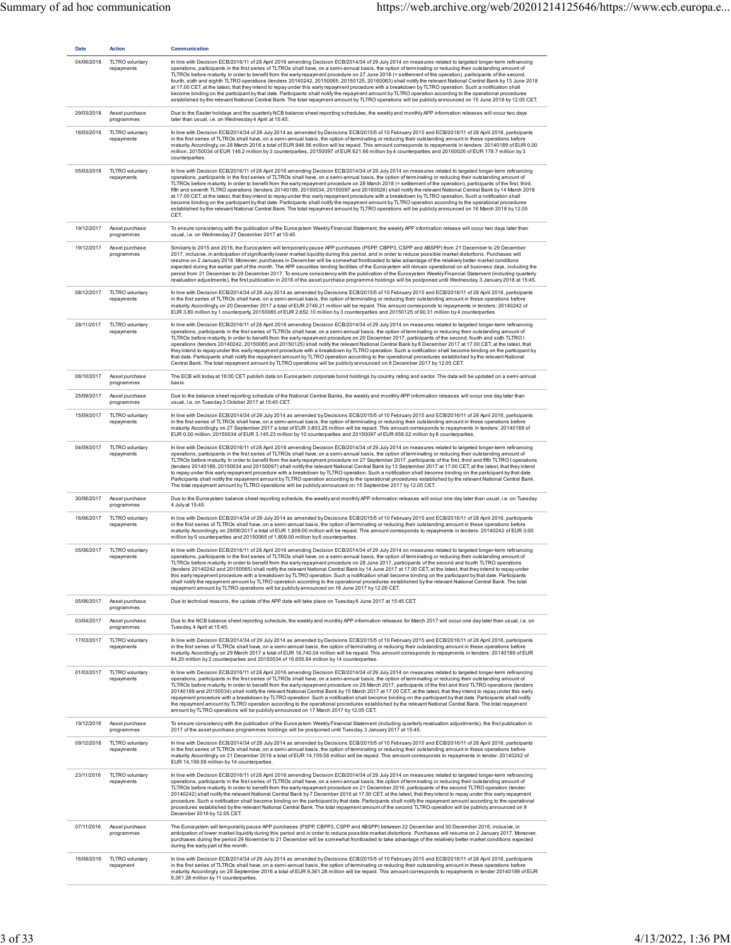| <b>Date</b> |                                                |                                                                                                                                                                                                                                                                                                                                                                                                                                                                                                                                                                                                                                                                                                                                                                                                                                                                                                                                                                                                                                                                                                                                                                 |
|-------------|------------------------------------------------|-----------------------------------------------------------------------------------------------------------------------------------------------------------------------------------------------------------------------------------------------------------------------------------------------------------------------------------------------------------------------------------------------------------------------------------------------------------------------------------------------------------------------------------------------------------------------------------------------------------------------------------------------------------------------------------------------------------------------------------------------------------------------------------------------------------------------------------------------------------------------------------------------------------------------------------------------------------------------------------------------------------------------------------------------------------------------------------------------------------------------------------------------------------------|
| 04/06/2018  | <b>Action</b><br>TLTRO voluntary<br>repayments | Communication<br>In line with Decision ECB/2016/11 of 28 April 2016 amending Decision ECB/2014/34 of 29 July 2014 on measures related to targeted longer-term refinancing<br>operations, participants in the first series of TLTROs shall have, on a semi-annual basis, the option of terminating or reducing their outstanding amount of<br>TLTROs before maturity. In order to benefit from the early repayment procedure on 27 June 2018 (= settlement of the operation), participants of the second,<br>fourth, sixth and eighth TLTRO operations (tenders 20140242, 20150065, 20150125, 20160063) shall notify the relevant National Central Bank by 13 June 2018<br>at 17.00 CET, at the latest, that they intend to repay under this early repayment procedure with a breakdown by TLTRO operation. Such a notification shall<br>become binding on the participant by that date. Participants shall notify the repayment amount by TLTRO operation according to the operational procedures<br>established by the relevant National Central Bank. The total repayment amount by TLTRO operations will be publicly announced on 15 June 2018 by 12.05 CET. |
| 29/03/2018  | Asset purchase<br>programmes                   | Due to the Easter holidays and the quarterly NCB balance sheet reporting schedules, the weekly and monthly APP information releases will occur two days<br>later than usual, i.e. on Wednesday 4 April at 15:45.                                                                                                                                                                                                                                                                                                                                                                                                                                                                                                                                                                                                                                                                                                                                                                                                                                                                                                                                                |
| 16/03/2018  | TLTRO voluntary<br>repayments                  | In line with Decision ECB/2014/34 of 29 July 2014 as amended by Decisions ECB/2015/5 of 10 February 2015 and ECB/2016/11 of 28 April 2016, participants<br>in the first series of TLTROs shall have, on a semi-annual basis, the option of terminating or reducing their outstanding amount in these operations before<br>maturity. Accordingly, on 28 March 2018 a total of EUR 946.56 million will be repaid. This amount corresponds to repayments in tenders: 20140189 of EUR 0.00<br>million, 20150034 of EUR 146.2 million by 3 counterparties, 20150097 of EUR 621.66 million by 4 counterparties and 20160026 of EUR 178.7 million by 3<br>counterparties.                                                                                                                                                                                                                                                                                                                                                                                                                                                                                              |
| 05/03/2018  | TLTRO voluntary<br>repayments                  | In line with Decision ECB/2016/11 of 28 April 2016 amending Decision ECB/2014/34 of 29 July 2014 on measures related to targeted longer-term refinancing<br>operations, participants in the first series of TLTROs shall have, on a semi-annual basis, the option of terminating or reducing their outstanding amount of<br>TLTROs before maturity. In order to benefit from the early repayment procedure on 28 March 2018 (= settlement of the operation), participants of the first, third,<br>fifth and seventh TLTRO operations (tenders 20140189, 20150034, 20150097 and 20160026) shall notify the relevant National Central Bank by 14 March 2018<br>at 17.00 CET, at the latest, that they intend to repay under this early repayment procedure with a breakdown by TLTRO operation. Such a notification shall<br>become binding on the participant by that date. Participants shall notify the repayment amount by TLTRO operation according to the operational procedures<br>established by the relevant National Central Bank. The total repayment amount by TLTRO operations will be publicly announced on 16 March 2018 by 12.05<br>CET.          |
| 19/12/2017  | Asset purchase<br>programmes                   | To ensure consistency with the publication of the Eurosystem Weekly Financial Statement, the weekly APP information release will occur two days later than<br>usual, i.e. on Wednesday 27 December 2017 at 15:45.                                                                                                                                                                                                                                                                                                                                                                                                                                                                                                                                                                                                                                                                                                                                                                                                                                                                                                                                               |
| 19/12/2017  | Asset purchase<br>programmes                   | Similarly to 2015 and 2016, the Eurosystem will temporarily pause APP purchases (PSPP, CBPP3, CSPP and ABSPP) from 21 December to 29 December<br>2017, inclusive, in anticipation of significantly lower market liquidity during this period, and in order to reduce possible market distortions. Purchases will<br>resume on 2 January 2018. Moreover, purchases in December will be somewhat frontloaded to take advantage of the relatively better market conditions<br>expected during the earlier part of the month. The APP securities lending facilities of the Eurosystem will remain operational on all business days, including the<br>period from 21 December to 29 December 2017. To ensure consistency with the publication of the Eurosystem Weekly Financial Statement (including quarterly<br>revaluation adjustments), the first publication in 2018 of the asset purchase programme holdings will be postponed until Wednesday, 3 January 2018 at 15:45.                                                                                                                                                                                      |
| 08/12/2017  | TLTRO voluntary<br>repayments                  | In line with Decision ECB/2014/34 of 29 July 2014 as amended by Decisions ECB/2015/5 of 10 February 2015 and ECB/2016/11 of 28 April 2016, participants<br>in the first series of TLTROs shall have, on a semi-annual basis, the option of terminating or reducing their outstanding amount in these operations before<br>maturity. Accordingly, on 20 December 2017 a total of EUR 2746.21 million will be repaid. This amount corresponds to repayments in tenders: 20140242 of<br>EUR 3.80 million by 1 counterparty, 20150065 of EUR 2,652.10 million by 3 counterparties and 20150125 of 90.31 million by 4 counterparties.                                                                                                                                                                                                                                                                                                                                                                                                                                                                                                                                |
| 28/11/2017  | TLTRO voluntary<br>repayments                  | In line with Decision ECB/2016/11 of 28 April 2016 amending Decision ECB/2014/34 of 29 July 2014 on measures related to targeted longer-term refinancing<br>operations, participants in the first series of TLTROs shall have, on a semi-annual basis, the option of terminating or reducing their outstanding amount of<br>TLTROs before maturity. In order to benefit from the early repayment procedure on 20 December 2017, participants of the second, fourth and sixth TLTRO I<br>operations (tenders 20140242, 20150065 and 20150125) shall notify the relevant National Central Bank by 6 December 2017 at 17.00 CET, at the latest, that<br>they intend to repay under this early repayment procedure with a breakdown by TLTRO operation. Such a notification shall become binding on the participant by<br>that date. Participants shall notify the repayment amount by TLTRO operation according to the operational procedures established by the relevant National<br>Central Bank. The total repayment amount by TLTRO operations will be publicly announced on 8 December 2017 by 12.05 CET.                                                     |
| 06/10/2017  | Asset purchase<br>programmes                   | The ECB will today at 16:00 CET publish data on Eurosystem corporate bond holdings by country, rating and sector. The data will be updated on a semi-annual<br>basis.                                                                                                                                                                                                                                                                                                                                                                                                                                                                                                                                                                                                                                                                                                                                                                                                                                                                                                                                                                                           |
| 25/09/2017  | Asset purchase<br>programmes                   | Due to the balance sheet reporting schedule of the National Central Banks, the weekly and monthly APP information releases will occur one day later than<br>usual, i.e. on Tuesday 3 October 2017 at 15:45 CET.                                                                                                                                                                                                                                                                                                                                                                                                                                                                                                                                                                                                                                                                                                                                                                                                                                                                                                                                                 |
| 15/09/2017  | TLTRO voluntary<br>repayments                  | In line with Decision ECB/2014/34 of 29 July 2014 as amended by Decisions ECB/2015/5 of 10 February 2015 and ECB/2016/11 of 28 April 2016, participants<br>in the first series of TLTROs shall have, on a semi-annual basis, the option of terminating or reducing their outstanding amount in these operations before<br>maturity. Accordingly, on 27 September 2017 a total of EUR 3,803.25 million will be repaid. This amount corresponds to repayments in tenders: 20140189 of<br>EUR 0.00 million, 20150034 of EUR 3,145.23 million by 10 counterparties and 20150097 of EUR 658.02 million by 8 counterparties.                                                                                                                                                                                                                                                                                                                                                                                                                                                                                                                                          |
| 04/09/2017  | TLTRO voluntary<br>repayments                  | In line with Decision ECB/2016/11 of 28 April 2016 amending Decision ECB/2014/34 of 29 July 2014 on measures related to targeted longer-term refinancing<br>operations, participants in the first series of TLTROs shall have, on a semi-annual basis, the option of terminating or reducing their outstanding amount of<br>TLTROs before maturity. In order to benefit from the early repayment procedure on 27 September 2017, participants of the first, third and fifth TLTRO I operations<br>(tenders 20140189, 20150034 and 20150097) shall notify the relevant National Central Bank by 13 September 2017 at 17.00 CET, at the latest, that they intend<br>to repay under this early repayment procedure with a breakdown by TLTRO operation. Such a notification shall become binding on the participant by that date.<br>Participants shall notify the repayment amount by TLTRO operation according to the operational procedures established by the relevant National Central Bank.<br>The total repayment amount by TLTRO operations will be publicly announced on 15 September 2017 by 12.05 CET.                                                  |
| 30/06/2017  | Asset purchase<br>programmes                   | Due to the Eurosystem balance sheet reporting schedule, the weekly and monthly APP information releases will occur one day later than usual, i.e. on Tuesday<br>4 July at 15:45.                                                                                                                                                                                                                                                                                                                                                                                                                                                                                                                                                                                                                                                                                                                                                                                                                                                                                                                                                                                |
| 16/06/2017  | TLTRO voluntary<br>repayments                  | In line with Decision ECB/2014/34 of 29 July 2014 as amended by Decisions ECB/2015/5 of 10 February 2015 and ECB/2016/11 of 28 April 2016, participants<br>in the first series of TLTROs shall have, on a semi-annual basis, the option of terminating or reducing their outstanding amount in these operations before<br>maturity. Accordingly, on 28/06/2017 a total of EUR 1,809.00 million will be repaid. This amount corresponds to repayments in tenders: 20140242 of EUR 0.00<br>million by 0 counterparties and 20150065 of 1,809.00 million by 6 counterparties.                                                                                                                                                                                                                                                                                                                                                                                                                                                                                                                                                                                      |
| 05/06/2017  | TLTRO voluntary<br>repayments                  | In line with Decision ECB/2016/11 of 28 April 2016 amending Decision ECB/2014/34 of 29 July 2014 on measures related to targeted longer-term refinancing<br>operations, participants in the first series of TLTROs shall have, on a semi-annual basis, the option of terminating or reducing their outstanding amount of<br>TLTROs before maturity. In order to benefit from the early repayment procedure on 28 June 2017, participants of the second and fourth TLTRO operations<br>(tenders 20140242 and 20150065) shall notify the relevant National Central Bank by 14 June 2017 at 17.00 CET, at the latest, that they intend to repay under<br>this early repayment procedure with a breakdown by TLTRO operation. Such a notification shall become binding on the participant by that date. Participants<br>shall notify the repayment amount by TLTRO operation according to the operational procedures established by the relevant National Central Bank. The total<br>repayment amount by TLTRO operations will be publicly announced on 16 June 2017 by 12.05 CET.                                                                                  |
| 05/06/2017  | Asset purchase<br>programmes                   | Due to technical reasons, the update of the APP data will take place on Tuesday 6 June 2017 at 15:45 CET.                                                                                                                                                                                                                                                                                                                                                                                                                                                                                                                                                                                                                                                                                                                                                                                                                                                                                                                                                                                                                                                       |
| 03/04/2017  | Asset purchase<br>programmes                   | Due to the NCB balance sheet reporting schedule, the weekly and monthly APP information releases for March 2017 will occur one day later than usual, i.e. on<br>Tuesday, 4 April at 15:45.                                                                                                                                                                                                                                                                                                                                                                                                                                                                                                                                                                                                                                                                                                                                                                                                                                                                                                                                                                      |
| 17/03/2017  | <b>TLTRO</b> voluntary<br>repayments           | In line with Decision ECB/2014/34 of 29 July 2014 as amended by Decisions ECB/2015/5 of 10 February 2015 and ECB/2016/11 of 28 April 2016, participants<br>in the first series of TLTROs shall have, on a semi-annual basis, the option of terminating or reducing their outstanding amount in these operations before<br>maturity. Accordingly, on 29 March 2017 a total of EUR 16,740.04 million will be repaid. This amount corresponds to repayments in tenders: 20140189 of EUR<br>84.20 million by 2 counterparties and 20150034 of 16,655.84 million by 14 counterparties.                                                                                                                                                                                                                                                                                                                                                                                                                                                                                                                                                                               |
| 01/03/2017  | TLTRO voluntary<br>repayments                  | In line with Decision ECB/2016/11 of 28 April 2016 amending Decision ECB/2014/34 of 29 July 2014 on measures related to targeted longer-term refinancing<br>operations, participants in the first series of TLTROs shall have, on a semi-annual basis, the option of terminating or reducing their outstanding amount of<br>TLTROs before maturity. In order to benefit from the early repayment procedure on 29 March 2017, participants of the first and third TLTRO operations (tenders<br>20140189 and 20150034) shall notify the relevant National Central Bank by 15 March 2017 at 17.00 CET, at the latest, that they intend to repay under this early<br>repayment procedure with a breakdown by TLTRO operation. Such a notification shall become binding on the participant by that date. Participants shall notify<br>the repayment amount by TLTRO operation according to the operational procedures established by the relevant National Central Bank. The total repayment<br>amount by TLTRO operations will be publicly announced on 17 March 2017 by 12.05 CET.                                                                                 |
| 19/12/2016  | Asset purchase<br>programmes                   | To ensure consistency with the publication of the Eurosystem Weekly Financial Statement (including quarterly revaluation adjustments), the first publication in<br>.2017 of the asset purchase programmes holdings will be postponed until Tuesday, 3 January 2017 at 15:45                                                                                                                                                                                                                                                                                                                                                                                                                                                                                                                                                                                                                                                                                                                                                                                                                                                                                     |
| 09/12/2016  | TLTRO voluntary<br>repayments                  | In line with Decision ECB/2014/34 of 29 July 2014 as amended by Decisions ECB/2015/5 of 10 February 2015 and ECB/2016/11 of 28 April 2016, participants<br>in the first series of TLTROs shall have, on a semi-annual basis, the option of terminating or reducing their outstanding amount in these operations before<br>maturity. Accordingly, on 21 December 2016 a total of EUR 14,159.58 million will be repaid. This amount corresponds to repayments in tender: 20140242 of<br>EUR 14,159.58 million by 14 counterparties.                                                                                                                                                                                                                                                                                                                                                                                                                                                                                                                                                                                                                               |
| 23/11/2016  | TLTRO voluntary<br>repayments                  | In line with Decision ECB/2016/11 of 28 April 2016 amending Decision ECB/2014/34 of 29 July 2014 on measures related to targeted longer-term refinancing<br>operations, participants in the first series of TLTROs shall have, on a semi-annual basis, the option of terminating or reducing their outstanding amount of<br>TLTROs before maturity. In order to benefit from the early repayment procedure on 21 December 2016, participants of the second TLTRO operation (tender<br>20140242) shall notify the relevant National Central Bank by 7 December 2016 at 17.00 CET, at the latest, that they intend to repay under this early repayment<br>procedure. Such a notification shall become binding on the participant by that date. Participants shall notify the repayment amount according to the operational<br>procedures established by the relevant National Central Bank. The total repayment amount of the second TLTRO operation will be publicly announced on 9<br>December 2016 by 12.05 CET.                                                                                                                                               |
| 07/11/2016  | Asset purchase<br>programmes                   | The Eurosystem will temporarily pause APP purchases (PSPP, CBPP3, CSPP and ABSPP) between 22 December and 30 December 2016, inclusive, in<br>anticipation of lower market liquidity during this period and in order to reduce possible market distortions. Purchases will resume on 2 January 2017. Moreover,<br>purchases during the period 29 November to 21 December will be somewhat frontloaded to take advantage of the relatively better market conditions expected<br>during the early part of the month.                                                                                                                                                                                                                                                                                                                                                                                                                                                                                                                                                                                                                                               |
| 16/09/2016  | TLTRO voluntary<br>repayment                   | In line with Decision ECB/2014/34 of 29 July 2014 as amended by Decisions ECB/2015/5 of 10 February 2015 and ECB/2016/11 of 28 April 2016, participants<br>in the first series of TLTROs shall have, on a semi-annual basis, the option of terminating or reducing their outstanding amount in these operations before<br>maturity. Accordingly, on 28 September 2016 a total of EUR 9,361.28 million will be repaid. This amount corresponds to repayments in tender 20140189 of EUR<br>9,361.28 million by 11 counterparties.                                                                                                                                                                                                                                                                                                                                                                                                                                                                                                                                                                                                                                 |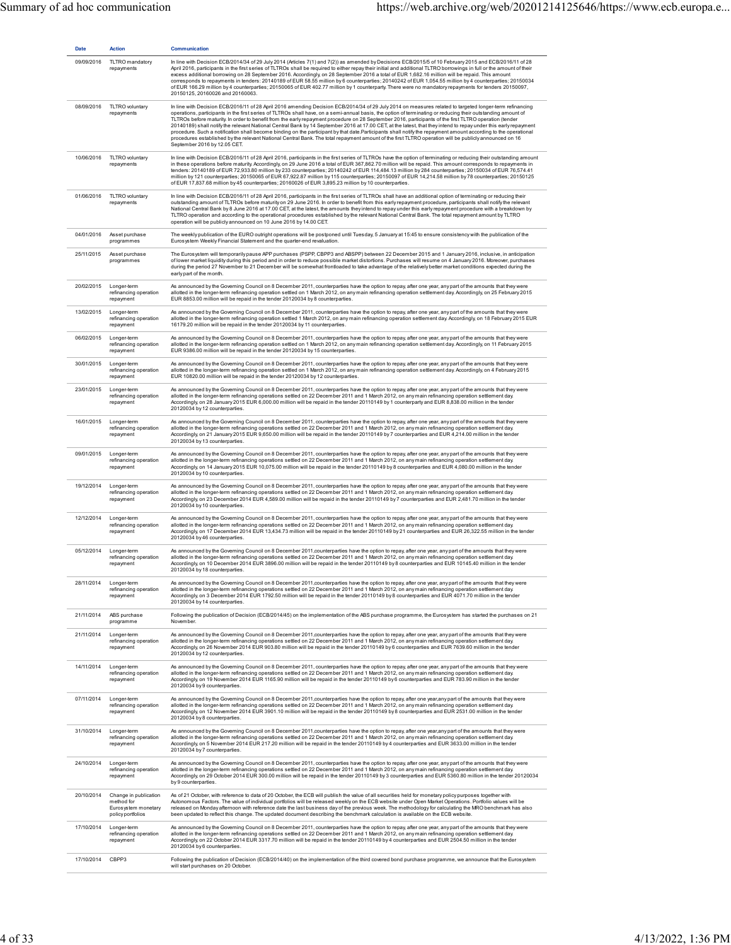| <b>Date</b> | <b>Action</b>                                                                   | Communication                                                                                                                                                                                                                                                                                                                                                                                                                                                                                                                                                                                                                                                                                                                                                                                                                                                                                                                                                                                                       |
|-------------|---------------------------------------------------------------------------------|---------------------------------------------------------------------------------------------------------------------------------------------------------------------------------------------------------------------------------------------------------------------------------------------------------------------------------------------------------------------------------------------------------------------------------------------------------------------------------------------------------------------------------------------------------------------------------------------------------------------------------------------------------------------------------------------------------------------------------------------------------------------------------------------------------------------------------------------------------------------------------------------------------------------------------------------------------------------------------------------------------------------|
| 09/09/2016  | TLTRO mandatory<br>repayments                                                   | In line with Decision ECB/2014/34 of 29 July 2014 (Articles 7(1) and 7(2)) as amended by Decisions ECB/2015/5 of 10 February 2015 and ECB/2016/11 of 28<br>April 2016, participants in the first series of TLTROs shall be required to either repay their initial and additional TLTRO borrowings in full or the amount of their<br>excess additional borrowing on 28 September 2016. Accordingly, on 28 September 2016 a total of EUR 1,682.16 million will be repaid. This amount<br>corresponds to repayments in tenders: 20140189 of EUR 58.55 million by 6 counterparties; 20140242 of EUR 1,054.55 million by 4 counterparties; 20150034<br>of EUR 166.29 million by 4 counterparties; 20150065 of EUR 402.77 million by 1 counterparty. There were no mandatory repayments for tenders 20150097,<br>20150125, 20160026 and 20160063.                                                                                                                                                                         |
| 08/09/2016  | TLTRO voluntary<br>repayments                                                   | In line with Decision ECB/2016/11 of 28 April 2016 amending Decision ECB/2014/34 of 29 July 2014 on measures related to targeted longer-term refinancing<br>operations, participants in the first series of TLTROs shall have, on a semi-annual basis, the option of terminating or reducing their outstanding amount of<br>TLTROs before maturity. In order to benefit from the early repayment procedure on 28 September 2016, participants of the first TLTRO operation (tender<br>20140189) shall notify the relevant National Central Bank by 14 September 2016 at 17.00 CET, at the latest, that they intend to repay under this early repayment<br>procedure. Such a notification shall become binding on the participant by that date.Participants shall notify the repayment amount according to the operational<br>procedures established by the relevant National Central Bank. The total repayment amount of the first TLTRO operation will be publicly announced on 16<br>September 2016 by 12.05 CET. |
| 10/06/2016  | TLTRO voluntary<br>repayments                                                   | In line with Decision ECB/2016/11 of 28 April 2016, participants in the first series of TLTROs have the option of terminating or reducing their outstanding amount<br>in these operations before maturity Accordingly, on 29 June 2016 a total of EUR 367,862.70 million will be repaid. This amount corresponds to repayments in<br>tenders: 20140189 of EUR 72,933.80 million by 233 counterparties; 20140242 of EUR 114,484.13 million by 284 counterparties; 20150034 of EUR 76,574.41<br>million by 121 counterparties; 20150065 of EUR 67,922.87 million by 115 counterparties; 20150097 of EUR 14,214.58 million by 78 counterparties; 20150125<br>of EUR 17,837.68 million by 45 counterparties; 20160026 of EUR 3,895.23 million by 10 counterparties.                                                                                                                                                                                                                                                     |
| 01/06/2016  | TLTRO voluntary<br>repayments                                                   | In line with Decision ECB/2016/11 of 28 April 2016, participants in the first series of TLTROs shall have an additional option of terminating or reducing their<br>outstanding amount of TLTROs before maturity on 29 June 2016. In order to benefit from this early repayment procedure, participants shall notify the relevant<br>National Central Bank by 8 June 2016 at 17.00 CET, at the latest, the amounts they intend to repay under this early repayment procedure with a breakdown by<br>TLTRO operation and according to the operational procedures established by the relevant National Central Bank. The total repayment amount by TLTRO<br>operation will be publicly announced on 10 June 2016 by 14.00 CET.                                                                                                                                                                                                                                                                                         |
| 04/01/2016  | Asset purchase<br>programmes                                                    | The weekly publication of the EURO outright operations will be postponed until Tuesday, 5 January at 15:45 to ensure consistency with the publication of the<br>Eurosystem Weekly Financial Statement and the quarter-end revaluation.                                                                                                                                                                                                                                                                                                                                                                                                                                                                                                                                                                                                                                                                                                                                                                              |
| 25/11/2015  | Asset purchase<br>programmes                                                    | The Eurosystem will temporarily pause APP purchases (PSPP, CBPP3 and ABSPP) between 22 December 2015 and 1 January 2016, inclusive, in anticipation<br>of lower market liquidity during this period and in order to reduce possible market distortions. Purchases will resume on 4 January 2016. Moreover, purchases<br>during the period 27 November to 21 December will be somewhat frontloaded to take advantage of the relatively better market conditions expected during the<br>early part of the month.                                                                                                                                                                                                                                                                                                                                                                                                                                                                                                      |
| 20/02/2015  | Longer-term<br>refinancing operation<br>repayment                               | As announced by the Governing Council on 8 December 2011, counterparties have the option to repay, after one year, any part of the amounts that they were<br>allotted in the longer-term refinancing operation settled on 1 March 2012, on any main refinancing operation settlement day. Accordingly, on 25 February 2015<br>EUR 8853.00 million will be repaid in the tender 20120034 by 8 counterparties.                                                                                                                                                                                                                                                                                                                                                                                                                                                                                                                                                                                                        |
| 13/02/2015  | Longer-term<br>refinancing operation<br>repayment                               | As announced by the Governing Council on 8 December 2011, counterparties have the option to repay, after one year, any part of the amounts that they were<br>allotted in the longer-term refinancing operation settled 1 March 2012, on any main refinancing operation settlement day. Accordingly, on 18 February 2015 EUR<br>16179.20 million will be repaid in the tender 20120034 by 11 counterparties.                                                                                                                                                                                                                                                                                                                                                                                                                                                                                                                                                                                                         |
| 06/02/2015  | Longer-term<br>refinancing operation<br>repayment                               | As announced by the Governing Council on 8 December 2011, counterparties have the option to repay, after one year, any part of the amounts that they were<br>allotted in the longer-term refinancing operation settled on 1 March 2012, on any main refinancing operation settlement day. Accordingly, on 11 February 2015<br>EUR 9386.00 million will be repaid in the tender 20120034 by 15 counterparties.                                                                                                                                                                                                                                                                                                                                                                                                                                                                                                                                                                                                       |
| 30/01/2015  | Longer-term<br>refinancing operation<br>repayment                               | As announced by the Governing Council on 8 December 2011, counterparties have the option to repay, after one year, any part of the amounts that they were<br>allotted in the longer-term refinancing operation settled on 1 March 2012, on any main refinancing operation settlement day. Accordingly, on 4 February 2015<br>EUR 10820.00 million will be repaid in the tender 20120034 by 12 counterparties.                                                                                                                                                                                                                                                                                                                                                                                                                                                                                                                                                                                                       |
| 23/01/2015  | Longer-term<br>refinancing operation<br>repayment                               | As announced by the Governing Council on 8 December 2011, counterparties have the option to repay, after one year, any part of the amounts that they were<br>allotted in the longer-term refinancing operations settled on 22 December 2011 and 1 March 2012, on any main refinancing operation settlement day.<br>Accordingly, on 28 January 2015 EUR 6,000.00 million will be repaid in the tender 20110149 by 1 counterparty and EUR 8,838.00 million in the tender<br>20120034 by 12 counterparties.                                                                                                                                                                                                                                                                                                                                                                                                                                                                                                            |
| 16/01/2015  | Longer-term<br>refinancing operation<br>repayment                               | As announced by the Governing Council on 8 December 2011, counterparties have the option to repay, after one year, any part of the amounts that they were<br>allotted in the longer-term refinancing operations settled on 22 December 2011 and 1 March 2012, on any main refinancing operation settlement day.<br>Accordingly, on 21 January 2015 EUR 9,650.00 million will be repaid in the tender 20110149 by 7 counterparties and EUR 4,214.00 million in the tender<br>20120034 by 13 counterparties.                                                                                                                                                                                                                                                                                                                                                                                                                                                                                                          |
| 09/01/2015  | Longer-term<br>refinancing operation<br>repayment                               | As announced by the Governing Council on 8 December 2011, counterparties have the option to repay, after one year, any part of the amounts that they were<br>allotted in the longer-term refinancing operations settled on 22 December 2011 and 1 March 2012, on any main refinancing operation settlement day.<br>Accordingly, on 14 January 2015 EUR 10,075.00 million will be repaid in the tender 20110149 by 8 counterparties and EUR 4,080.00 million in the tender<br>20120034 by 10 counterparties.                                                                                                                                                                                                                                                                                                                                                                                                                                                                                                         |
| 19/12/2014  | Longer-term<br>refinancing operation<br>repayment                               | As announced by the Governing Council on 8 December 2011, counterparties have the option to repay, after one year, any part of the amounts that they were<br>allotted in the longer-term refinancing operations settled on 22 December 2011 and 1 March 2012, on any main refinancing operation settlement day.<br>Accordingly, on 23 December 2014 EUR 4,589.00 million will be repaid in the tender 20110149 by 7 counterparties and EUR 2,481.70 million in the tender<br>20120034 by 10 counterparties.                                                                                                                                                                                                                                                                                                                                                                                                                                                                                                         |
| 12/12/2014  | Longer-term<br>refinancing operation<br>repayment                               | As announced by the Governing Council on 8 December 2011, counterparties have the option to repay, after one year, any part of the amounts that they were<br>allotted in the longer-term refinancing operations settled on 22 December 2011 and 1 March 2012, on any main refinancing operation settlement day.<br>Accordingly, on 17 December 2014 EUR 13,434.73 million will be repaid in the tender 20110149 by 21 counterparties and EUR 26,322.55 million in the tender<br>20120034 by 46 counterparties.                                                                                                                                                                                                                                                                                                                                                                                                                                                                                                      |
| 05/12/2014  | Longer-term<br>refinancing operation<br>repayment                               | As announced by the Governing Council on 8 December 2011, counterparties have the option to repay, after one year, any part of the amounts that they were<br>allotted in the longer-term refinancing operations settled on 22 December 2011 and 1 March 2012, on any main refinancing operation settlement day.<br>Accordingly, on 10 December 2014 EUR 3896.00 million will be repaid in the tender 20110149 by 8 counterparties and EUR 10145.40 million in the tender<br>20120034 by 18 counterparties.                                                                                                                                                                                                                                                                                                                                                                                                                                                                                                          |
| 28/11/2014  | Longer-term<br>refinancing operation<br>repayment                               | As announced by the Governing Council on 8 December 2011, counterparties have the option to repay, after one year, any part of the amounts that they were<br>allotted in the longer-term refinancing operations settled on 22 December 2011 and 1 March 2012, on any main refinancing operation settlement day.<br>Accordingly on 3 December 2014 EUR 1792.50 million will be repaid in the tender 20110149 by 8 counterparties and EUR 4071.70 million in the tender<br>20120034 by 14 counterparties.                                                                                                                                                                                                                                                                                                                                                                                                                                                                                                             |
| 21/11/2014  | ABS purchase<br>programme                                                       | Following the publication of Decision (ECB/2014/45) on the implementation of the ABS purchase programme, the Eurosystem has started the purchases on 21<br>November.                                                                                                                                                                                                                                                                                                                                                                                                                                                                                                                                                                                                                                                                                                                                                                                                                                                |
| 21/11/2014  | Longer-term<br>refinancing operation<br>repayment                               | As announced by the Governing Council on 8 December 2011, counterparties have the option to repay, after one year, any part of the amounts that they were<br>allotted in the longer-term refinancing operations settled on 22 December 2011 and 1 March 2012, on any main refinancing operation settlement day.<br>Accordingly, on 26 November 2014 EUR 903.80 million will be repaid in the tender 20110149 by 6 counterparties and EUR 7639.60 million in the tender<br>20120034 by 12 counterparties.                                                                                                                                                                                                                                                                                                                                                                                                                                                                                                            |
| 14/11/2014  | Longer-term<br>refinancing operation<br>repayment                               | As announced by the Governing Council on 8 December 2011, counterparties have the option to repay, after one year, any part of the amounts that they were<br>allotted in the longer-term refinancing operations settled on 22 December 2011 and 1 March 2012, on any main refinancing operation settlement day.<br>Accordingly, on 19 November 2014 EUR 1165.90 million will be repaid in the tender 20110149 by 6 counterparties and EUR 783.90 million in the tender<br>20120034 by 9 counterparties.                                                                                                                                                                                                                                                                                                                                                                                                                                                                                                             |
| 07/11/2014  | Longer-term<br>refinancing operation<br>repayment                               | As announced by the Governing Council on 8 December 2011, counterparties have the option to repay, after one year, any part of the amounts that they were<br>allotted in the longer-term refinancing operations settled on 22 December 2011 and 1 March 2012, on any main refinancing operation settlement day.<br>Accordingly, on 12 November 2014 EUR 3901.10 million will be repaid in the tender 20110149 by 8 counterparties and EUR 2531.00 million in the tender<br>20120034 by 8 counterparties.                                                                                                                                                                                                                                                                                                                                                                                                                                                                                                            |
| 31/10/2014  | Longer-term<br>refinancing operation<br>repayment                               | As announced by the Governing Council on 8 December 2011, counterparties have the option to repay, after one year, any part of the amounts that they were<br>allotted in the longer-term refinancing operations settled on 22 December 2011 and 1 March 2012, on any main refinancing operation settlement day.<br>Accordingly, on 5 November 2014 EUR 217.20 million will be repaid in the tender 20110149 by 4 counterparties and EUR 3633.00 million in the tender<br>20120034 by 7 counterparties.                                                                                                                                                                                                                                                                                                                                                                                                                                                                                                              |
| 24/10/2014  | Longer-term<br>refinancing operation<br>repayment                               | As announced by the Governing Council on 8 December 2011, counterparties have the option to repay, after one year, any part of the amounts that they were<br>allotted in the longer-term refinancing operations settled on 22 December 2011 and 1 March 2012, on any main refinancing operation settlement day.<br>Accordingly, on 29 October 2014 EUR 300.00 million will be repaid in the tender 20110149 by 3 counterparties and EUR 5360.80 million in the tender 20120034<br>by 9 counterparties.                                                                                                                                                                                                                                                                                                                                                                                                                                                                                                              |
| 20/10/2014  | Change in publication<br>method for<br>Eurosystem monetary<br>policy portfolios | As of 21 October, with reference to data of 20 October, the ECB will publish the value of all securities held for monetary policy purposes together with<br>Autonomous Factors. The value of individual portfolios will be released weekly on the ECB website under Open Market Operations. Portfolio values will be<br>released on Monday afternoon with reference date the last business day of the previous week. The methodology for calculating the MRO benchmark has also<br>been updated to reflect this change. The updated document describing the benchmark calculation is available on the ECB website.                                                                                                                                                                                                                                                                                                                                                                                                  |
| 17/10/2014  | Longer-term<br>refinancing operation<br>repayment                               | As announced by the Governing Council on 8 December 2011, counterparties have the option to repay, after one year, any part of the amounts that they were<br>allotted in the longer-term refinancing operations settled on 22 December 2011 and 1 March 2012, on any main refinancing operation settlement day.<br>Accordingly, on 22 October 2014 EUR 3317.70 million will be repaid in the tender 20110149 by 4 counterparties and EUR 2504.50 million in the tender<br>20120034 by 6 counterparties.                                                                                                                                                                                                                                                                                                                                                                                                                                                                                                             |
| 17/10/2014  | CBPP3                                                                           | Following the publication of Decision (ECB/2014/40) on the implementation of the third covered bond purchase programme, we announce that the Eurosystem<br>will start purchases on 20 October.                                                                                                                                                                                                                                                                                                                                                                                                                                                                                                                                                                                                                                                                                                                                                                                                                      |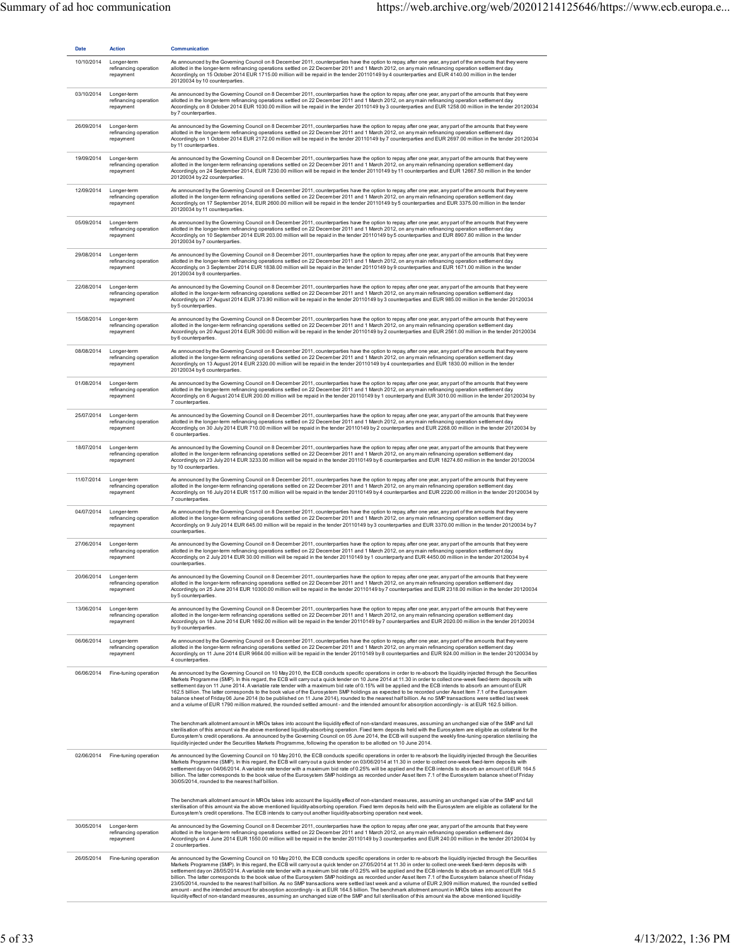| <b>Date</b> | <b>Action</b>                                     | Communication                                                                                                                                                                                                                                                                                                                                                                                                                                                                                                                                                                                                                                                                                                                                                                                                                                                                                                                                                                                                                                                                                                                                    |
|-------------|---------------------------------------------------|--------------------------------------------------------------------------------------------------------------------------------------------------------------------------------------------------------------------------------------------------------------------------------------------------------------------------------------------------------------------------------------------------------------------------------------------------------------------------------------------------------------------------------------------------------------------------------------------------------------------------------------------------------------------------------------------------------------------------------------------------------------------------------------------------------------------------------------------------------------------------------------------------------------------------------------------------------------------------------------------------------------------------------------------------------------------------------------------------------------------------------------------------|
| 10/10/2014  | Longer-term<br>refinancing operation<br>repayment | As announced by the Governing Council on 8 December 2011, counterparties have the option to repay, after one year, any part of the amounts that they were<br>allotted in the longer-term refinancing operations settled on 22 December 2011 and 1 March 2012, on any main refinancing operation settlement day.<br>Accordingly, on 15 October 2014 EUR 1715.00 million will be repaid in the tender 20110149 by 4 counterparties and EUR 4140.00 million in the tender<br>20120034 by 10 counterparties.                                                                                                                                                                                                                                                                                                                                                                                                                                                                                                                                                                                                                                         |
| 03/10/2014  | Longer-term<br>refinancing operation<br>repayment | As announced by the Governing Council on 8 December 2011, counterparties have the option to repay, after one year, any part of the amounts that they were<br>allotted in the longer-term refinancing operations settled on 22 December 2011 and 1 March 2012, on any main refinancing operation settlement day.<br>Accordinaly on 8 October 2014 EUR 1030.00 million will be repaid in the tender 20110149 by 3 counterparties and EUR 1258.00 million in the tender 20120034<br>by 7 counterparties.                                                                                                                                                                                                                                                                                                                                                                                                                                                                                                                                                                                                                                            |
| 26/09/2014  | Longer-term<br>refinancing operation<br>repayment | As announced by the Governing Council on 8 December 2011, counterparties have the option to repay, after one year, any part of the amounts that they were<br>allotted in the longer-term refinancing operations settled on 22 December 2011 and 1 March 2012, on any main refinancing operation settlement day.<br>Accordingly, on 1 October 2014 EUR 2172.00 million will be repaid in the tender 20110149 by 7 counterparties and EUR 2697.00 million in the tender 20120034<br>by 11 counterparties.                                                                                                                                                                                                                                                                                                                                                                                                                                                                                                                                                                                                                                          |
| 19/09/2014  | Longer-term<br>refinancing operation<br>repayment | As announced by the Governing Council on 8 December 2011, counterparties have the option to repay, after one year, any part of the amounts that they were<br>allotted in the longer-term refinancing operations settled on 22 December 2011 and 1 March 2012, on any main refinancing operation settlement day.<br>Accordingly, on 24 September 2014, EUR 7230.00 million will be repaid in the tender 20110149 by 11 counterparties and EUR 12667.50 million in the tender<br>20120034 by 22 counterparties.                                                                                                                                                                                                                                                                                                                                                                                                                                                                                                                                                                                                                                    |
| 12/09/2014  | Longer-term<br>refinancing operation<br>repayment | As announced by the Governing Council on 8 December 2011, counterparties have the option to repay, after one year, any part of the amounts that they were<br>allotted in the longer-term refinancing operations settled on 22 December 2011 and 1 March 2012, on any main refinancing operation settlement day.<br>Accordingly, on 17 September 2014, EUR 2600.00 million will be repaid in the tender 20110149 by 5 counterparties and EUR 3375.00 million in the tender<br>20120034 by 11 counterparties.                                                                                                                                                                                                                                                                                                                                                                                                                                                                                                                                                                                                                                      |
| 05/09/2014  | Longer-term<br>refinancing operation<br>repayment | As announced by the Governing Council on 8 December 2011, counterparties have the option to repay, after one year, any part of the amounts that they were<br>allotted in the longer-term refinancing operations settled on 22 December 2011 and 1 March 2012, on any main refinancing operation settlement day.<br>Accordingly, on 10 September 2014 EUR 203.00 million will be repaid in the tender 20110149 by 5 counterparties and EUR 8907.80 million in the tender<br>20120034 by 7 counterparties.                                                                                                                                                                                                                                                                                                                                                                                                                                                                                                                                                                                                                                         |
| 29/08/2014  | Longer-term<br>refinancing operation<br>repayment | As announced by the Governing Council on 8 December 2011, counterparties have the option to repay, after one year, any part of the amounts that they were<br>allotted in the longer-term refinancing operations settled on 22 December 2011 and 1 March 2012, on any main refinancing operation settlement day.<br>Accordingly, on 3 September 2014 EUR 1838.00 million will be repaid in the tender 20110149 by 9 counterparties and EUR 1671.00 million in the tender<br>20120034 by 8 counterparties.                                                                                                                                                                                                                                                                                                                                                                                                                                                                                                                                                                                                                                         |
| 22/08/2014  | Longer-term<br>refinancing operation<br>repayment | As announced by the Governing Council on 8 December 2011, counterparties have the option to repay, after one year, any part of the amounts that they were<br>allotted in the longer-term refinancing operations settled on 22 December 2011 and 1 March 2012, on any main refinancing operation settlement day.<br>Accordingly, on 27 August 2014 EUR 373.90 million will be repaid in the tender 20110149 by 3 counterparties and EUR 985.00 million in the tender 20120034<br>by 5 counterparties.                                                                                                                                                                                                                                                                                                                                                                                                                                                                                                                                                                                                                                             |
| 15/08/2014  | Longer-term<br>refinancing operation<br>repayment | As announced by the Governing Council on 8 December 2011, counterparties have the option to repay, after one year, any part of the amounts that they were<br>allotted in the longer-term refinancing operations settled on 22 December 2011 and 1 March 2012, on any main refinancing operation settlement day.<br>Accordingly, on 20 August 2014 EUR 300.00 million will be repaid in the tender 20110149 by 2 counterparties and EUR 2561.00 million in the tender 20120034<br>by 6 counterparties.                                                                                                                                                                                                                                                                                                                                                                                                                                                                                                                                                                                                                                            |
| 08/08/2014  | Longer-term<br>refinancing operation<br>repayment | As announced by the Governing Council on 8 December 2011, counterparties have the option to repay, after one year, any part of the amounts that they were<br>allotted in the longer-term refinancing operations settled on 22 December 2011 and 1 March 2012, on any main refinancing operation settlement day.<br>Accordingly, on 13 August 2014 EUR 2320.00 million will be repaid in the tender 20110149 by 4 counterparties and EUR 1830.00 million in the tender<br>20120034 by 6 counterparties.                                                                                                                                                                                                                                                                                                                                                                                                                                                                                                                                                                                                                                           |
| 01/08/2014  | Longer-term<br>refinancing operation<br>repayment | As announced by the Governing Council on 8 December 2011, counterparties have the option to repay, after one year, any part of the amounts that they were<br>allotted in the longer-term refinancing operations settled on 22 December 2011 and 1 March 2012, on any main refinancing operation settlement day.<br>Accordingly, on 6 August 2014 EUR 200.00 million will be repaid in the tender 20110149 by 1 counterparty and EUR 3010.00 million in the tender 20120034 by<br>7 counterparties.                                                                                                                                                                                                                                                                                                                                                                                                                                                                                                                                                                                                                                               |
| 25/07/2014  | Longer-term<br>refinancing operation<br>repayment | As announced by the Governing Council on 8 December 2011, counterparties have the option to repay, after one year, any part of the amounts that they were<br>allotted in the longer-term refinancing operations settled on 22 December 2011 and 1 March 2012, on any main refinancing operation settlement day.<br>Accordingly, on 30 July 2014 EUR 710.00 million will be repaid in the tender 20110149 by 2 counterparties and EUR 2268.00 million in the tender 20120034 by<br>6 counterparties.                                                                                                                                                                                                                                                                                                                                                                                                                                                                                                                                                                                                                                              |
| 18/07/2014  | Longer-term<br>refinancing operation<br>repayment | As announced by the Governing Council on 8 December 2011, counterparties have the option to repay, after one year, any part of the amounts that they were<br>allotted in the longer-term refinancing operations settled on 22 December 2011 and 1 March 2012, on any main refinancing operation settlement day.<br>Accordingly, on 23 July 2014 EUR 3233.00 million will be repaid in the tender 20110149 by 6 counterparties and EUR 18274.60 million in the tender 20120034<br>by 10 counterparties.                                                                                                                                                                                                                                                                                                                                                                                                                                                                                                                                                                                                                                           |
| 11/07/2014  | Longer-term<br>refinancing operation<br>repayment | As announced by the Governing Council on 8 December 2011, counterparties have the option to repay, after one year, any part of the amounts that they were<br>allotted in the longer-term refinancing operations settled on 22 December 2011 and 1 March 2012, on any main refinancing operation settlement day.<br>Accordingly, on 16 July 2014 EUR 1517.00 million will be repaid in the tender 20110149 by 4 counterparties and EUR 2220.00 million in the tender 20120034 by<br>7 counterparties.                                                                                                                                                                                                                                                                                                                                                                                                                                                                                                                                                                                                                                             |
| 04/07/2014  | Longer-term<br>refinancing operation<br>repayment | As announced by the Governing Council on 8 December 2011, counterparties have the option to repay, after one year, any part of the amounts that they were<br>allotted in the longer-term refinancing operations settled on 22 December 2011 and 1 March 2012, on any main refinancing operation settlement day.<br>Accordingly, on 9 July 2014 EUR 645.00 million will be repaid in the tender 20110149 by 3 counterparties and EUR 3370.00 million in the tender 20120034 by 7<br>counterparties.                                                                                                                                                                                                                                                                                                                                                                                                                                                                                                                                                                                                                                               |
| 27/06/2014  | Longer-term<br>refinancing operation<br>repayment | As announced by the Governing Council on 8 December 2011, counterparties have the option to repay, after one year, any part of the amounts that they were<br>allotted in the longer-term refinancing operations settled on 22 December 2011 and 1 March 2012, on any main refinancing operation settlement day.<br>Accordingly, on 2 July 2014 EUR 30.00 million will be repaid in the tender 20110149 by 1 counterparty and EUR 4450.00 million in the tender 20120034 by 4<br>counterparties.                                                                                                                                                                                                                                                                                                                                                                                                                                                                                                                                                                                                                                                  |
| 20/06/2014  | Longer-term<br>refinancing operation<br>repayment | As announced by the Governing Council on 8 December 2011, counterparties have the option to repay, after one year, any part of the amounts that they were<br>allotted in the longer-term refinancing operations settled on 22 December 2011 and 1 March 2012, on any main refinancing operation settlement day.<br>Accordingly on 25 June 2014 EUR 10300.00 million will be repaid in the tender 20110149 by 7 counterparties and EUR 2318.00 million in the tender 20120034<br>by 5 counterparties.                                                                                                                                                                                                                                                                                                                                                                                                                                                                                                                                                                                                                                             |
| 13/06/2014  | Longer-term<br>refinancing operation<br>repayment | As announced by the Governing Council on 8 December 2011, counterparties have the option to repay, after one year, any part of the amounts that they were<br>allotted in the longer-term refinancing operations settled on 22 December 2011 and 1 March 2012, on any main refinancing operation settlement day.<br>Accordingly, on 18 June 2014 EUR 1692.00 million will be repaid in the tender 20110149 by 7 counterparties and EUR 2020.00 million in the tender 20120034<br>by 9 counterparties.                                                                                                                                                                                                                                                                                                                                                                                                                                                                                                                                                                                                                                             |
| 06/06/2014  | Longer-term<br>refinancing operation<br>repayment | As announced by the Governing Council on 8 December 2011, counterparties have the option to repay, after one year, any part of the amounts that they were<br>allotted in the longer-term refinancing operations settled on 22 December 2011 and 1 March 2012, on any main refinancing operation settlement day.<br>Accordingly, on 11 June 2014 EUR 9664.00 million will be repaid in the tender 20110149 by 8 counterparties and EUR 924.00 million in the tender 20120034 by<br>4 counterparties.                                                                                                                                                                                                                                                                                                                                                                                                                                                                                                                                                                                                                                              |
| 06/06/2014  | Fine-tuning operation                             | As announced by the Governing Council on 10 May 2010, the ECB conducts specific operations in order to re-absorb the liquidity injected through the Securities<br>Markets Programme (SMP). In this regard, the ECB will carry out a quick tender on 10 June 2014 at 11.30 in order to collect one-week fixed-term deposits with<br>settlement dayon 11 June 2014. Avariable rate tender with a maximum bid rate of 0.15% will be applied and the ECB intends to absorb an amount of EUR<br>162.5 billion. The latter corresponds to the book value of the Eurosystem SMP holdings as expected to be recorded under Asset Item 7.1 of the Eurosystem<br>balance sheet of Friday 06 June 2014 (to be published on 11 June 2014), rounded to the nearest half billion. As no SMP transactions were settled last week<br>and a volume of EUR 1790 million matured, the rounded settled amount - and the intended amount for absorption accordingly - is at EUR 162.5 billion.                                                                                                                                                                        |
|             |                                                   | The benchmark allotment amount in MROs takes into account the liquidity effect of non-standard measures, assuming an unchanged size of the SMP and full<br>sterilisation of this amount via the above mentioned liquidity-absorbing operation. Fixed term deposits held with the Eurosystem are eligible as collateral for the<br>Eurosystem's credit operations. As announced by the Governing Council on 05 June 2014, the ECB will suspend the weekly fine-tuning operation sterilising the<br>liquidity injected under the Securities Markets Programme, following the operation to be allotted on 10 June 2014.                                                                                                                                                                                                                                                                                                                                                                                                                                                                                                                             |
| 02/06/2014  | Fine-tuning operation                             | As announced by the Governing Council on 10 May 2010, the ECB conducts specific operations in order to re-absorb the liquidity injected through the Securities<br>Markets Programme (SMP). In this regard, the ECB will carry out a quick tender on 03/06/2014 at 11.30 in order to collect one-week fixed-term deposits with<br>settlement day on 04/06/2014. A variable rate tender with a maximum bid rate of 0.25% will be applied and the ECB intends to absorb an amount of EUR 164.5<br>billion. The latter corresponds to the book value of the Eurosystem SMP holdings as recorded under Asset Item 7.1 of the Eurosystem balance sheet of Friday<br>30/05/2014, rounded to the nearest half billion.                                                                                                                                                                                                                                                                                                                                                                                                                                   |
|             |                                                   | The benchmark allotment amount in MROs takes into account the liquidity effect of non-standard measures, assuming an unchanged size of the SMP and full<br>sterilisation of this amount via the above mentioned liquidity-absorbing operation. Fixed term deposits held with the Eurosystem are eligible as collateral for the<br>Eurosystem's credit operations. The ECB intends to carry out another liquidity-absorbing operation next week.                                                                                                                                                                                                                                                                                                                                                                                                                                                                                                                                                                                                                                                                                                  |
| 30/05/2014  | Longer-term<br>refinancing operation<br>repayment | As announced by the Governing Council on 8 December 2011, counterparties have the option to repay, after one year, any part of the amounts that they were<br>allotted in the longer-term refinancing operations settled on 22 December 2011 and 1 March 2012, on any main refinancing operation settlement day.<br>Accordingly, on 4 June 2014 EUR 1550.00 million will be repaid in the tender 20110149 by 3 counterparties and EUR 240.00 million in the tender 20120034 by<br>2 counterparties.                                                                                                                                                                                                                                                                                                                                                                                                                                                                                                                                                                                                                                               |
| 26/05/2014  | Fine-tuning operation                             | As announced by the Governing Council on 10 May 2010, the ECB conducts specific operations in order to re-absorb the liquidity injected through the Securities<br>Markets Programme (SMP). In this regard, the ECB will carry out a quick tender on 27/05/2014 at 11.30 in order to collect one-week fixed-term deposits with<br>settlement day on 28/05/2014. A variable rate tender with a maximum bid rate of 0.25% will be applied and the ECB intends to absorb an amount of EUR 164.5<br>billion. The latter corresponds to the book value of the Eurosystem SMP holdings as recorded under Asset Item 7.1 of the Eurosystem balance sheet of Friday<br>23/05/2014, rounded to the nearest half billion. As no SMP transactions were settled last week and a volume of EUR 2,909 million matured, the rounded settled<br>amount - and the intended amount for absorption accordingly - is at EUR 164.5 billion. The benchmark allotment amount in MROs takes into account the<br>liquidity effect of non-standard measures, assuming an unchanged size of the SMP and full sterilisation of this amount via the above mentioned liquidity- |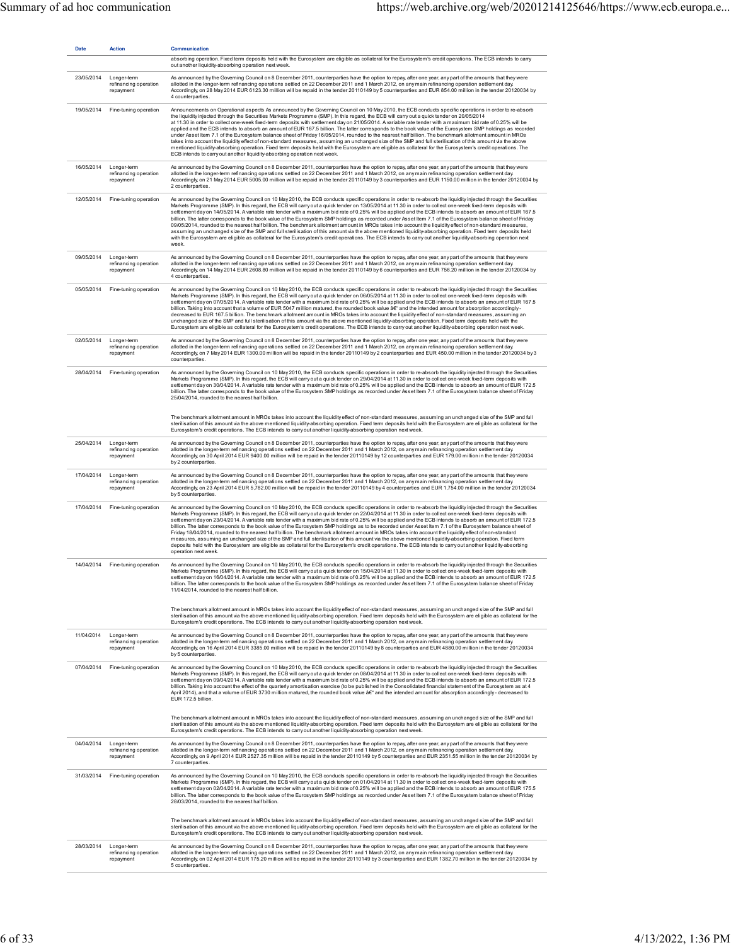| <b>Date</b> | <b>Action</b>                                     | <b>Communication</b>                                                                                                                                                                                                                                                                                                                                                                                                                                                                                                                                                                                                                                                                                                                                                                                                                                                                                                                                                                                                                                                                                                                                                                                  |
|-------------|---------------------------------------------------|-------------------------------------------------------------------------------------------------------------------------------------------------------------------------------------------------------------------------------------------------------------------------------------------------------------------------------------------------------------------------------------------------------------------------------------------------------------------------------------------------------------------------------------------------------------------------------------------------------------------------------------------------------------------------------------------------------------------------------------------------------------------------------------------------------------------------------------------------------------------------------------------------------------------------------------------------------------------------------------------------------------------------------------------------------------------------------------------------------------------------------------------------------------------------------------------------------|
|             |                                                   | absorbing operation. Fixed term deposits held with the Eurosystem are eligible as collateral for the Eurosystem's credit operations. The ECB intends to carry<br>out another liquidity-absorbing operation next week.                                                                                                                                                                                                                                                                                                                                                                                                                                                                                                                                                                                                                                                                                                                                                                                                                                                                                                                                                                                 |
| 23/05/2014  | Longer-term<br>refinancing operation<br>repayment | As announced by the Governing Council on 8 December 2011, counterparties have the option to repay, after one year, any part of the amounts that they were<br>allotted in the longer-term refinancing operations settled on 22 December 2011 and 1 March 2012, on any main refinancing operation settlement day.<br>Accordingly, on 28 May 2014 EUR 6123.30 million will be repaid in the tender 20110149 by 5 counterparties and EUR 854.00 million in the tender 20120034 by<br>4 counterparties.                                                                                                                                                                                                                                                                                                                                                                                                                                                                                                                                                                                                                                                                                                    |
| 19/05/2014  | Fine-tuning operation                             | Announcements on Operational aspects As announced by the Governing Council on 10 May 2010, the ECB conducts specific operations in order to re-absorb<br>the liquidity injected through the Securities Markets Programme (SMP). In this regard, the ECB will carryout a quick tender on 20/05/2014<br>at 11.30 in order to collect one-week fixed-term deposits with settlement day on 21/05/2014. A variable rate tender with a maximum bid rate of 0.25% will be<br>applied and the ECB intends to absorb an amount of EUR 167.5 billion. The latter corresponds to the book value of the Eurosystem SMP holdings as recorded<br>under Asset Item 7.1 of the Eurosystem balance sheet of Friday 16/05/2014, rounded to the nearest half billion. The benchmark allotment amount in MROs<br>takes into account the liquidity effect of non-standard measures, assuming an unchanged size of the SMP and full sterilisation of this amount via the above<br>mentioned liquidity-absorbing operation. Fixed term deposits held with the Eurosystem are eligible as collateral for the Eurosystem's credit operations. The<br>ECB intends to carry out another liquidity-absorbing operation next week. |
| 16/05/2014  | Longer-term<br>refinancing operation<br>repayment | As announced by the Governing Council on 8 December 2011, counterparties have the option to repay, after one year, any part of the amounts that they were<br>allotted in the longer-term refinancing operations settled on 22 December 2011 and 1 March 2012, on any main refinancing operation settlement day.<br>Accordingly, on 21 May 2014 EUR 5005.00 million will be repaid in the tender 20110149 by 3 counterparties and EUR 1150.00 million in the tender 20120034 by<br>2 counterparties.                                                                                                                                                                                                                                                                                                                                                                                                                                                                                                                                                                                                                                                                                                   |
| 12/05/2014  | Fine-tuning operation                             | As announced by the Governing Council on 10 May 2010, the ECB conducts specific operations in order to re-absorb the liquidity injected through the Securities<br>Markets Programme (SMP). In this regard, the ECB will carry out a quick tender on 13/05/2014 at 11.30 in order to collect one-week fixed-term deposits with<br>settlement day on 14/05/2014. A variable rate tender with a maximum bid rate of 0.25% will be applied and the ECB intends to absorb an amount of EUR 167.5<br>billion. The latter corresponds to the book value of the Eurosystem SMP holdings as recorded under Asset Item 7.1 of the Eurosystem balance sheet of Friday<br>09/05/2014, rounded to the nearest half billion. The benchmark allotment amount in MROs takes into account the liquidity effect of non-standard measures,<br>assuming an unchanged size of the SMP and full sterilisation of this amount via the above mentioned liquidity-absorbing operation. Fixed term deposits held<br>with the Eurosystem are eligible as collateral for the Eurosystem's credit operations. The ECB intends to carry out another liquidity-absorbing operation next<br>week.                                     |
| 09/05/2014  | Longer-term<br>refinancing operation<br>repayment | As announced by the Governing Council on 8 December 2011, counterparties have the option to repay, after one year, any part of the amounts that they were<br>allotted in the longer-term refinancing operations settled on 22 December 2011 and 1 March 2012, on any main refinancing operation settlement day.<br>Accordingly, on 14 May 2014 EUR 2608.80 million will be repaid in the tender 20110149 by 6 counterparties and EUR 756.20 million in the tender 20120034 by<br>4 counterparties.                                                                                                                                                                                                                                                                                                                                                                                                                                                                                                                                                                                                                                                                                                    |
| 05/05/2014  | Fine-tuning operation                             | As announced by the Governing Council on 10 May 2010, the ECB conducts specific operations in order to re-absorb the liquidity injected through the Securities<br>Markets Programme (SMP). In this regard, the ECB will carry out a quick tender on 06/05/2014 at 11.30 in order to collect one-week fixed-term deposits with<br>settlement day on 07/05/2014. A variable rate tender with a maximum bid rate of 0.25% will be applied and the ECB intends to absorb an amount of EUR 167.5<br>billion. Taking into account that a volume of EUR 5047 million matured, the rounded book value â€" and the intended amount for absorption accordingly-<br>decreased to EUR 167.5 billion. The benchmark allotment amount in MROs takes into account the liquidity effect of non-standard measures, assuming an<br>unchanged size of the SMP and full sterilisation of this amount via the above mentioned liquidity-absorbing operation. Fixed term deposits held with the<br>Eurosystem are eligible as collateral for the Eurosystem's credit operations. The ECB intends to carry out another liquidity-absorbing operation next week.                                                              |
| 02/05/2014  | Longer-term<br>refinancing operation<br>repayment | As announced by the Governing Council on 8 December 2011, counterparties have the option to repay, after one year, any part of the amounts that they were<br>allotted in the longer-term refinancing operations settled on 22 December 2011 and 1 March 2012, on any main refinancing operation settlement day.<br>Accordingly, on 7 May 2014 EUR 1300.00 million will be repaid in the tender 20110149 by 2 counterparties and EUR 450.00 million in the tender 20120034 by 3<br>counterparties.                                                                                                                                                                                                                                                                                                                                                                                                                                                                                                                                                                                                                                                                                                     |
| 28/04/2014  | Fine-tuning operation                             | As announced by the Governing Council on 10 May 2010, the ECB conducts specific operations in order to re-absorb the liquidity injected through the Securities<br>Markets Programme (SMP). In this regard, the ECB will carry out a quick tender on 29/04/2014 at 11.30 in order to collect one-week fixed-term deposits with<br>settlement day on 30/04/2014. A variable rate tender with a maximum bid rate of 0.25% will be applied and the ECB intends to absorb an amount of EUR 172.5<br>billion. The latter corresponds to the book value of the Eurosystem SMP holdings as recorded under Asset Item 7.1 of the Eurosystem balance sheet of Friday<br>25/04/2014, rounded to the nearest half billion.                                                                                                                                                                                                                                                                                                                                                                                                                                                                                        |
|             |                                                   | The benchmark allotment amount in MROs takes into account the liquidity effect of non-standard measures, assuming an unchanged size of the SMP and full<br>sterilisation of this amount via the above mentioned liquidity-absorbing operation. Fixed term deposits held with the Eurosystem are eligible as collateral for the<br>Eurosystem's credit operations. The ECB intends to carry out another liquidity-absorbing operation next week.                                                                                                                                                                                                                                                                                                                                                                                                                                                                                                                                                                                                                                                                                                                                                       |
| 25/04/2014  | Longer-term<br>refinancing operation<br>repayment | As announced by the Governing Council on 8 December 2011, counterparties have the option to repay, after one year, any part of the amounts that they were<br>allotted in the longer-term refinancing operations settled on 22 December 2011 and 1 March 2012, on any main refinancing operation settlement day.<br>Accordingly, on 30 April 2014 EUR 9400.00 million will be repaid in the tender 20110149 by 12 counterparties and EUR 179.00 million in the tender 20120034<br>by 2 counterparties.                                                                                                                                                                                                                                                                                                                                                                                                                                                                                                                                                                                                                                                                                                 |
| 17/04/2014  | Longer-term<br>refinancing operation<br>repayment | As announced by the Governing Council on 8 December 2011, counterparties have the option to repay, after one year, any part of the amounts that they were<br>allotted in the longer-term refinancing operations settled on 22 December 2011 and 1 March 2012, on any main refinancing operation settlement day.<br>Accordingly, on 23 April 2014 EUR 5,782.00 million will be repaid in the tender 20110149 by 4 counterparties and EUR 1,754.00 million in the tender 20120034<br>by 5 counterparties.                                                                                                                                                                                                                                                                                                                                                                                                                                                                                                                                                                                                                                                                                               |
| 17/04/2014  | Fine-tuning operation                             | As announced by the Governing Council on 10 May 2010, the ECB conducts specific operations in order to re-absorb the liquidity injected through the Securities<br>Markets Programme (SMP). In this regard, the ECB will carry out a quick tender on 22/04/2014 at 11.30 in order to collect one-week fixed-term deposits with<br>settlement day on 23/04/2014. A variable rate tender with a maximum bid rate of 0.25% will be applied and the ECB intends to absorb an amount of EUR 172.5<br>billion. The latter corresponds to the book value of the Eurosystem SMP holdings as to be recorded under Asset Item 7.1 of the Eurosystem balance sheet of<br>Friday 18/04/2014, rounded to the nearest half billion. The benchmark allotment amount in MROs takes into account the liquidity effect of non-standard<br>measures, assuming an unchanged size of the SMP and full sterilisation of this amount via the above mentioned liquidity-absorbing operation. Fixed term<br>deposits held with the Eurosystem are eligible as collateral for the Eurosystem's credit operations. The ECB intends to carry out another liquidity-absorbing<br>operation next week.                               |
|             | 14/04/2014 Fine-tuning operation                  | As announced by the Governing Council on 10 May 2010, the ECB conducts specific operations in order to re-absorb the liquidity injected through the Securities<br>Markets Programme (SMP). In this regard, the ECB will carry out a quick tender on 15/04/2014 at 11.30 in order to collect one-week fixed-term deposits with<br>settlement dayon 16/04/2014. A variable rate tender with a maximum bid rate of 0.25% will be applied and the ECB intends to absorb an amount of EUR 172.5<br>billion. The latter corresponds to the book value of the Eurosystem SMP holdings as recorded under Asset Item 7.1 of the Eurosystem balance sheet of Friday<br>11/04/2014 rounded to the nearest half billion.                                                                                                                                                                                                                                                                                                                                                                                                                                                                                          |
|             |                                                   | The benchmark allotment amount in MROs takes into account the liquidity effect of non-standard measures, assuming an unchanged size of the SMP and full<br>sterilisation of this amount via the above mentioned liquidity-absorbing operation. Fixed term deposits held with the Eurosystem are eligible as collateral for the<br>Eurosystem's credit operations. The ECB intends to carry out another liquidity-absorbing operation next week.                                                                                                                                                                                                                                                                                                                                                                                                                                                                                                                                                                                                                                                                                                                                                       |
| 11/04/2014  | Longer-term<br>refinancing operation<br>repayment | As announced by the Governing Council on 8 December 2011, counterparties have the option to repay, after one year, any part of the amounts that they were<br>allotted in the longer-term refinancing operations settled on 22 December 2011 and 1 March 2012, on any main refinancing operation settlement day.<br>Accordingly, on 16 April 2014 EUR 3385.00 million will be repaid in the tender 20110149 by 8 counterparties and EUR 4880.00 million in the tender 20120034<br>by 5 counterparties.                                                                                                                                                                                                                                                                                                                                                                                                                                                                                                                                                                                                                                                                                                 |
| 07/04/2014  | Fine-tuning operation                             | As announced by the Governing Council on 10 May 2010, the ECB conducts specific operations in order to re-absorb the liquidity injected through the Securities<br>Markets Programme (SMP). In this regard, the ECB will carry out a quick tender on 08/04/2014 at 11.30 in order to collect one-week fixed-term deposits with<br>settlement day on 09/04/2014. A variable rate tender with a maximum bid rate of 0.25% will be applied and the ECB intends to absorb an amount of EUR 172.5<br>billion. Taking into account the effect of the quarterly amortisation exercise (to be published in the Consolidated financial statement of the Eurosystem as at 4<br>April 2014), and that a volume of EUR 3730 million matured, the rounded book value â€" and the intended amount for absorption accordingly- decreased to<br>EUR 172.5 billion.                                                                                                                                                                                                                                                                                                                                                     |
|             |                                                   | The benchmark allotment amount in MROs takes into account the liquidity effect of non-standard measures, assuming an unchanged size of the SMP and full<br>sterilisation of this amount via the above mentioned liquidity-absorbing operation. Fixed term deposits held with the Eurosystem are eligible as collateral for the<br>Eurosystem's credit operations. The ECB intends to carry out another liquidity-absorbing operation next week.                                                                                                                                                                                                                                                                                                                                                                                                                                                                                                                                                                                                                                                                                                                                                       |
| 04/04/2014  | Longer-term<br>refinancing operation<br>repayment | As announced by the Governing Council on 8 December 2011, counterparties have the option to repay, after one year, any part of the amounts that they were<br>allotted in the longer-term refinancing operations settled on 22 December 2011 and 1 March 2012, on any main refinancing operation settlement day.<br>Accordingly, on 9 April 2014 EUR 2527.35 million will be repaid in the tender 20110149 by 5 counterparties and EUR 2351.55 million in the tender 20120034 by<br>7 counterparties.                                                                                                                                                                                                                                                                                                                                                                                                                                                                                                                                                                                                                                                                                                  |
| 31/03/2014  | Fine-tuning operation                             | As announced by the Governing Council on 10 May 2010, the ECB conducts specific operations in order to re-absorb the liquidity injected through the Securities<br>Markets Programme (SMP). In this regard, the ECB will carry out a quick tender on 01/04/2014 at 11.30 in order to collect one-week fixed-term deposits with<br>settlement day on 02/04/2014. A variable rate tender with a maximum bid rate of 0.25% will be applied and the ECB intends to absorb an amount of EUR 175.5<br>billion. The latter corresponds to the book value of the Eurosystem SMP holdings as recorded under Asset Item 7.1 of the Eurosystem balance sheet of Friday<br>28/03/2014, rounded to the nearest half billion.                                                                                                                                                                                                                                                                                                                                                                                                                                                                                        |
|             |                                                   | The benchmark allotment amount in MROs takes into account the liquidity effect of non-standard measures, assuming an unchanged size of the SMP and full<br>sterilisation of this amount via the above mentioned liquidity-absorbing operation. Fixed term deposits held with the Eurosystem are eligible as collateral for the<br>Eurosystem's credit operations. The ECB intends to carry out another liquidity-absorbing operation next week.                                                                                                                                                                                                                                                                                                                                                                                                                                                                                                                                                                                                                                                                                                                                                       |
| 28/03/2014  | Longer-term<br>refinancing operation<br>repayment | As announced by the Governing Council on 8 December 2011, counterparties have the option to repay, after one year, any part of the amounts that they were<br>allotted in the longer-term refinancing operations settled on 22 December 2011 and 1 March 2012, on any main refinancing operation settlement day.<br>Accordingly, on 02 April 2014 EUR 175.20 million will be repaid in the tender 20110149 by 3 counterparties and EUR 1382.70 million in the tender 20120034 by<br>5 counterparties.                                                                                                                                                                                                                                                                                                                                                                                                                                                                                                                                                                                                                                                                                                  |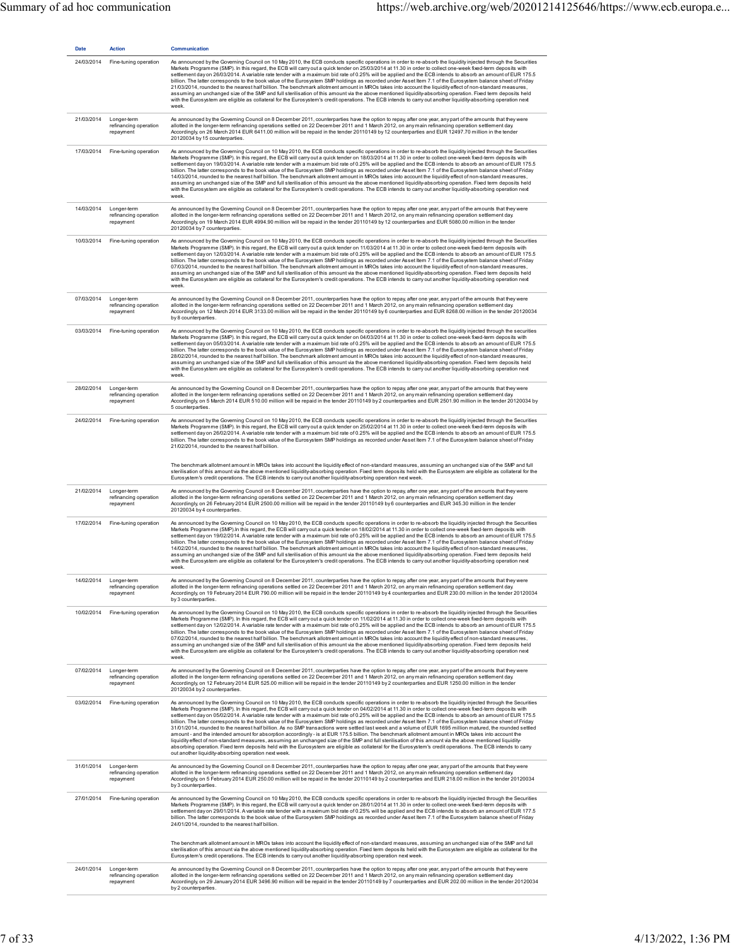| <b>Date</b> | <b>Action</b>                                     | <b>Communication</b>                                                                                                                                                                                                                                                                                                                                                                                                                                                                                                                                                                                                                                                                                                                                                                                                                                                                                                                                                                                                                                                                                                                                                                                                                                                                                                                                                     |
|-------------|---------------------------------------------------|--------------------------------------------------------------------------------------------------------------------------------------------------------------------------------------------------------------------------------------------------------------------------------------------------------------------------------------------------------------------------------------------------------------------------------------------------------------------------------------------------------------------------------------------------------------------------------------------------------------------------------------------------------------------------------------------------------------------------------------------------------------------------------------------------------------------------------------------------------------------------------------------------------------------------------------------------------------------------------------------------------------------------------------------------------------------------------------------------------------------------------------------------------------------------------------------------------------------------------------------------------------------------------------------------------------------------------------------------------------------------|
| 24/03/2014  | Fine-tuning operation                             | As announced by the Governing Council on 10 May 2010, the ECB conducts specific operations in order to re-absorb the liquidity injected through the Securities<br>Markets Programme (SMP). In this regard, the ECB will carry out a quick tender on 25/03/2014 at 11.30 in order to collect one-week fixed-term deposits with<br>settlement day on 26/03/2014. A variable rate tender with a maximum bid rate of 0.25% will be applied and the ECB intends to absorb an amount of EUR 175.5<br>billion. The latter corresponds to the book value of the Eurosystem SMP holdings as recorded under Asset Item 7.1 of the Eurosystem balance sheet of Friday<br>21/03/2014, rounded to the nearest half billion. The benchmark allotment amount in MROs takes into account the liquidity effect of non-standard measures,<br>assuming an unchanged size of the SMP and full sterilisation of this amount via the above mentioned liquidity-absorbing operation. Fixed term deposits held<br>with the Eurosystem are eligible as collateral for the Eurosystem's credit operations. The ECB intends to carry out another liquidity-absorbing operation next<br>week.                                                                                                                                                                                                        |
| 21/03/2014  | Longer-term<br>refinancing operation<br>repayment | As announced by the Governing Council on 8 December 2011, counterparties have the option to repay, after one year, any part of the amounts that they were<br>allotted in the longer-term refinancing operations settled on 22 December 2011 and 1 March 2012, on any main refinancing operation settlement day.<br>Accordingly, on 26 March 2014 EUR 6411.00 million will be repaid in the tender 20110149 by 12 counterparties and EUR 12497.70 million in the tender<br>20120034 by 15 counterparties.                                                                                                                                                                                                                                                                                                                                                                                                                                                                                                                                                                                                                                                                                                                                                                                                                                                                 |
| 17/03/2014  | Fine-tuning operation                             | As announced by the Governing Council on 10 May 2010, the ECB conducts specific operations in order to re-absorb the liquidity injected through the Securities<br>Markets Programme (SMP). In this regard, the ECB will carry out a quick tender on 18/03/2014 at 11.30 in order to collect one-week fixed-term deposits with<br>settlement day on 19/03/2014. A variable rate tender with a maximum bid rate of 0.25% will be applied and the ECB intends to absorb an amount of EUR 175.5<br>billion. The latter corresponds to the book value of the Eurosystem SMP holdings as recorded under Asset Item 7.1 of the Eurosystem balance sheet of Friday<br>14/03/2014, rounded to the nearest half billion. The benchmark allotment amount in MROs takes into account the liquidity effect of non-standard measures,<br>assuming an unchanged size of the SMP and full sterilisation of this amount via the above mentioned liquidity-absorbing operation. Fixed term deposits held<br>with the Eurosystem are eligible as collateral for the Eurosystem's credit operations. The ECB intends to carry out another liquidity-absorbing operation next<br>week.                                                                                                                                                                                                        |
| 14/03/2014  | Longer-term<br>refinancing operation<br>repayment | As announced by the Governing Council on 8 December 2011, counterparties have the option to repay, after one year, any part of the amounts that they were<br>allotted in the longer-term refinancing operations settled on 22 December 2011 and 1 March 2012, on any main refinancing operation settlement day.<br>Accordingly, on 19 March 2014 EUR 4994.90 million will be repaid in the tender 20110149 by 12 counterparties and EUR 5080.00 million in the tender<br>20120034 by 7 counterparties.                                                                                                                                                                                                                                                                                                                                                                                                                                                                                                                                                                                                                                                                                                                                                                                                                                                                   |
| 10/03/2014  | Fine-tuning operation                             | As announced by the Governing Council on 10 May 2010, the ECB conducts specific operations in order to re-absorb the liquidity injected through the Securities<br>Markets Programme (SMP). In this regard, the ECB will carry out a quick tender on 11/03/2014 at 11.30 in order to collect one-week fixed-term deposits with<br>settlement day on 12/03/2014. A variable rate tender with a maximum bid rate of 0.25% will be applied and the ECB intends to absorb an amount of EUR 175.5<br>billion. The latter corresponds to the book value of the Eurosystem SMP holdings as recorded under Asset Item 7.1 of the Eurosystem balance sheet of Friday<br>07/03/2014, rounded to the nearest half billion. The benchmark allotment amount in MROs takes into account the liquidity effect of non-standard measures,<br>assuming an unchanged size of the SMP and full sterilisation of this amount via the above mentioned liquidity-absorbing operation. Fixed term deposits held<br>with the Eurosystem are eligible as collateral for the Eurosystem's credit operations. The ECB intends to carry out another liquidity-absorbing operation next<br>week.                                                                                                                                                                                                        |
| 07/03/2014  | Longer-term<br>refinancing operation<br>repayment | As announced by the Governing Council on 8 December 2011, counterparties have the option to repay, after one year, any part of the amounts that they were<br>allotted in the longer-term refinancing operations settled on 22 December 2011 and 1 March 2012, on any main refinancing operation settlement day.<br>Accordingly, on 12 March 2014 EUR 3133.00 million will be repaid in the tender 20110149 by 6 counterparties and EUR 8268.00 million in the tender 20120034<br>by 8 counterparties.                                                                                                                                                                                                                                                                                                                                                                                                                                                                                                                                                                                                                                                                                                                                                                                                                                                                    |
| 03/03/2014  | Fine-tuning operation                             | As announced by the Governing Council on 10 May 2010, the ECB conducts specific operations in order to re-absorb the liquidity injected through the securities<br>Markets Programme (SMP). In this regard, the ECB will carry out a quick tender on 04/03/2014 at 11.30 in order to collect one-week fixed-term deposits with<br>settlement day on 05/03/2014. A variable rate tender with a maximum bid rate of 0.25% will be applied and the ECB intends to absorb an amount of EUR 175.5<br>billion. The latter corresponds to the book value of the Eurosystem SMP holdings as recorded under Asset Item 7.1 of the Eurosystem balance sheet of Friday<br>28/02/2014, rounded to the nearest half billion. The benchmark allotment amount in MROs takes into account the liquidity effect of non-standard measures,<br>assuming an unchanged size of the SMP and full sterilisation of this amount via the above mentioned liquidity-absorbing operation. Fixed term deposits held<br>with the Eurosystem are eligible as collateral for the Eurosystem's credit operations. The ECB intends to carry out another liquidity-absorbing operation next<br>week.                                                                                                                                                                                                        |
| 28/02/2014  | Longer-term<br>refinancing operation<br>repayment | As announced by the Governing Council on 8 December 2011, counterparties have the option to repay, after one year, any part of the amounts that they were<br>allotted in the longer-term refinancing operations settled on 22 December 2011 and 1 March 2012, on any main refinancing operation settlement day.<br>Accordingly, on 5 March 2014 EUR 510.00 million will be repaid in the tender 20110149 by 2 counterparties and EUR 2501.90 million in the tender 20120034 by<br>5 counterparties.                                                                                                                                                                                                                                                                                                                                                                                                                                                                                                                                                                                                                                                                                                                                                                                                                                                                      |
| 24/02/2014  | Fine-tuning operation                             | As announced by the Governing Council on 10 May 2010, the ECB conducts specific operations in order to re-absorb the liquidity injected through the Securities<br>Markets Programme (SMP). In this regard, the ECB will carry out a quick tender on 25/02/2014 at 11.30 in order to collect one-week fixed-term deposits with<br>settlement day on 26/02/2014. A variable rate tender with a maximum bid rate of 0.25% will be applied and the ECB intends to absorb an amount of EUR 175.5<br>billion. The latter corresponds to the book value of the Eurosystem SMP holdings as recorded under Asset Item 7.1 of the Eurosystem balance sheet of Friday<br>21/02/2014, rounded to the nearest half billion.                                                                                                                                                                                                                                                                                                                                                                                                                                                                                                                                                                                                                                                           |
|             |                                                   | The benchmark allotment amount in MROs takes into account the liquidity effect of non-standard measures, assuming an unchanged size of the SMP and full<br>sterilisation of this amount via the above mentioned liquidity-absorbing operation. Fixed term deposits held with the Eurosystem are eligible as collateral for the<br>Eurosystem's credit operations. The ECB intends to carry out another liquidity-absorbing operation next week.                                                                                                                                                                                                                                                                                                                                                                                                                                                                                                                                                                                                                                                                                                                                                                                                                                                                                                                          |
| 21/02/2014  | Longer-term<br>refinancing operation<br>repayment | As announced by the Governing Council on 8 December 2011, counterparties have the option to repay, after one year, any part of the amounts that they were<br>allotted in the longer-term refinancing operations settled on 22 December 2011 and 1 March 2012, on any main refinancing operation settlement day.<br>Accordingly, on 26 February 2014 EUR 2500.00 million will be repaid in the tender 20110149 by 6 counterparties and EUR 345.30 million in the tender<br>20120034 by 4 counterparties.                                                                                                                                                                                                                                                                                                                                                                                                                                                                                                                                                                                                                                                                                                                                                                                                                                                                  |
| 17/02/2014  | Fine-tuning operation                             | As announced by the Governing Council on 10 May 2010, the ECB conducts specific operations in order to re-absorb the liquidity injected through the Securities<br>Markets Programme (SMP).In this regard, the ECB will carry out a quick tender on 18/02/2014 at 11.30 in order to collect one-week fixed-term deposits with<br>settlement day on 19/02/2014. A variable rate tender with a maximum bid rate of 0.25% will be applied and the ECB intends to absorb an amount of EUR 175.5<br>billion. The latter corresponds to the book value of the Eurosystem SMP holdings as recorded under Asset Item 7.1 of the Eurosystem balance sheet of Friday<br>14/02/2014, rounded to the nearest half billion. The benchmark allotment amount in MROs takes into account the liquidity effect of non-standard measures,<br>assuming an unchanged size of the SMP and full sterilisation of this amount via the above mentioned liquidity-absorbing operation. Fixed term deposits held<br>with the Eurosystem are eligible as collateral for the Eurosystem's credit operations. The ECB intends to carry out another liquidity-absorbing operation next<br>week.                                                                                                                                                                                                         |
| 14/02/2014  | Longer-term<br>refinancing operation<br>repayment | As announced by the Governing Council on 8 December 2011, counterparties have the option to repay, after one year, any part of the amounts that they were<br>allotted in the longer-term refinancing operations settled on 22 December 2011 and 1 March 2012, on any main refinancing operation settlement day.<br>Accordingly, on 19 February 2014 EUR 790.00 million will be repaid in the tender 20110149 by 4 counterparties and EUR 230.00 million in the tender 20120034<br>by 3 counterparties                                                                                                                                                                                                                                                                                                                                                                                                                                                                                                                                                                                                                                                                                                                                                                                                                                                                    |
| 10/02/2014  | Fine-tuning operation                             | As announced by the Governing Council on 10 May 2010, the ECB conducts specific operations in order to re-absorb the liquidity injected through the Securities<br>Markets Programme (SMP). In this regard, the ECB will carry out a quick tender on 11/02/2014 at 11.30 in order to collect one-week fixed-term deposits with<br>settlement day on 12/02/2014. A variable rate tender with a maximum bid rate of 0.25% will be applied and the ECB intends to absorb an amount of EUR 175.5<br>billion. The latter corresponds to the book value of the Eurosystem SMP holdings as recorded under Asset Item 7.1 of the Eurosystem balance sheet of Friday<br>07/02/2014, rounded to the nearest half billion. The benchmark allotment amount in MROs takes into account the liquidity effect of non-standard measures,<br>assuming an unchanged size of the SMP and full sterilisation of this amount via the above mentioned liquidity-absorbing operation. Fixed term deposits held<br>with the Eurosystem are eligible as collateral for the Eurosystem's credit operations. The ECB intends to carry out another liquidity-absorbing operation next<br>week.                                                                                                                                                                                                        |
| 07/02/2014  | Longer-term<br>refinancing operation<br>repayment | As announced by the Governing Council on 8 December 2011, counterparties have the option to repay, after one year, any part of the amounts that they were<br>allotted in the longer-term refinancing operations settled on 22 December 2011 and 1 March 2012, on any main refinancing operation settlement day.<br>Accordingly, on 12 February 2014 EUR 525.00 million will be repaid in the tender 20110149 by 2 counterparties and EUR 1250.00 million in the tender<br>20120034 by 2 counterparties.                                                                                                                                                                                                                                                                                                                                                                                                                                                                                                                                                                                                                                                                                                                                                                                                                                                                  |
| 03/02/2014  | Fine-tuning operation                             | As announced by the Governing Council on 10 May 2010, the ECB conducts specific operations in order to re-absorb the liquidity injected through the Securities<br>Markets Programme (SMP). In this regard, the ECB will carry out a quick tender on 04/02/2014 at 11.30 in order to collect one-week fixed-term deposits with<br>settlement day on 05/02/2014. A variable rate tender with a maximum bid rate of 0.25% will be applied and the ECB intends to absorb an amount of EUR 175.5<br>billion. The latter corresponds to the book value of the Eurosystem SMP holdings as recorded under Asset Item 7.1 of the Eurosystem balance sheet of Friday<br>31/01/2014, rounded to the nearest half billion. As no SMP transactions were settled last week and a volume of EUR 1695 million matured, the rounded settled<br>amount - and the intended amount for absorption accordingly - is at EUR 175.5 billion. The benchmark allotment amount in MROs takes into account the<br>liquidity effect of non-standard measures, assuming an unchanged size of the SMP and full sterilisation of this amount via the above mentioned liquidity-<br>absorbing operation. Fixed term deposits held with the Eurosystem are eligible as collateral for the Eurosystem's credit operations. The ECB intends to carry<br>out another liquidity-absorbing operation next week. |
| 31/01/2014  | Longer-term<br>refinancing operation<br>repayment | As announced by the Governing Council on 8 December 2011, counterparties have the option to repay, after one year, any part of the amounts that they were<br>allotted in the longer-term refinancing operations settled on 22 December 2011 and 1 March 2012, on any main refinancing operation settlement day.<br>Accordingly, on 5 February 2014 EUR 250.00 million will be repaid in the tender 20110149 by 2 counterparties and EUR 218.00 million in the tender 20120034<br>by 3 counterparties.                                                                                                                                                                                                                                                                                                                                                                                                                                                                                                                                                                                                                                                                                                                                                                                                                                                                    |
| 27/01/2014  | Fine-tuning operation                             | As announced by the Governing Council on 10 May 2010, the ECB conducts specific operations in order to re-absorb the liquidity injected through the Securities<br>Markets Programme (SMP). In this regard, the ECB will carry out a quick tender on 28/01/2014 at 11.30 in order to collect one-week fixed-term deposits with<br>settlement day on 29/01/2014. A variable rate tender with a maximum bid rate of 0.25% will be applied and the ECB intends to absorb an amount of EUR 177.5<br>billion. The latter corresponds to the book value of the Eurosystem SMP holdings as recorded under Asset Item 7.1 of the Eurosystem balance sheet of Friday<br>24/01/2014, rounded to the nearest half billion.                                                                                                                                                                                                                                                                                                                                                                                                                                                                                                                                                                                                                                                           |
|             |                                                   | The benchmark allotment amount in MROs takes into account the liquidity effect of non-standard measures, assuming an unchanged size of the SMP and full<br>sterilisation of this amount via the above mentioned liquidity-absorbing operation. Fixed term deposits held with the Eurosystem are eligible as collateral for the<br>Eurosystem's credit operations. The ECB intends to carry out another liquidity-absorbing operation next week.                                                                                                                                                                                                                                                                                                                                                                                                                                                                                                                                                                                                                                                                                                                                                                                                                                                                                                                          |
| 24/01/2014  | Longer-term<br>refinancing operation<br>repayment | As announced by the Governing Council on 8 December 2011, counterparties have the option to repay, after one year, any part of the amounts that they were<br>allotted in the longer-term refinancing operations settled on 22 December 2011 and 1 March 2012, on any main refinancing operation settlement day.<br>Accordingly, on 29 January 2014 EUR 3496.90 million will be repaid in the tender 20110149 by 7 counterparties and EUR 202.00 million in the tender 20120034<br>by 2 counterparties.                                                                                                                                                                                                                                                                                                                                                                                                                                                                                                                                                                                                                                                                                                                                                                                                                                                                   |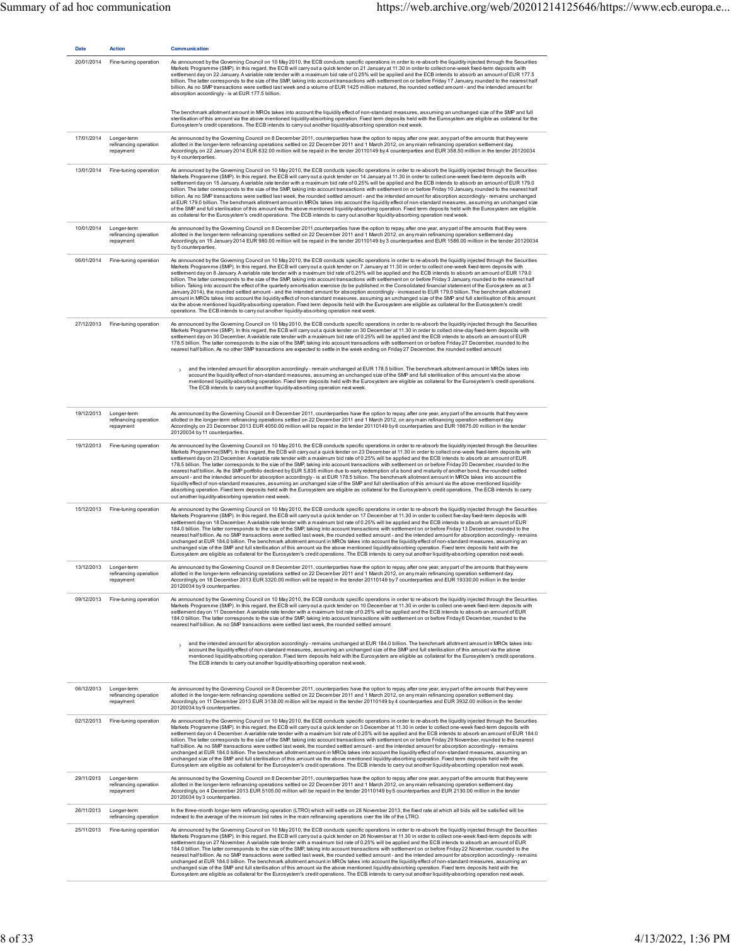| Date       | <b>Action</b>                                                | Communication                                                                                                                                                                                                                                                                                                                                                                                                                                                                                                                                                                                                                                                                                                                                                                                                                                                                                                                                                                                                                                                                                                                                                                                                                                                                                                                                                                                                                |
|------------|--------------------------------------------------------------|------------------------------------------------------------------------------------------------------------------------------------------------------------------------------------------------------------------------------------------------------------------------------------------------------------------------------------------------------------------------------------------------------------------------------------------------------------------------------------------------------------------------------------------------------------------------------------------------------------------------------------------------------------------------------------------------------------------------------------------------------------------------------------------------------------------------------------------------------------------------------------------------------------------------------------------------------------------------------------------------------------------------------------------------------------------------------------------------------------------------------------------------------------------------------------------------------------------------------------------------------------------------------------------------------------------------------------------------------------------------------------------------------------------------------|
| 20/01/2014 | Fine-tuning operation                                        | As announced by the Governing Council on 10 May 2010, the ECB conducts specific operations in order to re-absorb the liquidity injected through the Securities<br>Markets Programme (SMP). In this regard, the ECB will carry out a quick tender on 21 January at 11.30 in order to collect one-week fixed-term deposits with<br>settlement day on 22 January. A variable rate tender with a maximum bid rate of 0.25% will be applied and the ECB intends to absorb an amount of EUR 177.5<br>billion. The latter corresponds to the size of the SMP, taking into account transactions with settlement on or before Friday 17 January, rounded to the nearest half<br>billion. As no SMP transactions were settled last week and a volume of EUR 1425 million matured, the rounded settled amount - and the intended amount for<br>absorption accordingly- is at EUR 177.5 billion.                                                                                                                                                                                                                                                                                                                                                                                                                                                                                                                                         |
|            |                                                              | The benchmark allotment amount in MROs takes into account the liquidity effect of non-standard measures, assuming an unchanged size of the SMP and full<br>sterilisation of this amount via the above mentioned liquidity-absorbing operation. Fixed term deposits held with the Eurosystem are eligible as collateral for the<br>Eurosystem's credit operations. The ECB intends to carry out another liquidity-absorbing operation next week.                                                                                                                                                                                                                                                                                                                                                                                                                                                                                                                                                                                                                                                                                                                                                                                                                                                                                                                                                                              |
|            | 17/01/2014 Longer-term<br>refinancing operation<br>repayment | As announced by the Governing Council on 8 December 2011, counterparties have the option to repay, after one year, any part of the amounts that they were<br>allotted in the longer-term refinancing operations settled on 22 December 2011 and 1 March 2012, on any main refinancing operation settlement day.<br>Accordingly, on 22 January 2014 EUR 632.00 million will be repaid in the tender 20110149 by 4 counterparties and EUR 358.50 million in the tender 20120034<br>by 4 counterparties.                                                                                                                                                                                                                                                                                                                                                                                                                                                                                                                                                                                                                                                                                                                                                                                                                                                                                                                        |
| 13/01/2014 | Fine-tuning operation                                        | As announced by the Governing Council on 10 May 2010, the ECB conducts specific operations in order to re-absorb the liquidity injected through the Securities<br>Markets Programme (SMP). In this regard, the ECB will carry out a quick tender on 14 January at 11.30 in order to collect one-week fixed-term deposits with<br>settlement day on 15 January. A variable rate tender with a maximum bid rate of 0.25% will be applied and the ECB intends to absorb an amount of EUR 179.0<br>billion. The latter corresponds to the size of the SMP, taking into account transactions with settlement on or before Friday 10 January, rounded to the nearest half<br>billion. As no SMP transactions were settled last week, the rounded settled amount - and the intended amount for absorption accordingly - remains unchanged<br>at EUR 179.0 billion. The benchmark allotment amount in MROs takes into account the liquidity effect of non-standard measures, assuming an unchanged size<br>of the SMP and full sterilisation of this amount via the above mentioned liquidity-absorbing operation. Fixed term deposits held with the Eurosystem are eligible<br>as collateral for the Eurosystem's credit operations. The ECB intends to carry out another liquidity-absorbing operation next week.                                                                                                                  |
|            | 10/01/2014 Longer-term<br>refinancing operation<br>repayment | As announced by the Governing Council on 8 December 2011, counterparties have the option to repay, after one year, any part of the amounts that they were<br>allotted in the longer-term refinancing operations settled on 22 December 2011 and 1 March 2012, on any main refinancing operation settlement day.<br>Accordingly, on 15 January 2014 EUR 980.00 million will be repaid in the tender 20110149 by 3 counterparties and EUR 1586.00 million in the tender 20120034<br>by 5 counterparties.                                                                                                                                                                                                                                                                                                                                                                                                                                                                                                                                                                                                                                                                                                                                                                                                                                                                                                                       |
| 06/01/2014 | Fine-tuning operation                                        | As announced by the Governing Council on 10 May 2010, the ECB conducts specific operations in order to re-absorb the liquidity injected through the Securities<br>Markets Programme (SMP). In this regard, the ECB will carry out a quick tender on 7 January at 11.30 in order to collect one-week fixed-term deposits with<br>settlement day on 8 January. A variable rate tender with a maximum bid rate of 0.25% will be applied and the ECB intends to absorb an amount of EUR 179.0<br>billion. The latter corresponds to the size of the SMP, taking into account transactions with settlement on or before Friday 3 January, rounded to the nearest half<br>billion. Taking into account the effect of the quarterly amortisation exercise (to be published in the Consolidated financial statement of the Eurosystem as at 3<br>January 2014), the rounded settled amount - and the intended amount for absorption accordingly - increased to EUR 179.0 billion. The benchmark allotment<br>amount in MROs takes into account the liquidity effect of non-standard measures, assuming an unchanged size of the SMP and full sterilisation of this amount<br>via the above mentioned liquidity-absorbing operation. Fixed term deposits held with the Eurosystem are eligible as collateral for the Eurosystem's credit<br>operations. The ECB intends to carry out another liquidity-absorbing operation next week. |
|            | 27/12/2013 Fine-tuning operation                             | As announced by the Governing Council on 10 May 2010, the ECB conducts specific operations in order to re-absorb the liquidity injected through the Securities<br>Markets Programme (SMP). In this regard, the ECB will carry out a quick tender on 30 December at 11.30 in order to collect nine-day fixed-term deposits with<br>settlement day on 30 December. A variable rate tender with a maximum bid rate of 0.25% will be applied and the ECB intends to absorb an amount of EUR<br>178.5 billion. The latter corresponds to the size of the SMP, taking into account transactions with settlement on or before Friday 27 December, rounded to the<br>nearest half billion. As no other SMP transactions are expected to settle in the week ending on Friday 27 December, the rounded settled amount                                                                                                                                                                                                                                                                                                                                                                                                                                                                                                                                                                                                                  |
|            |                                                              | and the intended amount for absorption accordingly-remain unchanged at EUR 178.5 billion. The benchmark allotment amount in MROs takes into<br>$\rightarrow$<br>account the liquidity effect of non-standard measures, assuming an unchanged size of the SMP and full sterilisation of this amount via the above<br>mentioned liquidity-absorbing operation. Fixed term deposits held with the Eurosystem are eligible as collateral for the Eurosystem's credit operations.<br>The ECB intends to carry out another liquidity-absorbing operation next week.                                                                                                                                                                                                                                                                                                                                                                                                                                                                                                                                                                                                                                                                                                                                                                                                                                                                |
|            | 19/12/2013 Longer-term<br>refinancing operation<br>repayment | As announced by the Governing Council on 8 December 2011, counterparties have the option to repay, after one year, any part of the amounts that they were<br>allotted in the longer-term refinancing operations settled on 22 December 2011 and 1 March 2012, on any main refinancing operation settlement day.<br>Accordingly, on 23 December 2013 EUR 4050.00 million will be repaid in the tender 20110149 by 6 counterparties and EUR 16675.00 million in the tender<br>20120034 by 11 counterparties.                                                                                                                                                                                                                                                                                                                                                                                                                                                                                                                                                                                                                                                                                                                                                                                                                                                                                                                   |
| 19/12/2013 | Fine-tuning operation                                        | As announced by the Governing Council on 10 May 2010, the ECB conducts specific operations in order to re-absorb the liquidity injected through the Securities<br>Markets Programme(SMP). In this regard, the ECB will carry out a quick tender on 23 December at 11.30 in order to collect one-week fixed-term deposits with<br>settlement day on 23 December. A variable rate tender with a maximum bid rate of 0.25% will be applied and the ECB intends to absorb an amount of EUR<br>178.5 billion. The latter corresponds to the size of the SMP, taking into account transactions with settlement on or before Friday 20 December, rounded to the<br>nearest half billion. As the SMP portfolio declined by EUR 5,835 million due to early redemption of a bond and maturity of another bond, the rounded settled<br>amount - and the intended amount for absorption accordingly - is at EUR 178.5 billion. The benchmark allotment amount in MROs takes into account the<br>liquidity effect of non-standard measures, assuming an unchanged size of the SMP and full sterilisation of this amount via the above mentioned liquidity-<br>absorbing operation. Fixed term deposits held with the Eurosystem are eligible as collateral for the Eurosystem's credit operations. The ECB intends to carry<br>out another liquidity-absorbing operation next week.                                                       |
|            | 15/12/2013 Fine-tuning operation                             | As announced by the Governing Council on 10 May 2010, the ECB conducts specific operations in order to re-absorb the liquidity injected through the Securities<br>Markets Programme (SMP). In this regard, the ECB will carry out a quick tender on 17 December at 11.30 in order to collect five-day fixed-term deposits with<br>settlement day on 18 December. A variable rate tender with a maximum bid rate of 0.25% will be applied and the ECB intends to absorb an amount of EUR<br>184.0 billion. The latter corresponds to the size of the SMP, taking into account transactions with settlement on or before Friday 13 December, rounded to the<br>nearest half billion. As no SMP transactions were settled last week, the rounded settled amount - and the intended amount for absorption accordingly - remains<br>unchanged at EUR 184.0 billion. The benchmark allotment amount in MROs takes into account the liquidity effect of non-standard measures, assuming an<br>unchanged size of the SMP and full sterilisation of this amount via the above mentioned liquidity-absorbing operation. Fixed term deposits held with the<br>Eurosystem are eligible as collateral for the Eurosystem's credit operations. The ECB intends to carry out another liquidity-absorbing operation next week.                                                                                                               |
|            | 13/12/2013 Longer-term<br>refinancing operation<br>repayment | As announced by the Governing Council on 8 December 2011, counterparties have the option to repay, after one year, any part of the amounts that they were<br>allotted in the longer-term refinancing operations settled on 22 December 2011 and 1 March 2012, on any main refinancing operation settlement day.<br>Accordingly, on 18 December 2013 EUR 3320.00 million will be repaid in the tender 20110149 by 7 counterparties and EUR 19330.00 million in the tender<br>20120034 by 9 counterparties.                                                                                                                                                                                                                                                                                                                                                                                                                                                                                                                                                                                                                                                                                                                                                                                                                                                                                                                    |
| 09/12/2013 | Fine-tuning operation                                        | As announced by the Governing Council on 10 May 2010, the ECB conducts specific operations in order to re-absorb the liquidity injected through the Securities<br>Markets Programme (SMP). In this regard, the ECB will carry out a quick tender on 10 December at 11.30 in order to collect one-week fixed-term deposits with<br>settlement day on 11 December. A variable rate tender with a maximum bid rate of 0.25% will be applied and the ECB intends to absorb an amount of EUR<br>184.0 billion. The latter corresponds to the size of the SMP, taking into account transactions with settlement on or before Friday 6 December, rounded to the<br>nearest half billion. As no SMP transactions were settled last week, the rounded settled amount                                                                                                                                                                                                                                                                                                                                                                                                                                                                                                                                                                                                                                                                  |
|            |                                                              | and the intended amount for absorption accordingly-remains unchanged at EUR 184.0 billion. The benchmark allotment amount in MROs takes into<br>$\overline{\phantom{a}}$<br>account the liquidity effect of non-standard measures, assuming an unchanged size of the SMP and full sterilisation of this amount via the above<br>mentioned liquidity-absorbing operation. Fixed term deposits held with the Eurosystem are eligible as collateral for the Eurosystem's credit operations.<br>The ECB intends to carry out another liquidity-absorbing operation next week.                                                                                                                                                                                                                                                                                                                                                                                                                                                                                                                                                                                                                                                                                                                                                                                                                                                    |
| 06/12/2013 | Longer-term<br>refinancing operation<br>repayment            | As announced by the Governing Council on 8 December 2011, counterparties have the option to repay, after one year, any part of the amounts that they were<br>allotted in the longer-term refinancing operations settled on 22 December 2011 and 1 March 2012, on any main refinancing operation settlement day.<br>Accordingly, on 11 December 2013 EUR 3138.00 million will be repaid in the tender 20110149 by 4 counterparties and EUR 3932.00 million in the tender<br>20120034 by 9 counterparties.                                                                                                                                                                                                                                                                                                                                                                                                                                                                                                                                                                                                                                                                                                                                                                                                                                                                                                                     |
| 02/12/2013 | Fine-tuning operation                                        | As announced by the Governing Council on 10 May 2010, the ECB conducts specific operations in order to re-absorb the liquidity injected through the Securities<br>Markets Programme (SMP). In this regard, the ECB will carry out a quick tender on 3 December at 11.30 in order to collect one-week fixed-term deposits with<br>settlement day on 4 December. A variable rate tender with a maximum bid rate of 0.25% will be applied and the ECB intends to absorb an amount of EUR 184.0<br>billion. The latter corresponds to the size of the SMP, taking into account transactions with settlement on or before Friday 29 November, rounded to the nearest<br>half billion. As no SMP transactions were settled last week, the rounded settled amount - and the intended amount for absorption accordingly - remains<br>unchanged at EUR 184.0 billion. The benchmark allotment amount in MROs takes into account the liquidity effect of non-standard measures, assuming an<br>unchanged size of the SMP and full sterilisation of this amount via the above mentioned liquidity-absorbing operation. Fixed term deposits held with the<br>Eurosystem are eligible as collateral for the Eurosystem's credit operations. The ECB intends to carry out another liquidity-absorbing operation next week.                                                                                                                 |
| 29/11/2013 | Longer-term<br>refinancing operation<br>repayment            | As announced by the Governing Council on 8 December 2011, counterparties have the option to repay, after one year, any part of the amounts that they were<br>allotted in the longer-term refinancing operations settled on 22 December 2011 and 1 March 2012, on any main refinancing operation settlement day.<br>Accordingly, on 4 December 2013 EUR 5105.00 million will be repaid in the tender 20110149 by 5 counterparties and EUR 2130.00 million in the tender<br>20120034 by 3 counterparties.                                                                                                                                                                                                                                                                                                                                                                                                                                                                                                                                                                                                                                                                                                                                                                                                                                                                                                                      |
| 26/11/2013 | Longer-term<br>refinancing operation                         | In the three-month longer-term refinancing operation (LTRO) which will settle on 28 November 2013, the fixed rate at which all bids will be satisfied will be<br>indexed to the average of the minimum bid rates in the main refinancing operations over the life of the LTRO.                                                                                                                                                                                                                                                                                                                                                                                                                                                                                                                                                                                                                                                                                                                                                                                                                                                                                                                                                                                                                                                                                                                                               |
| 25/11/2013 | Fine-tuning operation                                        | As announced by the Governing Council on 10 May 2010, the ECB conducts specific operations in order to re-absorb the liquidity injected through the Securities<br>Markets Programme (SMP). In this regard, the ECB will carry out a quick tender on 26 November at 11.30 in order to collect one-week fixed-term deposits with<br>settlement day on 27 November. A variable rate tender with a maximum bid rate of 0.25% will be applied and the ECB intends to absorb an amount of EUR<br>184.0 billion. The latter corresponds to the size of the SMP, taking into account transactions with settlement on or before Friday 22 November, rounded to the<br>nearest half billion. As no SMP transactions were settled last week, the rounded settled amount - and the intended amount for absorption accordingly - remains<br>unchanged at EUR 184.0 billion. The benchmark allotment amount in MROs takes into account the liquidity effect of non-standard measures, assuming an<br>unchanged size of the SMP and full sterilisation of this amount via the above mentioned liquidity-absorbing operation. Fixed term deposits held with the<br>Eurosystem are eligible as collateral for the Eurosystem's credit operations. The ECB intends to carry out another liquidity-absorbing operation next week.                                                                                                               |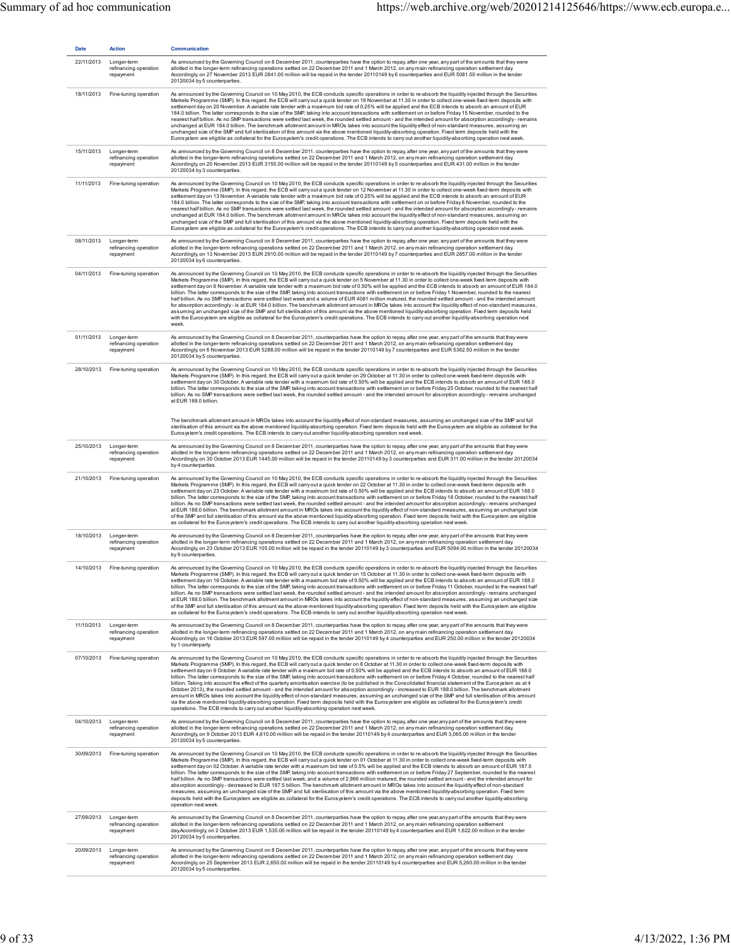| <b>Date</b> | <b>Action</b>                                     | <b>Communication</b>                                                                                                                                                                                                                                                                                                                                                                                                                                                                                                                                                                                                                                                                                                                                                                                                                                                                                                                                                                                                                                                                                                                                                                                                                                                                                                                                                                                                         |
|-------------|---------------------------------------------------|------------------------------------------------------------------------------------------------------------------------------------------------------------------------------------------------------------------------------------------------------------------------------------------------------------------------------------------------------------------------------------------------------------------------------------------------------------------------------------------------------------------------------------------------------------------------------------------------------------------------------------------------------------------------------------------------------------------------------------------------------------------------------------------------------------------------------------------------------------------------------------------------------------------------------------------------------------------------------------------------------------------------------------------------------------------------------------------------------------------------------------------------------------------------------------------------------------------------------------------------------------------------------------------------------------------------------------------------------------------------------------------------------------------------------|
| 22/11/2013  | Longer-term<br>refinancing operation<br>repayment | As announced by the Governing Council on 8 December 2011, counterparties have the option to repay, after one year, any part of the amounts that they were<br>allotted in the longer-term refinancing operations settled on 22 December 2011 and 1 March 2012, on any main refinancing operation settlement day.<br>Accordingly, on 27 November 2013 EUR 2841.00 million will be repaid in the tender 20110149 by 6 counterparties and EUR 5081.50 million in the tender<br>20120034 by 5 counterparties.                                                                                                                                                                                                                                                                                                                                                                                                                                                                                                                                                                                                                                                                                                                                                                                                                                                                                                                     |
| 18/11/2013  | Fine-tuning operation                             | As announced by the Governing Council on 10 May 2010, the ECB conducts specific operations in order to re-absorb the liquidity injected through the Securities<br>Markets Programme (SMP). In this regard, the ECB will carry out a quick tender on 19 November at 11.30 in order to collect one-week fixed-term deposits with<br>settlement day on 20 November. A variable rate tender with a maximum bid rate of 0.25% will be applied and the ECB intends to absorb an amount of EUR<br>184.0 billion. The latter corresponds to the size of the SMP, taking into account transactions with settlement on or before Friday 15 November, rounded to the<br>nearest half billion. As no SMP transactions were settled last week, the rounded settled amount - and the intended amount for absorption accordingly - remains<br>unchanged at EUR 184.0 billion. The benchmark allotment amount in MROs takes into account the liquidity effect of non-standard measures, assuming an<br>unchanged size of the SMP and full sterilisation of this amount via the above mentioned liquidity-absorbing operation. Fixed term deposits held with the<br>Eurosystem are eligible as collateral for the Eurosystem's credit operations. The ECB intends to carry out another liquidity-absorbing operation next week.                                                                                                               |
| 15/11/2013  | Longer-term<br>refinancing operation<br>repayment | As announced by the Governing Council on 8 December 2011, counterparties have the option to repay, after one year, any part of the amounts that they were<br>allotted in the longer-term refinancing operations settled on 22 December 2011 and 1 March 2012, on any main refinancing operation settlement day.<br>Accordingly, on 20 November 2013 EUR 3155.00 million will be repaid in the tender 20110149 by 5 counterparties and EUR 431.00 million in the tender<br>20120034 by 3 counterparties.                                                                                                                                                                                                                                                                                                                                                                                                                                                                                                                                                                                                                                                                                                                                                                                                                                                                                                                      |
| 11/11/2013  | Fine-tuning operation                             | As announced by the Governing Council on 10 May 2010, the ECB conducts specific operations in order to re-absorb the liquidity injected through the Securities<br>Markets Programme (SMP). In this regard, the ECB will carry out a quick tender on 12 November at 11.30 in order to collect one-week fixed-term deposits with<br>settlement day on 13 November. A variable rate tender with a maximum bid rate of 0.25% will be applied and the ECB intends to absorb an amount of EUR<br>184.0 billion. The latter corresponds to the size of the SMP, taking into account transactions with settlement on or before Friday 8 November, rounded to the<br>nearest half billion. As no SMP transactions were settled last week, the rounded settled amount - and the intended amount for absorption accordingly - remains<br>unchanged at EUR 184.0 billion. The benchmark allotment amount in MROs takes into account the liquidity effect of non-standard measures, assuming an<br>unchanged size of the SMP and full sterilisation of this amount via the above mentioned liquidity-absorbing operation. Fixed term deposits held with the<br>Eurosystem are eligible as collateral for the Eurosystem's credit operations. The ECB intends to carry out another liquidity-absorbing operation next week.                                                                                                                |
| 08/11/2013  | Longer-term<br>refinancing operation<br>repayment | As announced by the Governing Council on 8 December 2011, counterparties have the option to repay, after one year, any part of the amounts that they were<br>allotted in the longer-term refinancing operations settled on 22 December 2011 and 1 March 2012, on any main refinancing operation settlement day.<br>Accordingly, on 13 November 2013 EUR 2910.00 million will be repaid in the tender 20110149 by 7 counterparties and EUR 2857.00 million in the tender<br>20120034 by 6 counterparties.                                                                                                                                                                                                                                                                                                                                                                                                                                                                                                                                                                                                                                                                                                                                                                                                                                                                                                                     |
| 04/11/2013  | Fine-tuning operation                             | As announced by the Governing Council on 10 May 2010, the ECB conducts specific operations in order to re-absorb the liquidity injected through the Securities<br>Markets Programme (SMP). In this regard, the ECB will carry out a quick tender on 5 November at 11.30 in order to collect one-week fixed-term deposits with<br>settlement day on 6 November. A variable rate tender with a maximum bid rate of 0.50% will be applied and the ECB intends to absorb an amount of EUR 184.0<br>billion. The latter corresponds to the size of the SMP, taking into account transactions with settlement on or before Friday 1 November, rounded to the nearest<br>half billion. As no SMP transactions were settled last week and a volume of EUR 4081 million matured, the rounded settled amount - and the intended amount<br>for absorption accordingly- is at EUR 184.0 billion. The benchmark allotment amount in MROs takes into account the liquidity effect of non-standard measures,<br>assuming an unchanged size of the SMP and full sterilisation of this amount via the above mentioned liquidity-absorbing operation. Fixed term deposits held<br>with the Eurosystem are eligible as collateral for the Eurosystem's credit operations. The ECB intends to carry out another liquidity-absorbing operation next<br>week.                                                                                      |
| 01/11/2013  | Longer-term<br>refinancing operation<br>repayment | As announced by the Governing Council on 8 December 2011, counterparties have the option to repay, after one year, any part of the amounts that they were<br>allotted in the longer-term refinancing operations settled on 22 December 2011 and 1 March 2012, on any main refinancing operation settlement day.<br>Accordingly, on 6 November 2013 EUR 5288.00 million will be repaid in the tender 20110149 by 7 counterparties and EUR 5362.50 million in the tender<br>20120034 by 5 counterparties.                                                                                                                                                                                                                                                                                                                                                                                                                                                                                                                                                                                                                                                                                                                                                                                                                                                                                                                      |
| 28/10/2013  | Fine-tuning operation                             | As announced by the Governing Council on 10 May 2010, the ECB conducts specific operations in order to re-absorb the liquidity injected through the Securities<br>Markets Programme (SMP). In this regard, the ECB will carry out a quick tender on 29 October at 11.30 in order to collect one-week fixed-term deposits with<br>settlement day on 30 October. A variable rate tender with a maximum bid rate of 0.50% will be applied and the ECB intends to absorb an amount of EUR 188.0<br>billion. The latter corresponds to the size of the SMP, taking into account transactions with settlement on or before Friday 25 October, rounded to the nearest half<br>billion. As no SMP transactions were settled last week, the rounded settled amount - and the intended amount for absorption accordingly - remains unchanged<br>at EUR 188.0 billion.                                                                                                                                                                                                                                                                                                                                                                                                                                                                                                                                                                  |
|             |                                                   | The benchmark allotment amount in MROs takes into account the liquidity effect of non-standard measures, assuming an unchanged size of the SMP and full<br>sterilisation of this amount via the above mentioned liquidity-absorbing operation. Fixed term deposits held with the Eurosystem are eligible as collateral for the<br>Eurosystem's credit operations. The ECB intends to carry out another liquidity-absorbing operation next week.                                                                                                                                                                                                                                                                                                                                                                                                                                                                                                                                                                                                                                                                                                                                                                                                                                                                                                                                                                              |
| 25/10/2013  | Longer-term<br>refinancing operation<br>repayment | As announced by the Governing Council on 8 December 2011, counterparties have the option to repay, after one year, any part of the amounts that they were<br>allotted in the longer-term refinancing operations settled on 22 December 2011 and 1 March 2012, on any main refinancing operation settlement day.<br>Accordingly, on 30 October 2013 EUR 1445.00 million will be repaid in the tender 20110149 by 3 counterparties and EUR 311.00 million in the tender 20120034<br>by 4 counterparties.                                                                                                                                                                                                                                                                                                                                                                                                                                                                                                                                                                                                                                                                                                                                                                                                                                                                                                                       |
| 21/10/2013  | Fine-tuning operation                             | As announced by the Governing Council on 10 May 2010, the ECB conducts specific operations in order to re-absorb the liquidity injected through the Securities<br>Markets Programme (SMP). In this regard, the ECB will carry out a quick tender on 22 October at 11.30 in order to collect one-week fixed-term deposits with<br>settlement day on 23 October. A variable rate tender with a maximum bid rate of 0.50% will be applied and the ECB intends to absorb an amount of EUR 188.0<br>billion. The latter corresponds to the size of the SMP, taking into account transactions with settlement on or before Friday 18 October, rounded to the nearest half<br>billion. As no SMP transactions were settled last week, the rounded settled amount - and the intended amount for absorption accordingly - remains unchanged<br>at EUR 188.0 billion. The benchmark allotment amount in MROs takes into account the liquidity effect of non-standard measures, assuming an unchanged size<br>of the SMP and full sterilisation of this amount via the above mentioned liquidity-absorbing operation. Fixed term deposits held with the Eurosystem are eligible<br>as collateral for the Eurosystem's credit operations. The ECB intends to carry out another liquidity-absorbing operation next week.                                                                                                                  |
| 18/10/2013  | Longer-term<br>refinancing operation<br>repayment | As announced by the Governing Council on 8 December 2011, counterparties have the option to repay, after one year, any part of the amounts that they were<br>allotted in the longer-term refinancing operations settled on 22 December 2011 and 1 March 2012, on any main refinancing operation settlement day.<br>Accordingly, on 23 October 2013 EUR 105.00 million will be repaid in the tender 20110149 by 3 counterparties and EUR 5094.00 million in the tender 20120034<br>by 9 counterparties.                                                                                                                                                                                                                                                                                                                                                                                                                                                                                                                                                                                                                                                                                                                                                                                                                                                                                                                       |
|             | 14/10/2013 Fine-tuning operation                  | As announced by the Governing Council on 10 May 2010, the ECB conducts specific operations in order to re-absorb the liquidity injected through the Securities<br>Markets Programme (SMP). In this regard, the ECB will carry out a quick tender on 15 October at 11.30 in order to collect one-week fixed-term deposits with<br>settlement day on 16 October. A variable rate tender with a maximum bid rate of 0.50% will be applied and the ECB intends to absorb an amount of EUR 188.0<br>billion. The latter corresponds to the size of the SMP, taking into account transactions with settlement on or before Friday 11 October, rounded to the nearest half<br>billion. As no SMP transactions were settled last week, the rounded settled amount - and the intended amount for absorption accordingly - remains unchanged<br>at EUR 188.0 billion. The benchmark allotment amount in MROs takes into account the liquidity effect of non-standard measures, assuming an unchanged size<br>of the SMP and full sterilisation of this amount via the above mentioned liquidity-absorbing operation. Fixed term deposits held with the Eurosystem are eligible<br>as collateral for the Eurosystem's credit operations. The ECB intends to carry out another liquidity-absorbing operation next week.                                                                                                                  |
| 11/10/2013  | Longer-term<br>refinancing operation<br>repayment | As announced by the Governing Council on 8 December 2011, counterparties have the option to repay, after one year, any part of the amounts that they were<br>allotted in the longer-term refinancing operations settled on 22 December 2011 and 1 March 2012, on any main refinancing operation settlement day.<br>Accordingly, on 16 October 2013 EUR 597.00 million will be repaid in the tender 20110149 by 4 counterparties and EUR 250.00 million in the tender 20120034<br>by 1 counterparty.                                                                                                                                                                                                                                                                                                                                                                                                                                                                                                                                                                                                                                                                                                                                                                                                                                                                                                                          |
| 07/10/2013  | Fine-tuning operation                             | As announced by the Governing Council on 10 May 2010, the ECB conducts specific operations in order to re-absorb the liquidity injected through the Securities<br>Markets Programme (SMP). In this regard, the ECB will carry out a quick tender on 8 October at 11.30 in order to collect one-week fixed-term deposits with<br>settlement day on 9 October. A variable rate tender with a maximum bid rate of 0.50% will be applied and the ECB intends to absorb an amount of EUR 188.0<br>billion. The latter corresponds to the size of the SMP, taking into account transactions with settlement on or before Friday 4 October, rounded to the nearest half<br>billion. Taking into account the effect of the quarterly amortisation exercise (to be published in the Consolidated financial statement of the Eurosystem as at 4<br>October 2013), the rounded settled amount - and the intended amount for absorption accordingly - increased to EUR 188.0 billion. The benchmark allotment<br>amount in MROs takes into account the liquidity effect of non-standard measures, assuming an unchanged size of the SMP and full sterilisation of this amount<br>via the above mentioned liquidity-absorbing operation. Fixed term deposits held with the Eurosystem are eligible as collateral for the Eurosystem's credit<br>operations. The ECB intends to carry out another liquidity-absorbing operation next week. |
| 04/10/2013  | Longer-term<br>refinancing operation<br>repayment | As announced by the Governing Council on 8 December 2011, counterparties have the option to repay, after one year,any part of the amounts that they were<br>allotted in the longer-term refinancing operations settled on 22 December 2011 and 1 March 2012, on any main refinancing operation settlement day.<br>Accordingly, on 9 October 2013 EUR 4,610.00 million will be repaid in the tender 20110149 by 4 counterparties and EUR 3,065.00 million in the tender<br>20120034 by 5 counterparties.                                                                                                                                                                                                                                                                                                                                                                                                                                                                                                                                                                                                                                                                                                                                                                                                                                                                                                                      |
| 30/09/2013  | Fine-tuning operation                             | As announced by the Governing Council on 10 May 2010, the ECB conducts specific operations in order to re-absorb the liquidity injected through the Securities<br>Markets Programme (SMP). In this regard, the ECB will carry out a quick tender on 01 October at 11.30 in order to collect one-week fixed-term deposits with<br>settlement day on 02 October. A variable rate tender with a maximum bid rate of 0.5% will be applied and the ECB intends to absorb an amount of EUR 187.5<br>billion. The latter corresponds to the size of the SMP, taking into account transactions with settlement on or before Friday 27 September, rounded to the nearest<br>half billion. As no SMP transactions were settled last week, and a volume of 2,966 million matured, the rounded settled amount - and the intended amount for<br>absorption accordingly-decreased to EUR 187.5 billion. The benchmark allotment amount in MROs takes into account the liquidity effect of non-standard<br>measures, assuming an unchanged size of the SMP and full sterilisation of this amount via the above mentioned liquidity-absorbing operation. Fixed term<br>deposits held with the Eurosystem are eligible as collateral for the Eurosystem's credit operations. The ECB intends to carry out another liquidity-absorbing<br>operation next week.                                                                                 |
| 27/09/2013  | Longer-term<br>refinancing operation<br>repayment | As announced by the Governing Council on 8 December 2011, counterparties have the option to repay, after one year,any part of the amounts that they were<br>allotted in the longer-term refinancing operations settled on 22 December 2011 and 1 March 2012, on any main refinancing operation settlement<br>day.Accordingly, on 2 October 2013 EUR 1,535.00 million will be repaid in the tender 20110149 by 4 counterparties and EUR 1,622.00 million in the tender<br>20120034 by 5 counterparties.                                                                                                                                                                                                                                                                                                                                                                                                                                                                                                                                                                                                                                                                                                                                                                                                                                                                                                                       |
| 20/09/2013  | Longer-term<br>refinancing operation<br>repayment | As announced by the Governing Council on 8 December 2011, counterparties have the option to repay, after one year, any part of the amounts that they were<br>allotted in the longer-term refinancing operations settled on 22 December 2011 and 1 March 2012, on any main refinancing operation settlement day.<br>Accordingly, on 25 September 2013 EUR 2,650.00 million will be repaid in the tender 20110149 by 4 counterparties and EUR 5,260.00 million in the tender<br>20120034 by 5 counterparties.                                                                                                                                                                                                                                                                                                                                                                                                                                                                                                                                                                                                                                                                                                                                                                                                                                                                                                                  |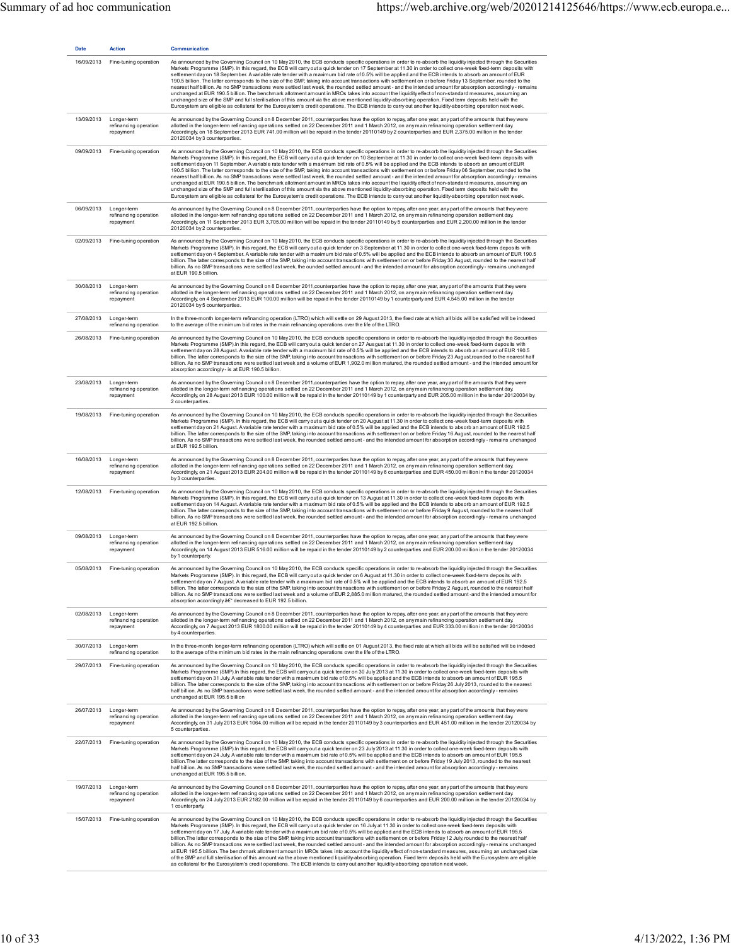| <b>Date</b> | <b>Action</b>                                     | <b>Communication</b>                                                                                                                                                                                                                                                                                                                                                                                                                                                                                                                                                                                                                                                                                                                                                                                                                                                                                                                                                                                                                                                                                                                                                                                                                                                                                             |
|-------------|---------------------------------------------------|------------------------------------------------------------------------------------------------------------------------------------------------------------------------------------------------------------------------------------------------------------------------------------------------------------------------------------------------------------------------------------------------------------------------------------------------------------------------------------------------------------------------------------------------------------------------------------------------------------------------------------------------------------------------------------------------------------------------------------------------------------------------------------------------------------------------------------------------------------------------------------------------------------------------------------------------------------------------------------------------------------------------------------------------------------------------------------------------------------------------------------------------------------------------------------------------------------------------------------------------------------------------------------------------------------------|
| 16/09/2013  | Fine-tuning operation                             | As announced by the Governing Council on 10 May 2010, the ECB conducts specific operations in order to re-absorb the liquidity injected through the Securities<br>Markets Programme (SMP). In this regard, the ECB will carry out a quick tender on 17 September at 11.30 in order to collect one-week fixed-term deposits with<br>settlement day on 18 September. A variable rate tender with a maximum bid rate of 0.5% will be applied and the ECB intends to absorb an amount of EUR<br>190.5 billion. The latter corresponds to the size of the SMP, taking into account transactions with settlement on or before Friday 13 September, rounded to the<br>nearest half billion. As no SMP transactions were settled last week, the rounded settled amount - and the intended amount for absorption accordingly - remains<br>unchanged at EUR 190.5 billion. The benchmark allotment amount in MROs takes into account the liquidity effect of non-standard measures, assuming an<br>unchanged size of the SMP and full sterilisation of this amount via the above mentioned liquidity-absorbing operation. Fixed term deposits held with the<br>Eurosystem are eligible as collateral for the Eurosystem's credit operations. The ECB intends to carry out another liquidity-absorbing operation next week. |
| 13/09/2013  | Longer-term<br>refinancing operation<br>repayment | As announced by the Governing Council on 8 December 2011, counterparties have the option to repay, after one year, any part of the amounts that they were<br>allotted in the longer-term refinancing operations settled on 22 December 2011 and 1 March 2012, on any main refinancing operation settlement day.<br>Accordingly, on 18 September 2013 EUR 741.00 million will be repaid in the tender 20110149 by 2 counterparties and EUR 2,375.00 million in the tender<br>20120034 by 3 counterparties.                                                                                                                                                                                                                                                                                                                                                                                                                                                                                                                                                                                                                                                                                                                                                                                                        |
| 09/09/2013  | Fine-tuning operation                             | As announced by the Governing Council on 10 May 2010, the ECB conducts specific operations in order to re-absorb the liquidity injected through the Securities<br>Markets Programme (SMP). In this regard, the ECB will carry out a quick tender on 10 September at 11.30 in order to collect one-week fixed-term deposits with<br>settlement day on 11 September. A variable rate tender with a maximum bid rate of 0.5% will be applied and the ECB intends to absorb an amount of EUR<br>190.5 billion. The latter corresponds to the size of the SMP, taking into account transactions with settlement on or before Friday 06 September, rounded to the<br>nearest half billion. As no SMP transactions were settled last week, the rounded settled amount - and the intended amount for absorption accordingly - remains<br>unchanged at EUR 190.5 billion. The benchmark allotment amount in MROs takes into account the liquidity effect of non-standard measures, assuming an<br>unchanged size of the SMP and full sterilisation of this amount via the above mentioned liquidity-absorbing operation. Fixed term deposits held with the<br>Eurosystem are eligible as collateral for the Eurosystem's credit operations. The ECB intends to carry out another liquidity-absorbing operation next week. |
| 06/09/2013  | Longer-term<br>refinancing operation<br>repayment | As announced by the Governing Council on 8 December 2011, counterparties have the option to repay, after one year, any part of the amounts that they were<br>allotted in the longer-term refinancing operations settled on 22 December 2011 and 1 March 2012, on any main refinancing operation settlement day.<br>Accordingly, on 11 September 2013 EUR 3,705.00 million will be repaid in the tender 20110149 by 5 counterparties and EUR 2,200.00 million in the tender<br>20120034 by 2 counterparties.                                                                                                                                                                                                                                                                                                                                                                                                                                                                                                                                                                                                                                                                                                                                                                                                      |
| 02/09/2013  | Fine-tuning operation                             | As announced by the Governing Council on 10 May 2010, the ECB conducts specific operations in order to re-absorb the liquidity injected through the Securities<br>Markets Programme (SMP). In this regard, the ECB will carry out a quick tender on 3 September at 11.30 in order to collect one-week fixed-term deposits with<br>settlement day on 4 September. A variable rate tender with a maximum bid rate of 0.5% will be applied and the ECB intends to absorb an amount of EUR 190.5<br>billion. The latter corresponds to the size of the SMP, taking into account transactions with settlement on or before Friday 30 August, rounded to the nearest half<br>billion. As no SMP transactions were settled last week, the ounded settled amount - and the intended amount for absorption accordingly-remains unchanged<br>at EUR 190.5 billion.                                                                                                                                                                                                                                                                                                                                                                                                                                                         |
| 30/08/2013  | Longer-term<br>refinancing operation<br>repayment | As announced by the Governing Council on 8 December 2011, counterparties have the option to repay, after one year, any part of the amounts that they were<br>allotted in the longer-term refinancing operations settled on 22 December 2011 and 1 March 2012, on any main refinancing operation settlement day.<br>Accordingly, on 4 September 2013 EUR 100.00 million will be repaid in the tender 20110149 by 1 counterparty and EUR 4,545.00 million in the tender<br>20120034 by 5 counterparties.                                                                                                                                                                                                                                                                                                                                                                                                                                                                                                                                                                                                                                                                                                                                                                                                           |
| 27/08/2013  | Longer-term<br>refinancing operation              | In the three-month longer-term refinancing operation (LTRO) which will settle on 29 August 2013, the fixed rate at which all bids will be satisfied will be indexed<br>to the average of the minimum bid rates in the main refinancing operations over the life of the LTRO.                                                                                                                                                                                                                                                                                                                                                                                                                                                                                                                                                                                                                                                                                                                                                                                                                                                                                                                                                                                                                                     |
| 26/08/2013  | Fine-tuning operation                             | As announced by the Governing Council on 10 May 2010, the ECB conducts specific operations in order to re-absorb the liquidity injected through the Securities<br>Markets Programme (SMP).In this regard, the ECB will carryout a quick tender on 27 Ausgust at 11.30 in order to collect one-week fixed-term deposits with<br>settlement day on 28 August. A variable rate tender with a maximum bid rate of 0.5% will be applied and the ECB intends to absorb an amount of EUR 190.5<br>billion. The latter corresponds to the size of the SMP, taking into account transactions with settlement on or before Friday 23 August,rounded to the nearest half<br>billion. As no SMP transactions were settled last week and a volume of EUR 1,902.0 million matured, the rounded settled amount - and the intended amount for<br>absorption accordingly- is at EUR 190.5 billion.                                                                                                                                                                                                                                                                                                                                                                                                                                |
| 23/08/2013  | Longer-term<br>refinancing operation<br>repayment | As announced by the Governing Council on 8 December 2011, counterparties have the option to repay, after one year, any part of the amounts that they were<br>allotted in the longer-term refinancing operations settled on 22 December 2011 and 1 March 2012, on any main refinancing operation settlement day.<br>Accordingly, on 28 August 2013 EUR 100.00 million will be repaid in the tender 20110149 by 1 counterparty and EUR 205.00 million in the tender 20120034 by<br>2 counterparties.                                                                                                                                                                                                                                                                                                                                                                                                                                                                                                                                                                                                                                                                                                                                                                                                               |
| 19/08/2013  | Fine-tuning operation                             | As announced by the Governing Council on 10 May 2010, the ECB conducts specific operations in order to re-absorb the liquidity injected through the Securities<br>Markets Programme (SMP). In this regard, the ECB will carry out a quick tender on 20 August at 11.30 in order to collect one-week fixed-term deposits with<br>settlement day on 21 August. A variable rate tender with a maximum bid rate of 0.5% will be applied and the ECB intends to absorb an amount of EUR 192.5<br>billion. The latter corresponds to the size of the SMP, taking into account transactions with settlement on or before Friday 16 August, rounded to the nearest half<br>billion. As no SMP transactions were settled last week, the rounded settled amount - and the intended amount for absorption accordingly - remains unchanged<br>at EUR 192.5 billion.                                                                                                                                                                                                                                                                                                                                                                                                                                                          |
| 16/08/2013  | Longer-term<br>refinancing operation<br>repayment | As announced by the Governing Council on 8 December 2011, counterparties have the option to repay, after one year, any part of the amounts that they were<br>allotted in the longer-term refinancing operations settled on 22 December 2011 and 1 March 2012, on any main refinancing operation settlement day.<br>Accordingly, on 21 August 2013 EUR 204.00 million will be repaid in the tender 20110149 by 6 counterparties and EUR 450.00 million in the tender 20120034<br>by 3 counterparties.                                                                                                                                                                                                                                                                                                                                                                                                                                                                                                                                                                                                                                                                                                                                                                                                             |
| 12/08/2013  | Fine-tuning operation                             | As announced by the Governing Council on 10 May 2010, the ECB conducts specific operations in order to re-absorb the liquidity injected through the Securities<br>Markets Programme (SMP). In this regard, the ECB will carry out a quick tender on 13 August at 11.30 in order to collect one-week fixed-term deposits with<br>settlement day on 14 August. A variable rate tender with a maximum bid rate of 0.5% will be applied and the ECB intends to absorb an amount of EUR 192.5<br>billion. The latter corresponds to the size of the SMP, taking into account transactions with settlement on or before Friday 9 August, rounded to the nearest half<br>billion. As no SMP transactions were settled last week, the rounded settled amount - and the intended amount for absorption accordingly - remains unchanged<br>at EUR 192.5 billion.                                                                                                                                                                                                                                                                                                                                                                                                                                                           |
| 09/08/2013  | Longer-term<br>refinancing operation<br>repayment | As announced by the Governing Council on 8 December 2011, counterparties have the option to repay, after one year, any part of the amounts that they were<br>allotted in the longer-term refinancing operations settled on 22 December 2011 and 1 March 2012, on any main refinancing operation settlement day.<br>Accordingly, on 14 August 2013 EUR 516.00 million will be repaid in the tender 20110149 by 2 counterparties and EUR 200.00 million in the tender 20120034<br>by 1 counterparty.                                                                                                                                                                                                                                                                                                                                                                                                                                                                                                                                                                                                                                                                                                                                                                                                               |
| 05/08/2013  | Fine-tuning opera                                 | announced by the Governing Council on 10 May 2010, the ECB conducts specific operations in order to re-absorb the liquidity injected through the Securities<br>Markets Programme (SMP). In this regard, the ECB will carry out a quick tender on 6 August at 11.30 in order to collect one-week fixed-term deposits with<br>settlement day on 7 August. A variable rate tender with a maximum bid rate of 0.5% will be applied and the ECB intends to absorb an amount of EUR 192.5<br>billion. The latter corresponds to the size of the SMP, taking into account transactions with settlement on or before Friday 2 August, rounded to the nearest half<br>billion. As no SMP transactions were settled last week and a volume of EUR 2,885.0 million matured, the rounded settled amount -and the intended amount for<br>absorption accordingly â€" decreased to EUR 192.5 billion.                                                                                                                                                                                                                                                                                                                                                                                                                           |
| 02/08/2013  | Longer-term<br>refinancing operation<br>repayment | As announced by the Governing Council on 8 December 2011, counterparties have the option to repay, after one year, any part of the amounts that they were<br>allotted in the longer-term refinancing operations settled on 22 December 2011 and 1 March 2012, on any main refinancing operation settlement day.<br>Accordingly, on 7 August 2013 EUR 1800.00 million will be repaid in the tender 20110149 by 4 counterparties and EUR 333.00 million in the tender 20120034<br>by 4 counterparties.                                                                                                                                                                                                                                                                                                                                                                                                                                                                                                                                                                                                                                                                                                                                                                                                             |
| 30/07/2013  | Longer-term<br>refinancing operation              | In the three-month longer-term refinancing operation (LTRO) which will settle on 01 August 2013, the fixed rate at which all bids will be satisfied will be indexed<br>to the average of the minimum bid rates in the main refinancing operations over the life of the LTRO.                                                                                                                                                                                                                                                                                                                                                                                                                                                                                                                                                                                                                                                                                                                                                                                                                                                                                                                                                                                                                                     |
| 29/07/2013  | Fine-tuning operation                             | As announced by the Governing Council on 10 May 2010, the ECB conducts specific operations in order to re-absorb the liquidity injected through the Securities<br>Markets Programme (SMP).In this regard, the ECB will carryout a quick tender on 30 July 2013 at 11.30 in order to collect one-week fixed-term deposits with<br>settlement day on 31 July. A variable rate tender with a maximum bid rate of 0.5% will be applied and the ECB intends to absorb an amount of EUR 195.5<br>billion. The latter corresponds to the size of the SMP, taking into account transactions with settlement on or before Friday 26 July 2013, rounded to the nearest<br>half billion. As no SMP transactions were settled last week, the rounded settled amount - and the intended amount for absorption accordingly - remains<br>unchanged at EUR 195.5 billion                                                                                                                                                                                                                                                                                                                                                                                                                                                         |
| 26/07/2013  | Longer-term<br>refinancing operation<br>repayment | As announced by the Governing Council on 8 December 2011, counterparties have the option to repay, after one year, any part of the amounts that they were<br>allotted in the longer-term refinancing operations settled on 22 December 2011 and 1 March 2012, on any main refinancing operation settlement day.<br>Accordingly, on 31 July 2013 EUR 1064.00 million will be repaid in the tender 20110149 by 3 counterparties and EUR 451.00 million in the tender 20120034 by<br>5 counterparties.                                                                                                                                                                                                                                                                                                                                                                                                                                                                                                                                                                                                                                                                                                                                                                                                              |
| 22/07/2013  | Fine-tuning operation                             | As announced by the Governing Council on 10 May 2010, the ECB conducts specific operations in order to re-absorb the liquidity injected through the Securities<br>Markets Programme (SMP).In this regard, the ECB will carry out a quick tender on 23 July 2013 at 11.30 in order to collect one-week fixed-term deposits with<br>settlement day on 24 July. A variable rate tender with a maximum bid rate of 0.5% will be applied and the ECB intends to absorb an amount of EUR 195.5<br>billion. The latter corresponds to the size of the SMP, taking into account transactions with settlement on or before Friday 19 July 2013, rounded to the nearest<br>half billion. As no SMP transactions were settled last week, the rounded settled amount - and the intended amount for absorption accordingly - remains<br>unchanged at EUR 195.5 billion.                                                                                                                                                                                                                                                                                                                                                                                                                                                       |
| 19/07/2013  | Longer-term<br>refinancing operation<br>repayment | As announced by the Governing Council on 8 December 2011, counterparties have the option to repay, after one year, any part of the amounts that they were<br>allotted in the longer-term refinancing operations settled on 22 December 2011 and 1 March 2012, on any main refinancing operation settlement day.<br>Accordingly, on 24 July 2013 EUR 2182.00 million will be repaid in the tender 20110149 by 6 counterparties and EUR 200.00 million in the tender 20120034 by<br>1 counterparty.                                                                                                                                                                                                                                                                                                                                                                                                                                                                                                                                                                                                                                                                                                                                                                                                                |
| 15/07/2013  | Fine-tuning operation                             | As announced by the Governing Council on 10 May 2010, the ECB conducts specific operations in order to re-absorb the liquidity injected through the Securities<br>Markets Programme (SMP). In this regard, the ECB will carry out a quick tender on 16 July at 11.30 in order to collect one-week fixed-term deposits with<br>settlement day on 17 July. A variable rate tender with a maximum bid rate of 0.5% will be applied and the ECB intends to absorb an amount of EUR 195.5<br>billion. The latter corresponds to the size of the SMP, taking into account transactions with settlement on or before Friday 12 July, rounded to the nearest half<br>billion. As no SMP transactions were settled last week, the rounded settled amount - and the intended amount for absorption accordingly - remains unchanged<br>at EUR 195.5 billion. The benchmark allotment amount in MROs takes into account the liquidity effect of non-standard measures, assuming an unchanged size<br>of the SMP and full sterilisation of this amount via the above mentioned liquidity-absorbing operation. Fixed term deposits held with the Eurosystem are eligible<br>as collateral for the Eurosystem's credit operations. The ECB intends to carry out another liquidity-absorbing operation next week.                |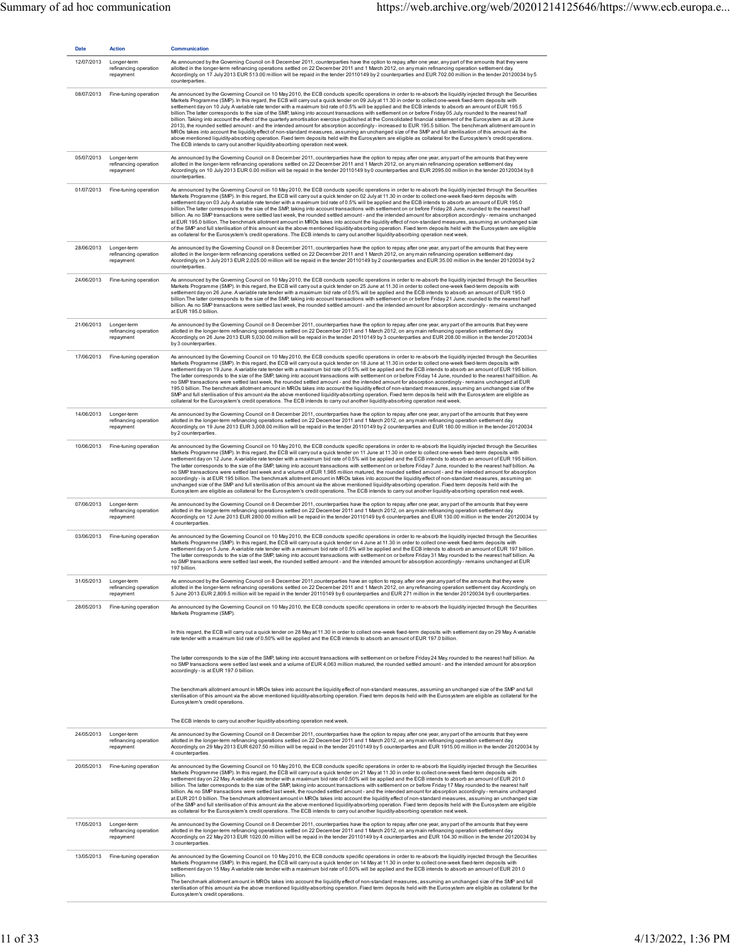| <b>Date</b> | Action                                            | <b>Communication</b>                                                                                                                                                                                                                                                                                                                                                                                                                                                                                                                                                                                                                                                                                                                                                                                                                                                                                                                                                                                                                                                                                                                                                                                                                                                                                                                                                                                          |
|-------------|---------------------------------------------------|---------------------------------------------------------------------------------------------------------------------------------------------------------------------------------------------------------------------------------------------------------------------------------------------------------------------------------------------------------------------------------------------------------------------------------------------------------------------------------------------------------------------------------------------------------------------------------------------------------------------------------------------------------------------------------------------------------------------------------------------------------------------------------------------------------------------------------------------------------------------------------------------------------------------------------------------------------------------------------------------------------------------------------------------------------------------------------------------------------------------------------------------------------------------------------------------------------------------------------------------------------------------------------------------------------------------------------------------------------------------------------------------------------------|
| 12/07/2013  | Longer-term<br>refinancing operation<br>repayment | As announced by the Governing Council on 8 December 2011, counterparties have the option to repay, after one year, any part of the amounts that they were<br>allotted in the longer-term refinancing operations settled on 22 December 2011 and 1 March 2012, on any main refinancing operation settlement day.<br>Accordingly, on 17 July 2013 EUR 513.00 million will be repaid in the tender 20110149 by 2 counterparties and EUR 702.00 million in the tender 20120034 by 5<br>counterparties.                                                                                                                                                                                                                                                                                                                                                                                                                                                                                                                                                                                                                                                                                                                                                                                                                                                                                                            |
| 08/07/2013  | Fine-tuning operation                             | As announced by the Governing Council on 10 May 2010, the ECB conducts specific operations in order to re-absorb the liquidity injected through the Securities<br>Markets Programme (SMP). In this regard, the ECB will carry out a quick tender on 09 July at 11.30 in order to collect one-week fixed-term deposits with<br>settlement day on 10 July. A variable rate tender with a maximum bid rate of 0.5% will be applied and the ECB intends to absorb an amount of EUR 195.5<br>billion. The latter corresponds to the size of the SMP, taking into account transactions with settlement on or before Friday 05 July, rounded to the nearest half<br>billion. Taking into account the effect of the quarterly amortisation exercise (published at the Consolidated financial statement of the Eurosystem as at 28 June<br>2013), the rounded settled amount - and the intended amount for absorption accordingly - increased to EUR 195.5 billion. The benchmark allotment amount in<br>MROs takes into account the liquidity effect of non-standard measures, assuming an unchanged size of the SMP and full sterilisation of this amount via the<br>above mentioned liquidity-absorbing operation. Fixed term deposits held with the Eurosystem are eligible as collateral for the Eurosystem's credit operations.<br>The ECB intends to carry out another liquidity-absorbing operation next week. |
| 05/07/2013  | Longer-term<br>refinancing operation<br>repayment | As announced by the Governing Council on 8 December 2011, counterparties have the option to repay, after one year, any part of the amounts that they were<br>allotted in the longer-term refinancing operations settled on 22 December 2011 and 1 March 2012, on any main refinancing operation settlement day.<br>Accordingly, on 10 July 2013 EUR 0.00 million will be repaid in the tender 20110149 by 0 counterparties and EUR 2095.00 million in the tender 20120034 by 8<br>counterparties.                                                                                                                                                                                                                                                                                                                                                                                                                                                                                                                                                                                                                                                                                                                                                                                                                                                                                                             |
| 01/07/2013  | Fine-tuning operation                             | As announced by the Governing Council on 10 May 2010, the ECB conducts specific operations in order to re-absorb the liquidity injected through the Securities<br>Markets Programme (SMP). In this regard, the ECB will carry out a quick tender on 02 July at 11.30 in order to collect one-week fixed-term deposits with<br>settlement day on 03 July. A variable rate tender with a maximum bid rate of 0.5% will be applied and the ECB intends to absorb an amount of EUR 195.0<br>billion. The latter corresponds to the size of the SMP, taking into account transactions with settlement on or before Friday 28 June, rounded to the nearest half<br>billion. As no SMP transactions were settled last week, the rounded settled amount - and the intended amount for absorption accordingly - remains unchanged<br>at EUR 195.0 billion. The benchmark allotment amount in MROs takes into account the liquidity effect of non-standard measures, assuming an unchanged size<br>of the SMP and full sterilisation of this amount via the above mentioned liquidity-absorbing operation. Fixed term deposits held with the Eurosystem are eligible<br>as collateral for the Eurosystem's credit operations. The ECB intends to carry out another liquidity-absorbing operation next week.                                                                                                             |
| 28/06/2013  | Longer-term<br>refinancing operation<br>repayment | As announced by the Governing Council on 8 December 2011, counterparties have the option to repay, after one year, any part of the amounts that they were<br>allotted in the longer-term refinancing operations settled on 22 December 2011 and 1 March 2012, on any main refinancing operation settlement day.<br>Accordingly, on 3 July 2013 EUR 2,025.00 million will be repaid in the tender 20110149 by 2 counterparties and EUR 35.00 million in the tender 20120034 by 2<br>counterparties.                                                                                                                                                                                                                                                                                                                                                                                                                                                                                                                                                                                                                                                                                                                                                                                                                                                                                                            |
| 24/06/2013  | Fine-tuning operation                             | As announced by the Governing Council on 10 May 2010, the ECB conducts specific operations in order to re-absorb the liquidity injected through the Securities<br>Markets Programme (SMP). In this regard, the ECB will carry out a quick tender on 25 June at 11.30 in order to collect one-week fixed-term deposits with<br>settlement day on 26 June. A variable rate tender with a maximum bid rate of 0.5% will be applied and the ECB intends to absorb an amount of EUR 195.0<br>billion. The latter corresponds to the size of the SMP, taking into account transactions with settlement on or before Friday 21 June, rounded to the nearest half<br>billion. As no SMP transactions were settled last week, the rounded settled amount - and the intended amount for absorption accordingly - remains unchanged<br>at EUR 195.0 billion.                                                                                                                                                                                                                                                                                                                                                                                                                                                                                                                                                             |
| 21/06/2013  | Longer-term<br>refinancing operation<br>repayment | As announced by the Governing Council on 8 December 2011, counterparties have the option to repay, after one year, any part of the amounts that they were<br>allotted in the longer-term refinancing operations settled on 22 December 2011 and 1 March 2012, on any main refinancing operation settlement day.<br>Accordingly, on 26 June 2013 EUR 5,030.00 million will be repaid in the tender 20110149 by 3 counterparties and EUR 208.00 million in the tender 20120034<br>by 3 counterparties.                                                                                                                                                                                                                                                                                                                                                                                                                                                                                                                                                                                                                                                                                                                                                                                                                                                                                                          |
| 17/06/2013  | Fine-tuning operation                             | As announced by the Governing Council on 10 May 2010, the ECB conducts specific operations in order to re-absorb the liquidity injected through the Securities<br>Markets Programme (SMP). In this regard, the ECB will carry out a quick tender on 18 June at 11.30 in order to collect one-week fixed-term deposits with<br>settlement day on 19 June. A variable rate tender with a maximum bid rate of 0.5% will be applied and the ECB intends to absorb an amount of EUR 195 billion.<br>The latter corresponds to the size of the SMP, taking into account transactions with settlement on or before Friday 14 June, rounded to the nearest half billion. As<br>no SMP transactions were settled last week, the rounded settled amount - and the intended amount for absorption accordingly - remains unchanged at EUR<br>195.0 billion. The benchmark allotment amount in MROs takes into account the liquidity effect of non-standard measures, assuming an unchanged size of the<br>SMP and full sterilisation of this amount via the above mentioned liquidity-absorbing operation. Fixed term deposits held with the Eurosystem are eligible as<br>collateral for the Eurosystem's credit operations. The ECB intends to carry out another liquidity-absorbing operation next week.                                                                                                               |
| 14/06/2013  | Longer-term<br>refinancing operation<br>repayment | As announced by the Governing Council on 8 December 2011, counterparties have the option to repay, after one year, any part of the amounts that they were<br>allotted in the longer-term refinancing operations settled on 22 December 2011 and 1 March 2012, on any main refinancing operation settlement day.<br>Accordingly, on 19 June 2013 EUR 3,008.00 million will be repaid in the tender 20110149 by 2 counterparties and EUR 180.00 million in the tender 20120034<br>by 2 counterparties.                                                                                                                                                                                                                                                                                                                                                                                                                                                                                                                                                                                                                                                                                                                                                                                                                                                                                                          |
| 10/06/2013  | Fine-tuning operation                             | As announced by the Governing Council on 10 May 2010, the ECB conducts specific operations in order to re-absorb the liquidity injected through the Securities<br>Markets Programme (SMP). In this regard, the ECB will carry out a quick tender on 11 June at 11.30 in order to collect one-week fixed-term deposits with<br>settlement day on 12 June. A variable rate tender with a maximum bid rate of 0.5% will be applied and the ECB intends to absorb an amount of EUR 195 billion.<br>The latter corresponds to the size of the SMP, taking into account transactions with settlement on or before Friday 7 June, rounded to the nearest half billion. As<br>no SMP transactions were settled last week and a volume of EUR 1,985 million matured, the rounded settled amount - and the intended amount for absorption<br>accordingly-is at EUR 195 billion. The benchmark allotment amount in MROs takes into account the liquidity effect of non-standard measures, assuming an<br>unchanged size of the SMP and full sterilisation of this amount via the above mentioned liquidity-absorbing operation. Fixed term deposits held with the<br>Eurosystem are eligible as collateral for the Eurosystem's credit operations. The ECB intends to carry out another liquidity-absorbing operation next week.                                                                                         |
| 07/06/2013  | Longer-term<br>refinancing operation<br>repayment | As announced by the Governing Council on 8 December 2011, counterparties have the option to repay, after one year, any part of the amounts that they were<br>allotted in the longer-term refinancing operations settled on 22 December 2011 and 1 March 2012, on any main refinancing operation settlement day.<br>Accordingly, on 12 June 2013 EUR 2800.00 million will be repaid in the tender 20110149 by 6 counterparties and EUR 130.00 million in the tender 20120034 by<br>4 counterparties.                                                                                                                                                                                                                                                                                                                                                                                                                                                                                                                                                                                                                                                                                                                                                                                                                                                                                                           |
| 03/06/2013  | Fine-tuning operation                             | As announced by the Governing Council on 10 May 2010, the ECB conducts specific operations in order to re-absorb the liquidity injected through the Securities<br>Markets Programme (SMP). In this regard, the ECB will carry out a quick tender on 4 June at 11.30 in order to collect one-week fixed-term deposits with<br>settlement day on 5 June. A variable rate tender with a maximum bid rate of 0.5% will be applied and the ECB intends to absorb an amount of EUR 197 billion.<br>The latter corresponds to the size of the SMP, taking into account transactions with settlement on or before Friday 31 May, rounded to the nearest half billion. As<br>no SMP transactions were settled last week, the rounded settled amount - and the intended amount for absorption accordingly - remains unchanged at EUR<br>197 billion.                                                                                                                                                                                                                                                                                                                                                                                                                                                                                                                                                                    |
| 31/05/2013  | Longer-term<br>refinancing operation<br>repayment | As announced by the Governing Council on 8 December 2011, counterparties have an option to repay, after one year, any part of the amounts that they were<br>allotted in the longer-term refinancing operations settled on 22 December 2011 and 1 March 2012, on any refinancing operation settlement day. Accordingly, on<br>5 June 2013 EUR 2,809.5 million will be repaid in the tender 20110149 by 6 counterparties and EUR 271 million in the tender 20120034 by 6 counterparties.                                                                                                                                                                                                                                                                                                                                                                                                                                                                                                                                                                                                                                                                                                                                                                                                                                                                                                                        |
| 28/05/2013  | Fine-tuning operation                             | As announced by the Governing Council on 10 May 2010, the ECB conducts specific operations in order to re-absorb the liquidity injected through the Securities<br>Markets Programme (SMP).                                                                                                                                                                                                                                                                                                                                                                                                                                                                                                                                                                                                                                                                                                                                                                                                                                                                                                                                                                                                                                                                                                                                                                                                                    |
|             |                                                   | In this regard, the ECB will carry out a quick tender on 28 May at 11.30 in order to collect one-week fixed-term deposits with settlement day on 29 May. A variable<br>rate tender with a maximum bid rate of 0.50% will be applied and the ECB intends to absorb an amount of EUR 197.0 billion.                                                                                                                                                                                                                                                                                                                                                                                                                                                                                                                                                                                                                                                                                                                                                                                                                                                                                                                                                                                                                                                                                                             |
|             |                                                   | The latter corresponds to the size of the SMP, taking into account transactions with settlement on or before Friday 24 May, rounded to the nearest half billion. As<br>no SMP transactions were settled last week and a volume of EUR 4,063 million matured, the rounded settled amount - and the intended amount for absorption<br>accordingly - is at EUR 197.0 billion.                                                                                                                                                                                                                                                                                                                                                                                                                                                                                                                                                                                                                                                                                                                                                                                                                                                                                                                                                                                                                                    |
|             |                                                   | The benchmark allotment amount in MROs takes into account the liquidity effect of non-standard measures, assuming an unchanged size of the SMP and full<br>sterilisation of this amount via the above mentioned liquidity-absorbing operation. Fixed term deposits held with the Eurosystem are eligible as collateral for the<br>Eurosystem's credit operations.                                                                                                                                                                                                                                                                                                                                                                                                                                                                                                                                                                                                                                                                                                                                                                                                                                                                                                                                                                                                                                             |
|             |                                                   | The ECB intends to carry out another liquidity-absorbing operation next week.                                                                                                                                                                                                                                                                                                                                                                                                                                                                                                                                                                                                                                                                                                                                                                                                                                                                                                                                                                                                                                                                                                                                                                                                                                                                                                                                 |
| 24/05/2013  | Longer-term<br>refinancing operation<br>repayment | As announced by the Governing Council on 8 December 2011, counterparties have the option to repay, after one year, any part of the amounts that they were<br>allotted in the longer-term refinancing operations settled on 22 December 2011 and 1 March 2012, on any main refinancing operation settlement day.<br>Accordingly, on 29 May 2013 EUR 6207.50 million will be repaid in the tender 20110149 by 5 counterparties and EUR 1915.00 million in the tender 20120034 by<br>4 counterparties.                                                                                                                                                                                                                                                                                                                                                                                                                                                                                                                                                                                                                                                                                                                                                                                                                                                                                                           |
| 20/05/2013  | Fine-tuning operation                             | As announced by the Governing Council on 10 May 2010, the ECB conducts specific operations in order to re-absorb the liquidity injected through the Securities<br>Markets Programme (SMP). In this regard, the ECB will carry out a quick tender on 21 May at 11.30 in order to collect one-week fixed-term deposits with<br>settlement day on 22 May. A variable rate tender with a maximum bid rate of 0.50% will be applied and the ECB intends to absorb an amount of EUR 201.0<br>billion. The latter corresponds to the size of the SMP, taking into account transactions with settlement on or before Friday 17 May, rounded to the nearest half<br>billion. As no SMP transactions were settled last week, the rounded settled amount - and the intended amount for absorption accordingly - remains unchanged<br>at EUR 201.0 billion. The benchmark allotment amount in MROs takes into account the liquidity effect of non-standard measures, assuming an unchanged size<br>of the SMP and full sterilisation of this amount via the above mentioned liquidity-absorbing operation. Fixed term deposits held with the Eurosystem are eligible<br>as collateral for the Eurosystem's credit operations. The ECB intends to carry out another liquidity-absorbing operation next week.                                                                                                               |
| 17/05/2013  | Longer-term<br>refinancing operation<br>repayment | As announced by the Governing Council on 8 December 2011, counterparties have the option to repay, after one year, any part of the amounts that they were<br>allotted in the longer-term refinancing operations settled on 22 December 2011 and 1 March 2012, on any main refinancing operation settlement day.<br>Accordingly, on 22 May 2013 EUR 1020.00 million will be repaid in the tender 20110149 by 4 counterparties and EUR 104.30 million in the tender 20120034 by<br>3 counterparties.                                                                                                                                                                                                                                                                                                                                                                                                                                                                                                                                                                                                                                                                                                                                                                                                                                                                                                            |
| 13/05/2013  | Fine-tuning operation                             | As announced by the Governing Council on 10 May 2010, the ECB conducts specific operations in order to re-absorb the liquidity injected through the Securities<br>Markets Programme (SMP). In this regard, the ECB will carry out a quick tender on 14 May at 11.30 in order to collect one-week fixed-term deposits with<br>settlement day on 15 May. A variable rate tender with a maximum bid rate of 0.50% will be applied and the ECB intends to absorb an amount of EUR 201.0<br>billion.<br>The benchmark allotment amount in MROs takes into account the liquidity effect of non-standard measures, assuming an unchanged size of the SMP and full<br>sterilisation of this amount via the above mentioned liquidity-absorbing operation. Fixed term deposits held with the Eurosystem are eligible as collateral for the<br>Eurosystem's credit operations.                                                                                                                                                                                                                                                                                                                                                                                                                                                                                                                                          |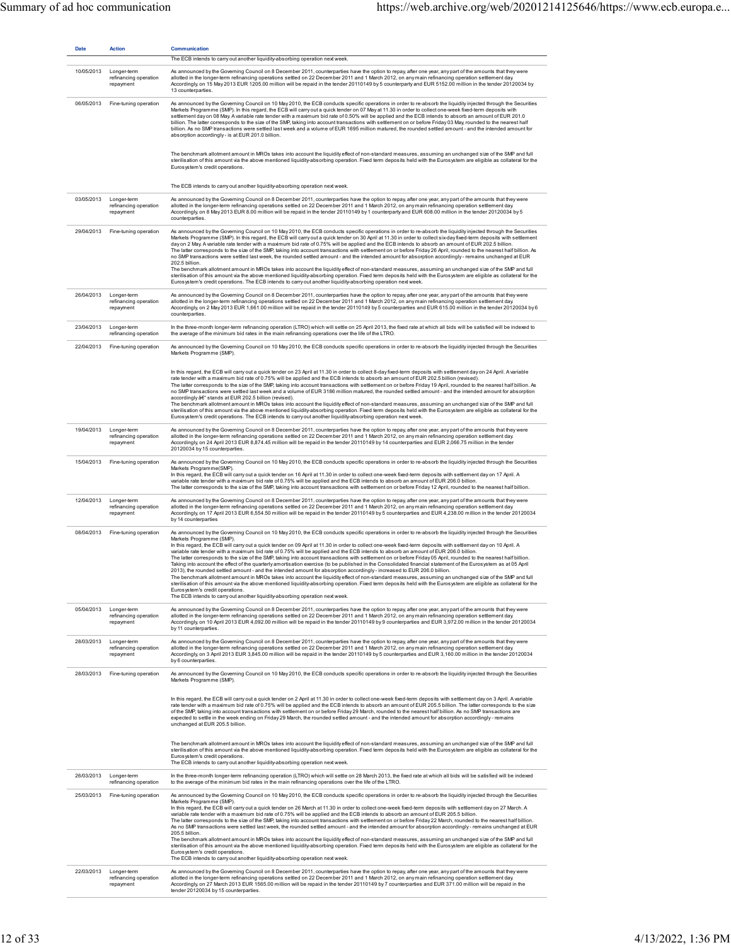| <b>Date</b> | <b>Action</b>                                     | <b>Communication</b><br>The ECB intends to carry out another liquidity-absorbing operation next week.                                                                                                                                                                                                                                                                                                                                                                                                                                                                                                                                                                                                                                                                                                                                                                                                                                                                                                                                                                                                                                                                                                                                                                                                                                                                                                                         |
|-------------|---------------------------------------------------|-------------------------------------------------------------------------------------------------------------------------------------------------------------------------------------------------------------------------------------------------------------------------------------------------------------------------------------------------------------------------------------------------------------------------------------------------------------------------------------------------------------------------------------------------------------------------------------------------------------------------------------------------------------------------------------------------------------------------------------------------------------------------------------------------------------------------------------------------------------------------------------------------------------------------------------------------------------------------------------------------------------------------------------------------------------------------------------------------------------------------------------------------------------------------------------------------------------------------------------------------------------------------------------------------------------------------------------------------------------------------------------------------------------------------------|
| 10/05/2013  | Longer-term<br>refinancing operation<br>repayment | As announced by the Governing Council on 8 December 2011, counterparties have the option to repay, after one year, any part of the amounts that they were<br>allotted in the longer-term refinancing operations settled on 22 December 2011 and 1 March 2012, on any main refinancing operation settlement day.<br>Accordingly, on 15 May 2013 EUR 1205.00 million will be repaid in the tender 20110149 by 5 counterparty and EUR 5152.00 million in the tender 20120034 by<br>13 counterparties.                                                                                                                                                                                                                                                                                                                                                                                                                                                                                                                                                                                                                                                                                                                                                                                                                                                                                                                            |
| 06/05/2013  | Fine-tuning operation                             | As announced by the Governing Council on 10 May 2010, the ECB conducts specific operations in order to re-absorb the liquidity injected through the Securities<br>Markets Programme (SMP). In this regard, the ECB will carry out a quick tender on 07 May at 11.30 in order to collect one-week fixed-term deposits with<br>settlement day on 08 May. A variable rate tender with a maximum bid rate of 0.50% will be applied and the ECB intends to absorb an amount of EUR 201.0<br>billion. The latter corresponds to the size of the SMP, taking into account transactions with settlement on or before Friday 03 May, rounded to the nearest half<br>billion. As no SMP transactions were settled last week and a volume of EUR 1695 million matured, the rounded settled amount - and the intended amount for<br>absorption accordingly- is at EUR 201.0 billion.                                                                                                                                                                                                                                                                                                                                                                                                                                                                                                                                                      |
|             |                                                   | The benchmark allotment amount in MROs takes into account the liquidity effect of non-standard measures, assuming an unchanged size of the SMP and full<br>sterilisation of this amount via the above mentioned liquidity-absorbing operation. Fixed term deposits held with the Eurosystem are eligible as collateral for the<br>Eurosystem's credit operations.                                                                                                                                                                                                                                                                                                                                                                                                                                                                                                                                                                                                                                                                                                                                                                                                                                                                                                                                                                                                                                                             |
|             |                                                   | The ECB intends to carry out another liquidity-absorbing operation next week.                                                                                                                                                                                                                                                                                                                                                                                                                                                                                                                                                                                                                                                                                                                                                                                                                                                                                                                                                                                                                                                                                                                                                                                                                                                                                                                                                 |
| 03/05/2013  | Longer-term<br>refinancing operation<br>repayment | As announced by the Governing Council on 8 December 2011, counterparties have the option to repay, after one year, any part of the amounts that they were<br>allotted in the longer-term refinancing operations settled on 22 December 2011 and 1 March 2012, on any main refinancing operation settlement day.<br>Accordingly, on 8 May 2013 EUR 8.00 million will be repaid in the tender 20110149 by 1 counterparty and EUR 608.00 million in the tender 20120034 by 5<br>counterparties.                                                                                                                                                                                                                                                                                                                                                                                                                                                                                                                                                                                                                                                                                                                                                                                                                                                                                                                                  |
| 29/04/2013  | Fine-tuning operation                             | As announced by the Governing Council on 10 May 2010, the ECB conducts specific operations in order to re-absorb the liquidity injected through the Securities<br>Markets Programme (SMP). In this regard, the ECB will carry out a quick tender on 30 April at 11.30 in order to collect six-day fixed-term deposits with settlement<br>day on 2 May. A variable rate tender with a maximum bid rate of 0.75% will be applied and the ECB intends to absorb an amount of EUR 202.5 billion.<br>The latter corresponds to the size of the SMP, taking into account transactions with settlement on or before Friday 26 April, rounded to the nearest half billion. As<br>no SMP transactions were settled last week, the rounded settled amount - and the intended amount for absorption accordingly - remains unchanged at EUR<br>202.5 billion.<br>The benchmark allotment amount in MROs takes into account the liquidity effect of non-standard measures, assuming an unchanged size of the SMP and full                                                                                                                                                                                                                                                                                                                                                                                                                  |
|             |                                                   | sterilisation of this amount via the above mentioned liquidity-absorbing operation. Fixed term deposits held with the Eurosystem are eligible as collateral for the<br>Eurosystem's credit operations. The ECB intends to carry out another liquidity-absorbing operation next week.                                                                                                                                                                                                                                                                                                                                                                                                                                                                                                                                                                                                                                                                                                                                                                                                                                                                                                                                                                                                                                                                                                                                          |
| 26/04/2013  | Longer-term<br>refinancing operation<br>repayment | As announced by the Governing Council on 8 December 2011, counterparties have the option to repay, after one year, any part of the amounts that they were<br>allotted in the longer-term refinancing operations settled on 22 December 2011 and 1 March 2012, on any main refinancing operation settlement day.<br>Accordingly, on 2 May 2013 EUR 1,661.00 million will be repaid in the tender 20110149 by 5 counterparties and EUR 615.00 million in the tender 20120034 by 6<br>counterparties.                                                                                                                                                                                                                                                                                                                                                                                                                                                                                                                                                                                                                                                                                                                                                                                                                                                                                                                            |
| 23/04/2013  | Longer-term<br>refinancing operation              | In the three-month longer-term refinancing operation (LTRO) which will settle on 25 April 2013, the fixed rate at which all bids will be satisfied will be indexed to<br>the average of the minimum bid rates in the main refinancing operations over the life of the LTRO.                                                                                                                                                                                                                                                                                                                                                                                                                                                                                                                                                                                                                                                                                                                                                                                                                                                                                                                                                                                                                                                                                                                                                   |
| 22/04/2013  | Fine-tuning operation                             | As announced by the Governing Council on 10 May 2010, the ECB conducts specific operations in order to re-absorb the liquidity injected through the Securities<br>Markets Programme (SMP).                                                                                                                                                                                                                                                                                                                                                                                                                                                                                                                                                                                                                                                                                                                                                                                                                                                                                                                                                                                                                                                                                                                                                                                                                                    |
|             |                                                   | In this regard, the ECB will carry out a quick tender on 23 April at 11.30 in order to collect 8-day fixed-term deposits with settlement day on 24 April. A variable<br>rate tender with a maximum bid rate of 0.75% will be applied and the ECB intends to absorb an amount of EUR 202.5 billion (revised).<br>The latter corresponds to the size of the SMP, taking into account transactions with settlement on or before Friday 19 April, rounded to the nearest half billion. As<br>no SMP transactions were settled last week and a volume of EUR 3186 million matured, the rounded settled amount - and the intended amount for absorption<br>accordingly â€" stands at EUR 202.5 billion (revised).<br>The benchmark allotment amount in MROs takes into account the liquidity effect of non-standard measures, assuming an unchanged size of the SMP and full<br>sterilisation of this amount via the above mentioned liquidity-absorbing operation. Fixed term deposits held with the Eurosystem are eligible as collateral for the<br>Eurosystem's credit operations. The ECB intends to carry out another liquidity-absorbing operation next week.                                                                                                                                                                                                                                                                |
| 19/04/2013  | Longer-term<br>refinancing operation<br>repayment | As announced by the Governing Council on 8 December 2011, counterparties have the option to repay, after one year, any part of the amounts that they were<br>allotted in the longer-term refinancing operations settled on 22 December 2011 and 1 March 2012, on any main refinancing operation settlement day.<br>Accordingly, on 24 April 2013 EUR 8,874.45 million will be repaid in the tender 20110149 by 14 counterparties and EUR 2,066.75 million in the tender<br>20120034 by 15 counterparties.                                                                                                                                                                                                                                                                                                                                                                                                                                                                                                                                                                                                                                                                                                                                                                                                                                                                                                                     |
| 15/04/2013  | Fine-tuning operation                             | As announced by the Governing Council on 10 May 2010, the ECB conducts specific operations in order to re-absorb the liquidity injected through the Securities<br>Markets Programme(SMP)<br>In this regard, the ECB will carry out a quick tender on 16 April at 11.30 in order to collect one-week fixed-term deposits with settlement day on 17 April. A<br>variable rate tender with a maximum bid rate of 0.75% will be applied and the ECB intends to absorb an amount of EUR 206.0 billion.<br>The latter corresponds to the size of the SMP, taking into account transactions with settlement on or before Friday 12 April, rounded to the nearest half billion.                                                                                                                                                                                                                                                                                                                                                                                                                                                                                                                                                                                                                                                                                                                                                       |
| 12/04/2013  | Longer-term<br>refinancing operation<br>repayment | As announced by the Governing Council on 8 December 2011, counterparties have the option to repay, after one year, any part of the amounts that they were<br>allotted in the longer-term refinancing operations settled on 22 December 2011 and 1 March 2012, on any main refinancing operation settlement day.<br>Accordingly, on 17 April 2013 EUR 6,554.50 million will be repaid in the tender 20110149 by 5 counterparties and EUR 4,238.00 million in the tender 20120034<br>by 14 counterparties                                                                                                                                                                                                                                                                                                                                                                                                                                                                                                                                                                                                                                                                                                                                                                                                                                                                                                                       |
| 08/04/2013  | Fine-tuning operation                             | As announced by the Governing Council on 10 May 2010, the ECB conducts specific operations in order to re-absorb the liquidity injected through the Securities<br>Markets Programme (SMP)<br>In this regard, the ECB will carry out a quick tender on 09 April at 11.30 in order to collect one-week fixed-term deposits with settlement day on 10 April. A<br>variable rate tender with a maximum bid rate of 0.75% will be applied and the ECB intends to absorb an amount of EUR 206.0 billion.<br>The latter corresponds to the size of the SMP, taking into account transactions with settlement on or before Friday 05 April, rounded to the nearest half billion.<br>Taking into account the effect of the quarterly amortisation exercise (to be published in the Consolidated financial statement of the Eurosystem as at 05 April<br>and the intended amount for absorption accordingly - increased to EUR 206.0 billion<br>2013), the rounded settled amount<br>The benchmark allotment amount in MROs takes into account the liquidity effect of non-standard measures, assuming an unchanged size of the SMP and full<br>sterilisation of this amount via the above mentioned liquidity-absorbing operation. Fixed term deposits held with the Eurosystem are eligible as collateral for the<br>Eurosystem's credit operations.<br>The ECB intends to carry out another liquidity-absorbing operation next week. |
| 05/04/2013  | Longer-term<br>refinancing operation<br>repayment | As announced by the Governing Council on 8 December 2011, counterparties have the option to repay, after one year, any part of the amounts that they were<br>allotted in the longer-term refinancing operations settled on 22 December 2011 and 1 March 2012, on any main refinancing operation settlement day.<br>Accordingly, on 10 April 2013 EUR 4,092.00 million will be repaid in the tender 20110149 by 9 counterparties and EUR 3,972.00 million in the tender 20120034<br>by 11 counterparties.                                                                                                                                                                                                                                                                                                                                                                                                                                                                                                                                                                                                                                                                                                                                                                                                                                                                                                                      |
| 28/03/2013  | Longer-term<br>refinancing operation<br>repayment | As announced by the Governing Council on 8 December 2011, counterparties have the option to repay, after one year, any part of the amounts that they were<br>allotted in the longer-term refinancing operations settled on 22 December 2011 and 1 March 2012, on any main refinancing operation settlement day.<br>Accordingly, on 3 April 2013 EUR 3,845.00 million will be repaid in the tender 20110149 by 5 counterparties and EUR 3,160.00 million in the tender 20120034<br>by 6 counterparties.                                                                                                                                                                                                                                                                                                                                                                                                                                                                                                                                                                                                                                                                                                                                                                                                                                                                                                                        |
| 28/03/2013  | Fine-tuning operation                             | As announced by the Governing Council on 10 May 2010, the ECB conducts specific operations in order to re-absorb the liquidity injected through the Securities<br>Markets Programme (SMP).                                                                                                                                                                                                                                                                                                                                                                                                                                                                                                                                                                                                                                                                                                                                                                                                                                                                                                                                                                                                                                                                                                                                                                                                                                    |
|             |                                                   | In this regard, the ECB will carry out a quick tender on 2 April at 11.30 in order to collect one-week fixed-term deposits with settlement day on 3 April. A variable<br>rate tender with a maximum bid rate of 0.75% will be applied and the ECB intends to absorb an amount of EUR 205.5 billion. The latter corresponds to the size<br>of the SMP, taking into account transactions with settlement on or before Friday 29 March, rounded to the nearest half billion. As no SMP transactions are<br>expected to settle in the week ending on Friday 29 March, the rounded settled amount - and the intended amount for absorption accordingly - remains<br>unchanged at EUR 205.5 billion.                                                                                                                                                                                                                                                                                                                                                                                                                                                                                                                                                                                                                                                                                                                                |
|             |                                                   | The benchmark allotment amount in MROs takes into account the liquidity effect of non-standard measures, assuming an unchanged size of the SMP and full<br>sterilisation of this amount via the above mentioned liquidity-absorbing operation. Fixed term deposits held with the Eurosystem are eligible as collateral for the<br>Eurosystem's credit operations.<br>The ECB intends to carry out another liquidity-absorbing operation next week.                                                                                                                                                                                                                                                                                                                                                                                                                                                                                                                                                                                                                                                                                                                                                                                                                                                                                                                                                                            |
| 26/03/2013  | Longer-term<br>refinancing operation              | In the three-month longer-term refinancing operation (LTRO) which will settle on 28 March 2013, the fixed rate at which all bids will be satisfied will be indexed<br>to the average of the minimum bid rates in the main refinancing operations over the life of the LTRO.                                                                                                                                                                                                                                                                                                                                                                                                                                                                                                                                                                                                                                                                                                                                                                                                                                                                                                                                                                                                                                                                                                                                                   |
| 25/03/2013  | Fine-tuning operation                             | As announced by the Governing Council on 10 May 2010, the ECB conducts specific operations in order to re-absorb the liquidity injected through the Securities<br>Markets Programme (SMP).<br>In this regard, the ECB will carry out a quick tender on 26 March at 11.30 in order to collect one-week fixed-term deposits with settlement day on 27 March. A<br>variable rate tender with a maximum bid rate of 0.75% will be applied and the ECB intends to absorb an amount of EUR 205.5 billion.<br>The latter corresponds to the size of the SMP, taking into account transactions with settlement on or before Friday 22 March, rounded to the nearest half billion.<br>As no SMP transactions were settled last week, the rounded settled amount - and the intended amount for absorption accordingly - remains unchanged at EUR<br>205.5 billion.<br>The benchmark allotment amount in MROs takes into account the liquidity effect of non-standard measures, assuming an unchanged size of the SMP and full<br>sterilisation of this amount via the above mentioned liquidity-absorbing operation. Fixed term deposits held with the Eurosystem are eligible as collateral for the<br>Eurosystem's credit operations.<br>The ECB intends to carry out another liquidity-absorbing operation next week.                                                                                                                |
| 22/03/2013  | Longer-term<br>refinancing operation<br>repayment | As announced by the Governing Council on 8 December 2011, counterparties have the option to repay, after one year, any part of the amounts that they were<br>allotted in the longer-term refinancing operations settled on 22 December 2011 and 1 March 2012, on any main refinancing operation settlement day.<br>Accordingly, on 27 March 2013 EUR 1565.00 million will be repaid in the tender 20110149 by 7 counterparties and EUR 371.00 million will be repaid in the<br>tender 20120034 by 15 counterparties.                                                                                                                                                                                                                                                                                                                                                                                                                                                                                                                                                                                                                                                                                                                                                                                                                                                                                                          |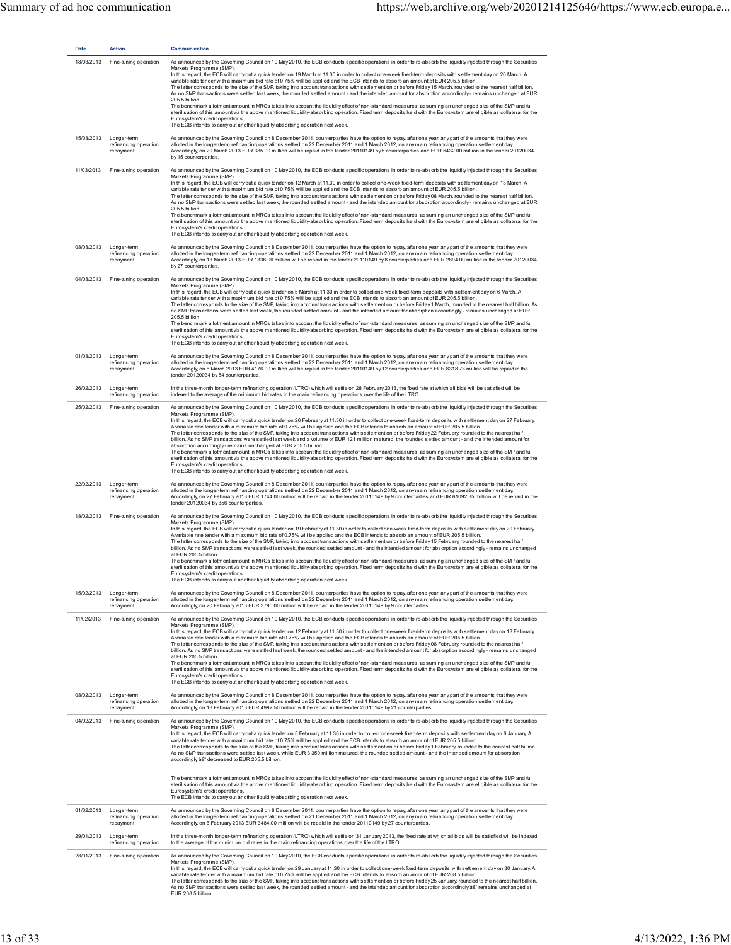| <b>Date</b> | <b>Action</b>                                                | <b>Communication</b>                                                                                                                                                                                                                                                                                                                                                                                                                                                                                                                                                                                                                                                                                                                                                                                                                                                                                                                                                                                                                                                                                                                                                                                                                                                                                                                                           |
|-------------|--------------------------------------------------------------|----------------------------------------------------------------------------------------------------------------------------------------------------------------------------------------------------------------------------------------------------------------------------------------------------------------------------------------------------------------------------------------------------------------------------------------------------------------------------------------------------------------------------------------------------------------------------------------------------------------------------------------------------------------------------------------------------------------------------------------------------------------------------------------------------------------------------------------------------------------------------------------------------------------------------------------------------------------------------------------------------------------------------------------------------------------------------------------------------------------------------------------------------------------------------------------------------------------------------------------------------------------------------------------------------------------------------------------------------------------|
| 18/03/2013  | Fine-tuning operation                                        | As announced by the Governing Council on 10 May 2010, the ECB conducts specific operations in order to re-absorb the liquidity injected through the Securities<br>Markets Programme (SMP).<br>In this regard, the ECB will carry out a quick tender on 19 March at 11.30 in order to collect one-week fixed-term deposits with settlement day on 20 March. A<br>variable rate tender with a maximum bid rate of 0.75% will be applied and the ECB intends to absorb an amount of EUR 205.5 billion.<br>The latter corresponds to the size of the SMP, taking into account transactions with settlement on or before Friday 15 March, rounded to the nearest half billion.<br>As no SMP transactions were settled last week, the rounded settled amount - and the intended amount for absorption accordingly - remains unchanged at EUR<br>205.5 billion.<br>The benchmark allotment amount in MROs takes into account the liquidity effect of non-standard measures, assuming an unchanged size of the SMP and full<br>sterilisation of this amount via the above mentioned liquidity-absorbing operation. Fixed term deposits held with the Eurosystem are eligible as collateral for the<br>Eurosystem's credit operations.<br>The ECB intends to carry out another liquidity-absorbing operation next week.                                                 |
| 15/03/2013  | Longer-term<br>refinancing operation<br>repayment            | As announced by the Governing Council on 8 December 2011, counterparties have the option to repay, after one year, any part of the amounts that they were<br>allotted in the longer-term refinancing operations settled on 22 December 2011 and 1 March 2012, on any main refinancing operation settlement day.<br>Accordingly, on 20 March 2013 EUR 385.00 million will be repaid in the tender 20110149 by 5 counterparties and EUR 6432.00 million in the tender 20120034<br>by 15 counterparties.                                                                                                                                                                                                                                                                                                                                                                                                                                                                                                                                                                                                                                                                                                                                                                                                                                                          |
| 11/03/2013  | Fine-tuning operation                                        | As announced by the Governing Council on 10 May 2010, the ECB conducts specific operations in order to re-absorb the liquidity injected through the Securities<br>Markets Programme (SMP).<br>In this regard, the ECB will carry out a quick tender on 12 March at 11.30 in order to collect one-week fixed-term deposits with settlement day on 13 March. A<br>variable rate tender with a maximum bid rate of 0.75% will be applied and the ECB intends to absorb an amount of EUR 205.5 billion.<br>The latter corresponds to the size of the SMP, taking into account transactions with settlement on or before Friday 08 March, rounded to the nearest half billion.<br>As no SMP transactions were settled last week, the rounded settled amount - and the intended amount for absorption accordingly - remains unchanged at EUR<br>205.5 billion.<br>The benchmark allotment amount in MROs takes into account the liquidity effect of non-standard measures, assuming an unchanged size of the SMP and full<br>sterilisation of this amount via the above mentioned liquidity-absorbing operation. Fixed term deposits held with the Eurosystem are eligible as collateral for the<br>Eurosystem's credit operations.<br>The ECB intends to carry out another liquidity-absorbing operation next week.                                                 |
| 08/03/2013  | Longer-term<br>refinancing operation<br>repayment            | As announced by the Governing Council on 8 December 2011, counterparties have the option to repay, after one year, any part of the amounts that they were<br>allotted in the longer-term refinancing operations settled on 22 December 2011 and 1 March 2012, on any main refinancing operation settlement day.<br>Accordingly, on 13 March 2013 EUR 1336.00 million will be repaid in the tender 20110149 by 8 counterparties and EUR 2894.00 million in the tender 20120034<br>by 27 counterparties.                                                                                                                                                                                                                                                                                                                                                                                                                                                                                                                                                                                                                                                                                                                                                                                                                                                         |
| 04/03/2013  | Fine-tuning operation                                        | As announced by the Governing Council on 10 May 2010, the ECB conducts specific operations in order to re-absorb the liquidity injected through the Securities<br>Markets Programme (SMP).<br>In this regard, the ECB will carry out a quick tender on 5 March at 11.30 in order to collect one-week fixed-term deposits with settlement day on 6 March. A<br>variable rate tender with a maximum bid rate of 0.75% will be applied and the ECB intends to absorb an amount of EUR 205.5 billion.<br>The latter corresponds to the size of the SMP, taking into account transactions with settlement on or before Friday 1 March, rounded to the nearest half billion. As<br>no SMP transactions were settled last week, the rounded settled amount - and the intended amount for absorption accordingly - remains unchanged at EUR<br>205.5 billion.<br>The benchmark allotment amount in MROs takes into account the liquidity effect of non-standard measures, assuming an unchanged size of the SMP and full<br>sterilisation of this amount via the above mentioned liquidity-absorbing operation. Fixed term deposits held with the Eurosystem are eligible as collateral for the<br>Eurosystem's credit operations.<br>The ECB intends to carry out another liquidity-absorbing operation next week.                                                    |
| 01/03/2013  | Longer-term<br>refinancing operation<br>repayment            | As announced by the Governing Council on 8 December 2011, counterparties have the option to repay, after one year, any part of the amounts that they were<br>allotted in the longer-term refinancing operations settled on 22 December 2011 and 1 March 2012, on any main refinancing operation settlement day.<br>Accordingly, on 6 March 2013 EUR 4176.00 million will be repaid in the tender 20110149 by 12 counterparties and EUR 8318.73 million will be repaid in the<br>tender 20120034 by 54 counterparties.                                                                                                                                                                                                                                                                                                                                                                                                                                                                                                                                                                                                                                                                                                                                                                                                                                          |
| 26/02/2013  | Longer-term<br>refinancing operation                         | In the three-month longer-term refinancing operation (LTRO) which will settle on 28 February 2013, the fixed rate at which all bids will be satisfied will be<br>indexed to the average of the minimum bid rates in the main refinancing operations over the life of the LTRO.                                                                                                                                                                                                                                                                                                                                                                                                                                                                                                                                                                                                                                                                                                                                                                                                                                                                                                                                                                                                                                                                                 |
| 25/02/2013  | Fine-tuning operation                                        | As announced by the Governing Council on 10 May 2010, the ECB conducts specific operations in order to re-absorb the liquidity injected through the Securities<br>Markets Programme (SMP).<br>In this regard, the ECB will carry out a quick tender on 26 February at 11.30 in order to collect one-week fixed-term deposits with settlement day on 27 February.<br>A variable rate tender with a maximum bid rate of 0.75% will be applied and the ECB intends to absorb an amount of EUR 205.5 billion.<br>The latter corresponds to the size of the SMP, taking into account transactions with settlement on or before Friday 22 February, rounded to the nearest half<br>billion. As no SMP transactions were settled last week and a volume of EUR 121 million matured, the rounded settled amount - and the intended amount for<br>absorption accordingly-remains unchanged at EUR 205.5 billion.<br>The benchmark allotment amount in MROs takes into account the liquidity effect of non-standard measures, assuming an unchanged size of the SMP and full<br>sterilisation of this amount via the above mentioned liquidity-absorbing operation. Fixed term deposits held with the Eurosystem are eligible as collateral for the<br>Euros vstem's credit operations.<br>The ECB intends to carry out another liquidity-absorbing operation next week. |
| 22/02/2013  | Longer-term<br>refinancing operation<br>repayment            | As announced by the Governing Council on 8 December 2011, counterparties have the option to repay, after one year, any part of the amounts that they were<br>allotted in the longer-term refinancing operations settled on 22 December 2011 and 1 March 2012, on any main refinancing operation settlement day.<br>Accordingly, on 27 February 2013 EUR 1744.00 million will be repaid in the tender 20110149 by 9 counterparties and EUR 61092.35 million will be repaid in the<br>tender 20120034 by 356 counterparties.                                                                                                                                                                                                                                                                                                                                                                                                                                                                                                                                                                                                                                                                                                                                                                                                                                     |
| 18/02/2013  | Fine-tuning operation                                        | As announced by the Governing Council on 10 May 2010, the ECB conducts specific operations in order to re-absorb the liquidity injected through the Securities<br>Markets Programme (SMP).<br>In this regard, the ECB will carry out a quick tender on 19 February at 11.30 in order to collect one-week fixed-term deposits with settlement day on 20 February.<br>A variable rate tender with a maximum bid rate of 0.75% will be applied and the ECB intends to absorb an amount of EUR 205.5 billion.<br>The latter corresponds to the size of the SMP, taking into account transactions with settlement on or before Friday 15 February, rounded to the nearest half<br>billion. As no SMP transactions were settled last week, the rounded settled amount - and the intended amount for absorption accordingly - remains unchanged<br>at EUR 205.5 billion.<br>The benchmark allotment amount in MROs takes into account the liquidity effect of non-standard measures, assuming an unchanged size of the SMP and full<br>sterilisation of this amount via the above mentioned liquidity-absorbing operation. Fixed term deposits held with the Eurosystem are eligible as collateral for the<br>Eurosystem's credit operations.<br>The ECB intends to carry out another liquidity-absorbing operation next week.                                        |
| 15/02/2013  | Longer-term<br>refinancing operation<br>repayment            | As announced by the Governing Council on 8 December 2011, counterparties have the option to repay, after one year, any part of the amounts that they were<br>allotted in the longer-term refinancing operations settled on 22 December 2011 and 1 March 2012, on any main refinancing operation settlement day.<br>Accordingly, on 20 February 2013 EUR 3790.00 million will be repaid in the tender 20110149 by 9 counterparties.                                                                                                                                                                                                                                                                                                                                                                                                                                                                                                                                                                                                                                                                                                                                                                                                                                                                                                                             |
| 11/02/2013  | Fine-tuning operation                                        | As announced by the Governing Council on 10 May 2010, the ECB conducts specific operations in order to re-absorb the liquidity injected through the Securities<br>Markets Programme (SMP).<br>In this regard, the ECB will carry out a quick tender on 12 February at 11.30 in order to collect one-week fixed-term deposits with settlement day on 13 February.<br>A variable rate tender with a maximum bid rate of 0.75% will be applied and the ECB intends to absorb an amount of EUR 205.5 billion.<br>The latter corresponds to the size of the SMP, taking into account transactions with settlement on or before Friday 08 February, rounded to the nearest half<br>billion. As no SMP transactions were settled last week, the rounded settled amount - and the intended amount for absorption accordingly - remains unchanged<br>at EUR 205.5 billion.<br>The benchmark allotment amount in MROs takes into account the liquidity effect of non-standard measures, assuming an unchanged size of the SMP and full<br>sterilisation of this amount via the above mentioned liquidity-absorbing operation. Fixed term deposits held with the Eurosystem are eligible as collateral for the<br>Eurosystem's credit operations.<br>The ECB intends to carry out another liquidity-absorbing operation next week.                                        |
|             | 08/02/2013 Longer-term<br>refinancing operation<br>repayment | As announced by the Governing Council on 8 December 2011, counterparties have the option to repay, after one year, any part of the amounts that they were<br>allotted in the longer-term refinancing operations settled on 22 December 2011 and 1 March 2012, on any main refinancing operation settlement day.<br>Accordingly, on 13 February 2013 EUR 4992.50 million will be repaid in the tender 20110149 by 21 counterparties.                                                                                                                                                                                                                                                                                                                                                                                                                                                                                                                                                                                                                                                                                                                                                                                                                                                                                                                            |
| 04/02/2013  | Fine-tuning operation                                        | As announced by the Governing Council on 10 May 2010, the ECB conducts specific operations in order to re-absorb the liquidity injected through the Securities<br>Markets Programme (SMP).<br>In this regard, the ECB will carry out a quick tender on 5 February at 11.30 in order to collect one-week fixed-term deposits with settlement day on 6 January. A<br>variable rate tender with a maximum bid rate of 0.75% will be applied and the ECB intends to absorb an amount of EUR 205.5 billion.<br>The latter corresponds to the size of the SMP, taking into account transactions with settlement on or before Friday 1 February, rounded to the nearest half billion.<br>As no SMP transactions were settled last week, while EUR 3,350 million matured, the rounded settled amount - and the intended amount for absorption<br>accordingly â€" decreased to EUR 205.5 billion.<br>The benchmark allotment amount in MROs takes into account the liquidity effect of non-standard measures, assuming an unchanged size of the SMP and full                                                                                                                                                                                                                                                                                                            |
|             | 01/02/2013 Longer-term                                       | sterilisation of this amount via the above mentioned liquidity-absorbing operation. Fixed term deposits held with the Eurosystem are eligible as collateral for the<br>Eurosystem's credit operations.<br>The ECB intends to carry out another liquidity-absorbing operation next week.<br>As announced by the Governing Council on 8 December 2011, counterparties have the option to repay, after one year, any part of the amounts that they were                                                                                                                                                                                                                                                                                                                                                                                                                                                                                                                                                                                                                                                                                                                                                                                                                                                                                                           |
|             | refinancing operation<br>repayment                           | allotted in the longer-term refinancing operations settled on 21 December 2011 and 1 March 2012, on any main refinancing operation settlement day.<br>Accordingly, on 6 February 2013 EUR 3484.00 million will be repaid in the tender 20110149 by 27 counterparties.                                                                                                                                                                                                                                                                                                                                                                                                                                                                                                                                                                                                                                                                                                                                                                                                                                                                                                                                                                                                                                                                                          |
| 29/01/2013  | Longer-term<br>refinancing operation                         | In the three-month longer-term refinancing operation (LTRO) which will settle on 31 January 2013, the fixed rate at which all bids will be satisfied will be indexed<br>to the average of the minimum bid rates in the main refinancing operations over the life of the LTRO.                                                                                                                                                                                                                                                                                                                                                                                                                                                                                                                                                                                                                                                                                                                                                                                                                                                                                                                                                                                                                                                                                  |
| 28/01/2013  | Fine-tuning operation                                        | As announced by the Governing Council on 10 May 2010, the ECB conducts specific operations in order to re-absorb the liquidity injected through the Securities<br>Markets Programme (SMP).<br>In this regard, the ECB will carry out a quick tender on 29 January at 11.30 in order to collect one-week fixed-term deposits with settlement day on 30 January. A<br>variable rate tender with a maximum bid rate of 0.75% will be applied and the ECB intends to absorb an amount of EUR 208.5 billion.<br>The latter corresponds to the size of the SMP, taking into account transactions with settlement on or before Friday 25 January, rounded to the nearest half billion.<br>As no SMP transactions were settled last week, the rounded settled amount - and the intended amount for absorption accordingly â€" remains unchanged at<br>EUR 208.5 billion.                                                                                                                                                                                                                                                                                                                                                                                                                                                                                               |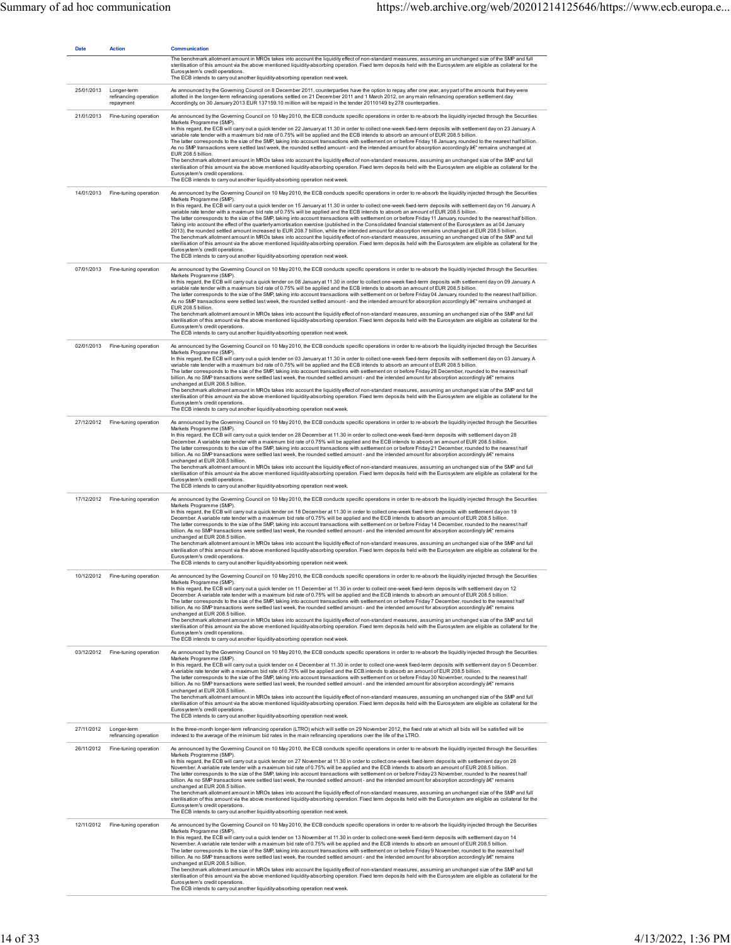| <b>Date</b> | Action                                            | Communication<br>The benchmark allotment amount in MROs takes into account the liquidity effect of non-standard measures, assuming an unchanged size of the SMP and full<br>sterilisation of this amount via the above mentioned liquidity-absorbing operation. Fixed term deposits held with the Eurosystem are eligible as collateral for the<br>Eurosystem's credit operations.<br>The ECB intends to carry out another liquidity-absorbing operation next week.                                                                                                                                                                                                                                                                                                                                                                                                                                                                                                                                                                                                                                                                                                                                                                                                                                                                                                                                                                                        |
|-------------|---------------------------------------------------|------------------------------------------------------------------------------------------------------------------------------------------------------------------------------------------------------------------------------------------------------------------------------------------------------------------------------------------------------------------------------------------------------------------------------------------------------------------------------------------------------------------------------------------------------------------------------------------------------------------------------------------------------------------------------------------------------------------------------------------------------------------------------------------------------------------------------------------------------------------------------------------------------------------------------------------------------------------------------------------------------------------------------------------------------------------------------------------------------------------------------------------------------------------------------------------------------------------------------------------------------------------------------------------------------------------------------------------------------------------------------------------------------------------------------------------------------------|
| 25/01/2013  | Longer-term<br>refinancing operation<br>repayment | As announced by the Governing Council on 8 December 2011, counterparties have the option to repay, after one year, any part of the amounts that they were<br>allotted in the longer-term refinancing operations settled on 21 December 2011 and 1 March 2012, on any main refinancing operation settlement day.<br>Accordingly, on 30 January 2013 EUR 137159.10 million will be repaid in the tender 20110149 by 278 counterparties.                                                                                                                                                                                                                                                                                                                                                                                                                                                                                                                                                                                                                                                                                                                                                                                                                                                                                                                                                                                                                      |
| 21/01/2013  | Fine-tuning operation                             | As announced by the Governing Council on 10 May 2010, the ECB conducts specific operations in order to re-absorb the liquidity injected through the Securities<br>Markets Programme (SMP)<br>In this regard, the ECB will carry out a quick tender on 22 January at 11.30 in order to collect one-week fixed-term deposits with settlement day on 23 January. A<br>variable rate tender with a maximum bid rate of 0.75% will be applied and the ECB intends to absorb an amount of EUR 208.5 billion.<br>The latter corresponds to the size of the SMP, taking into account transactions with settlement on or before Friday 18 January, rounded to the nearest half billion.<br>As no SMP transactions were settled last week, the rounded settled amount - and the intended amount for absorption accordingly â€" remains unchanged at<br>EUR 208.5 billion.<br>The benchmark allotment amount in MROs takes into account the liquidity effect of non-standard measures, assuming an unchanged size of the SMP and full<br>sterilisation of this amount via the above mentioned liquidity-absorbing operation. Fixed term deposits held with the Eurosystem are eligible as collateral for the<br>Eurosystem's credit operations.<br>The ECB intends to carry out another liquidity-absorbing operation next week.                                                                                                                                      |
|             | 14/01/2013 Fine-tuning operation                  | As announced by the Governing Council on 10 May 2010, the ECB conducts specific operations in order to re-absorb the liquidity injected through the Securities<br>Markets Programme (SMP).<br>In this regard, the ECB will carry out a quick tender on 15 January at 11.30 in order to collect one-week fixed-term deposits with settlement day on 16 January. A<br>variable rate tender with a maximum bid rate of 0.75% will be applied and the ECB intends to absorb an amount of EUR 208.5 billion.<br>The latter corresponds to the size of the SMP, taking into account transactions with settlement on or before Friday 11 January, rounded to the nearest half billion.<br>Taking into account the effect of the quarterly amortisation exercise (published in the Consolidated financial statement of the Eurosystem as at 04 January<br>2013), the rounded settled amount increased to EUR 208.7 billion, while the intended amount for absorption remains unchanged at EUR 208.5 billion.<br>The benchmark allotment amount in MROs takes into account the liquidity effect of non-standard measures, assuming an unchanged size of the SMP and full<br>sterilisation of this amount via the above mentioned liquidity-absorbing operation. Fixed term deposits held with the Eurosystem are eligible as collateral for the<br>Eurosystem's credit operations.<br>The ECB intends to carry out another liquidity-absorbing operation next week. |
| 07/01/2013  | Fine-tuning operation                             | As announced by the Governing Council on 10 May 2010, the ECB conducts specific operations in order to re-absorb the liquidity injected through the Securities<br>Markets Programme (SMP)<br>In this regard, the ECB will carry out a quick tender on 08 January at 11.30 in order to collect one-week fixed-term deposits with settlement day on 09 January. A<br>variable rate tender with a maximum bid rate of 0.75% will be applied and the ECB intends to absorb an amount of EUR 208.5 billion.<br>The latter corresponds to the size of the SMP, taking into account transactions with settlement on or before Friday 04 January, rounded to the nearest half billion.<br>As no SMP transactions were settled last week, the rounded settled amount - and the intended amount for absorption accordingly â€" remains unchanged at<br>FUR 208.5 billion<br>The benchmark allotment amount in MROs takes into account the liquidity effect of non-standard measures, assuming an unchanged size of the SMP and full<br>sterilisation of this amount via the above mentioned liquidity-absorbing operation. Fixed term deposits held with the Eurosystem are eligible as collateral for the<br>Eurosystem's credit operations.<br>The ECB intends to carry out another liquidity-absorbing operation next week.                                                                                                                                       |
|             | 02/01/2013 Fine-tuning operation                  | As announced by the Governing Council on 10 May 2010, the ECB conducts specific operations in order to re-absorb the liquidity injected through the Securities<br>Markets Programme (SMP)<br>In this regard, the ECB will carry out a quick tender on 03 January at 11.30 in order to collect one-week fixed-term deposits with settlement day on 03 January. A<br>variable rate tender with a maximum bid rate of 0.75% will be applied and the ECB intends to absorb an amount of EUR 208.5 billion.<br>The latter corresponds to the size of the SMP, taking into account transactions with settlement on or before Friday 28 December, rounded to the nearest half<br>billion. As no SMP transactions were settled last week, the rounded settled amount - and the intended amount for absorption accordingly â€" remains<br>unchanged at EUR 208.5 billion.<br>The benchmark allotment amount in MROs takes into account the liquidity effect of non-standard measures, assuming an unchanged size of the SMP and full<br>sterilisation of this amount via the above mentioned liquidity-absorbing operation. Fixed term deposits held with the Eurosystem are eligible as collateral for the<br>Eurosystem's credit operations.<br>The ECB intends to carry out another liquidity-absorbing operation next week.                                                                                                                                     |
|             | 27/12/2012 Fine-tuning operation                  | As announced by the Governing Council on 10 May 2010, the ECB conducts specific operations in order to re-absorb the liquidity injected through the Securities<br>Markets Programme (SMP).<br>In this regard, the ECB will carry out a quick tender on 28 December at 11.30 in order to collect one-week fixed-term deposits with settlement day on 28<br>December. A variable rate tender with a maximum bid rate of 0.75% will be applied and the ECB intends to absorb an amount of EUR 208.5 billion.<br>The latter corresponds to the size of the SMP, taking into account transactions with settlement on or before Friday 21 December, rounded to the nearest half<br>billion. As no SMP transactions were settled last week, the rounded settled amount - and the intended amount for absorption accordingly â€" remains<br>unchanged at EUR 208.5 billion.<br>The benchmark allotment amount in MROs takes into account the liquidity effect of non-standard measures, assuming an unchanged size of the SMP and full<br>sterilisation of this amount via the above mentioned liquidity-absorbing operation. Fixed term deposits held with the Eurosystem are eligible as collateral for the<br>Eurosystem's credit operations.<br>The ECB intends to carry out another liquidity-absorbing operation next week.                                                                                                                                  |
|             | 17/12/2012 Fine-tuning operation                  | As announced by the Governing Council on 10 May 2010, the ECB conducts specific operations in order to re-absorb the liquidity injected through the Securities<br>Markets Programme (SMP)<br>In this regard, the ECB will carry out a quick tender on 18 December at 11.30 in order to collect one-week fixed-term deposits with settlement day on 19<br>December. A variable rate tender with a maximum bid rate of 0.75% will be applied and the ECB intends to absorb an amount of EUR 208.5 billion.<br>The latter corresponds to the size of the SMP, taking into account transactions with settlement on or before Friday 14 December, rounded to the nearest half<br>billion. As no SMP transactions were settled last week, the rounded settled amount - and the intended amount for absorption accordingly â€" remains<br>unchanged at EUR 208.5 billion.<br>The benchmark allotment amount in MROs takes into account the liquidity effect of non-standard measures, assuming an unchanged size of the SMP and full<br>sterilisation of this amount via the above mentioned liquidity-absorbing operation. Fixed term deposits held with the Eurosystem are eligible as collateral for the<br>Eurosystem's credit operations.<br>The ECB intends to carry out another liquidity-absorbing operation next week.                                                                                                                                   |
| 10/12/2012  | Fine-tuning operation                             | As announced by the Governing Council on 10 May 2010, the ECB conducts specific operations in order to re-absorb the liquidity injected through the Securities<br>Markets Programme (SMP).<br>In this regard, the ECB will carry out a quick tender on 11 December at 11.30 in order to collect one-week fixed-term deposits with settlement day on 12<br>December. A variable rate tender with a maximum bid rate of 0.75% will be applied and the ECB intends to absorb an amount of EUR 208.5 billion.<br>The latter corresponds to the size of the SMP, taking into account transactions with settlement on or before Friday 7 December, rounded to the nearest half<br>billion. As no SMP transactions were settled last week, the rounded settled amount - and the intended amount for absorption accordingly â€" remains<br>unchanged at EUR 208.5 billion.<br>The benchmark allotment amount in MROs takes into account the liquidity effect of non-standard measures, assuming an unchanged size of the SMP and full<br>sterilisation of this amount via the above mentioned liquidity-absorbing operation. Fixed term deposits held with the Eurosystem are eligible as collateral for the<br>Eurosystem's credit operations.<br>The ECB intends to carry out another liquidity-absorbing operation next week.                                                                                                                                   |
|             | 03/12/2012 Fine-tuning operation                  | As announced by the Governing Council on 10 May 2010, the ECB conducts specific operations in order to re-absorb the liquidity injected through the Securities<br>Markets Programme (SMP)<br>In this regard, the ECB will carry out a quick tender on 4 December at 11.30 in order to collect one-week fixed-term deposits with settlement day on 5 December.<br>A variable rate tender with a maximum bid rate of 0.75% will be applied and the ECB intends to absorb an amount of EUR 208.5 billion.<br>The latter corresponds to the size of the SMP, taking into account transactions with settlement on or before Friday 30 November, rounded to the nearest half<br>billion. As no SMP transactions were settled last week, the rounded settled amount - and the intended amount for absorption accordingly â€" remains<br>unchanged at EUR 208.5 billion.<br>The benchmark allotment amount in MROs takes into account the liquidity effect of non-standard measures, assuming an unchanged size of the SMP and full<br>sterilisation of this amount via the above mentioned liquidity-absorbing operation. Fixed term deposits held with the Eurosystem are eligible as collateral for the<br>Eurosystem's credit operations.<br>The ECB intends to carry out another liquidity-absorbing operation next week.                                                                                                                                     |
|             | 27/11/2012 Longer-term<br>refinancing operation   | In the three-month longer-term refinancing operation (LTRO) which will settle on 29 November 2012, the fixed rate at which all bids will be satisfied will be<br>indexed to the average of the minimum bid rates in the main refinancing operations over the life of the LTRO.                                                                                                                                                                                                                                                                                                                                                                                                                                                                                                                                                                                                                                                                                                                                                                                                                                                                                                                                                                                                                                                                                                                                                                             |
| 26/11/2012  | Fine-tuning operation                             | As announced by the Governing Council on 10 May 2010, the ECB conducts specific operations in order to re-absorb the liquidity injected through the Securities<br>Markets Programme (SMP).<br>In this regard, the ECB will carry out a quick tender on 27 November at 11.30 in order to collect one-week fixed-term deposits with settlement day on 28<br>November. A variable rate tender with a maximum bid rate of 0.75% will be applied and the ECB intends to absorb an amount of EUR 208.5 billion.<br>The latter corresponds to the size of the SMP, taking into account transactions with settlement on or before Friday 23 November, rounded to the nearest half<br>billion. As no SMP transactions were settled last week, the rounded settled amount - and the intended amount for absorption accordingly â€" remains<br>unchanged at EUR 208.5 billion.<br>The benchmark allotment amount in MROs takes into account the liquidity effect of non-standard measures, assuming an unchanged size of the SMP and full<br>sterilisation of this amount via the above mentioned liquidity-absorbing operation. Fixed term deposits held with the Eurosystem are eligible as collateral for the<br>Eurosystem's credit operations.<br>The ECB intends to carry out another liquidity-absorbing operation next week.                                                                                                                                  |
| 12/11/2012  | Fine-tuning operation                             | As announced by the Governing Council on 10 May 2010, the ECB conducts specific operations in order to re-absorb the liquidity injected through the Securities<br>Markets Programme (SMP)<br>In this regard, the ECB will carry out a quick tender on 13 November at 11.30 in order to collect one-week fixed-term deposits with settlement day on 14<br>November. A variable rate tender with a maximum bid rate of 0.75% will be applied and the ECB intends to absorb an amount of EUR 208.5 billion.<br>The latter corresponds to the size of the SMP, taking into account transactions with settlement on or before Friday 9 November, rounded to the nearest half<br>billion. As no SMP transactions were settled last week, the rounded settled amount - and the intended amount for absorption accordingly â€" remains<br>unchanged at EUR 208.5 billion.<br>The benchmark allotment amount in MROs takes into account the liquidity effect of non-standard measures, assuming an unchanged size of the SMP and full<br>sterilisation of this amount via the above mentioned liquidity-absorbing operation. Fixed term deposits held with the Eurosystem are eligible as collateral for the<br>Eurosystem's credit operations.<br>The ECB intends to carry out another liquidity-absorbing operation next week.                                                                                                                                    |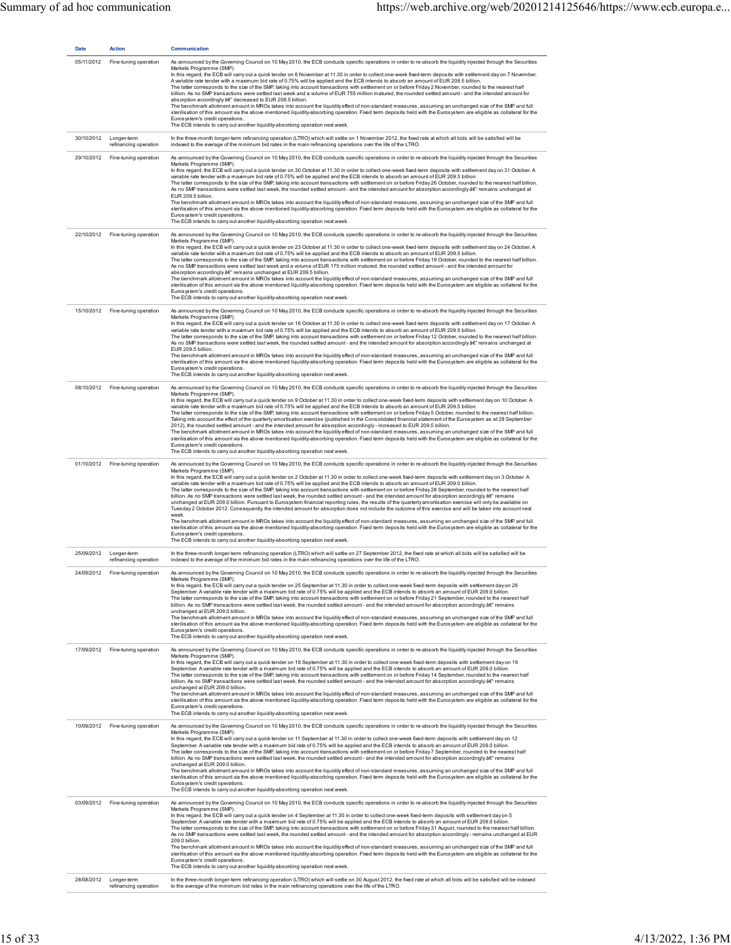| <b>Date</b> | Action                               | Communication                                                                                                                                                                                                                                                                                                                                                                                                                                                                                                                                                                                                                                                                                                                                                                                                                                                                                                                                                                                                                                                                                                                                                                                                                                                                                                                                                                                                                                                                                                                                                                                                                |
|-------------|--------------------------------------|------------------------------------------------------------------------------------------------------------------------------------------------------------------------------------------------------------------------------------------------------------------------------------------------------------------------------------------------------------------------------------------------------------------------------------------------------------------------------------------------------------------------------------------------------------------------------------------------------------------------------------------------------------------------------------------------------------------------------------------------------------------------------------------------------------------------------------------------------------------------------------------------------------------------------------------------------------------------------------------------------------------------------------------------------------------------------------------------------------------------------------------------------------------------------------------------------------------------------------------------------------------------------------------------------------------------------------------------------------------------------------------------------------------------------------------------------------------------------------------------------------------------------------------------------------------------------------------------------------------------------|
| 05/11/2012  | Fine-tuning operation                | As announced by the Governing Council on 10 May 2010, the ECB conducts specific operations in order to re-absorb the liquidity injected through the Securities<br>Markets Programme (SMP).<br>In this regard, the ECB will carry out a quick tender on 6 November at 11.30 in order to collect one-week fixed-term deposits with settlement day on 7 November.<br>A variable rate tender with a maximum bid rate of 0.75% will be applied and the ECB intends to absorb an amount of EUR 208.5 billion.<br>The latter corresponds to the size of the SMP, taking into account transactions with settlement on or before Friday 2 November, rounded to the nearest half<br>billion. As no SMP transactions were settled last week and a volume of EUR 755 million matured, the rounded settled amount - and the intended amount for<br>absorption accordingly â€" decreased to EUR 208.5 billion.<br>The benchmark allotment amount in MROs takes into account the liquidity effect of non-standard measures, assuming an unchanged size of the SMP and full<br>sterilisation of this amount via the above mentioned liquidity-absorbing operation. Fixed term deposits held with the Eurosystem are eligible as collateral for the<br>Eurosystem's credit operations.<br>The ECB intends to carry out another liquidity-absorbing operation next week.                                                                                                                                                                                                                                                                       |
| 30/10/2012  | Longer-term<br>refinancing operation | In the three-month longer-term refinancing operation (LTRO) which will settle on 1 November 2012, the fixed rate at which all bids will be satisfied will be<br>indexed to the average of the minimum bid rates in the main refinancing operations over the life of the LTRO.                                                                                                                                                                                                                                                                                                                                                                                                                                                                                                                                                                                                                                                                                                                                                                                                                                                                                                                                                                                                                                                                                                                                                                                                                                                                                                                                                |
| 29/10/2012  | Fine-tuning operation                | As announced by the Governing Council on 10 May 2010, the ECB conducts specific operations in order to re-absorb the liquidity injected through the Securities<br>Markets Programme (SMP).<br>In this regard, the ECB will carry out a quick tender on 30 October at 11.30 in order to collect one-week fixed-term deposits with settlement day on 31 October. A<br>variable rate tender with a maximum bid rate of 0.75% will be applied and the ECB intends to absorb an amount of EUR 209.5 billion.<br>The latter corresponds to the size of the SMP, taking into account transactions with settlement on or before Friday 26 October, rounded to the nearest half billion.<br>As no SMP transactions were settled last week, the rounded settled amount - and the intended amount for absorption accordingly â€" remains unchanged at<br>EUR 209.5 billion.<br>The benchmark allotment amount in MROs takes into account the liquidity effect of non-standard measures, assuming an unchanged size of the SMP and full<br>sterilisation of this amount via the above mentioned liquidity-absorbing operation. Fixed term deposits held with the Eurosystem are eligible as collateral for the<br>Eurosystem's credit operations.<br>The ECB intends to carry out another liquidity-absorbing operation next week.                                                                                                                                                                                                                                                                                                       |
|             | 22/10/2012 Fine-tuning operation     | As announced by the Governing Council on 10 May 2010, the ECB conducts specific operations in order to re-absorb the liquidity injected through the Securities<br>Markets Programme (SMP).<br>In this regard, the ECB will carry out a quick tender on 23 October at 11.30 in order to collect one-week fixed-term deposits with settlement day on 24 October. A<br>variable rate tender with a maximum bid rate of 0.75% will be applied and the ECB intends to absorb an amount of EUR 209.5 billion.<br>The latter corresponds to the size of the SMP, taking into account transactions with settlement on or before Friday 19 October, rounded to the nearest half billion.<br>As no SMP transactions were settled last week and a volume of EUR 175 million matured, the rounded settled amount - and the intended amount for<br>absorption accordingly â€" remains unchanged at EUR 209.5 billion.<br>The benchmark allotment amount in MROs takes into account the liquidity effect of non-standard measures, assuming an unchanged size of the SMP and full<br>sterilisation of this amount via the above mentioned liquidity-absorbing operation. Fixed term deposits held with the Eurosystem are eligible as collateral for the<br>Furosystem's credit operations.<br>The ECB intends to carry out another liquidity-absorbing operation next week.                                                                                                                                                                                                                                                               |
| 15/10/2012  | Fine-tuning operation                | As announced by the Governing Council on 10 May 2010, the ECB conducts specific operations in order to re-absorb the liquidity injected through the Securities<br>Markets Programme (SMP).<br>In this regard, the ECB will carry out a quick tender on 16 October at 11.30 in order to collect one-week fixed-term deposits with settlement day on 17 October. A<br>variable rate tender with a maximum bid rate of 0.75% will be applied and the ECB intends to absorb an amount of EUR 209.5 billion.<br>The latter corresponds to the size of the SMP, taking into account transactions with settlement on or before Friday 12 October, rounded to the nearest half billion.<br>As no SMP transactions were settled last week, the rounded settled amount - and the intended amount for absorption accordingly â€" remains unchanged at<br>EUR 209.5 billion.<br>The benchmark allotment amount in MROs takes into account the liquidity effect of non-standard measures, assuming an unchanged size of the SMP and full<br>sterilisation of this amount via the above mentioned liquidity-absorbing operation. Fixed term deposits held with the Eurosystem are eligible as collateral for the<br>Eurosystem's credit operations.<br>The ECB intends to carry out another liquidity-absorbing operation next week.                                                                                                                                                                                                                                                                                                       |
|             | 08/10/2012 Fine-tuning operation     | As announced by the Governing Council on 10 May 2010, the ECB conducts specific operations in order to re-absorb the liquidity injected through the Securities<br>Markets Programme (SMP).<br>In this regard, the ECB will carry out a quick tender on 9 October at 11.30 in order to collect one-week fixed-term deposits with settlement day on 10 October. A<br>variable rate tender with a maximum bid rate of 0.75% will be applied and the ECB intends to absorb an amount of EUR 209.5 billion.<br>The latter corresponds to the size of the SMP, taking into account transactions with settlement on or before Friday 5 October, rounded to the nearest half billion.<br>Taking into account the effect of the quarterly amortisation exercise (published in the Consolidated financial statement of the Eurosystem as at 28 September<br>2012), the rounded settled amount - and the intended amount for absorption accordingly - increased to EUR 209.5 billion.<br>The benchmark allotment amount in MROs takes into account the liquidity effect of non-standard measures, assuming an unchanged size of the SMP and full<br>sterilisation of this amount via the above mentioned liquidity-absorbing operation. Fixed term deposits held with the Eurosystem are eligible as collateral for the<br>Eurosystem's credit operations.<br>The ECB intends to carry out another liquidity-absorbing operation next week.                                                                                                                                                                                             |
|             | 01/10/2012 Fine-tuning operation     | As announced by the Governing Council on 10 May 2010, the ECB conducts specific operations in order to re-absorb the liquidity injected through the Securities<br>Markets Programme (SMP).<br>In this regard, the ECB will carry out a quick tender on 2 October at 11.30 in order to collect one-week fixed-term deposits with settlement day on 3 October. A<br>variable rate tender with a maximum bid rate of 0.75% will be applied and the ECB intends to absorb an amount of EUR 209.0 billion.<br>The latter corresponds to the size of the SMP, taking into account transactions with settlement on or before Friday 28 September, rounded to the nearest half<br>billion. As no SMP transactions were settled last week, the rounded settled amount - and the intended amount for absorption accordingly â€" remains<br>unchanged at EUR 209.0 billion. Pursuant to Eurosystem financial reporting rules, the results of the quarterly amortisation exercise will only be available on<br>Tuesday 2 October 2012. Consequently, the intended amount for absorption does not include the outcome of this exercise and will be taken into account next<br>week.<br>The benchmark allotment amount in MROs takes into account the liquidity effect of non-standard measures, assuming an unchanged size of the SMP and full<br>sterilisation of this amount via the above mentioned liquidity-absorbing operation. Fixed term deposits held with the Eurosystem are eligible as collateral for the<br>Eurosystem's credit operations.<br>The ECB intends to carry out another liquidity-absorbing operation next week. |
| 25/09/2012  | Longer-term<br>refinancing operation | In the three-month longer-term refinancing operation (LTRO) which will settle on 27 September 2012, the fixed rate at which all bids will be satisfied will be<br>indexed to the average of the minimum bid rates in the main refinancing operations over the life of the LTRO.                                                                                                                                                                                                                                                                                                                                                                                                                                                                                                                                                                                                                                                                                                                                                                                                                                                                                                                                                                                                                                                                                                                                                                                                                                                                                                                                              |
| 24/09/2012  | Fine-tuning operation                | As announced by the Governing Council on 10 May 2010, the ECB conducts specific operations in order to re-absorb the liquidity injected through the Securities<br>Markets Programme (SMP).<br>In this regard, the ECB will carry out a quick tender on 25 September at 11.30 in order to collect one-week fixed-term deposits with settlement day on 26<br>September. A variable rate tender with a maximum bid rate of 0.75% will be applied and the ECB intends to absorb an amount of EUR 209.0 billion.<br>The latter corresponds to the size of the SMP, taking into account transactions with settlement on or before Friday 21 September, rounded to the nearest half<br>billion. As no SMP transactions were settled last week, the rounded settled amount - and the intended amount for absorption accordingly â€" remains<br>unchanged at EUR 209.0 billion.<br>The benchmark allotment amount in MROs takes into account the liquidity effect of non-standard measures, assuming an unchanged size of the SMP and full<br>sterilisation of this amount via the above mentioned liquidity-absorbing operation. Fixed term deposits held with the Eurosystem are eligible as collateral for the<br>Eurosystem's credit operations.<br>The ECB intends to carry out another liquidity-absorbing operation next week.                                                                                                                                                                                                                                                                                                 |
|             | 17/09/2012 Fine-tuning operation     | As announced by the Governing Council on 10 May 2010, the ECB conducts specific operations in order to re-absorb the liquidity injected through the Securities<br>Markets Programme (SMP).<br>In this regard, the ECB will carry out a quick tender on 18 September at 11.30 in order to collect one-week fixed-term deposits with settlement day on 19<br>September. A variable rate tender with a maximum bid rate of 0.75% will be applied and the ECB intends to absorb an amount of EUR 209.0 billion.<br>The latter corresponds to the size of the SMP, taking into account transactions with settlement on or before Friday 14 September, rounded to the nearest half<br>billion. As no SMP transactions were settled last week, the rounded settled amount - and the intended amount for absorption accordingly â€" remains<br>unchanged at EUR 209.0 billion.<br>The benchmark allotment amount in MROs takes into account the liquidity effect of non-standard measures, assuming an unchanged size of the SMP and full<br>sterilisation of this amount via the above mentioned liquidity-absorbing operation. Fixed term deposits held with the Eurosystem are eligible as collateral for the<br>Furosystem's credit operations.<br>The ECB intends to carry out another liquidity-absorbing operation next week.                                                                                                                                                                                                                                                                                                 |
| 10/09/2012  | Fine-tuning operation                | As announced by the Governing Council on 10 May 2010, the ECB conducts specific operations in order to re-absorb the liquidity injected through the Securities<br>Markets Programme (SMP).<br>In this regard, the ECB will carry out a quick tender on 11 September at 11.30 in order to collect one-week fixed-term deposits with settlement day on 12<br>September. A variable rate tender with a maximum bid rate of 0.75% will be applied and the ECB intends to absorb an amount of EUR 209.0 billion.<br>The latter corresponds to the size of the SMP, taking into account transactions with settlement on or before Friday 7 September, rounded to the nearest half<br>billion. As no SMP transactions were settled last week, the rounded settled amount - and the intended amount for absorption accordingly â€" remains<br>unchanged at EUR 209.0 billion.<br>The benchmark allotment amount in MROs takes into account the liquidity effect of non-standard measures, assuming an unchanged size of the SMP and full<br>sterilisation of this amount via the above mentioned liquidity-absorbing operation. Fixed term deposits held with the Eurosystem are eligible as collateral for the<br>Eurosystem's credit operations.<br>The ECB intends to carry out another liquidity-absorbing operation next week.                                                                                                                                                                                                                                                                                                  |
| 03/09/2012  | Fine-tuning operation                | As announced by the Governing Council on 10 May 2010, the ECB conducts specific operations in order to re-absorb the liquidity injected through the Securities<br>Markets Programme (SMP).<br>In this regard, the ECB will carry out a quick tender on 4 September at 11.30 in order to collect one-week fixed-term deposits with settlement day on 5<br>September. A variable rate tender with a maximum bid rate of 0.75% will be applied and the ECB intends to absorb an amount of EUR 209.0 billion.<br>The latter corresponds to the size of the SMP, taking into account transactions with settlement on or before Friday 31 August, rounded to the nearest half billion.<br>As no SMP transactions were settled last week, the rounded settled amount - and the intended amount for absorption accordingly - remains unchanged at EUR<br>209.0 billion.<br>The benchmark allotment amount in MROs takes into account the liquidity effect of non-standard measures, assuming an unchanged size of the SMP and full<br>sterilisation of this amount via the above mentioned liquidity-absorbing operation. Fixed term deposits held with the Eurosystem are eligible as collateral for the<br>Eurosystem's credit operations.<br>The ECB intends to carry out another liquidity-absorbing operation next week.                                                                                                                                                                                                                                                                                                        |
| 28/08/2012  | Longer-term<br>refinancing operation | In the three-month longer-term refinancing operation (LTRO) which will settle on 30 August 2012, the fixed rate at which all bids will be satisfied will be indexed<br>to the average of the minimum bid rates in the main refinancing operations over the life of the LTRO.                                                                                                                                                                                                                                                                                                                                                                                                                                                                                                                                                                                                                                                                                                                                                                                                                                                                                                                                                                                                                                                                                                                                                                                                                                                                                                                                                 |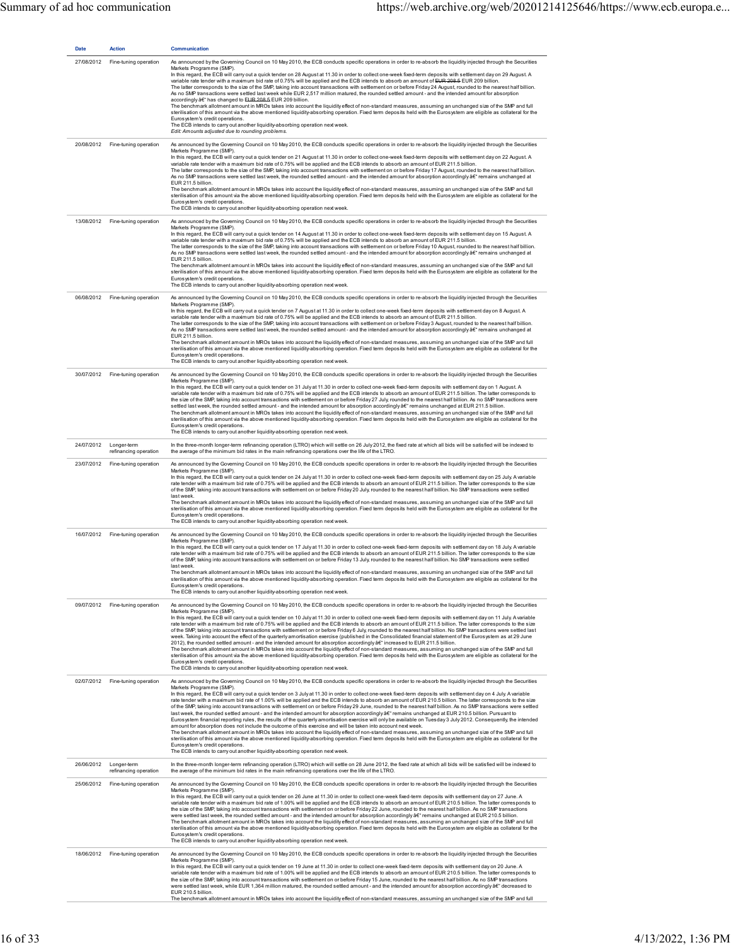| <b>Date</b> | Action                                          | <b>Communication</b>                                                                                                                                                                                                                                                                                                                                                                                                                                                                                                                                                                                                                                                                                                                                                                                                                                                                                                                                                                                                                                                                                                                                                                                                                                                                                                                                                                                                                                                                                                                                                                                        |
|-------------|-------------------------------------------------|-------------------------------------------------------------------------------------------------------------------------------------------------------------------------------------------------------------------------------------------------------------------------------------------------------------------------------------------------------------------------------------------------------------------------------------------------------------------------------------------------------------------------------------------------------------------------------------------------------------------------------------------------------------------------------------------------------------------------------------------------------------------------------------------------------------------------------------------------------------------------------------------------------------------------------------------------------------------------------------------------------------------------------------------------------------------------------------------------------------------------------------------------------------------------------------------------------------------------------------------------------------------------------------------------------------------------------------------------------------------------------------------------------------------------------------------------------------------------------------------------------------------------------------------------------------------------------------------------------------|
| 27/08/2012  | Fine-tuning operation                           | As announced by the Governing Council on 10 May 2010, the ECB conducts specific operations in order to re-absorb the liquidity injected through the Securities<br>Markets Programme (SMP).<br>In this regard, the ECB will carry out a quick tender on 28 August at 11.30 in order to collect one-week fixed-term deposits with settlement day on 29 August. A<br>variable rate tender with a maximum bid rate of 0.75% will be applied and the ECB intends to absorb an amount of EUR 208.5 EUR 209 billion.<br>The latter corresponds to the size of the SMP, taking into account transactions with settlement on or before Friday 24 August, rounded to the nearest half billion.<br>As no SMP transactions were settled last week while EUR 2,517 million matured, the rounded settled amount - and the intended amount for absorption<br>accordingly â€" has changed to EUR 208.5 EUR 209 billion.<br>The benchmark allotment amount in MROs takes into account the liquidity effect of non-standard measures, assuming an unchanged size of the SMP and full<br>sterilisation of this amount via the above mentioned liquidity-absorbing operation. Fixed term deposits held with the Eurosystem are eligible as collateral for the<br>Eurosystem's credit operations.<br>The ECB intends to carry out another liquidity-absorbing operation next week.<br>Edit: Amounts adjusted due to rounding problems.                                                                                                                                                                                           |
|             | 20/08/2012 Fine-tuning operation                | As announced by the Governing Council on 10 May 2010, the ECB conducts specific operations in order to re-absorb the liquidity injected through the Securities<br>Markets Programme (SMP).<br>In this regard, the ECB will carry out a quick tender on 21 August at 11.30 in order to collect one-week fixed-term deposits with settlement day on 22 August. A<br>variable rate tender with a maximum bid rate of 0.75% will be applied and the ECB intends to absorb an amount of EUR 211.5 billion.<br>The latter corresponds to the size of the SMP, taking into account transactions with settlement on or before Friday 17 August, rounded to the nearest half billion.<br>As no SMP transactions were settled last week, the rounded settled amount - and the intended amount for absorption accordingly â€" remains unchanged at<br>EUR 211.5 billion.<br>The benchmark allotment amount in MROs takes into account the liquidity effect of non-standard measures, assuming an unchanged size of the SMP and full<br>sterilisation of this amount via the above mentioned liquidity-absorbing operation. Fixed term deposits held with the Eurosystem are eligible as collateral for the<br>Eurosystem's credit operations.<br>The ECB intends to carry out another liquidity-absorbing operation next week.                                                                                                                                                                                                                                                                                         |
| 13/08/2012  | Fine-tuning operation                           | As announced by the Governing Council on 10 May 2010, the ECB conducts specific operations in order to re-absorb the liquidity injected through the Securities<br>Markets Programme (SMP).<br>In this regard, the ECB will carry out a quick tender on 14 August at 11.30 in order to collect one-week fixed-term deposits with settlement day on 15 August. A<br>variable rate tender with a maximum bid rate of 0.75% will be applied and the ECB intends to absorb an amount of EUR 211.5 billion.<br>The latter corresponds to the size of the SMP, taking into account transactions with settlement on or before Friday 10 August, rounded to the nearest half billion.<br>As no SMP transactions were settled last week, the rounded settled amount - and the intended amount for absorption accordingly â€" remains unchanged at<br>EUR 211.5 billion.<br>The benchmark allotment amount in MROs takes into account the liquidity effect of non-standard measures, assuming an unchanged size of the SMP and full<br>sterilisation of this amount via the above mentioned liquidity-absorbing operation. Fixed term deposits held with the Eurosystem are eligible as collateral for the<br>Eurosystem's credit operations.<br>The ECB intends to carry out another liquidity-absorbing operation next week.                                                                                                                                                                                                                                                                                         |
| 06/08/2012  | Fine-tuning operation                           | As announced by the Governing Council on 10 May 2010, the ECB conducts specific operations in order to re-absorb the liquidity injected through the Securities<br>Markets Programme (SMP).<br>In this regard, the ECB will carry out a quick tender on 7 August at 11.30 in order to collect one-week fixed-term deposits with settlement day on 8 August. A<br>variable rate tender with a maximum bid rate of 0.75% will be applied and the ECB intends to absorb an amount of EUR 211.5 billion.<br>The latter corresponds to the size of the SMP, taking into account transactions with settlement on or before Friday 3 August, rounded to the nearest half billion.<br>As no SMP transactions were settled last week, the rounded settled amount - and the intended amount for absorption accordingly â€" remains unchanged at<br>EUR 211.5 billion<br>The benchmark allotment amount in MROs takes into account the liquidity effect of non-standard measures, assuming an unchanged size of the SMP and full<br>sterilisation of this amount via the above mentioned liquidity-absorbing operation. Fixed term deposits held with the Eurosystem are eligible as collateral for the<br>Eurosystem's credit operations.<br>The ECB intends to carry out another liquidity-absorbing operation next week.                                                                                                                                                                                                                                                                                             |
|             | 30/07/2012 Fine-tuning operation                | As announced by the Governing Council on 10 May 2010, the ECB conducts specific operations in order to re-absorb the liquidity injected through the Securities<br>Markets Programme (SMP).<br>In this regard, the ECB will carry out a quick tender on 31 July at 11.30 in order to collect one-week fixed-term deposits with settlement day on 1 August. A<br>variable rate tender with a maximum bid rate of 0.75% will be applied and the ECB intends to absorb an amount of EUR 211.5 billion. The latter corresponds to<br>the size of the SMP, taking into account transactions with settlement on or before Friday 27 July, rounded to the nearest half billion. As no SMP transactions were<br>settled last week, the rounded settled amount - and the intended amount for absorption accordingly â€" remains unchanged at EUR 211.5 billion.<br>The benchmark allotment amount in MROs takes into account the liquidity effect of non-standard measures, assuming an unchanged size of the SMP and full<br>sterilisation of this amount via the above mentioned liquidity-absorbing operation. Fixed term deposits held with the Eurosystem are eligible as collateral for the<br>Eurosystem's credit operations.<br>The ECB intends to carry out another liquidity-absorbing operation next week.                                                                                                                                                                                                                                                                                                 |
|             | 24/07/2012 Longer-term<br>refinancing operation | In the three-month longer-term refinancing operation (LTRO) which will settle on 26 July 2012, the fixed rate at which all bids will be satisfied will be indexed to<br>the average of the minimum bid rates in the main refinancing operations over the life of the LTRO.                                                                                                                                                                                                                                                                                                                                                                                                                                                                                                                                                                                                                                                                                                                                                                                                                                                                                                                                                                                                                                                                                                                                                                                                                                                                                                                                  |
| 23/07/2012  | Fine-tuning operation                           | As announced by the Governing Council on 10 May 2010, the ECB conducts specific operations in order to re-absorb the liquidity injected through the Securities<br>Markets Programme (SMP).<br>In this regard, the ECB will carry out a quick tender on 24 July at 11.30 in order to collect one-week fixed-term deposits with settlement day on 25 July. A variable<br>rate tender with a maximum bid rate of 0.75% will be applied and the ECB intends to absorb an amount of EUR 211.5 billion. The latter corresponds to the size<br>of the SMP, taking into account transactions with settlement on or before Friday 20 July, rounded to the nearest half billion. No SMP transactions were settled<br>last week.<br>The benchmark allotment amount in MROs takes into account the liquidity effect of non-standard measures, assuming an unchanged size of the SMP and full<br>sterilisation of this amount via the above mentioned liquidity-absorbing operation. Fixed term deposits held with the Eurosystem are eligible as collateral for the<br>Eurosystem's credit operations.<br>The ECB intends to carry out another liquidity-absorbing operation next week.                                                                                                                                                                                                                                                                                                                                                                                                                                 |
| 16/07/2012  | Fine-tuning operation                           | As announced by the Governing Council on 10 May 2010, the ECB conducts specific operations in order to re-absorb the liquidity injected through the Securities<br>Markets Programme (SMP).<br>In this regard, the ECB will carry out a quick tender on 17 July at 11.30 in order to collect one-week fixed-term deposits with settlement day on 18 July. A variable<br>rate tender with a maximum bid rate of 0.75% will be applied and the ECB intends to absorb an amount of EUR 211.5 billion. The latter corresponds to the size<br>of the SMP, taking into account transactions with settlement on or before Friday 13 July, rounded to the nearest half billion. No SMP transactions were settled<br>last week.<br>The benchmark allotment amount in MROs takes into account the liquidity effect of non-standard measures, assuming an unchanged size of the SMP and full<br>sterilisation of this amount via the above mentioned liquidity-absorbing operation. Fixed term deposits held with the Eurosystem are eligible as collateral for the<br>Eurosystem's credit operations.<br>The ECB intends to carry out another liquidity-absorbing operation next week.                                                                                                                                                                                                                                                                                                                                                                                                                                 |
| 09/07/2012  | Fine-tuning operation                           | As announced by the Governing Council on 10 May 2010, the ECB conducts specific operations in order to re-absorb the liquidity injected through the Securities<br>Markets Programme (SMP)<br>In this regard, the ECB will carry out a quick tender on 10 July at 11.30 in order to collect one-week fixed-term deposits with settlement day on 11 July. A variable<br>rate tender with a maximum bid rate of 0.75% will be applied and the ECB intends to absorb an amount of EUR 211.5 billion. The latter corresponds to the size<br>of the SMP, taking into account transactions with settlement on or before Friday 6 July, rounded to the nearest half billion. No SMP transactions were settled last<br>week. Taking into account the effect of the quarterly amortisation exercise (published in the Consolidated financial statement of the Eurosystem as at 29 June<br>2012), the rounded settled amount - and the intended amount for absorption accordingly â€" increased to EUR 211.5 billion.<br>The benchmark allotment amount in MROs takes into account the liquidity effect of non-standard measures, assuming an unchanged size of the SMP and full<br>sterilisation of this amount via the above mentioned liquidity-absorbing operation. Fixed term deposits held with the Eurosystem are eligible as collateral for the<br>Eurosystem's credit operations.<br>The ECB intends to carry out another liquidity-absorbing operation next week.                                                                                                                                            |
|             | 02/07/2012 Fine-tuning operation                | As announced by the Governing Council on 10 May 2010, the ECB conducts specific operations in order to re-absorb the liquidity injected through the Securities<br>Markets Programme (SMP).<br>In this regard, the ECB will carry out a quick tender on 3 July at 11.30 in order to collect one-week fixed-term deposits with settlement day on 4 July. A variable<br>rate tender with a maximum bid rate of 1.00% will be applied and the ECB intends to absorb an amount of EUR 210.5 billion. The latter corresponds to the size<br>of the SMP, taking into account transactions with settlement on or before Friday 29 June, rounded to the nearest half billion. As no SMP transactions were settled<br>last week, the rounded settled amount - and the intended amount for absorption accordingly â€" remains unchanged at EUR 210.5 billion. Pursuant to<br>Eurosystem financial reporting rules, the results of the quarterly amortisation exercise will only be available on Tuesday 3 July 2012. Consequently, the intended<br>amount for absorption does not include the outcome of this exercise and will be taken into account next week.<br>The benchmark allotment amount in MROs takes into account the liquidity effect of non-standard measures, assuming an unchanged size of the SMP and full<br>sterilisation of this amount via the above mentioned liquidity-absorbing operation. Fixed term deposits held with the Eurosystem are eligible as collateral for the<br>Eurosystem's credit operations.<br>The ECB intends to carry out another liquidity-absorbing operation next week. |
| 26/06/2012  | Longer-term<br>refinancing operation            | In the three-month longer-term refinancing operation (LTRO) which will settle on 28 June 2012, the fixed rate at which all bids will be satisfied will be indexed to<br>the average of the minimum bid rates in the main refinancing operations over the life of the LTRO.                                                                                                                                                                                                                                                                                                                                                                                                                                                                                                                                                                                                                                                                                                                                                                                                                                                                                                                                                                                                                                                                                                                                                                                                                                                                                                                                  |
| 25/06/2012  | Fine-tuning operation                           | As announced by the Governing Council on 10 May 2010, the ECB conducts specific operations in order to re-absorb the liquidity injected through the Securities<br>Markets Programme (SMP)<br>In this regard, the ECB will carry out a quick tender on 26 June at 11.30 in order to collect one-week fixed-term deposits with settlement day on 27 June. A<br>variable rate tender with a maximum bid rate of 1.00% will be applied and the ECB intends to absorb an amount of EUR 210.5 billion. The latter corresponds to<br>the size of the SMP, taking into account transactions with settlement on or before Friday 22 June, rounded to the nearest half billion. As no SMP transactions<br>were settled last week, the rounded settled amount - and the intended amount for absorption accordingly â€" remains unchanged at EUR 210.5 billion.<br>The benchmark allotment amount in MROs takes into account the liquidity effect of non-standard measures, assuming an unchanged size of the SMP and full<br>sterilisation of this amount via the above mentioned liquidity-absorbing operation. Fixed term deposits held with the Eurosystem are eligible as collateral for the<br>Eurosystem's credit operations.<br>The ECB intends to carry out another liquidity-absorbing operation next week.                                                                                                                                                                                                                                                                                                   |
|             | 18/06/2012 Fine-tuning operation                | As announced by the Governing Council on 10 May 2010, the ECB conducts specific operations in order to re-absorb the liquidity injected through the Securities<br>Markets Programme (SMP).<br>In this regard, the ECB will carry out a quick tender on 19 June at 11.30 in order to collect one-week fixed-term deposits with settlement day on 20 June. A<br>variable rate tender with a maximum bid rate of 1.00% will be applied and the ECB intends to absorb an amount of EUR 210.5 billion. The latter corresponds to<br>the size of the SMP, taking into account transactions with settlement on or before Friday 15 June, rounded to the nearest half billion. As no SMP transactions<br>were settled last week, while EUR 1,364 million matured, the rounded settled amount - and the intended amount for absorption accordingly â€" decreased to<br>EUR 210.5 billion.<br>The benchmark allotment amount in MROs takes into account the liquidity effect of non-standard measures, assuming an unchanged size of the SMP and full                                                                                                                                                                                                                                                                                                                                                                                                                                                                                                                                                                 |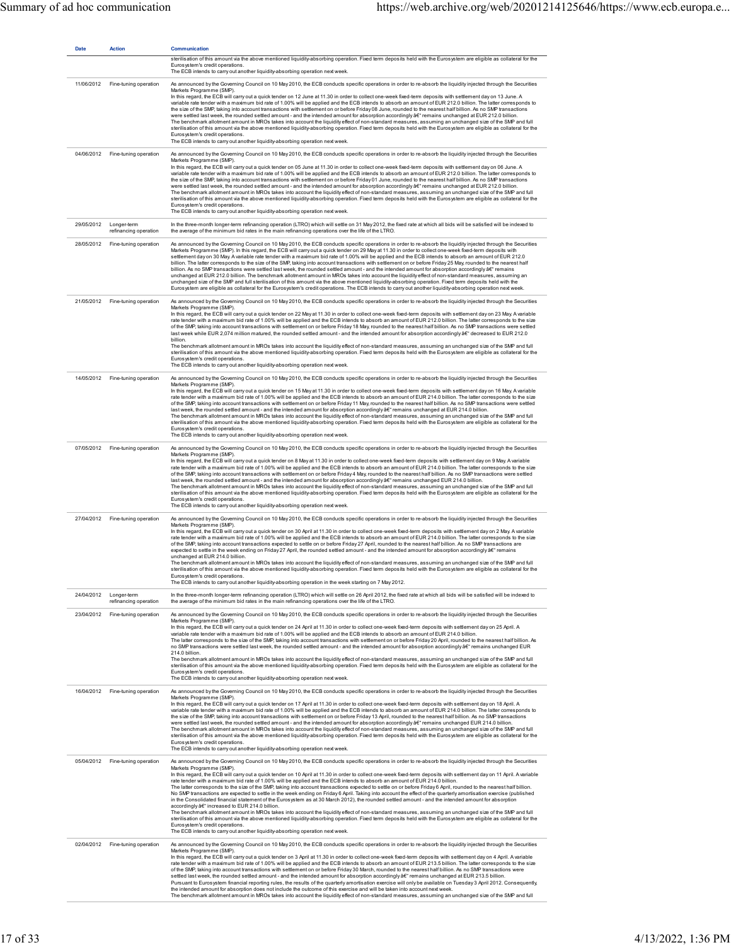| <b>Date</b> | <b>Action</b>                        | Communication                                                                                                                                                                                                                                                                                                                                                                                                                                                                                                                                                                                                                                                                                                                                                                                                                                                                                                                                                                                                                                                                                                                                                                                                                                                                                                                                                                                                                                                                                                    |
|-------------|--------------------------------------|------------------------------------------------------------------------------------------------------------------------------------------------------------------------------------------------------------------------------------------------------------------------------------------------------------------------------------------------------------------------------------------------------------------------------------------------------------------------------------------------------------------------------------------------------------------------------------------------------------------------------------------------------------------------------------------------------------------------------------------------------------------------------------------------------------------------------------------------------------------------------------------------------------------------------------------------------------------------------------------------------------------------------------------------------------------------------------------------------------------------------------------------------------------------------------------------------------------------------------------------------------------------------------------------------------------------------------------------------------------------------------------------------------------------------------------------------------------------------------------------------------------|
|             |                                      | sterilisation of this amount via the above mentioned liquidity-absorbing operation. Fixed term deposits held with the Eurosystem are eligible as collateral for the<br>Eurosystem's credit operations.<br>The ECB intends to carry out another liquidity-absorbing operation next week.                                                                                                                                                                                                                                                                                                                                                                                                                                                                                                                                                                                                                                                                                                                                                                                                                                                                                                                                                                                                                                                                                                                                                                                                                          |
| 11/06/2012  | Fine-tuning operation                | As announced by the Governing Council on 10 May 2010, the ECB conducts specific operations in order to re-absorb the liquidity injected through the Securities<br>Markets Programme (SMP).<br>In this regard, the ECB will carry out a quick tender on 12 June at 11.30 in order to collect one-week fixed-term deposits with settlement day on 13 June. A<br>variable rate tender with a maximum bid rate of 1.00% will be applied and the ECB intends to absorb an amount of EUR 212.0 billion. The latter corresponds to<br>the size of the SMP, taking into account transactions with settlement on or before Friday 08 June, rounded to the nearest half billion. As no SMP transactions<br>were settled last week, the rounded settled amount - and the intended amount for absorption accordingly â€" remains unchanged at EUR 212.0 billion.<br>The benchmark allotment amount in MROs takes into account the liquidity effect of non-standard measures, assuming an unchanged size of the SMP and full<br>sterilisation of this amount via the above mentioned liquidity-absorbing operation. Fixed term deposits held with the Eurosystem are eligible as collateral for the<br>Eurosystem's credit operations.<br>The ECB intends to carry out another liquidity-absorbing operation next week.                                                                                                                                                                                                       |
| 04/06/2012  | Fine-tuning operation                | As announced by the Governing Council on 10 May 2010, the ECB conducts specific operations in order to re-absorb the liquidity injected through the Securities<br>Markets Programme (SMP)<br>In this regard, the ECB will carry out a quick tender on 05 June at 11.30 in order to collect one-week fixed-term deposits with settlement day on 06 June. A<br>variable rate tender with a maximum bid rate of 1.00% will be applied and the ECB intends to absorb an amount of EUR 212.0 billion. The latter corresponds to<br>the size of the SMP, taking into account transactions with settlement on or before Friday 01 June, rounded to the nearest half billion. As no SMP transactions<br>were settled last week, the rounded settled amount - and the intended amount for absorption accordingly â€" remains unchanged at EUR 212.0 billion.<br>The benchmark allotment amount in MROs takes into account the liquidity effect of non-standard measures, assuming an unchanged size of the SMP and full<br>sterilisation of this amount via the above mentioned liquidity-absorbing operation. Fixed term deposits held with the Eurosystem are eligible as collateral for the<br>Eurosystem's credit operations.<br>The ECB intends to carry out another liquidity-absorbing operation next week.                                                                                                                                                                                                        |
| 29/05/2012  | Longer-term<br>refinancing operation | In the three-month longer-term refinancing operation (LTRO) which will settle on 31 May 2012, the fixed rate at which all bids will be satisfied will be indexed to<br>the average of the minimum bid rates in the main refinancing operations over the life of the LTRO.                                                                                                                                                                                                                                                                                                                                                                                                                                                                                                                                                                                                                                                                                                                                                                                                                                                                                                                                                                                                                                                                                                                                                                                                                                        |
| 28/05/2012  | Fine-tuning operation                | As announced by the Governing Council on 10 May 2010, the ECB conducts specific operations in order to re-absorb the liquidity injected through the Securities<br>Markets Programme (SMP). In this regard, the ECB will carry out a quick tender on 29 May at 11.30 in order to collect one-week fixed-term deposits with<br>settlement day on 30 May. A variable rate tender with a maximum bid rate of 1.00% will be applied and the ECB intends to absorb an amount of EUR 212.0<br>billion. The latter corresponds to the size of the SMP, taking into account transactions with settlement on or before Friday 25 May, rounded to the nearest half<br>billion. As no SMP transactions were settled last week, the rounded settled amount - and the intended amount for absorption accordingly â€" remains<br>unchanged at EUR 212.0 billion. The benchmark allotment amount in MROs takes into account the liquidity effect of non-standard measures, assuming an<br>unchanged size of the SMP and full sterilisation of this amount via the above mentioned liquidity-absorbing operation. Fixed term deposits held with the<br>Eurosystem are eligible as collateral for the Eurosystem's credit operations. The ECB intends to carry out another liquidity-absorbing operation next week.                                                                                                                                                                                                                |
| 21/05/2012  | Fine-tuning operation                | As announced by the Governing Council on 10 May 2010, the ECB conducts specific operations in order to re-absorb the liquidity injected through the Securities<br>Markets Programme (SMP).<br>In this regard, the ECB will carry out a quick tender on 22 May at 11.30 in order to collect one-week fixed-term deposits with settlement day on 23 May. A variable<br>rate tender with a maximum bid rate of 1.00% will be applied and the ECB intends to absorb an amount of EUR 212.0 billion. The latter corresponds to the size<br>of the SMP, taking into account transactions with settlement on or before Friday 18 May, rounded to the nearest half billion. As no SMP transactions were settled<br>last week while EUR 2,074 million matured, the rounded settled amount - and the intended amount for absorption accordingly â€" decreased to EUR 212.0<br>billion.<br>The benchmark allotment amount in MROs takes into account the liquidity effect of non-standard measures, assuming an unchanged size of the SMP and full<br>sterilisation of this amount via the above mentioned liquidity-absorbing operation. Fixed term deposits held with the Eurosystem are eligible as collateral for the<br>Eurosystem's credit operations.<br>The ECB intends to carry out another liquidity-absorbing operation next week.                                                                                                                                                                               |
|             | 14/05/2012 Fine-tuning operation     | As announced by the Governing Council on 10 May 2010, the ECB conducts specific operations in order to re-absorb the liquidity injected through the Securities<br>Markets Programme (SMP).<br>In this regard, the ECB will carry out a quick tender on 15 May at 11.30 in order to collect one-week fixed-term deposits with settlement day on 16 May. A variable<br>rate tender with a maximum bid rate of 1.00% will be applied and the ECB intends to absorb an amount of EUR 214.0 billion. The latter corresponds to the size<br>of the SMP, taking into account transactions with settlement on or before Friday 11 May, rounded to the nearest half billion. As no SMP transactions were settled<br>last week, the rounded settled amount - and the intended amount for absorption accordingly $a \in T$ remains unchanged at EUR 214.0 billion.<br>The benchmark allotment amount in MROs takes into account the liquidity effect of non-standard measures, assuming an unchanged size of the SMP and full<br>sterilisation of this amount via the above mentioned liquidity-absorbing operation. Fixed term deposits held with the Eurosystem are eligible as collateral for the<br>Eurosystem's credit operations.<br>The ECB intends to carry out another liquidity-absorbing operation next week.                                                                                                                                                                                                    |
| 07/05/2012  | Fine-tuning operation                | As announced by the Governing Council on 10 May 2010, the ECB conducts specific operations in order to re-absorb the liquidity injected through the Securities<br>Markets Programme (SMP).<br>In this regard, the ECB will carry out a quick tender on 8 May at 11.30 in order to collect one-week fixed-term deposits with settlement day on 9 May. A variable<br>rate tender with a maximum bid rate of 1.00% will be applied and the ECB intends to absorb an amount of EUR 214.0 billion. The latter corresponds to the size<br>of the SMP, taking into account transactions with settlement on or before Friday 4 May, rounded to the nearest half billion. As no SMP transactions were settled<br>last week, the rounded settled amount - and the intended amount for absorption accordingly â€" remains unchanged EUR 214.0 billion.<br>The benchmark allotment amount in MROs takes into account the liquidity effect of non-standard measures, assuming an unchanged size of the SMP and full<br>sterilisation of this amount via the above mentioned liquidity-absorbing operation. Fixed term deposits held with the Eurosystem are eligible as collateral for the<br>Eurosystem's credit operations.<br>The ECB intends to carry out another liquidity-absorbing operation next week.                                                                                                                                                                                                                |
| 27/04/2012  | Fine-tuning operation                | As announced by the Governing Council on 10 May 2010, the ECB conducts specific operations in order to re-absorb the liquidity injected through the Securities<br>Markets Programme (SMP).<br>In this regard, the ECB will carry out a quick tender on 30 April at 11.30 in order to collect one-week fixed-term deposits with settlement day on 2 May. A variable<br>rate tender with a maximum bid rate of 1.00% will be applied and the ECB intends to absorb an amount of EUR 214.0 billion. The latter corresponds to the size<br>of the SMP, taking into account transactions expected to settle on or before Friday 27 April, rounded to the nearest half billion. As no SMP transactions are<br>expected to settle in the week ending on Friday 27 April, the rounded settled amount - and the intended amount for absorption accordingly â€" remains<br>unchanged at EUR 214.0 billion.<br>The benchmark allotment amount in MROs takes into account the liquidity effect of non-standard measures, assuming an unchanged size of the SMP and full<br>sterilisation of this amount via the above mentioned liquidity-absorbing operation. Fixed term deposits held with the Eurosystem are eligible as collateral for the<br>Eurosystem's credit operations.<br>The ECB intends to carry out another liquidity-absorbing operation in the week starting on 7 May 2012.                                                                                                                                  |
| 24/04/2012  | Longer-term<br>refinancing operation | In the three-month longer-term refinancing operation (LTRO) which will settle on 26 April 2012, the fixed rate at which all bids will be satisfied will be indexed to<br>the average of the minimum bid rates in the main refinancing operations over the life of the LTRO.                                                                                                                                                                                                                                                                                                                                                                                                                                                                                                                                                                                                                                                                                                                                                                                                                                                                                                                                                                                                                                                                                                                                                                                                                                      |
| 23/04/2012  | Fine-tuning operation                | As announced by the Governing Council on 10 May 2010, the ECB conducts specific operations in order to re-absorb the liquidity injected through the Securities<br>Markets Programme (SMP).<br>In this regard, the ECB will carry out a quick tender on 24 April at 11.30 in order to collect one-week fixed-term deposits with settlement day on 25 April. A<br>variable rate tender with a maximum bid rate of 1.00% will be applied and the ECB intends to absorb an amount of EUR 214.0 billion.<br>The latter corresponds to the size of the SMP, taking into account transactions with settlement on or before Friday 20 April, rounded to the nearest half billion. As<br>no SMP transactions were settled last week, the rounded settled amount - and the intended amount for absorption accordingly â€" remains unchanged EUR<br>214.0 billion.<br>The benchmark allotment amount in MROs takes into account the liquidity effect of non-standard measures, assuming an unchanged size of the SMP and full<br>sterilisation of this amount via the above mentioned liquidity-absorbing operation. Fixed term deposits held with the Eurosystem are eligible as collateral for the<br>Eurosystem's credit operations.<br>The ECB intends to carry out another liquidity-absorbing operation next week.                                                                                                                                                                                                    |
| 16/04/2012  | Fine-tuning operation                | As announced by the Governing Council on 10 May 2010, the ECB conducts specific operations in order to re-absorb the liquidity injected through the Securities<br>Markets Programme (SMP).<br>In this regard, the ECB will carry out a quick tender on 17 April at 11.30 in order to collect one-week fixed-term deposits with settlement day on 18 April. A<br>variable rate tender with a maximum bid rate of 1.00% will be applied and the ECB intends to absorb an amount of EUR 214.0 billion. The latter corresponds to<br>the size of the SMP, taking into account transactions with settlement on or before Friday 13 April, rounded to the nearest half billion. As no SMP transactions<br>were settled last week, the rounded settled amount - and the intended amount for absorption accordingly â€" remains unchanged EUR 214.0 billion.<br>The benchmark allotment amount in MROs takes into account the liquidity effect of non-standard measures, assuming an unchanged size of the SMP and full<br>sterilisation of this amount via the above mentioned liquidity-absorbing operation. Fixed term deposits held with the Eurosystem are eligible as collateral for the<br>Eurosystem's credit operations.<br>The ECB intends to carry out another liquidity-absorbing operation next week.                                                                                                                                                                                                       |
| 05/04/2012  | Fine-tuning operation                | As announced by the Governing Council on 10 May 2010, the ECB conducts specific operations in order to re-absorb the liquidity injected through the Securities<br>Markets Programme (SMP).<br>In this regard, the ECB will carry out a quick tender on 10 April at 11.30 in order to collect one-week fixed-term deposits with settlement day on 11 April. A variable<br>rate tender with a maximum bid rate of 1.00% will be applied and the ECB intends to absorb an amount of EUR 214.0 billion.<br>The latter corresponds to the size of the SMP, taking into account transactions expected to settle on or before Friday 6 April, rounded to the nearest half billion.<br>No SMP transactions are expected to settle in the week ending on Friday 6 April. Taking into account the effect of the quarterly amortisation exercise (published<br>in the Consolidated financial statement of the Eurosystem as at 30 March 2012), the rounded settled amount - and the intended amount for absorption<br>accordingly â€" increased to EUR 214.0 billion.<br>The benchmark allotment amount in MROs takes into account the liquidity effect of non-standard measures, assuming an unchanged size of the SMP and full<br>sterilisation of this amount via the above mentioned liquidity-absorbing operation. Fixed term deposits held with the Eurosystem are eligible as collateral for the<br>Eurosystem's credit operations.<br>The ECB intends to carry out another liquidity-absorbing operation next week. |
| 02/04/2012  | Fine-tuning operation                | As announced by the Governing Council on 10 May 2010, the ECB conducts specific operations in order to re-absorb the liquidity injected through the Securities<br>Markets Programme (SMP).<br>In this regard, the ECB will carry out a quick tender on 3 April at 11.30 in order to collect one-week fixed-term deposits with settlement day on 4 April. A variable<br>rate tender with a maximum bid rate of 1.00% will be applied and the ECB intends to absorb an amount of EUR 213.5 billion. The latter corresponds to the size<br>of the SMP, taking into account transactions with settlement on or before Friday 30 March, rounded to the nearest half billion. As no SMP transactions were<br>settled last week, the rounded settled amount - and the intended amount for absorption accordingly â€" remains unchanged at EUR 213.5 billion.<br>Pursuant to Eurosystem financial reporting rules, the results of the quarterly amortisation exercise will only be available on Tuesday 3 April 2012. Consequently,<br>the intended amount for absorption does not include the outcome of this exercise and will be taken into account next week.<br>The benchmark allotment amount in MROs takes into account the liquidity effect of non-standard measures, assuming an unchanged size of the SMP and full                                                                                                                                                                                             |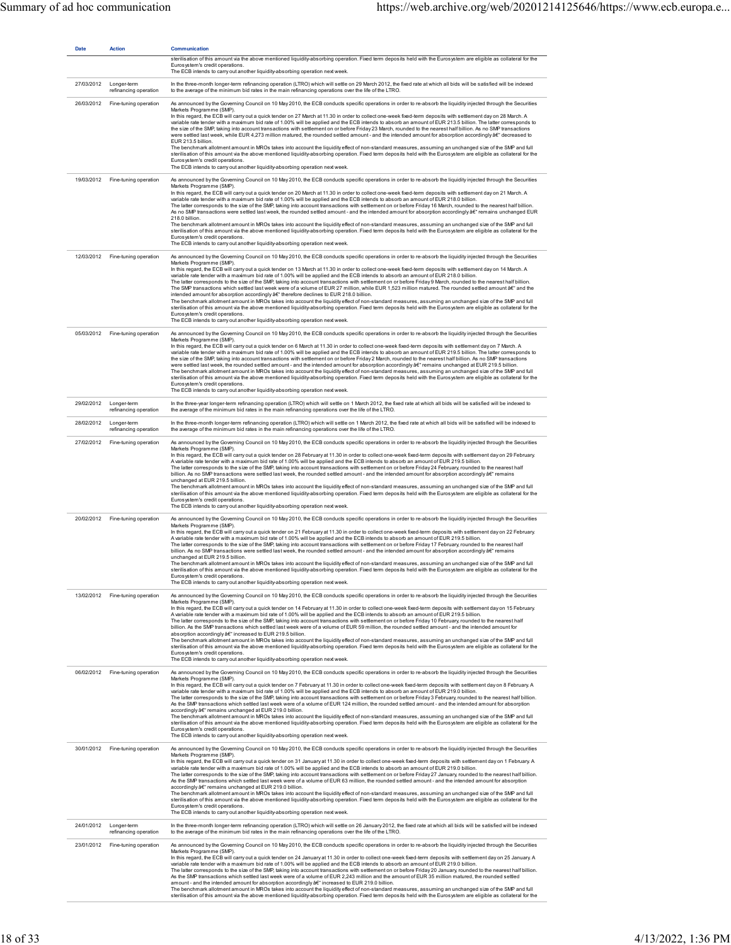| <b>Date</b> | <b>Action</b>                                   | <b>Communication</b><br>sterilisation of this amount via the above mentioned liquidity-absorbing operation. Fixed term deposits held with the Eurosystem are eligible as collateral for the<br>Eurosystem's credit operations.                                                                                                                                                                                                                                                                                                                                                                                                                                                                                                                                                                                                                                                                                                                                                                                                                                                                                                                                                                                                                                                                                                                                                        |
|-------------|-------------------------------------------------|---------------------------------------------------------------------------------------------------------------------------------------------------------------------------------------------------------------------------------------------------------------------------------------------------------------------------------------------------------------------------------------------------------------------------------------------------------------------------------------------------------------------------------------------------------------------------------------------------------------------------------------------------------------------------------------------------------------------------------------------------------------------------------------------------------------------------------------------------------------------------------------------------------------------------------------------------------------------------------------------------------------------------------------------------------------------------------------------------------------------------------------------------------------------------------------------------------------------------------------------------------------------------------------------------------------------------------------------------------------------------------------|
| 27/03/2012  | Longer-term                                     | The ECB intends to carry out another liquidity-absorbing operation next week.<br>In the three-month longer-term refinancing operation (LTRO) which will settle on 29 March 2012, the fixed rate at which all bids will be satisfied will be indexed<br>to the average of the minimum bid rates in the main refinancing operations over the life of the LTRO.                                                                                                                                                                                                                                                                                                                                                                                                                                                                                                                                                                                                                                                                                                                                                                                                                                                                                                                                                                                                                          |
| 26/03/2012  | refinancing operation<br>Fine-tuning operation  | As announced by the Governing Council on 10 May 2010, the ECB conducts specific operations in order to re-absorb the liquidity injected through the Securities<br>Markets Programme (SMP)<br>In this regard, the ECB will carry out a quick tender on 27 March at 11.30 in order to collect one-week fixed-term deposits with settlement day on 28 March. A<br>variable rate tender with a maximum bid rate of 1.00% will be applied and the ECB intends to absorb an amount of EUR 213.5 billion. The latter corresponds to<br>the size of the SMP, taking into account transactions with settlement on or before Friday 23 March, rounded to the nearest half billion. As no SMP transactions<br>were settled last week, while EUR 4,273 million matured, the rounded settled amount - and the intended amount for absorption accordingly â€" decreased to<br>EUR 213.5 billion.<br>The benchmark allotment amount in MROs takes into account the liquidity effect of non-standard measures, assuming an unchanged size of the SMP and full<br>sterilisation of this amount via the above mentioned liquidity-absorbing operation. Fixed term deposits held with the Eurosystem are eligible as collateral for the<br>Eurosystem's credit operations.<br>The ECB intends to carry out another liquidity-absorbing operation next week.                                              |
| 19/03/2012  | Fine-tuning operation                           | As announced by the Governing Council on 10 May 2010, the ECB conducts specific operations in order to re-absorb the liquidity injected through the Securities<br>Markets Programme (SMP).<br>In this regard, the ECB will carry out a quick tender on 20 March at 11.30 in order to collect one-week fixed-term deposits with settlement day on 21 March. A<br>variable rate tender with a maximum bid rate of 1.00% will be applied and the ECB intends to absorb an amount of EUR 218.0 billion.<br>The latter corresponds to the size of the SMP, taking into account transactions with settlement on or before Friday 16 March, rounded to the nearest half billion.<br>As no SMP transactions were settled last week, the rounded settled amount - and the intended amount for absorption accordingly â€" remains unchanged EUR<br>218.0 billion.<br>The benchmark allotment amount in MROs takes into account the liquidity effect of non-standard measures, assuming an unchanged size of the SMP and full<br>sterilisation of this amount via the above mentioned liquidity-absorbing operation. Fixed term deposits held with the Eurosystem are eligible as collateral for the<br>Eurosystem's credit operations.<br>The ECB intends to carry out another liquidity-absorbing operation next week.                                                                         |
|             | 12/03/2012 Fine-tuning operation                | As announced by the Governing Council on 10 May 2010, the ECB conducts specific operations in order to re-absorb the liquidity injected through the Securities<br>Markets Programme (SMP).<br>In this regard, the ECB will carry out a quick tender on 13 March at 11.30 in order to collect one-week fixed-term deposits with settlement day on 14 March. A<br>variable rate tender with a maximum bid rate of 1.00% will be applied and the ECB intends to absorb an amount of EUR 218.0 billion.<br>The latter corresponds to the size of the SMP, taking into account transactions with settlement on or before Friday 9 March, rounded to the nearest half billion.<br>The SMP transactions which settled last week were of a volume of EUR 27 million, while EUR 1,523 million matured. The rounded settled amount â€" and the<br>intended amount for absorption accordingly â€" therefore declines to EUR 218.0 billion.<br>The benchmark allotment amount in MROs takes into account the liquidity effect of non-standard measures, assuming an unchanged size of the SMP and full<br>sterilisation of this amount via the above mentioned liquidity-absorbing operation. Fixed term deposits held with the Eurosystem are eligible as collateral for the<br>Eurosystem's credit operations.<br>The ECB intends to carry out another liquidity-absorbing operation next week. |
|             | 05/03/2012 Fine-tuning operation                | As announced by the Governing Council on 10 May 2010, the ECB conducts specific operations in order to re-absorb the liquidity injected through the Securities<br>Markets Programme (SMP).<br>In this regard, the ECB will carry out a quick tender on 6 March at 11.30 in order to collect one-week fixed-term deposits with settlement day on 7 March. A<br>variable rate tender with a maximum bid rate of 1.00% will be applied and the ECB intends to absorb an amount of EUR 219.5 billion. The latter corresponds to<br>the size of the SMP, taking into account transactions with settlement on or before Friday 2 March, rounded to the nearest half billion. As no SMP transactions<br>were settled last week, the rounded settled amount - and the intended amount for absorption accordingly â€" remains unchanged at EUR 219.5 billion.<br>The benchmark allotment amount in MROs takes into account the liquidity effect of non-standard measures, assuming an unchanged size of the SMP and full<br>sterilisation of this amount via the above mentioned liquidity-absorbing operation. Fixed term deposits held with the Eurosystem are eligible as collateral for the<br>Eurosystem's credit operations.<br>The ECB intends to carry out another liquidity-absorbing operation next week.                                                                            |
|             | 29/02/2012 Longer-term<br>refinancing operation | In the three-year longer-term refinancing operation (LTRO) which will settle on 1 March 2012, the fixed rate at which all bids will be satisfied will be indexed to<br>the average of the minimum bid rates in the main refinancing operations over the life of the LTRO.                                                                                                                                                                                                                                                                                                                                                                                                                                                                                                                                                                                                                                                                                                                                                                                                                                                                                                                                                                                                                                                                                                             |
| 28/02/2012  | Longer-term<br>refinancing operation            | In the three-month longer-term refinancing operation (LTRO) which will settle on 1 March 2012, the fixed rate at which all bids will be satisfied will be indexed to<br>the average of the minimum bid rates in the main refinancing operations over the life of the LTRO.                                                                                                                                                                                                                                                                                                                                                                                                                                                                                                                                                                                                                                                                                                                                                                                                                                                                                                                                                                                                                                                                                                            |
| 27/02/2012  | Fine-tuning operation                           | As announced by the Governing Council on 10 May 2010, the ECB conducts specific operations in order to re-absorb the liquidity injected through the Securities<br>Markets Programme (SMP).<br>In this regard, the ECB will carry out a quick tender on 28 February at 11.30 in order to collect one-week fixed-term deposits with settlement day on 29 February.<br>A variable rate tender with a maximum bid rate of 1.00% will be applied and the ECB intends to absorb an amount of EUR 219.5 billion.<br>The latter corresponds to the size of the SMP, taking into account transactions with settlement on or before Friday 24 February, rounded to the nearest half<br>billion. As no SMP transactions were settled last week, the rounded settled amount - and the intended amount for absorption accordingly â€" remains<br>unchanged at EUR 219.5 billion.<br>The benchmark allotment amount in MROs takes into account the liquidity effect of non-standard measures, assuming an unchanged size of the SMP and full<br>sterilisation of this amount via the above mentioned liquidity-absorbing operation. Fixed term deposits held with the Eurosystem are eligible as collateral for the<br>Eurosystem's credit operations.<br>The ECB intends to carry out another liquidity-absorbing operation next week.                                                             |
|             | 20/02/2012 Fine-tuning operation                | As announced by the Governing Council on 10 May 2010, the ECB conducts specific operations in order to re-absorb the liquidity injected through the Securities<br>Markets Programme (SMP).<br>In this regard, the ECB will carry out a quick tender on 21 February at 11.30 in order to collect one-week fixed-term deposits with settlement day on 22 February.<br>A variable rate tender with a maximum bid rate of 1.00% will be applied and the ECB intends to absorb an amount of EUR 219.5 billion.<br>The latter corresponds to the size of the SMP, taking into account transactions with settlement on or before Friday 17 February, rounded to the nearest half<br>billion. As no SMP transactions were settled last week, the rounded settled amount - and the intended amount for absorption accordingly â€" remains<br>unchanged at EUR 219.5 billion.<br>The benchmark allotment amount in MROs takes into account the liquidity effect of non-standard measures, assuming an unchanged size of the SMP and full<br>sterilisation of this amount via the above mentioned liquidity-absorbing operation. Fixed term deposits held with the Eurosystem are eligible as collateral for the<br>Eurosystem's credit operations.<br>The ECB intends to carry out another liquidity-absorbing operation next week.                                                             |
|             | 13/02/2012 Fine-tuning operation                | As announced by the Governing Council on 10 May 2010, the ECB conducts specific operations in order to re-absorb the liquidity injected through the Securities<br>Markets Programme (SMP).<br>In this regard, the ECB will carry out a quick tender on 14 February at 11.30 in order to collect one-week fixed-term deposits with settlement day on 15 February.<br>A variable rate tender with a maximum bid rate of 1.00% will be applied and the ECB intends to absorb an amount of EUR 219.5 billion.<br>The latter corresponds to the size of the SMP, taking into account transactions with settlement on or before Friday 10 February, rounded to the nearest half<br>billion. As the SMP transactions which settled last week were of a volume of EUR 59 million, the rounded settled amount - and the intended amount for<br>absorption accordingly â€" increased to EUR 219.5 billion.<br>The benchmark allotment amount in MROs takes into account the liquidity effect of non-standard measures, assuming an unchanged size of the SMP and full<br>sterilisation of this amount via the above mentioned liquidity-absorbing operation. Fixed term deposits held with the Eurosystem are eligible as collateral for the<br>Eurosystem's credit operations.<br>The ECB intends to carry out another liquidity-absorbing operation next week.                                |
| 06/02/2012  | Fine-tuning operation                           | As announced by the Governing Council on 10 May 2010, the ECB conducts specific operations in order to re-absorb the liquidity injected through the Securities<br>Markets Programme (SMP).<br>In this regard, the ECB will carry out a quick tender on 7 February at 11.30 in order to collect one-week fixed-term deposits with settlement day on 8 February. A<br>variable rate tender with a maximum bid rate of 1.00% will be applied and the ECB intends to absorb an amount of EUR 219.0 billion.<br>The latter corresponds to the size of the SMP, taking into account transactions with settlement on or before Friday 3 February, rounded to the nearest half billion.<br>As the SMP transactions which settled last week were of a volume of EUR 124 million, the rounded settled amount - and the intended amount for absorption<br>accordingly â€" remains unchanged at EUR 219.0 billion.<br>The benchmark allotment amount in MROs takes into account the liquidity effect of non-standard measures, assuming an unchanged size of the SMP and full<br>sterilisation of this amount via the above mentioned liquidity-absorbing operation. Fixed term deposits held with the Eurosystem are eligible as collateral for the<br>Eurosystem's credit operations.<br>The ECB intends to carry out another liquidity-absorbing operation next week.                          |
|             | 30/01/2012 Fine-tuning operation                | As announced by the Governing Council on 10 May 2010, the ECB conducts specific operations in order to re-absorb the liquidity injected through the Securities<br>Markets Programme (SMP)<br>In this regard, the ECB will carry out a quick tender on 31 January at 11.30 in order to collect one-week fixed-term deposits with settlement day on 1 February. A<br>variable rate tender with a maximum bid rate of 1.00% will be applied and the ECB intends to absorb an amount of EUR 219.0 billion.<br>The latter corresponds to the size of the SMP, taking into account transactions with settlement on or before Friday 27 January, rounded to the nearest half billion.<br>As the SMP transactions which settled last week were of a volume of EUR 63 million, the rounded settled amount - and the intended amount for absorption<br>accordingly â€" remains unchanged at EUR 219.0 billion.<br>The benchmark allotment amount in MROs takes into account the liquidity effect of non-standard measures, assuming an unchanged size of the SMP and full<br>sterilisation of this amount via the above mentioned liquidity-absorbing operation. Fixed term deposits held with the Eurosystem are eligible as collateral for the<br>Eurosystem's credit operations.<br>The ECB intends to carry out another liquidity-absorbing operation next week.                            |
|             | 24/01/2012 Longer-term<br>refinancing operation | In the three-month longer-term refinancing operation (LTRO) which will settle on 26 January 2012, the fixed rate at which all bids will be satisfied will be indexed<br>to the average of the minimum bid rates in the main refinancing operations over the life of the LTRO.                                                                                                                                                                                                                                                                                                                                                                                                                                                                                                                                                                                                                                                                                                                                                                                                                                                                                                                                                                                                                                                                                                         |
| 23/01/2012  | Fine-tuning operation                           | As announced by the Governing Council on 10 May 2010, the ECB conducts specific operations in order to re-absorb the liquidity injected through the Securities<br>Markets Programme (SMP).<br>In this regard, the ECB will carry out a quick tender on 24 January at 11.30 in order to collect one-week fixed-term deposits with settlement day on 25 January A<br>variable rate tender with a maximum bid rate of 1.00% will be applied and the ECB intends to absorb an amount of EUR 219.0 billion.<br>The latter corresponds to the size of the SMP, taking into account transactions with settlement on or before Friday 20 January, rounded to the nearest half billion.<br>As the SMP transactions which settled last week were of a volume of EUR 2,243 million and the amount of EUR 35 million matured, the rounded settled<br>amount - and the intended amount for absorption accordingly $A \epsilon^*$ increased to EUR 219.0 billion.<br>The benchmark allotment amount in MROs takes into account the liquidity effect of non-standard measures, assuming an unchanged size of the SMP and full<br>sterilisation of this amount via the above mentioned liquidity-absorbing operation. Fixed term deposits held with the Eurosystem are eligible as collateral for the                                                                                                 |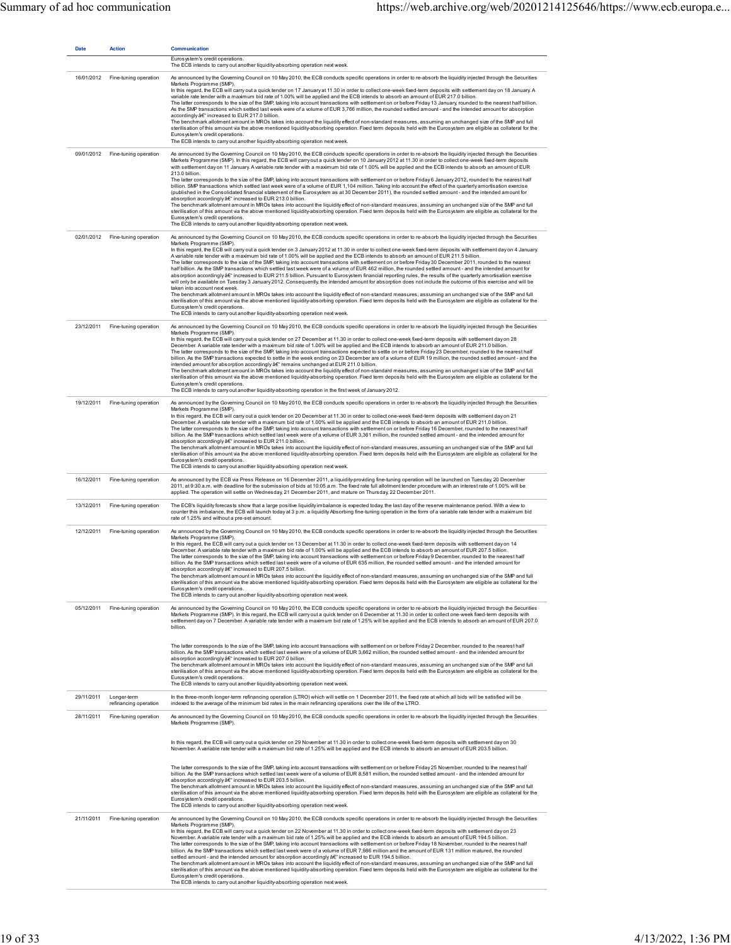| <b>Date</b> | <b>Action</b>                        | Communication<br>Eurosystem's credit operations.<br>The ECB intends to carry out another liquidity-absorbing operation next week.                                                                                                                                                                                                                                                                                                                                                                                                                                                                                                                                                                                                                                                                                                                                                                                                                                                                                                                                                                                                                                                                                                                                                                                                                                                                                                                                                                                                                                                                                                                                   |
|-------------|--------------------------------------|---------------------------------------------------------------------------------------------------------------------------------------------------------------------------------------------------------------------------------------------------------------------------------------------------------------------------------------------------------------------------------------------------------------------------------------------------------------------------------------------------------------------------------------------------------------------------------------------------------------------------------------------------------------------------------------------------------------------------------------------------------------------------------------------------------------------------------------------------------------------------------------------------------------------------------------------------------------------------------------------------------------------------------------------------------------------------------------------------------------------------------------------------------------------------------------------------------------------------------------------------------------------------------------------------------------------------------------------------------------------------------------------------------------------------------------------------------------------------------------------------------------------------------------------------------------------------------------------------------------------------------------------------------------------|
| 16/01/2012  | Fine-tuning operation                | As announced by the Governing Council on 10 May 2010, the ECB conducts specific operations in order to re-absorb the liquidity injected through the Securities<br>Markets Programme (SMP).<br>In this regard, the ECB will carry out a quick tender on 17 January at 11.30 in order to collect one-week fixed-term deposits with settlement day on 18 January. A<br>variable rate tender with a maximum bid rate of 1.00% will be applied and the ECB intends to absorb an amount of EUR 217.0 billion.<br>The latter corresponds to the size of the SMP, taking into account transactions with settlement on or before Friday 13 January, rounded to the nearest half billion.<br>As the SMP transactions which settled last week were of a volume of EUR 3,766 million, the rounded settled amount - and the intended amount for absorption<br>accordingly â€" increased to EUR 217.0 billion.<br>The benchmark allotment amount in MROs takes into account the liquidity effect of non-standard measures, assuming an unchanged size of the SMP and full<br>sterilisation of this amount via the above mentioned liquidity-absorbing operation. Fixed term deposits held with the Eurosystem are eligible as collateral for the<br>Eurosystem's credit operations.<br>The ECB intends to carry out another liquidity-absorbing operation next week.                                                                                                                                                                                                                                                                                                              |
|             | 09/01/2012 Fine-tuning operation     | As announced by the Governing Council on 10 May 2010, the ECB conducts specific operations in order to re-absorb the liquidity injected through the Securities<br>Markets Programme (SMP). In this regard, the ECB will carry out a quick tender on 10 January 2012 at 11.30 in order to collect one-week fixed-term deposits<br>with settlement day on 11 January. A variable rate tender with a maximum bid rate of 1.00% will be applied and the ECB intends to absorb an amount of EUR<br>213.0 billion.<br>The latter corresponds to the size of the SMP, taking into account transactions with settlement on or before Friday 6 January 2012, rounded to the nearest half<br>billion. SMP transactions which settled last week were of a volume of EUR 1,104 million. Taking into account the effect of the quarterly amortisation exercise<br>(published in the Consolidated financial statement of the Eurosystem as at 30 December 2011), the rounded settled amount - and the intended amount for<br>absorption accordingly â€" increased to EUR 213.0 billion.<br>The benchmark allotment amount in MROs takes into account the liquidity effect of non-standard measures, assuming an unchanged size of the SMP and full<br>sterilisation of this amount via the above mentioned liquidity-absorbing operation. Fixed term deposits held with the Eurosystem are eligible as collateral for the<br>Eurosystem's credit operations.<br>The ECB intends to carry out another liquidity-absorbing operation next week.                                                                                                                                     |
| 02/01/2012  | Fine-tuning operation                | As announced by the Governing Council on 10 May 2010, the ECB conducts specific operations in order to re-absorb the liquidity injected through the Securities<br>Markets Programme (SMP).<br>In this regard, the ECB will carry out a quick tender on 3 January 2012 at 11.30 in order to collect one-week fixed-term deposits with settlement day on 4 January.<br>A variable rate tender with a maximum bid rate of 1.00% will be applied and the ECB intends to absorb an amount of EUR 211.5 billion.<br>The latter corresponds to the size of the SMP, taking into account transactions with settlement on or before Friday 30 December 2011, rounded to the nearest<br>half billion. As the SMP transactions which settled last week were of a volume of EUR 462 million, the rounded settled amount - and the intended amount for<br>absorption accordingly â€" increased to EUR 211.5 billion. Pursuant to Eurosystem financial reporting rules, the results of the quarterly amortisation exercise<br>will only be available on Tuesday 3 January 2012. Consequently, the intended amount for absorption does not include the outcome of this exercise and will be<br>taken into account next week.<br>The benchmark allotment amount in MROs takes into account the liquidity effect of non-standard measures, assuming an unchanged size of the SMP and full<br>sterilisation of this amount via the above mentioned liquidity-absorbing operation. Fixed term deposits held with the Eurosystem are eligible as collateral for the<br>Eurosystem's credit operations.<br>The ECB intends to carry out another liquidity-absorbing operation next week. |
| 23/12/2011  | Fine-tuning operation                | As announced by the Governing Council on 10 May 2010, the ECB conducts specific operations in order to re-absorb the liquidity injected through the Securities<br>Markets Programme (SMP).<br>In this regard, the ECB will carry out a quick tender on 27 December at 11.30 in order to collect one-week fixed-term deposits with settlement day on 28<br>December. A variable rate tender with a maximum bid rate of 1.00% will be applied and the ECB intends to absorb an amount of EUR 211.0 billion.<br>The latter corresponds to the size of the SMP, taking into account transactions expected to settle on or before Friday 23 December, rounded to the nearest half<br>billion. As the SMP transactions expected to settle in the week ending on 23 December are of a volume of EUR 19 million, the rounded settled amount - and the<br>intended amount for absorption accordingly â€" remains unchanged at EUR 211.0 billion.<br>The benchmark allotment amount in MROs takes into account the liquidity effect of non-standard measures, assuming an unchanged size of the SMP and full<br>sterilisation of this amount via the above mentioned liquidity-absorbing operation. Fixed term deposits held with the Eurosystem are eligible as collateral for the<br>Eurosystem's credit operations.<br>The ECB intends to carry out another liquidity-absorbing operation in the first week of January 2012.                                                                                                                                                                                                                                               |
| 19/12/2011  | Fine-tuning operation                | As announced by the Governing Council on 10 May 2010, the ECB conducts specific operations in order to re-absorb the liquidity injected through the Securities<br>Markets Programme (SMP)<br>In this regard, the ECB will carry out a quick tender on 20 December at 11.30 in order to collect one-week fixed-term deposits with settlement day on 21<br>December. A variable rate tender with a maximum bid rate of 1.00% will be applied and the ECB intends to absorb an amount of EUR 211.0 billion.<br>The latter corresponds to the size of the SMP, taking into account transactions with settlement on or before Friday 16 December, rounded to the nearest half<br>billion. As the SMP transactions which settled last week were of a volume of EUR 3,361 million, the rounded settled amount - and the intended amount for<br>absorption accordingly â€" increased to EUR 211.0 billion.<br>The benchmark allotment amount in MROs takes into account the liquidity effect of non-standard measures, assuming an unchanged size of the SMP and full<br>sterilisation of this amount via the above mentioned liquidity-absorbing operation. Fixed term deposits held with the Eurosystem are eligible as collateral for the<br>Euros vstem's credit operations.<br>The ECB intends to carry out another liquidity-absorbing operation next week.                                                                                                                                                                                                                                                                                                           |
| 16/12/2011  | Fine-tuning operation                | As announced by the ECB via Press Release on 16 December 2011, a liquidity-providing fine-tuning operation will be launched on Tuesday, 20 December<br>2011, at 9:30 a.m. with deadline for the submission of bids at 10:05 a.m. The fixed rate full allotment tender procedure with an interest rate of 1.00% will be<br>applied. The operation will settle on Wednesday, 21 December 2011, and mature on Thursday, 22 December 2011.                                                                                                                                                                                                                                                                                                                                                                                                                                                                                                                                                                                                                                                                                                                                                                                                                                                                                                                                                                                                                                                                                                                                                                                                                              |
| 13/12/2011  | Fine-tuning operation                | The ECB's liquidity forecasts show that a large positive liquidity imbalance is expected today, the last day of the reserve maintenance period. With a view to<br>counter this imbalance, the ECB will launch today at 3 p.m. a liquidity Absorbing fine-tuning operation in the form of a variable rate tender with a maximum bid<br>rate of 1.25% and without a pre-set amount.                                                                                                                                                                                                                                                                                                                                                                                                                                                                                                                                                                                                                                                                                                                                                                                                                                                                                                                                                                                                                                                                                                                                                                                                                                                                                   |
| 12/12/2011  | Fine-tuning operation                | As announced by the Governing Council on 10 May 2010, the ECB conducts specific operations in order to re-absorb the liquidity injected through the Securities<br>Markets Programme (SMP).<br>In this regard, the ECB will carry out a quick tender on 13 December at 11.30 in order to collect one-week fixed-term deposits with settlement day on 14<br>December. A variable rate tender with a maximum bid rate of 1.00% will be applied and the ECB intends to absorb an amount of EUR 207.5 billion.<br>The latter corresponds to the size of the SMP, taking into account transactions with settlement on or before Friday 9 December, rounded to the nearest half<br>billion. As the SMP transactions which settled last week were of a volume of EUR 635 million, the rounded settled amount - and the intended amount for<br>absorption accordingly â€" increased to EUR 207.5 billion.<br>The benchmark allotment amount in MROs takes into account the liquidity effect of non-standard measures, assuming an unchanged size of the SMP and full<br>sterilisation of this amount via the above mentioned liquidity-absorbing operation. Fixed term deposits held with the Eurosystem are eligible as collateral for the<br>Eurosystem's credit operations.<br>The ECB intends to carry out another liquidity-absorbing operation next week.                                                                                                                                                                                                                                                                                                              |
| 05/12/2011  | Fine-tuning operation                | As announced by the Governing Council on 10 May 2010, the ECB conducts specific operations in order to re-absorb the liquidity injected through the Securities<br>Markets Programme (SMP). In this regard, the ECB will carry out a quick tender on 6 December at 11.30 in order to collect one-week fixed-term deposits with<br>settlement day on 7 December. A variable rate tender with a maximum bid rate of 1.25% will be applied and the ECB intends to absorb an amount of EUR 207.0<br>billion.                                                                                                                                                                                                                                                                                                                                                                                                                                                                                                                                                                                                                                                                                                                                                                                                                                                                                                                                                                                                                                                                                                                                                             |
|             |                                      | The latter corresponds to the size of the SMP, taking into account transactions with settlement on or before Friday 2 December, rounded to the nearest half<br>billion. As the SMP transactions which settled last week were of a volume of EUR 3,662 million, the rounded settled amount - and the intended amount for<br>absorption accordingly â€" increased to EUR 207.0 billion.<br>The benchmark allotment amount in MROs takes into account the liquidity effect of non-standard measures, assuming an unchanged size of the SMP and full<br>sterilisation of this amount via the above mentioned liquidity-absorbing operation. Fixed term deposits held with the Eurosystem are eligible as collateral for the<br>Eurosystem's credit operations.<br>The ECB intends to carry out another liquidity-absorbing operation next week.                                                                                                                                                                                                                                                                                                                                                                                                                                                                                                                                                                                                                                                                                                                                                                                                                         |
| 29/11/2011  | Longer-term<br>refinancing operation | In the three-month longer-term refinancing operation (LTRO) which will settle on 1 December 2011, the fixed rate at which all bids will be satisfied will be<br>indexed to the average of the minimum bid rates in the main refinancing operations over the life of the LTRO.                                                                                                                                                                                                                                                                                                                                                                                                                                                                                                                                                                                                                                                                                                                                                                                                                                                                                                                                                                                                                                                                                                                                                                                                                                                                                                                                                                                       |
| 28/11/2011  | Fine-tuning operation                | As announced by the Governing Council on 10 May 2010, the ECB conducts specific operations in order to re-absorb the liquidity injected through the Securities<br>Markets Programme (SMP).                                                                                                                                                                                                                                                                                                                                                                                                                                                                                                                                                                                                                                                                                                                                                                                                                                                                                                                                                                                                                                                                                                                                                                                                                                                                                                                                                                                                                                                                          |
|             |                                      | In this regard, the ECB will carry out a quick tender on 29 November at 11.30 in order to collect one-week fixed-term deposits with settlement day on 30<br>November. A variable rate tender with a maximum bid rate of 1.25% will be applied and the ECB intends to absorb an amount of EUR 203.5 billion.<br>The latter corresponds to the size of the SMP, taking into account transactions with settlement on or before Friday 25 November, rounded to the nearest half<br>billion. As the SMP transactions which settled last week were of a volume of EUR 8,581 million, the rounded settled amount - and the intended amount for<br>absorption accordingly â€" increased to EUR 203.5 billion.<br>The benchmark allotment amount in MROs takes into account the liquidity effect of non-standard measures, assuming an unchanged size of the SMP and full<br>sterilisation of this amount via the above mentioned liquidity-absorbing operation. Fixed term deposits held with the Eurosystem are eligible as collateral for the<br>Eurosystem's credit operations.<br>The ECB intends to carry out another liquidity-absorbing operation next week.                                                                                                                                                                                                                                                                                                                                                                                                                                                                                                         |
| 21/11/2011  | Fine-tuning operation                | As announced by the Governing Council on 10 May 2010, the ECB conducts specific operations in order to re-absorb the liquidity injected through the Securities<br>Markets Programme (SMP).<br>In this regard, the ECB will carry out a quick tender on 22 November at 11.30 in order to collect one-week fixed-term deposits with settlement day on 23<br>November. A variable rate tender with a maximum bid rate of 1.25% will be applied and the ECB intends to absorb an amount of EUR 194.5 billion.<br>The latter corresponds to the size of the SMP, taking into account transactions with settlement on or before Friday 18 November, rounded to the nearest half<br>billion. As the SMP transactions which settled last week were of a volume of EUR 7,986 million and the amount of EUR 131 million matured, the rounded<br>settled amount - and the intended amount for absorption accordingly â€" increased to EUR 194.5 billion.<br>The benchmark allotment amount in MROs takes into account the liquidity effect of non-standard measures, assuming an unchanged size of the SMP and full<br>sterilisation of this amount via the above mentioned liquidity-absorbing operation. Fixed term deposits held with the Eurosystem are eligible as collateral for the<br>Eurosystem's credit operations.<br>The ECB intends to carry out another liquidity-absorbing operation next week.                                                                                                                                                                                                                                                                 |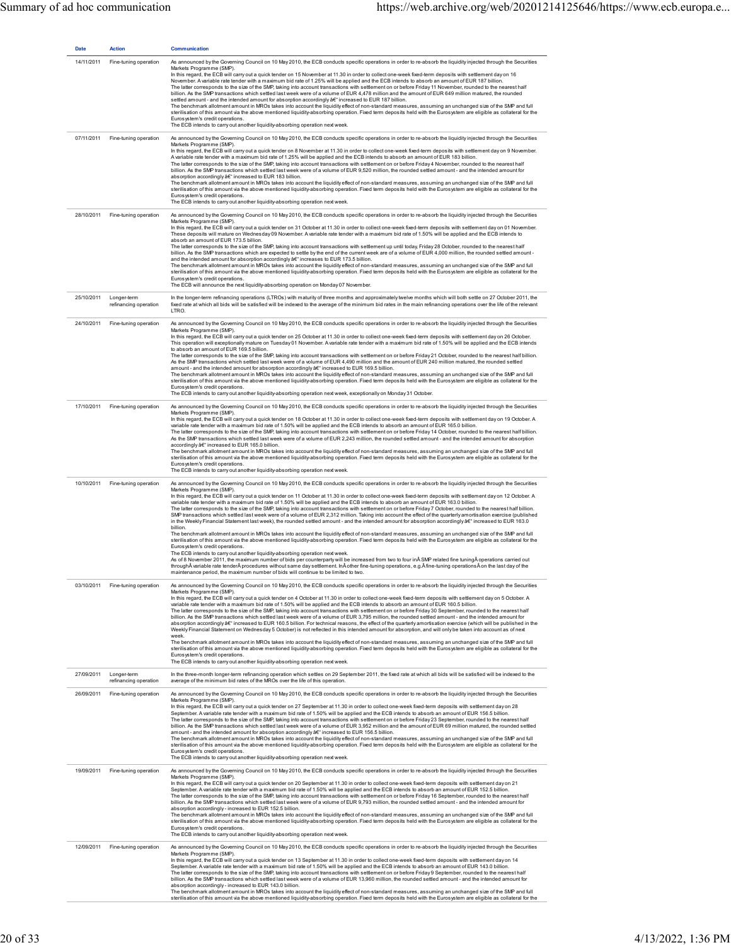| <b>Date</b> | <b>Action</b>                        | Communication                                                                                                                                                                                                                                                                                                                                                                                                                                                                                                                                                                                                                                                                                                                                                                                                                                                                                                                                                                                                                                                                                                                                                                                                                                                                                                                                                                                                                                                                                                                                                                                                                                                                                                                                                                                                                                                                                 |
|-------------|--------------------------------------|-----------------------------------------------------------------------------------------------------------------------------------------------------------------------------------------------------------------------------------------------------------------------------------------------------------------------------------------------------------------------------------------------------------------------------------------------------------------------------------------------------------------------------------------------------------------------------------------------------------------------------------------------------------------------------------------------------------------------------------------------------------------------------------------------------------------------------------------------------------------------------------------------------------------------------------------------------------------------------------------------------------------------------------------------------------------------------------------------------------------------------------------------------------------------------------------------------------------------------------------------------------------------------------------------------------------------------------------------------------------------------------------------------------------------------------------------------------------------------------------------------------------------------------------------------------------------------------------------------------------------------------------------------------------------------------------------------------------------------------------------------------------------------------------------------------------------------------------------------------------------------------------------|
| 14/11/2011  | Fine-tuning operation                | As announced by the Governing Council on 10 May 2010, the ECB conducts specific operations in order to re-absorb the liquidity injected through the Securities<br>Markets Programme (SMP)<br>In this regard, the ECB will carry out a quick tender on 15 November at 11.30 in order to collect one-week fixed-term deposits with settlement day on 16<br>November. A variable rate tender with a maximum bid rate of 1.25% will be applied and the ECB intends to absorb an amount of EUR 187 billion.<br>The latter corresponds to the size of the SMP, taking into account transactions with settlement on or before Friday 11 November, rounded to the nearest half<br>billion. As the SMP transactions which settled last week were of a volume of EUR 4,478 million and the amount of EUR 649 million matured, the rounded<br>settled amount - and the intended amount for absorption accordingly â€" increased to EUR 187 billion.<br>The benchmark allotment amount in MROs takes into account the liquidity effect of non-standard measures, assuming an unchanged size of the SMP and full<br>sterilisation of this amount via the above mentioned liquidity-absorbing operation. Fixed term deposits held with the Eurosystem are eligible as collateral for the<br>Eurosystem's credit operations.<br>The ECB intends to carry out another liquidity-absorbing operation next week.                                                                                                                                                                                                                                                                                                                                                                                                                                                                                                |
| 07/11/2011  | Fine-tuning operation                | As announced by the Governing Council on 10 May 2010, the ECB conducts specific operations in order to re-absorb the liquidity injected through the Securities<br>Markets Programme (SMP).<br>In this regard, the ECB will carry out a quick tender on 8 November at 11.30 in order to collect one-week fixed-term deposits with settlement day on 9 November.<br>A variable rate tender with a maximum bid rate of 1.25% will be applied and the ECB intends to absorb an amount of EUR 183 billion.<br>The latter corresponds to the size of the SMP, taking into account transactions with settlement on or before Friday 4 November, rounded to the nearest half<br>billion. As the SMP transactions which settled last week were of a volume of EUR 9,520 million, the rounded settled amount - and the intended amount for<br>absorption accordingly â€" increased to EUR 183 billion.<br>The benchmark allotment amount in MROs takes into account the liquidity effect of non-standard measures, assuming an unchanged size of the SMP and full<br>sterilisation of this amount via the above mentioned liquidity-absorbing operation. Fixed term deposits held with the Eurosystem are eligible as collateral for the<br>Eurosystem's credit operations.<br>The ECB intends to carry out another liquidity-absorbing operation next week.                                                                                                                                                                                                                                                                                                                                                                                                                                                                                                                                            |
| 28/10/2011  | Fine-tuning operation                | As announced by the Governing Council on 10 May 2010, the ECB conducts specific operations in order to re-absorb the liquidity injected through the Securities<br>Markets Programme (SMP).<br>In this regard, the ECB will carry out a quick tender on 31 October at 11.30 in order to collect one-week fixed-term deposits with settlement day on 01 November.<br>These deposits will mature on Wednesday 09 November. A variable rate tender with a maximum bid rate of 1.50% will be applied and the ECB intends to<br>absorb an amount of EUR 173.5 billion.<br>The latter corresponds to the size of the SMP, taking into account transactions with settlement up until today, Friday 28 October, rounded to the nearest half<br>billion. As the SMP transactions which are expected to settle by the end of the current week are of a volume of EUR 4,000 million, the rounded settled amount-<br>and the intended amount for absorption accordingly â€" increases to EUR 173.5 billion.<br>The benchmark allotment amount in MROs takes into account the liquidity effect of non-standard measures, assuming an unchanged size of the SMP and full<br>sterilisation of this amount via the above mentioned liquidity-absorbing operation. Fixed term deposits held with the Eurosystem are eligible as collateral for the<br>Eurosystem's credit operations.<br>The ECB will announce the next liquidity-absorbing operation on Monday 07 November.                                                                                                                                                                                                                                                                                                                                                                                                                                    |
| 25/10/2011  | Longer-term<br>refinancing operation | In the longer-term refinancing operations (LTROs) with maturity of three months and approximately twelve months which will both settle on 27 October 2011, the<br>fixed rate at which all bids will be satisfied will be indexed to the average of the minimum bid rates in the main refinancing operations over the life of the relevant<br>LTRO.                                                                                                                                                                                                                                                                                                                                                                                                                                                                                                                                                                                                                                                                                                                                                                                                                                                                                                                                                                                                                                                                                                                                                                                                                                                                                                                                                                                                                                                                                                                                            |
| 24/10/2011  | Fine-tuning operation                | As announced by the Governing Council on 10 May 2010, the ECB conducts specific operations in order to re-absorb the liquidity injected through the Securities<br>Markets Programme (SMP)<br>In this regard, the ECB will carry out a quick tender on 25 October at 11.30 in order to collect one-week fixed-term deposits with settlement day on 26 October.<br>This operation will exceptionally mature on Tuesday 01 November. A variable rate tender with a maximum bid rate of 1.50% will be applied and the ECB intends<br>to absorb an amount of FUR 169.5 billion.<br>The latter corresponds to the size of the SMP, taking into account transactions with settlement on or before Friday 21 October, rounded to the nearest half billion.<br>As the SMP transactions which settled last week were of a volume of EUR 4,490 million and the amount of EUR 240 million matured, the rounded settled<br>amount - and the intended amount for absorption accordingly â€" increased to EUR 169.5 billion.<br>The benchmark allotment amount in MROs takes into account the liquidity effect of non-standard measures, assuming an unchanged size of the SMP and full<br>sterilisation of this amount via the above mentioned liquidity-absorbing operation. Fixed term deposits held with the Eurosystem are eligible as collateral for the<br>Eurosystem's credit operations.<br>The ECB intends to carry out another liquidity-absorbing operation next week, exceptionally on Monday 31 October.                                                                                                                                                                                                                                                                                                                                                                                       |
| 17/10/2011  | Fine-tuning operation                | As announced by the Governing Council on 10 May 2010, the ECB conducts specific operations in order to re-absorb the liquidity injected through the Securities<br>Markets Programme (SMP).<br>In this regard, the ECB will carry out a quick tender on 18 October at 11.30 in order to collect one-week fixed-term deposits with settlement day on 19 October. A<br>variable rate tender with a maximum bid rate of 1.50% will be applied and the ECB intends to absorb an amount of EUR 165.0 billion.<br>The latter corresponds to the size of the SMP, taking into account transactions with settlement on or before Friday 14 October, rounded to the nearest half billion.<br>As the SMP transactions which settled last week were of a volume of EUR 2,243 million, the rounded settled amount - and the intended amount for absorption<br>accordingly â€" increased to EUR 165.0 billion.<br>The benchmark allotment amount in MROs takes into account the liquidity effect of non-standard measures, assuming an unchanged size of the SMP and full<br>sterilisation of this amount via the above mentioned liquidity-absorbing operation. Fixed term deposits held with the Eurosystem are eligible as collateral for the<br>Eurosystem's credit operations.<br>The ECB intends to carry out another liquidity-absorbing operation next week.                                                                                                                                                                                                                                                                                                                                                                                                                                                                                                                                        |
| 10/10/2011  | Fine-tuning operation                | As announced by the Governing Council on 10 May 2010, the ECB conducts specific operations in order to re-absorb the liquidity injected through the Securities<br>Markets Programme (SMP).<br>In this regard, the ECB will carry out a quick tender on 11 October at 11.30 in order to collect one-week fixed-term deposits with settlement day on 12 October. A<br>variable rate tender with a maximum bid rate of 1.50% will be applied and the ECB intends to absorb an amount of EUR 163.0 billion.<br>The latter corresponds to the size of the SMP, taking into account transactions with settlement on or before Friday 7 October, rounded to the nearest half billion.<br>SMP transactions which settled last week were of a volume of EUR 2,312 million. Taking into account the effect of the quarterly amortisation exercise (published<br>in the Weekly Financial Statement last week), the rounded settled amount - and the intended amount for absorption accordingly â€" increased to EUR 163.0<br>billion.<br>The benchmark allotment amount in MROs takes into account the liquidity effect of non-standard measures, assuming an unchanged size of the SMP and full<br>sterilisation of this amount via the above mentioned liquidity-absorbing operation. Fixed term deposits held with the Eurosystem are eligible as collateral for the<br>Eurosystem's credit operations.<br>The ECB intends to carry out another liquidity-absorbing operation next week.<br>As of 8 November 2011, the maximum number of bids per counterparty will be increased from two to four in SMP related fine tuning operations carried out<br>through variable rate tender procedures without same day settlement. In other fine-tuning operations, e.g. fine-tuning operations on the last day of the<br>maintenance period, the maximum number of bids will continue to be limited to two. |
| 03/10/2011  | Fine-tuning operation                | As announced by the Governing Council on 10 May 2010, the ECB conducts specific operations in order to re-absorb the liquidity injected through the Securities<br>Markets Programme (SMP)<br>In this regard, the ECB will carry out a quick tender on 4 October at 11.30 in order to collect one-week fixed-term deposits with settlement day on 5 October. A<br>variable rate tender with a maximum bid rate of 1.50% will be applied and the ECB intends to absorb an amount of EUR 160.5 billion.<br>The latter corresponds to the size of the SMP, taking into account transactions with settlement on or before Friday 30 September, rounded to the nearest half<br>billion. As the SMP transactions which settled last week were of a volume of EUR 3,795 million, the rounded settled amount - and the intended amount for<br>absorption accordingly â€" increased to EUR 160.5 billion. For technical reasons, the effect of the quarterly amortisation exercise (which will be published in the<br>Weekly Financial Statement on Wednesday 5 October) is not reflected in this intended amount for absorption, and will only be taken into account as of next<br>week.<br>The benchmark allotment amount in MROs takes into account the liquidity effect of non-standard measures, assuming an unchanged size of the SMP and full<br>sterilisation of this amount via the above mentioned liquidity-absorbing operation. Fixed term deposits held with the Eurosystem are eligible as collateral for the<br>Eurosystem's credit operations.<br>The ECB intends to carry out another liquidity-absorbing operation next week.                                                                                                                                                                                                                                                         |
| 27/09/2011  | Longer-term<br>refinancing operation | In the three-month longer-term refinancing operation which settles on 29 September 2011, the fixed rate at which all bids will be satisfied will be indexed to the<br>average of the minimum bid rates of the MROs over the life of this operation.                                                                                                                                                                                                                                                                                                                                                                                                                                                                                                                                                                                                                                                                                                                                                                                                                                                                                                                                                                                                                                                                                                                                                                                                                                                                                                                                                                                                                                                                                                                                                                                                                                           |
| 26/09/2011  | Fine-tuning operation                | As announced by the Governing Council on 10 May 2010, the ECB conducts specific operations in order to re-absorb the liquidity injected through the Securities<br>Markets Programme (SMP).<br>In this regard, the ECB will carry out a quick tender on 27 September at 11.30 in order to collect one-week fixed-term deposits with settlement day on 28<br>September. A variable rate tender with a maximum bid rate of 1.50% will be applied and the ECB intends to absorb an amount of EUR 156.5 billion.<br>The latter corresponds to the size of the SMP, taking into account transactions with settlement on or before Friday 23 September, rounded to the nearest half<br>billion. As the SMP transactions which settled last week were of a volume of EUR 3,952 million and the amount of EUR 69 million matured, the rounded settled<br>amount - and the intended amount for absorption accordingly â€" increased to EUR 156.5 billion.<br>The benchmark allotment amount in MROs takes into account the liquidity effect of non-standard measures, assuming an unchanged size of the SMP and full<br>sterilisation of this amount via the above mentioned liquidity-absorbing operation. Fixed term deposits held with the Eurosystem are eligible as collateral for the<br>Eurosystem's credit operations.<br>The ECB intends to carry out another liquidity-absorbing operation next week.                                                                                                                                                                                                                                                                                                                                                                                                                                                                                         |
| 19/09/2011  | Fine-tuning operation                | As announced by the Governing Council on 10 May 2010, the ECB conducts specific operations in order to re-absorb the liquidity injected through the Securities<br>Markets Programme (SMP).<br>In this regard, the ECB will carry out a quick tender on 20 September at 11.30 in order to collect one-week fixed-term deposits with settlement day on 21<br>September. A variable rate tender with a maximum bid rate of 1.50% will be applied and the ECB intends to absorb an amount of EUR 152.5 billion.<br>The latter corresponds to the size of the SMP, taking into account transactions with settlement on or before Friday 16 September, rounded to the nearest half<br>billion. As the SMP transactions which settled last week were of a volume of EUR 9,793 million, the rounded settled amount - and the intended amount for<br>absorption accordingly-increased to EUR 152.5 billion.<br>The benchmark allotment amount in MROs takes into account the liquidity effect of non-standard measures, assuming an unchanged size of the SMP and full<br>sterilisation of this amount via the above mentioned liquidity-absorbing operation. Fixed term deposits held with the Eurosystem are eligible as collateral for the<br>Eurosystem's credit operations.<br>The ECB intends to carry out another liquidity-absorbing operation next week.                                                                                                                                                                                                                                                                                                                                                                                                                                                                                                                                      |
| 12/09/2011  | Fine-tuning operation                | As announced by the Governing Council on 10 May 2010, the ECB conducts specific operations in order to re-absorb the liquidity injected through the Securities<br>Markets Programme (SMP).<br>In this regard, the ECB will carry out a quick tender on 13 September at 11.30 in order to collect one-week fixed-term deposits with settlement day on 14<br>September. A variable rate tender with a maximum bid rate of 1.50% will be applied and the ECB intends to absorb an amount of EUR 143.0 billion.<br>The latter corresponds to the size of the SMP, taking into account transactions with settlement on or before Friday 9 September, rounded to the nearest half<br>billion. As the SMP transactions which settled last week were of a volume of EUR 13,960 million, the rounded settled amount - and the intended amount for<br>absorption accordingly-increased to EUR 143.0 billion.<br>The benchmark allotment amount in MROs takes into account the liquidity effect of non-standard measures, assuming an unchanged size of the SMP and full<br>sterilisation of this amount via the above mentioned liquidity-absorbing operation. Fixed term deposits held with the Eurosystem are eligible as collateral for the                                                                                                                                                                                                                                                                                                                                                                                                                                                                                                                                                                                                                                                          |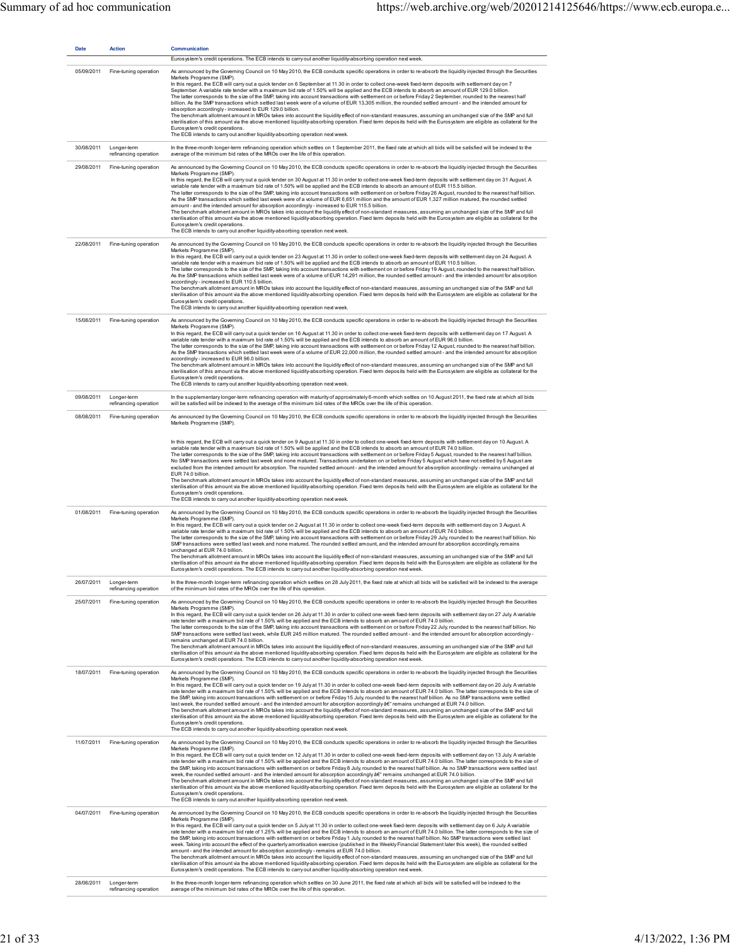| <b>Date</b> | <b>Action</b>                        | <b>Communication</b>                                                                                                                                                                                                                                                                                                                                                                                                                                                                                                                                                                                                                                                                                                                                                                                                                                                                                                                                                                                                                                                                                                                                                                                                                                                                                                                                                                                                        |
|-------------|--------------------------------------|-----------------------------------------------------------------------------------------------------------------------------------------------------------------------------------------------------------------------------------------------------------------------------------------------------------------------------------------------------------------------------------------------------------------------------------------------------------------------------------------------------------------------------------------------------------------------------------------------------------------------------------------------------------------------------------------------------------------------------------------------------------------------------------------------------------------------------------------------------------------------------------------------------------------------------------------------------------------------------------------------------------------------------------------------------------------------------------------------------------------------------------------------------------------------------------------------------------------------------------------------------------------------------------------------------------------------------------------------------------------------------------------------------------------------------|
|             |                                      | Eurosystem's credit operations. The ECB intends to carry out another liquidity-absorbing operation next week.                                                                                                                                                                                                                                                                                                                                                                                                                                                                                                                                                                                                                                                                                                                                                                                                                                                                                                                                                                                                                                                                                                                                                                                                                                                                                                               |
| 05/09/2011  | Fine-tuning operation                | As announced by the Governing Council on 10 May 2010, the ECB conducts specific operations in order to re-absorb the liquidity injected through the Securities<br>Markets Programme (SMP).<br>In this regard, the ECB will carry out a quick tender on 6 September at 11.30 in order to collect one-week fixed-term deposits with settlement day on 7<br>September. A variable rate tender with a maximum bid rate of 1.50% will be applied and the ECB intends to absorb an amount of EUR 129.0 billion.<br>The latter corresponds to the size of the SMP, taking into account transactions with settlement on or before Friday 2 September, rounded to the nearest half<br>billion. As the SMP transactions which settled last week were of a volume of EUR 13,305 million, the rounded settled amount - and the intended amount for<br>absorption accordingly-increased to EUR 129.0 billion.<br>The benchmark allotment amount in MROs takes into account the liquidity effect of non-standard measures, assuming an unchanged size of the SMP and full<br>sterilisation of this amount via the above mentioned liquidity-absorbing operation. Fixed term deposits held with the Eurosystem are eligible as collateral for the<br>Eurosystem's credit operations.<br>The ECB intends to carry out another liquidity-absorbing operation next week.                                                                      |
| 30/08/2011  | Longer-term<br>refinancing operation | In the three-month longer-term refinancing operation which settles on 1 September 2011, the fixed rate at which all bids will be satisfied will be indexed to the<br>average of the minimum bid rates of the MROs over the life of this operation.                                                                                                                                                                                                                                                                                                                                                                                                                                                                                                                                                                                                                                                                                                                                                                                                                                                                                                                                                                                                                                                                                                                                                                          |
| 29/08/2011  | Fine-tuning operation                | As announced by the Governing Council on 10 May 2010, the ECB conducts specific operations in order to re-absorb the liquidity injected through the Securities<br>Markets Programme (SMP)<br>In this regard, the ECB will carry out a quick tender on 30 August at 11.30 in order to collect one-week fixed-term deposits with settlement day on 31 August. A<br>variable rate tender with a maximum bid rate of 1.50% will be applied and the ECB intends to absorb an amount of EUR 115.5 billion.<br>The latter corresponds to the size of the SMP, taking into account transactions with settlement on or before Friday 26 August, rounded to the nearest half billion.<br>As the SMP transactions which settled last week were of a volume of EUR 6,651 million and the amount of EUR 1,327 million matured, the rounded settled<br>amount - and the intended amount for absorption accordingly - increased to EUR 115.5 billion.<br>The benchmark allotment amount in MROs takes into account the liquidity effect of non-standard measures, assuming an unchanged size of the SMP and full<br>sterilisation of this amount via the above mentioned liquidity-absorbing operation. Fixed term deposits held with the Eurosystem are eligible as collateral for the<br>Eurosystem's credit operations.<br>The ECB intends to carry out another liquidity-absorbing operation next week.                                |
| 22/08/2011  | Fine-tuning operation                | As announced by the Governing Council on 10 May 2010, the ECB conducts specific operations in order to re-absorb the liquidity injected through the Securities<br>Markets Programme (SMP).<br>In this regard, the ECB will carry out a quick tender on 23 August at 11.30 in order to collect one-week fixed-term deposits with settlement day on 24 August. A<br>variable rate tender with a maximum bid rate of 1.50% will be applied and the ECB intends to absorb an amount of EUR 110.5 billion.<br>The latter corresponds to the size of the SMP, taking into account transactions with settlement on or before Friday 19 August, rounded to the nearest half billion.<br>As the SMP transactions which settled last week were of a volume of EUR 14,291 million, the rounded settled amount - and the intended amount for absorption<br>accordingly-increased to EUR 110.5 billion.<br>The benchmark allotment amount in MROs takes into account the liquidity effect of non-standard measures, assuming an unchanged size of the SMP and full<br>sterilisation of this amount via the above mentioned liquidity-absorbing operation. Fixed term deposits held with the Eurosystem are eligible as collateral for the<br>Eurosystem's credit operations.<br>The ECB intends to carry out another liquidity-absorbing operation next week.                                                                            |
| 15/08/2011  | Fine-tuning operation                | As announced by the Governing Council on 10 May 2010, the ECB conducts specific operations in order to re-absorb the liquidity injected through the Securities<br>Markets Programme (SMP)<br>In this regard, the ECB will carry out a quick tender on 16 August at 11.30 in order to collect one-week fixed-term deposits with settlement day on 17 August. A<br>variable rate tender with a maximum bid rate of 1.50% will be applied and the ECB intends to absorb an amount of EUR 96.0 billion.<br>The latter corresponds to the size of the SMP, taking into account transactions with settlement on or before Friday 12 August, rounded to the nearest half billion.<br>As the SMP transactions which settled last week were of a volume of EUR 22,000 million, the rounded settled amount - and the intended amount for absorption<br>accordingly-increased to EUR 96.0 billion.<br>The benchmark allotment amount in MROs takes into account the liquidity effect of non-standard measures, assuming an unchanged size of the SMP and full<br>sterilisation of this amount via the above mentioned liquidity-absorbing operation. Fixed term deposits held with the Eurosystem are eligible as collateral for the<br>Eurosystem's credit operations.<br>The ECB intends to carry out another liquidity-absorbing operation next week.                                                                               |
| 09/08/2011  | Longer-term<br>refinancing operation | In the supplementary longer-term refinancing operation with maturity of approximately 6-month which settles on 10 August 2011, the fixed rate at which all bids<br>will be satisfied will be indexed to the average of the minimum bid rates of the MROs over the life of this operation.                                                                                                                                                                                                                                                                                                                                                                                                                                                                                                                                                                                                                                                                                                                                                                                                                                                                                                                                                                                                                                                                                                                                   |
| 08/08/2011  | Fine-tuning operation                | As announced by the Governing Council on 10 May 2010, the ECB conducts specific operations in order to re-absorb the liquidity injected through the Securities<br>Markets Programme (SMP).                                                                                                                                                                                                                                                                                                                                                                                                                                                                                                                                                                                                                                                                                                                                                                                                                                                                                                                                                                                                                                                                                                                                                                                                                                  |
|             |                                      | In this regard, the ECB will carry out a quick tender on 9 August at 11.30 in order to collect one-week fixed-term deposits with settlement day on 10 August. A<br>variable rate tender with a maximum bid rate of 1.50% will be applied and the ECB intends to absorb an amount of EUR 74.0 billion.<br>The latter corresponds to the size of the SMP, taking into account transactions with settlement on or before Friday 5 August, rounded to the nearest half billion.<br>No SMP transactions were settled last week and none matured. Transactions undertaken on or before Friday 5 August which have not settled by 5 August are<br>excluded from the intended amount for absorption. The rounded settled amount - and the intended amount for absorption accordingly - remains unchanged at<br>EUR 74.0 billion.<br>The benchmark allotment amount in MROs takes into account the liquidity effect of non-standard measures, assuming an unchanged size of the SMP and full<br>sterilisation of this amount via the above mentioned liquidity-absorbing operation. Fixed term deposits held with the Eurosystem are eligible as collateral for the<br>Eurosystem's credit operations.<br>The ECB intends to carry out another liquidity-absorbing operation next week.                                                                                                                                              |
| 01/08/2011  | Fine-tuning operation                | As announced by the Governing Council on 10 May 2010, the ECB conducts specific operations in order to re-absorb the liquidity injected through the Securities<br>Markets Programme (SMP).<br>In this regard, the ECB will carry out a quick tender on 2 August at 11.30 in order to collect one-week fixed-term deposits with settlement day on 3 August. A<br>variable rate tender with a maximum bid rate of 1.50% will be applied and the ECB intends to absorb an amount of EUR 74.0 billion.<br>The latter corresponds to the size of the SMP, taking into account transactions with settlement on or before Friday 29 July, rounded to the nearest half billion. No<br>SMP transactions were settled last week and none matured. The rounded settled amount, and the intended amount for absorption accordingly, remains<br>unchanged at EUR 74.0 billion.<br>The benchmark allotment amount in MROs takes into account the liquidity effect of non-standard measures, assuming an unchanged size of the SMP and full<br>sterilisation of this amount via the above mentioned liquidity-absorbing operation. Fixed term deposits held with the Eurosystem are eligible as collateral for the<br>Eurosystem's credit operations. The ECB intends to carry out another liquidity-absorbing operation next week.                                                                                                        |
| 26/07/2011  | Longer-term<br>refinancing operation | In the three-month longer-term refinancing operation which settles on 28 July 2011, the fixed rate at which all bids will be satisfied will be indexed to the average<br>of the minimum bid rates of the MROs over the life of this operation.                                                                                                                                                                                                                                                                                                                                                                                                                                                                                                                                                                                                                                                                                                                                                                                                                                                                                                                                                                                                                                                                                                                                                                              |
| 25/07/2011  | Fine-tuning operation                | As announced by the Governing Council on 10 May 2010, the ECB conducts specific operations in order to re-absorb the liquidity injected through the Securities<br>Markets Programme (SMP).<br>In this regard, the ECB will carry out a quick tender on 26 July at 11.30 in order to collect one-week fixed-term deposits with settlement day on 27 July. A variable<br>rate tender with a maximum bid rate of 1.50% will be applied and the ECB intends to absorb an amount of EUR 74.0 billion.<br>The latter corresponds to the size of the SMP, taking into account transactions with settlement on or before Friday 22 July, rounded to the nearest half billion. No<br>SMP transactions were settled last week, while EUR 245 million matured. The rounded settled amount - and the intended amount for absorption accordingly -<br>remains unchanged at EUR 74.0 billion.<br>The benchmark allotment amount in MROs takes into account the liquidity effect of non-standard measures, assuming an unchanged size of the SMP and full<br>sterilisation of this amount via the above mentioned liquidity-absorbing operation. Fixed term deposits held with the Eurosystem are eligible as collateral for the<br>Eurosystem's credit operations. The ECB intends to carry out another liquidity-absorbing operation next week.                                                                                          |
| 18/07/2011  | Fine-tuning operation                | As announced by the Governing Council on 10 May 2010, the ECB conducts specific operations in order to re-absorb the liquidity injected through the Securities<br>Markets Programme (SMP)<br>In this regard, the ECB will carry out a quick tender on 19 July at 11.30 in order to collect one-week fixed-term deposits with settlement day on 20 July. A variable<br>rate tender with a maximum bid rate of 1.50% will be applied and the ECB intends to absorb an amount of EUR 74.0 billion. The latter corresponds to the size of<br>the SMP, taking into account transactions with settlement on or before Friday 15 July, rounded to the nearest half billion. As no SMP transactions were settled<br>last week, the rounded settled amount - and the intended amount for absorption accordingly â€" remains unchanged at EUR 74.0 billion.<br>The benchmark allotment amount in MROs takes into account the liquidity effect of non-standard measures, assuming an unchanged size of the SMP and full<br>sterilisation of this amount via the above mentioned liquidity-absorbing operation. Fixed term deposits held with the Eurosystem are eligible as collateral for the<br>Eurosystem's credit operations.<br>The ECB intends to carry out another liquidity-absorbing operation next week.                                                                                                                     |
| 11/07/2011  | Fine-tuning operation                | As announced by the Governing Council on 10 May 2010, the ECB conducts specific operations in order to re-absorb the liquidity injected through the Securities<br>Markets Programme (SMP).<br>In this regard, the ECB will carry out a quick tender on 12 July at 11.30 in order to collect one-week fixed-term deposits with settlement day on 13 July. A variable<br>rate tender with a maximum bid rate of 1.50% will be applied and the ECB intends to absorb an amount of EUR 74.0 billion. The latter corresponds to the size of<br>the SMP, taking into account transactions with settlement on or before Friday 8 July, rounded to the nearest half billion. As no SMP transactions were settled last<br>week, the rounded settled amount - and the intended amount for absorption accordingly â€" remains unchanged at EUR 74.0 billion.<br>The benchmark allotment amount in MROs takes into account the liquidity effect of non-standard measures, assuming an unchanged size of the SMP and full<br>sterilisation of this amount via the above mentioned liquidity-absorbing operation. Fixed term deposits held with the Eurosystem are eligible as collateral for the<br>Eurosystem's credit operations.<br>The ECB intends to carry out another liquidity-absorbing operation next week.                                                                                                                     |
| 04/07/2011  | Fine-tuning operation                | As announced by the Governing Council on 10 May 2010, the ECB conducts specific operations in order to re-absorb the liquidity injected through the Securities<br>Markets Programme (SMP).<br>In this regard, the ECB will carry out a quick tender on 5 July at 11.30 in order to collect one-week fixed-term deposits with settlement day on 6 July. A variable<br>rate tender with a maximum bid rate of 1.25% will be applied and the ECB intends to absorb an amount of EUR 74.0 billion. The latter corresponds to the size of<br>the SMP, taking into account transactions with settlement on or before Friday 1 July, rounded to the nearest half billion. No SMP transactions were settled last<br>week. Taking into account the effect of the quarterly amortisation exercise (published in the Weekly Financial Statement later this week), the rounded settled<br>amount - and the intended amount for absorption accordingly - remains at EUR 74.0 billion.<br>The benchmark allotment amount in MROs takes into account the liquidity effect of non-standard measures, assuming an unchanged size of the SMP and full<br>sterilisation of this amount via the above mentioned liquidity-absorbing operation. Fixed term deposits held with the Eurosystem are eligible as collateral for the<br>Eurosystem's credit operations. The ECB intends to carry out another liquidity-absorbing operation next week. |
| 28/06/2011  | Longer-term<br>refinancing operation | In the three-month longer-term refinancing operation which settles on 30 June 2011, the fixed rate at which all bids will be satisfied will be indexed to the<br>average of the minimum bid rates of the MROs over the life of this operation.                                                                                                                                                                                                                                                                                                                                                                                                                                                                                                                                                                                                                                                                                                                                                                                                                                                                                                                                                                                                                                                                                                                                                                              |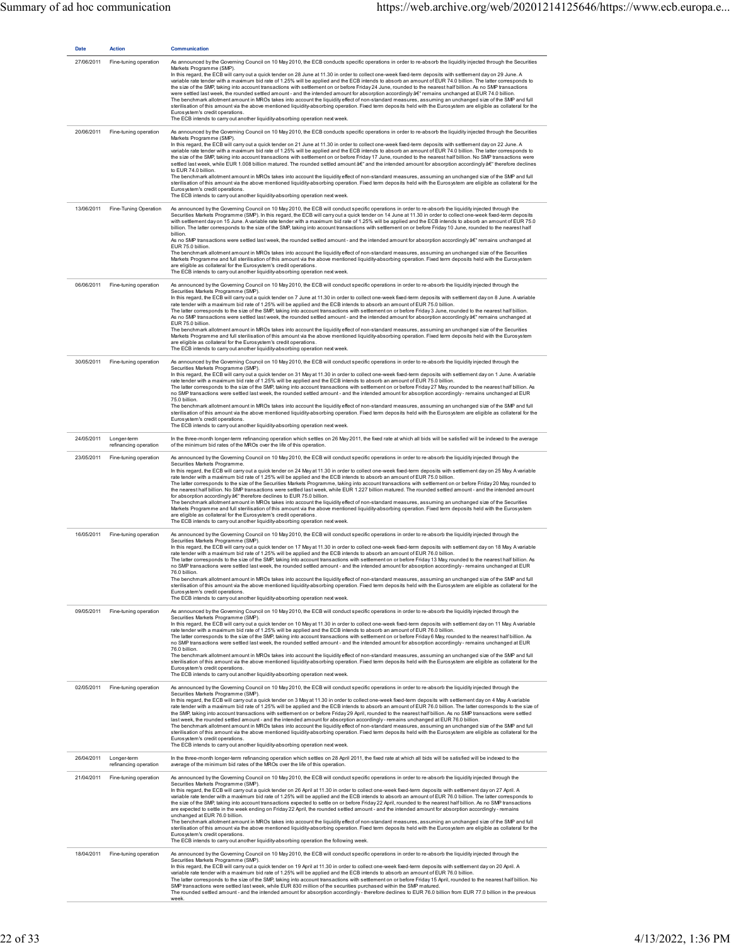| <b>Date</b> | Action                               | Communication                                                                                                                                                                                                                                                                                                                                                                                                                                                                                                                                                                                                                                                                                                                                                                                                                                                                                                                                                                                                                                                                                                                                                                                                                                                                                                                                                                           |
|-------------|--------------------------------------|-----------------------------------------------------------------------------------------------------------------------------------------------------------------------------------------------------------------------------------------------------------------------------------------------------------------------------------------------------------------------------------------------------------------------------------------------------------------------------------------------------------------------------------------------------------------------------------------------------------------------------------------------------------------------------------------------------------------------------------------------------------------------------------------------------------------------------------------------------------------------------------------------------------------------------------------------------------------------------------------------------------------------------------------------------------------------------------------------------------------------------------------------------------------------------------------------------------------------------------------------------------------------------------------------------------------------------------------------------------------------------------------|
| 27/06/2011  | Fine-tuning operation                | As announced by the Governing Council on 10 May 2010, the ECB conducts specific operations in order to re-absorb the liquidity injected through the Securities<br>Markets Programme (SMP).<br>In this regard, the ECB will carry out a quick tender on 28 June at 11.30 in order to collect one-week fixed-term deposits with settlement day on 29 June. A<br>variable rate tender with a maximum bid rate of 1.25% will be applied and the ECB intends to absorb an amount of EUR 74.0 billion. The latter corresponds to<br>the size of the SMP, taking into account transactions with settlement on or before Friday 24 June, rounded to the nearest half billion. As no SMP transactions<br>were settled last week, the rounded settled amount - and the intended amount for absorption accordingly â€" remains unchanged at EUR 74.0 billion.<br>The benchmark allotment amount in MROs takes into account the liquidity effect of non-standard measures, assuming an unchanged size of the SMP and full<br>sterilisation of this amount via the above mentioned liquidity-absorbing operation. Fixed term deposits held with the Eurosystem are eligible as collateral for the<br>Eurosystem's credit operations.<br>The ECB intends to carry out another liquidity-absorbing operation next week.                                                                                |
| 20/06/2011  | Fine-tuning operation                | As announced by the Governing Council on 10 May 2010, the ECB conducts specific operations in order to re-absorb the liquidity injected through the Securities<br>Markets Programme (SMP).<br>In this regard, the ECB will carry out a quick tender on 21 June at 11.30 in order to collect one-week fixed-term deposits with settlement day on 22 June. A<br>variable rate tender with a maximum bid rate of 1.25% will be applied and the ECB intends to absorb an amount of EUR 74.0 billion. The latter corresponds to<br>the size of the SMP, taking into account transactions with settlement on or before Friday 17 June, rounded to the nearest half billion. No SMP transactions were<br>settled last week, while EUR 1.008 billion matured. The rounded settled amount â€" and the intended amount for absorption accordingly â€" therefore declines<br>to FUR 74 0 billion.<br>The benchmark allotment amount in MROs takes into account the liquidity effect of non-standard measures, assuming an unchanged size of the SMP and full<br>sterilisation of this amount via the above mentioned liquidity-absorbing operation. Fixed term deposits held with the Eurosystem are eligible as collateral for the<br>Eurosystem's credit operations.<br>The ECB intends to carry out another liquidity-absorbing operation next week.                                            |
| 13/06/2011  | Fine-Tuning Operation                | As announced by the Governing Council on 10 May 2010, the ECB will conduct specific operations in order to re-absorb the liquidity injected through the<br>Securities Markets Programme (SMP). In this regard, the ECB will carryout a quick tender on 14 June at 11.30 in order to collect one-week fixed-term deposits<br>with settlement day on 15 June. A variable rate tender with a maximum bid rate of 1.25% will be applied and the ECB intends to absorb an amount of EUR 75.0<br>billion. The latter corresponds to the size of the SMP, taking into account transactions with settlement on or before Friday 10 June, rounded to the nearest half<br>billion.<br>As no SMP transactions were settled last week, the rounded settled amount - and the intended amount for absorption accordingly â€" remains unchanged at<br>EUR 75.0 billion.<br>The benchmark allotment amount in MROs takes into account the liquidity effect of non-standard measures, assuming an unchanged size of the Securities<br>Markets Programme and full sterilisation of this amount via the above mentioned liquidity-absorbing operation. Fixed term deposits held with the Eurosystem<br>are eligible as collateral for the Eurosystem's credit operations.<br>The ECB intends to carry out another liquidity-absorbing operation next week.                                                 |
| 06/06/2011  | Fine-tuning operation                | As announced by the Governing Council on 10 May 2010, the ECB will conduct specific operations in order to re-absorb the liquidity injected through the<br>Securities Markets Programme (SMP).<br>In this regard, the ECB will carry out a quick tender on 7 June at 11.30 in order to collect one-week fixed-term deposits with settlement day on 8 June. A variable<br>rate tender with a maximum bid rate of 1.25% will be applied and the ECB intends to absorb an amount of EUR 75.0 billion.<br>The latter corresponds to the size of the SMP, taking into account transactions with settlement on or before Friday 3 June, rounded to the nearest half billion.<br>As no SMP transactions were settled last week, the rounded settled amount - and the intended amount for absorption accordingly â€" remains unchanged at<br>EUR 75.0 billion.<br>The benchmark allotment amount in MROs takes into account the liquidity effect of non-standard measures, assuming an unchanged size of the Securities<br>Markets Programme and full sterilisation of this amount via the above mentioned liquidity-absorbing operation. Fixed term deposits held with the Eurosystem<br>are eligible as collateral for the Eurosystem's credit operations.<br>The ECB intends to carry out another liquidity-absorbing operation next week.                                                   |
| 30/05/2011  | Fine-tuning operation                | As announced by the Governing Council on 10 May 2010, the ECB will conduct specific operations in order to re-absorb the liquidity injected through the<br>Securities Markets Programme (SMP).<br>In this regard, the ECB will carry out a quick tender on 31 May at 11.30 in order to collect one-week fixed-term deposits with settlement day on 1 June. A variable<br>rate tender with a maximum bid rate of 1.25% will be applied and the ECB intends to absorb an amount of EUR 75.0 billion.<br>The latter corresponds to the size of the SMP, taking into account transactions with settlement on or before Friday 27 May, rounded to the nearest half billion. As<br>no SMP transactions were settled last week, the rounded settled amount - and the intended amount for absorption accordingly - remains unchanged at EUR<br>75.0 billion.<br>The benchmark allotment amount in MROs takes into account the liquidity effect of non-standard measures, assuming an unchanged size of the SMP and full<br>sterilisation of this amount via the above mentioned liquidity-absorbing operation. Fixed term deposits held with the Eurosystem are eligible as collateral for the<br>Eurosystem's credit operations.<br>The ECB intends to carry out another liquidity-absorbing operation next week.                                                                              |
| 24/05/2011  | Longer-term<br>refinancing operation | In the three-month longer-term refinancing operation which settles on 26 May 2011, the fixed rate at which all bids will be satisfied will be indexed to the average<br>of the minimum bid rates of the MROs over the life of this operation.                                                                                                                                                                                                                                                                                                                                                                                                                                                                                                                                                                                                                                                                                                                                                                                                                                                                                                                                                                                                                                                                                                                                           |
| 23/05/2011  | Fine-tuning operation                | As announced by the Governing Council on 10 May 2010, the ECB will conduct specific operations in order to re-absorb the liquidity injected through the<br>Securities Markets Programme.<br>In this regard, the ECB will carry out a quick tender on 24 May at 11.30 in order to collect one-week fixed-term deposits with settlement day on 25 May. A variable<br>rate tender with a maximum bid rate of 1.25% will be applied and the ECB intends to absorb an amount of EUR 75.0 billion.<br>The latter corresponds to the size of the Securities Markets Programme, taking into account transactions with settlement on or before Friday 20 May, rounded to<br>the nearest half billion. No SMP transactions were settled last week, while EUR 1.227 billion matured. The rounded settled amount - and the intended amount<br>for absorption accordingly â€" therefore declines to EUR 75.0 billion.<br>The benchmark allotment amount in MROs takes into account the liquidity effect of non-standard measures, assuming an unchanged size of the Securities<br>Markets Programme and full sterilisation of this amount via the above mentioned liquidity-absorbing operation. Fixed term deposits held with the Eurosystem<br>are eligible as collateral for the Eurosystem's credit operations.<br>The ECB intends to carry out another liquidity-absorbing operation next week. |
| 16/05/2011  | Fine-tuning operation                | As announced by the Governing Council on 10 May 2010, the ECB will conduct specific operations in order to re-absorb the liquidity injected through the<br>Securities Markets Programme (SMP).<br>In this regard, the ECB will carry out a quick tender on 17 May at 11.30 in order to collect one-week fixed-term deposits with settlement day on 18 May. A variable<br>rate tender with a maximum bid rate of 1.25% will be applied and the ECB intends to absorb an amount of EUR 76.0 billion.<br>The latter corresponds to the size of the SMP, taking into account transactions with settlement on or before Friday 13 May, rounded to the nearest half billion. As<br>no SMP transactions were settled last week, the rounded settled amount - and the intended amount for absorption accordingly - remains unchanged at EUR<br>76.0 billion<br>The benchmark allotment amount in MROs takes into account the liquidity effect of non-standard measures, assuming an unchanged size of the SMP and full<br>sterilisation of this amount via the above mentioned liquidity-absorbing operation. Fixed term deposits held with the Eurosystem are eligible as collateral for the<br>Eurosystem's credit operations.<br>The ECB intends to carry out another liquidity-absorbing operation next week.                                                                               |
| 09/05/2011  | Fine-tuning operation                | As announced by the Governing Council on 10 May 2010, the ECB will conduct specific operations in order to re-absorb the liquidity injected through the<br>Securities Markets Programme (SMP).<br>In this regard, the ECB will carry out a quick tender on 10 May at 11.30 in order to collect one-week fixed-term deposits with settlement day on 11 May. A variable<br>rate tender with a maximum bid rate of 1.25% will be applied and the ECB intends to absorb an amount of EUR 76.0 billion.<br>The latter corresponds to the size of the SMP, taking into account transactions with settlement on or before Friday 6 May, rounded to the nearest half billion. As<br>no SMP transactions were settled last week, the rounded settled amount - and the intended amount for absorption accordingly - remains unchanged at EUR<br>76.0 billion.<br>The benchmark allotment amount in MROs takes into account the liquidity effect of non-standard measures, assuming an unchanged size of the SMP and full<br>sterilisation of this amount via the above mentioned liquidity-absorbing operation. Fixed term deposits held with the Eurosystem are eligible as collateral for the<br>Eurosystem's credit operations.<br>The ECB intends to carry out another liquidity-absorbing operation next week.                                                                               |
| 02/05/2011  | Fine-tuning operation                | As announced by the Governing Council on 10 May 2010, the ECB will conduct specific operations in order to re-absorb the liquidity injected through the<br>Securities Markets Programme (SMP).<br>In this regard, the ECB will carry out a quick tender on 3 May at 11.30 in order to collect one-week fixed-term deposits with settlement day on 4 May. A variable<br>rate tender with a maximum bid rate of 1.25% will be applied and the ECB intends to absorb an amount of EUR 76.0 billion. The latter corresponds to the size of<br>the SMP, taking into account transactions with settlement on or before Friday 29 April, rounded to the nearest half billion. As no SMP transactions were settled<br>last week, the rounded settled amount - and the intended amount for absorption accordingly - remains unchanged at EUR 76.0 billion.<br>The benchmark allotment amount in MROs takes into account the liquidity effect of non-standard measures, assuming an unchanged size of the SMP and full<br>sterilisation of this amount via the above mentioned liquidity-absorbing operation. Fixed term deposits held with the Eurosystem are eligible as collateral for the<br>Eurosystem's credit operations.<br>The ECB intends to carry out another liquidity-absorbing operation next week.                                                                                 |
| 26/04/2011  | Longer-term<br>refinancing operation | In the three-month longer-term refinancing operation which settles on 28 April 2011, the fixed rate at which all bids will be satisfied will be indexed to the<br>average of the minimum bid rates of the MROs over the life of this operation.                                                                                                                                                                                                                                                                                                                                                                                                                                                                                                                                                                                                                                                                                                                                                                                                                                                                                                                                                                                                                                                                                                                                         |
| 21/04/2011  | Fine-tuning operation                | As announced by the Governing Council on 10 May 2010, the ECB will conduct specific operations in order to re-absorb the liquidity injected through the<br>Securities Markets Programme (SMP).<br>In this regard, the ECB will carry out a quick tender on 26 April at 11.30 in order to collect one-week fixed-term deposits with settlement day on 27 April. A<br>variable rate tender with a maximum bid rate of 1.25% will be applied and the ECB intends to absorb an amount of EUR 76.0 billion. The latter corresponds to<br>the size of the SMP, taking into account transactions expected to settle on or before Friday 22 April, rounded to the nearest half billion. As no SMP transactions<br>are expected to settle in the week ending on Friday 22 April, the rounded settled amount - and the intended amount for absorption accordingly - remains<br>unchanged at EUR 76.0 billion.<br>The benchmark allotment amount in MROs takes into account the liquidity effect of non-standard measures, assuming an unchanged size of the SMP and full<br>sterilisation of this amount via the above mentioned liquidity-absorbing operation. Fixed term deposits held with the Eurosystem are eligible as collateral for the<br>Eurosystem's credit operations.                                                                                                                |
| 18/04/2011  | Fine-tuning operation                | The ECB intends to carry out another liquidity-absorbing operation the following week.<br>As announced by the Governing Council on 10 May 2010, the ECB will conduct specific operations in order to re-absorb the liquidity injected through the<br>Securities Markets Programme (SMP).<br>In this regard, the ECB will carry out a quick tender on 19 April at 11.30 in order to collect one-week fixed-term deposits with settlement day on 20 April. A<br>variable rate tender with a maximum bid rate of 1.25% will be applied and the ECB intends to absorb an amount of EUR 76.0 billion.<br>The latter corresponds to the size of the SMP, taking into account transactions with settlement on or before Friday 15 April, rounded to the nearest half billion. No<br>SMP transactions were settled last week, while EUR 830 million of the securities purchased within the SMP matured.<br>The rounded settled amount - and the intended amount for absorption accordingly - therefore declines to EUR 76.0 billion from EUR 77.0 billion in the previous<br>week.                                                                                                                                                                                                                                                                                                              |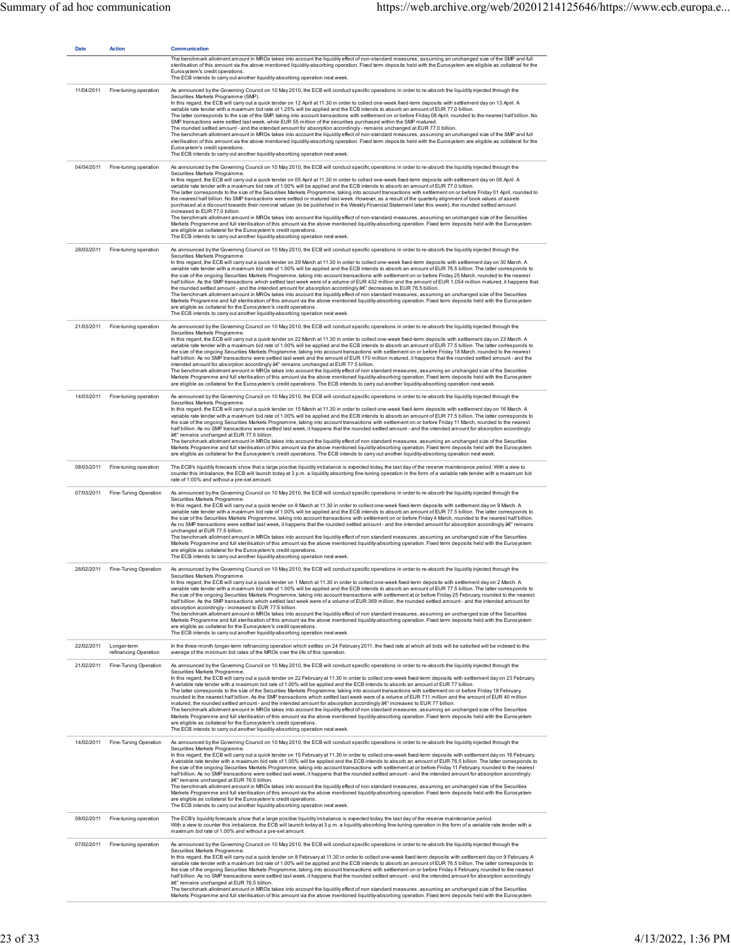| <b>Date</b> | <b>Action</b>                        | Communication<br>The benchmark allotment amount in MROs takes into account the liquidity effect of non-standard measures, assuming an unchanged size of the SMP and full<br>sterilisation of this amount via the above mentioned liquidity-absorbing operation. Fixed term deposits held with the Eurosystem are eligible as collateral for the<br>Eurosystem's credit operations.<br>The ECB intends to carry out another liquidity-absorbing operation next week.                                                                                                                                                                                                                                                                                                                                                                                                                                                                                                                                                                                                                                                                                                                                                                                                                                                                                                                                                                                                                                         |
|-------------|--------------------------------------|-------------------------------------------------------------------------------------------------------------------------------------------------------------------------------------------------------------------------------------------------------------------------------------------------------------------------------------------------------------------------------------------------------------------------------------------------------------------------------------------------------------------------------------------------------------------------------------------------------------------------------------------------------------------------------------------------------------------------------------------------------------------------------------------------------------------------------------------------------------------------------------------------------------------------------------------------------------------------------------------------------------------------------------------------------------------------------------------------------------------------------------------------------------------------------------------------------------------------------------------------------------------------------------------------------------------------------------------------------------------------------------------------------------------------------------------------------------------------------------------------------------|
| 11/04/2011  | Fine-tuning operation                | As announced by the Governing Council on 10 May 2010, the ECB will conduct specific operations in order to re-absorb the liquidity injected through the<br>Securities Markets Programme (SMP).<br>In this regard, the ECB will carry out a quick tender on 12 April at 11.30 in order to collect one-week fixed-term deposits with settlement day on 13 April. A<br>variable rate tender with a maximum bid rate of 1.25% will be applied and the ECB intends to absorb an amount of EUR 77.0 billion.<br>The latter corresponds to the size of the SMP, taking into account transactions with settlement on or before Friday 08 April, rounded to the nearest half billion. No<br>SMP transactions were settled last week, while EUR 55 million of the securities purchased within the SMP matured.<br>The rounded settled amount - and the intended amount for absorption accordingly - remains unchanged at EUR 77.0 billion.<br>The benchmark allotment amount in MROs takes into account the liquidity effect of non-standard measures, assuming an unchanged size of the SMP and full<br>sterilisation of this amount via the above mentioned liquidity-absorbing operation. Fixed term deposits held with the Eurosystem are eligible as collateral for the<br>Eurosystem's credit operations.<br>The ECB intends to carry out another liquidity-absorbing operation next week.                                                                                                                      |
| 04/04/2011  | Fine-tuning operation                | As announced by the Governing Council on 10 May 2010, the ECB will conduct specific operations in order to re-absorb the liquidity injected through the<br>Securities Markets Programme.<br>In this regard, the ECB will carry out a quick tender on 05 April at 11.30 in order to collect one-week fixed-term deposits with settlement day on 06 April. A<br>variable rate tender with a maximum bid rate of 1.00% will be applied and the ECB intends to absorb an amount of EUR 77.0 billion.<br>The latter corresponds to the size of the Securities Markets Programme, taking into account transactions with settlement on or before Friday 01 April, rounded to<br>the nearest half billion. No SMP transactions were settled or matured last week. However, as a result of the quarterly alignment of book values of assets<br>purchased at a discount towards their nominal values (to be published in the Weekly Financial Statement later this week), the rounded settled amount<br>increased to EUR 77.0 billion.<br>The benchmark allotment amount in MROs takes into account the liquidity effect of non-standard measures, assuming an unchanged size of the Securities<br>Markets Programme and full sterilisation of this amount via the above mentioned liquidity-absorbing operation. Fixed term deposits held with the Eurosystem<br>are eligible as collateral for the Eurosystem's credit operations.<br>The ECB intends to carry out another liquidity-absorbing operation next week. |
| 28/03/2011  | Fine-tuning operation                | As announced by the Governing Council on 10 May 2010, the ECB will conduct specific operations in order to re-absorb the liquidity injected through the<br>Securities Markets Programme.<br>In this regard, the ECB will carry out a quick tender on 29 March at 11.30 in order to collect one-week fixed-term deposits with settlement day on 30 March. A<br>variable rate tender with a maximum bid rate of 1.00% will be applied and the ECB intends to absorb an amount of EUR 76.5 billion. The latter corresponds to<br>the size of the ongoing Securities Markets Programme, taking into account transactions with settlement on or before Friday 25 March, rounded to the nearest<br>half billion. As the SMP transactions which settled last week were of a volume of EUR 432 million and the amount of EUR 1,054 million matured, it happens that<br>the rounded settled amount - and the intended amount for absorption accordingly â€" decreases to EUR 76.5 billion.<br>The benchmark allotment amount in MROs takes into account the liquidity effect of non standard measures, assuming an unchanged size of the Securities<br>Markets Programme and full sterilisation of this amount via the above mentioned liquidity-absorbing operation. Fixed term deposits held with the Eurosystem<br>are eligible as collateral for the Eurosystem's credit operations.<br>The ECB intends to carry out another liquidity-absorbing operation next week.                                            |
| 21/03/2011  | Fine-tuning operation                | As announced by the Governing Council on 10 May 2010, the ECB will conduct specific operations in order to re-absorb the liquidity injected through the<br>Securities Markets Programme.<br>In this regard, the ECB will carry out a quick tender on 22 March at 11.30 in order to collect one-week fixed-term deposits with settlement day on 23 March. A<br>variable rate tender with a maximum bid rate of 1.00% will be applied and the ECB intends to absorb an amount of EUR 77.5 billion. The latter corresponds to<br>the size of the ongoing Securities Markets Programme, taking into account transactions with settlement on or before Friday 18 March, rounded to the nearest<br>half billion. As no SMP transactions were settled last week and the amount of EUR 170 million matured, it happens that the rounded settled amount - and the<br>intended amount for absorption accordingly â€" remains unchanged at EUR 77.5 billion.<br>The benchmark allotment amount in MROs takes into account the liquidity effect of non standard measures, assuming an unchanged size of the Securities<br>Markets Programme and full sterilisation of this amount via the above mentioned liquidity-absorbing operation. Fixed term deposits held with the Eurosystem<br>are eligible as collateral for the Eurosystem's credit operations. The ECB intends to carry out another liquidity-absorbing operation next week.                                                                               |
| 14/03/2011  | Fine-tuning operation                | As announced by the Governing Council on 10 May 2010, the ECB will conduct specific operations in order to re-absorb the liquidity injected through the<br>Securities Markets Programme.<br>In this regard, the ECB will carry out a quick tender on 15 March at 11.30 in order to collect one-week fixed-term deposits with settlement day on 16 March. A<br>variable rate tender with a maximum bid rate of 1.00% will be applied and the ECB intends to absorb an amount of EUR 77.5 billion. The latter corresponds to<br>the size of the ongoing Securities Markets Programme, taking into account transactions with settlement on or before Friday 11 March, rounded to the nearest<br>half billion. As no SMP transactions were settled last week, it happens that the rounded settled amount - and the intended amount for absorption accordingly<br>â€" remains unchanged at EUR 77.5 billion.<br>The benchmark allotment amount in MROs takes into account the liquidity effect of non standard measures, assuming an unchanged size of the Securities<br>Markets Programme and full sterilisation of this amount via the above mentioned liquidity-absorbing operation. Fixed term deposits held with the Eurosystem<br>are eligible as collateral for the Eurosystem's credit operations. The ECB intends to carry out another liquidity-absorbing operation next week.                                                                                                                         |
| 08/03/2011  | Fine-tuning operation                | The ECB's liquidity forecasts show that a large positive liquidity imbalance is expected today, the last day of the reserve maintenance period. With a view to<br>counter this imbalance, the ECB will launch today at 3 p.m. a liquidity absorbing fine-tuning operation in the form of a variable rate tender with a maximum bid<br>rate of 1.00% and without a pre-set amount.                                                                                                                                                                                                                                                                                                                                                                                                                                                                                                                                                                                                                                                                                                                                                                                                                                                                                                                                                                                                                                                                                                                           |
| 07/03/2011  | Fine-Tuning Operation                | As announced by the Governing Council on 10 May 2010, the ECB will conduct specific operations in order to re-absorb the liquidity injected through the<br>Securities Markets Programme.<br>In this regard, the ECB will carry out a quick tender on 8 March at 11.30 in order to collect one-week fixed-term deposits with settlement day on 9 March. A<br>variable rate tender with a maximum bid rate of 1.00% will be applied and the ECB intends to absorb an amount of EUR 77.5 billion. The latter corresponds to<br>the size of the Securities Markets Programme, taking into account transactions with settlement on or before Friday 4 March, rounded to the nearest half billion.<br>As no SMP transactions were settled last week, it happens that the rounded settled amount - and the intended amount for absorption accordingly â€" remains<br>unchanged at EUR 77.5 billion.<br>The benchmark allotment amount in MROs takes into account the liquidity effect of non standard measures, assuming an unchanged size of the Securities<br>Markets Programme and full sterilisation of this amount via the above mentioned liquidity-absorbing operation. Fixed term deposits held with the Eurosystem<br>are eligible as collateral for the Eurosystem's credit operations.<br>The ECB intends to carry out another liquidity-absorbing operation next week.                                                                                                                                 |
| 28/02/2011  | Fine-Tuning Operation                | As announced by the Governing Council on 10 May 2010, the ECB will conduct specific operations in order to re-absorb the liquidity injected through the<br>Securities Markets Programme.<br>In this regard, the ECB will carry out a quick tender on 1 March at 11.30 in order to collect one-week fixed-term deposits with settlement day on 2 March. A<br>variable rate tender with a maximum bid rate of 1.00% will be applied and the ECB intends to absorb an amount of EUR 77.5 billion. The latter corresponds to<br>the size of the ongoing Securities Markets Programme, taking into account transactions with settlement at or before Friday 25 February, rounded to the nearest<br>half billion. As the SMP transactions which settled last week were of a volume of EUR 369 million, the rounded settled amount - and the intended amount for<br>absorption accordingly - increased to EUR 77.5 billion.<br>The benchmark allotment amount in MROs takes into account the liquidity effect of non standard measures, assuming an unchanged size of the Securities<br>Markets Programme and full sterilisation of this amount via the above mentioned liquidity-absorbing operation. Fixed term deposits held with the Eurosystem<br>are eligible as collateral for the Eurosystem's credit operations.<br>The ECB intends to carry out another liquidity-absorbing operation next week.                                                                                                         |
| 22/02/2011  | Longer-term<br>refinancing Operation | In the three-month longer-term refinancing operation which settles on 24 February 2011, the fixed rate at which all bids will be satisfied will be indexed to the<br>average of the minimum bid rates of the MROs over the life of this operation.                                                                                                                                                                                                                                                                                                                                                                                                                                                                                                                                                                                                                                                                                                                                                                                                                                                                                                                                                                                                                                                                                                                                                                                                                                                          |
| 21/02/2011  | Fine-Tuning Operation                | As announced by the Governing Council on 10 May 2010, the ECB will conduct specific operations in order to re-absorb the liquidity injected through the<br>Securities Markets Programme.<br>In this regard, the ECB will carry out a quick tender on 22 February at 11.30 in order to collect one-week fixed-term deposits with settlement day on 23 February.<br>A variable rate tender with a maximum bid rate of 1.00% will be applied and the ECB intends to absorb an amount of EUR 77 billion.<br>The latter corresponds to the size of the Securities Markets Programme, taking into account transactions with settlement on or before Friday 18 February,<br>rounded to the nearest half billion. As the SMP transactions which settled last week were of a volume of EUR 711 million and the amount of EUR 40 million<br>matured, the rounded settled amount - and the intended amount for absorption accordingly â€" increases to EUR 77 billion.<br>The benchmark allotment amount in MROs takes into account the liquidity effect of non standard measures, assuming an unchanged size of the Securities<br>Markets Programme and full sterilisation of this amount via the above mentioned liquidity-absorbing operation. Fixed term deposits held with the Eurosystem<br>are eligible as collateral for the Eurosystem's credit operations.<br>The ECB intends to carry out another liquidity-absorbing operation next week.                                                                  |
| 14/02/2011  | Fine-Tuning Operation                | As announced by the Governing Council on 10 May 2010, the ECB will conduct specific operations in order to re-absorb the liquidity injected through the<br>Securities Markets Programme.<br>In this regard, the ECB will carry out a quick tender on 15 February at 11.30 in order to collect one-week fixed-term deposits with settlement day on 16 February.<br>A variable rate tender with a maximum bid rate of 1.00% will be applied and the ECB intends to absorb an amount of EUR 76.5 billion. The latter corresponds to<br>the size of the ongoing Securities Markets Programme, taking into account transactions with settlement at or before Friday 11 February, rounded to the nearest<br>half billion. As no SMP transactions were settled last week, it happens that the rounded settled amount - and the intended amount for absorption accordingly<br>â€" remains unchanged at EUR 76.5 billion.<br>The benchmark allotment amount in MROs takes into account the liquidity effect of non standard measures, assuming an unchanged size of the Securities<br>Markets Programme and full sterilisation of this amount via the above mentioned liquidity-absorbing operation. Fixed term deposits held with the Eurosystem<br>are eligible as collateral for the Eurosystem's credit operations.<br>The ECB intends to carry out another liquidity-absorbing operation next week.                                                                                                             |
| 08/02/2011  | Fine-tuning operation                | The ECB's liquidity forecasts show that a large positive liquidity imbalance is expected today, the last day of the reserve maintenance period.<br>With a view to counter this imbalance, the ECB will launch today at 3 p.m. a liquidity absorbing fine-tuning operation in the form of a variable rate tender with a<br>maximum bid rate of 1.00% and without a pre-set amount.                                                                                                                                                                                                                                                                                                                                                                                                                                                                                                                                                                                                                                                                                                                                                                                                                                                                                                                                                                                                                                                                                                                           |
| 07/02/2011  | Fine-tuning operation                | As announced by the Governing Council on 10 May 2010, the ECB will conduct specific operations in order to re-absorb the liquidity injected through the<br>Securities Markets Programme.<br>In this regard, the ECB will carry out a quick tender on 8 February at 11.30 in order to collect one-week fixed-term deposits with settlement day on 9 February. A<br>variable rate tender with a maximum bid rate of 1.00% will be applied and the ECB intends to absorb an amount of EUR 76.5 billion. The latter corresponds to<br>the size of the ongoing Securities Markets Programme, taking into account transactions with settlement on or before Friday 4 February, rounded to the nearest<br>half billion. As no SMP transactions were settled last week, it happens that the rounded settled amount - and the intended amount for absorption accordingly<br>â€" remains unchanged at EUR 76.5 billion.<br>The benchmark allotment amount in MROs takes into account the liquidity effect of non standard measures, assuming an unchanged size of the Securities<br>Markets Programme and full sterilisation of this amount via the above mentioned liquidity-absorbing operation. Fixed term deposits held with the Eurosystem                                                                                                                                                                                                                                                                       |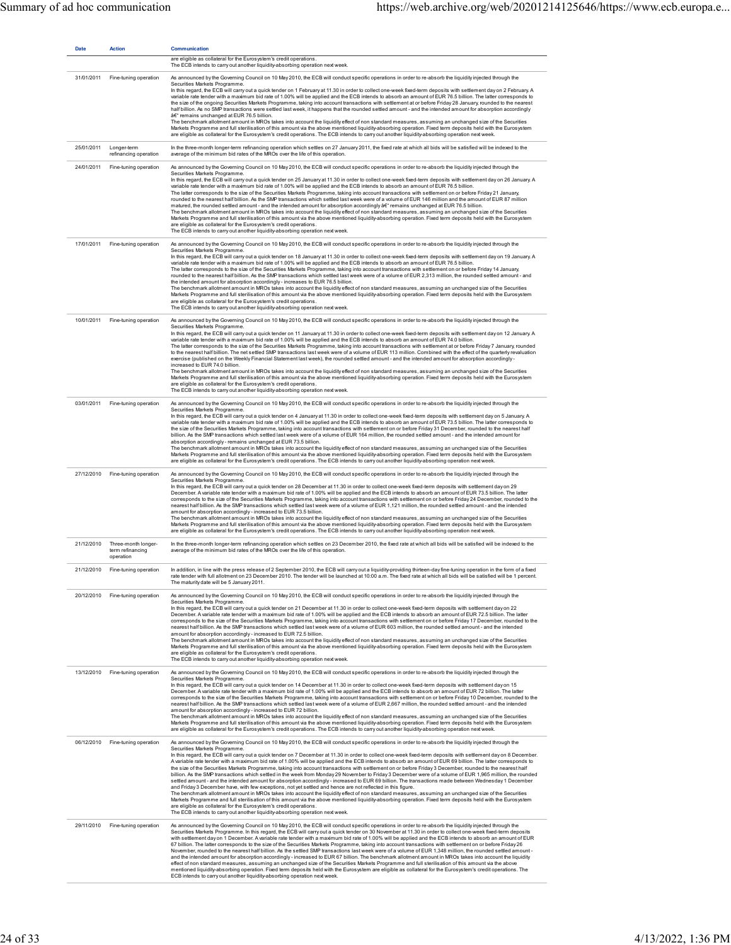| <b>Date</b> | <b>Action</b>                                        | <b>Communication</b><br>are eligible as collateral for the Eurosystem's credit operations.                                                                                                                                                                                                                                                                                                                                                                                                                                                                                                                                                                                                                                                                                                                                                                                                                                                                                                                                                                                                                                                                                                                                                                                                                                                                                                                                                                                                                                                                                                                       |
|-------------|------------------------------------------------------|------------------------------------------------------------------------------------------------------------------------------------------------------------------------------------------------------------------------------------------------------------------------------------------------------------------------------------------------------------------------------------------------------------------------------------------------------------------------------------------------------------------------------------------------------------------------------------------------------------------------------------------------------------------------------------------------------------------------------------------------------------------------------------------------------------------------------------------------------------------------------------------------------------------------------------------------------------------------------------------------------------------------------------------------------------------------------------------------------------------------------------------------------------------------------------------------------------------------------------------------------------------------------------------------------------------------------------------------------------------------------------------------------------------------------------------------------------------------------------------------------------------------------------------------------------------------------------------------------------------|
|             |                                                      | The ECB intends to carry out another liquidity-absorbing operation next week.                                                                                                                                                                                                                                                                                                                                                                                                                                                                                                                                                                                                                                                                                                                                                                                                                                                                                                                                                                                                                                                                                                                                                                                                                                                                                                                                                                                                                                                                                                                                    |
| 31/01/2011  | Fine-tuning operation                                | As announced by the Governing Council on 10 May 2010, the ECB will conduct specific operations in order to re-absorb the liquidity injected through the<br>Securities Markets Programme.<br>In this regard, the ECB will carry out a quick tender on 1 February at 11.30 in order to collect one-week fixed-term deposits with settlement day on 2 February. A<br>variable rate tender with a maximum bid rate of 1.00% will be applied and the ECB intends to absorb an amount of EUR 76.5 billion. The latter corresponds to<br>the size of the ongoing Securities Markets Programme, taking into account transactions with settlement at or before Friday 28 January, rounded to the nearest<br>half billion. As no SMP transactions were settled last week, it happens that the rounded settled amount - and the intended amount for absorption accordingly<br>â€" remains unchanged at EUR 76.5 billion.<br>The benchmark allotment amount in MROs takes into account the liquidity effect of non standard measures, assuming an unchanged size of the Securities<br>Markets Programme and full sterilisation of this amount via the above mentioned liquidity-absorbing operation. Fixed term deposits held with the Eurosystem<br>are eligible as collateral for the Eurosystem's credit operations. The ECB intends to carry out another liquidity-absorbing operation next week.                                                                                                                                                                                                                        |
| 25/01/2011  | Longer-term<br>refinancing operation                 | In the three-month longer-term refinancing operation which settles on 27 January 2011, the fixed rate at which all bids will be satisfied will be indexed to the<br>average of the minimum bid rates of the MROs over the life of this operation.                                                                                                                                                                                                                                                                                                                                                                                                                                                                                                                                                                                                                                                                                                                                                                                                                                                                                                                                                                                                                                                                                                                                                                                                                                                                                                                                                                |
| 24/01/2011  | Fine-tuning operation                                | As announced by the Governing Council on 10 May 2010, the ECB will conduct specific operations in order to re-absorb the liquidity injected through the<br>Securities Markets Programme.<br>In this regard, the ECB will carry out a quick tender on 25 January at 11.30 in order to collect one-week fixed-term deposits with settlement day on 26 January. A<br>variable rate tender with a maximum bid rate of 1.00% will be applied and the ECB intends to absorb an amount of EUR 76.5 billion.<br>The latter corresponds to the size of the Securities Markets Programme, taking into account transactions with settlement on or before Friday 21 January,<br>rounded to the nearest half billion. As the SMP transactions which settled last week were of a volume of EUR 146 million and the amount of EUR 87 million<br>matured, the rounded settled amount - and the intended amount for absorption accordingly â€" remains unchanged at EUR 76.5 billion.<br>The benchmark allotment amount in MROs takes into account the liquidity effect of non standard measures, assuming an unchanged size of the Securities<br>Markets Programme and full sterilisation of this amount via the above mentioned liquidity-absorbing operation. Fixed term deposits held with the Eurosystem<br>are eligible as collateral for the Eurosystem's credit operations.<br>The ECB intends to carry out another liquidity-absorbing operation next week.                                                                                                                                                              |
| 17/01/2011  | Fine-tuning operation                                | As announced by the Governing Council on 10 May 2010, the ECB will conduct specific operations in order to re-absorb the liquidity injected through the<br>Securities Markets Programme.<br>In this regard, the ECB will carry out a quick tender on 18 January at 11.30 in order to collect one-week fixed-term deposits with settlement day on 19 January. A<br>variable rate tender with a maximum bid rate of 1.00% will be applied and the ECB intends to absorb an amount of EUR 76.5 billion.<br>The latter corresponds to the size of the Securities Markets Programme, taking into account transactions with settlement on or before Friday 14 January,<br>rounded to the nearest half billion. As the SMP transactions which settled last week were of a volume of EUR 2,313 million, the rounded settled amount - and<br>the intended amount for absorption accordingly-increases to EUR 76.5 billion.<br>The benchmark allotment amount in MROs takes into account the liquidity effect of non standard measures, assuming an unchanged size of the Securities<br>Markets Programme and full sterilisation of this amount via the above mentioned liquidity-absorbing operation. Fixed term deposits held with the Eurosystem<br>are eligible as collateral for the Eurosystem's credit operations.<br>The ECB intends to carry out another liquidity-absorbing operation next week.                                                                                                                                                                                                                 |
| 10/01/2011  | Fine-tuning operation                                | As announced by the Governing Council on 10 May 2010, the ECB will conduct specific operations in order to re-absorb the liquidity injected through the<br>Securities Markets Programme.<br>In this regard, the ECB will carry out a quick tender on 11 January at 11.30 in order to collect one-week fixed-term deposits with settlement day on 12 January. A<br>variable rate tender with a maximum bid rate of 1.00% will be applied and the ECB intends to absorb an amount of EUR 74.0 billion.<br>The latter corresponds to the size of the Securities Markets Programme, taking into account transactions with settlement at or before Friday 7 January, rounded<br>to the nearest half billion. The net settled SMP transactions last week were of a volume of EUR 113 million. Combined with the effect of the quarterly revaluation<br>exercise (published on the Weekly Financial Statement last week), the rounded settled amount - and the intended amount for absorption accordingly -<br>increased to EUR 74.0 billion.<br>The benchmark allotment amount in MROs takes into account the liquidity effect of non standard measures, assuming an unchanged size of the Securities<br>Markets Programme and full sterilisation of this amount via the above mentioned liquidity-absorbing operation. Fixed term deposits held with the Eurosystem<br>are eligible as collateral for the Eurosystem's credit operations.<br>The ECB intends to carry out another liquidity-absorbing operation next week.                                                                                            |
| 03/01/2011  | Fine-tuning operation                                | As announced by the Governing Council on 10 May 2010, the ECB will conduct specific operations in order to re-absorb the liquidity injected through the<br>Securities Markets Programme.<br>In this regard, the ECB will carry out a quick tender on 4 January at 11.30 in order to collect one-week fixed-term deposits with settlement day on 5 January. A<br>variable rate tender with a maximum bid rate of 1.00% will be applied and the ECB intends to absorb an amount of EUR 73.5 billion. The latter corresponds to<br>the size of the Securities Markets Programme, taking into account transactions with settlement on or before Friday 31 December, rounded to the nearest half<br>billion. As the SMP transactions which settled last week were of a volume of EUR 164 million, the rounded settled amount - and the intended amount for<br>absorption accordingly-remains unchanged at EUR 73.5 billion.<br>The benchmark allotment amount in MROs takes into account the liquidity effect of non standard measures, assuming an unchanged size of the Securities<br>Markets Programme and full sterilisation of this amount via the above mentioned liquidity-absorbing operation. Fixed term deposits held with the Eurosystem<br>are eligible as collateral for the Eurosystem's credit operations. The ECB intends to carry out another liquidity-absorbing operation next week.                                                                                                                                                                                                               |
| 27/12/2010  | Fine-tuning operation                                | As announced by the Governing Council on 10 May 2010, the ECB will conduct specific operations in order to re-absorb the liquidity injected through the<br>Securities Markets Programme.<br>In this regard, the ECB will carry out a quick tender on 28 December at 11.30 in order to collect one-week fixed-term deposits with settlement day on 29<br>December. A variable rate tender with a maximum bid rate of 1.00% will be applied and the ECB intends to absorb an amount of EUR 73.5 billion. The latter<br>corresponds to the size of the Securities Markets Programme, taking into account transactions with settlement on or before Friday 24 December, rounded to the<br>nearest half billion. As the SMP transactions which settled last week were of a volume of EUR 1,121 million, the rounded settled amount - and the intended<br>amount for absorption accordingly - increased to EUR 73.5 billion.<br>The benchmark allotment amount in MROs takes into account the liquidity effect of non standard measures, assuming an unchanged size of the Securities<br>Markets Programme and full sterilisation of this amount via the above mentioned liquidity-absorbing operation. Fixed term deposits held with the Eurosystem<br>are eligible as collateral for the Eurosystem's credit operations. The ECB intends to carry out another liquidity-absorbing operation next week.                                                                                                                                                                                                               |
| 21/12/2010  | Three-month longer-<br>term refinancing<br>operation | In the three-month longer-term refinancing operation which settles on 23 December 2010, the fixed rate at which all bids will be satisfied will be indexed to the<br>average of the minimum bid rates of the MROs over the life of this operation.                                                                                                                                                                                                                                                                                                                                                                                                                                                                                                                                                                                                                                                                                                                                                                                                                                                                                                                                                                                                                                                                                                                                                                                                                                                                                                                                                               |
| 21/12/2010  | Fine-tuning operation                                | In addition, in line with the press release of 2 September 2010, the ECB will carry out a liquidity-providing thirteen-day fine-tuning operation in the form of a fixed<br>rate tender with full allotment on 23 December 2010. The tender will be launched at 10:00 a.m. The fixed rate at which all bids will be satisfied will be 1 percent.<br>The maturity date will be 5 January 2011.                                                                                                                                                                                                                                                                                                                                                                                                                                                                                                                                                                                                                                                                                                                                                                                                                                                                                                                                                                                                                                                                                                                                                                                                                     |
| 20/12/2010  | Fine-tuning operation                                | As announced by the Governing Council on 10 May 2010, the ECB will conduct specific operations in order to re-absorb the liquidity injected through the<br>Securities Markets Programme.<br>In this regard, the ECB will carry out a quick tender on 21 December at 11.30 in order to collect one-week fixed-term deposits with settlement day on 22<br>December. A variable rate tender with a maximum bid rate of 1.00% will be applied and the ECB intends to absorb an amount of EUR 72.5 billion. The latter<br>corresponds to the size of the Securities Markets Programme, taking into account transactions with settlement on or before Friday 17 December, rounded to the<br>nearest half billion. As the SMP transactions which settled last week were of a volume of EUR 603 million, the rounded settled amount - and the intended<br>amount for absorption accordingly - increased to EUR 72.5 billion.<br>The benchmark allotment amount in MROs takes into account the liquidity effect of non standard measures, assuming an unchanged size of the Securities<br>Markets Programme and full sterilisation of this amount via the above mentioned liquidity-absorbing operation. Fixed term deposits held with the Eurosystem<br>are eligible as collateral for the Eurosystem's credit operations.<br>The ECB intends to carry out another liquidity-absorbing operation next week.                                                                                                                                                                                                              |
|             | 13/12/2010 Fine-tuning operation                     | As announced by the Governing Council on 10 May 2010, the ECB will conduct specific operations in order to re-absorb the liquidity injected through the<br>Securities Markets Programme.<br>In this regard, the ECB will carry out a quick tender on 14 December at 11.30 in order to collect one-week fixed-term deposits with settlement day on 15<br>December. A variable rate tender with a maximum bid rate of 1.00% will be applied and the ECB intends to absorb an amount of EUR 72 billion. The latter<br>corresponds to the size of the Securities Markets Programme, taking into account transactions with settlement on or before Friday 10 December, rounded to the<br>nearest half billion. As the SMP transactions which settled last week were of a volume of EUR 2,667 million, the rounded settled amount - and the intended<br>amount for absorption accordingly - increased to EUR 72 billion.<br>The benchmark allotment amount in MROs takes into account the liquidity effect of non standard measures, assuming an unchanged size of the Securities<br>Markets Programme and full sterilisation of this amount via the above mentioned liquidity-absorbing operation. Fixed term deposits held with the Eurosystem<br>are eligible as collateral for the Eurosystem's credit operations. The ECB intends to carry out another liquidity-absorbing operation next week.                                                                                                                                                                                                                   |
| 06/12/2010  | Fine-tuning operation                                | As announced by the Governing Council on 10 May 2010, the ECB will conduct specific operations in order to re-absorb the liquidity injected through the<br>Securities Markets Programme.<br>In this regard, the ECB will carry out a quick tender on 7 December at 11.30 in order to collect one-week fixed-term deposits with settlement day on 8 December.<br>A variable rate tender with a maximum bid rate of 1.00% will be applied and the ECB intends to absorb an amount of EUR 69 billion. The latter corresponds to<br>the size of the Securities Markets Programme, taking into account transactions with settlement on or before Friday 3 December, rounded to the nearest half<br>billion. As the SMP transactions which settled in the week from Monday 29 November to Friday 3 December were of a volume of EUR 1,965 million, the rounded<br>settled amount - and the intended amount for absorption accordingly - increased to EUR 69 billion. The transactions made between Wednesday 1 December<br>and Friday 3 December have, with few exceptions, not yet settled and hence are not reflected in this figure.<br>The benchmark allotment amount in MROs takes into account the liquidity effect of non standard measures, assuming an unchanged size of the Securities<br>Markets Programme and full sterilisation of this amount via the above mentioned liquidity-absorbing operation. Fixed term deposits held with the Eurosystem<br>are eligible as collateral for the Eurosystem's credit operations.<br>The ECB intends to carry out another liquidity-absorbing operation next week. |
| 29/11/2010  | Fine-tuning operation                                | As announced by the Governing Council on 10 May 2010, the ECB will conduct specific operations in order to re-absorb the liquidity injected through the<br>Securities Markets Programme. In this regard, the ECB will carry out a quick tender on 30 November at 11.30 in order to collect one-week fixed-term deposits<br>with settlement day on 1 December. A variable rate tender with a maximum bid rate of 1.00% will be applied and the ECB intends to absorb an amount of EUR<br>67 billion. The latter corresponds to the size of the Securities Markets Programme, taking into account transactions with settlement on or before Friday 26<br>November, rounded to the nearest half billion. As the settled SMP transactions last week were of a volume of EUR 1,348 million, the rounded settled amount-<br>and the intended amount for absorption accordingly-increased to EUR 67 billion. The benchmark allotment amount in MROs takes into account the liquidity<br>effect of non standard measures, assuming an unchanged size of the Securities Markets Programme and full sterilisation of this amount via the above<br>mentioned liquidity-absorbing operation. Fixed term deposits held with the Eurosystem are eligible as collateral for the Eurosystem's credit operations. The<br>ECB intends to carry out another liquidity-absorbing operation next week.                                                                                                                                                                                                                                |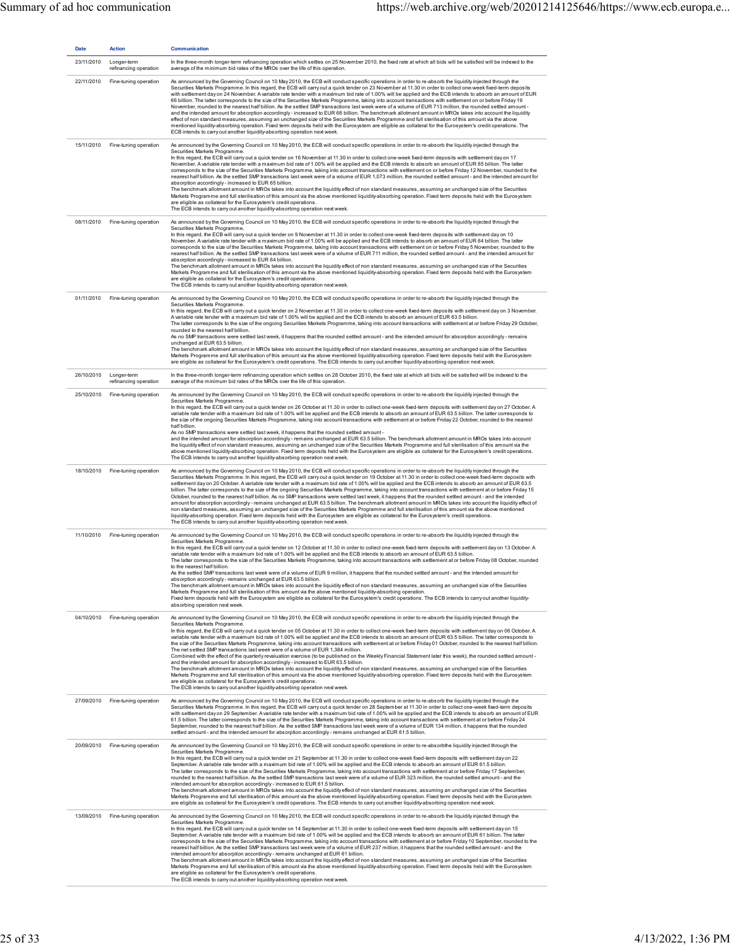| <b>Date</b> | <b>Action</b>                                   | <b>Communication</b>                                                                                                                                                                                                                                                                                                                                                                                                                                                                                                                                                                                                                                                                                                                                                                                                                                                                                                                                                                                                                                                                                                                                                                                                                                                                                                                                                                                                                                                                                                               |
|-------------|-------------------------------------------------|------------------------------------------------------------------------------------------------------------------------------------------------------------------------------------------------------------------------------------------------------------------------------------------------------------------------------------------------------------------------------------------------------------------------------------------------------------------------------------------------------------------------------------------------------------------------------------------------------------------------------------------------------------------------------------------------------------------------------------------------------------------------------------------------------------------------------------------------------------------------------------------------------------------------------------------------------------------------------------------------------------------------------------------------------------------------------------------------------------------------------------------------------------------------------------------------------------------------------------------------------------------------------------------------------------------------------------------------------------------------------------------------------------------------------------------------------------------------------------------------------------------------------------|
| 23/11/2010  | Longer-term<br>refinancing operation            | In the three-month longer-term refinancing operation which settles on 25 November 2010, the fixed rate at which all bids will be satisfied will be indexed to the<br>average of the minimum bid rates of the MROs over the life of this operation.                                                                                                                                                                                                                                                                                                                                                                                                                                                                                                                                                                                                                                                                                                                                                                                                                                                                                                                                                                                                                                                                                                                                                                                                                                                                                 |
| 22/11/2010  | Fine-tuning operation                           | As announced by the Governing Council on 10 May 2010, the ECB will conduct specific operations in order to re-absorb the liquidity injected through the<br>Securities Markets Programme. In this regard, the ECB will carry out a quick tender on 23 November at 11.30 in order to collect one-week fixed-term deposits<br>with settlement day on 24 November. A variable rate tender with a maximum bid rate of 1.00% will be applied and the ECB intends to absorb an amount of EUR<br>66 billion. The latter corresponds to the size of the Securities Markets Programme, taking into account transactions with settlement on or before Friday 19<br>November, rounded to the nearest half billion. As the settled SMP transactions last week were of a volume of EUR 713 million, the rounded settled amount-<br>and the intended amount for absorption accordingly-increased to EUR 66 billion. The benchmark allotment amount in MROs takes into account the liquidity<br>effect of non standard measures, assuming an unchanged size of the Securities Markets Programme and full sterilisation of this amount via the above<br>mentioned liquidity-absorbing operation. Fixed term deposits held with the Eurosystem are eligible as collateral for the Eurosystem's credit operations. The<br>ECB intends to carry out another liquidity-absorbing operation next week.                                                                                                                                                   |
| 15/11/2010  | Fine-tuning operation                           | As announced by the Governing Council on 10 May 2010, the ECB will conduct specific operations in order to re-absorb the liquidity injected through the<br>Securities Markets Programme.<br>In this regard, the ECB will carry out a quick tender on 16 November at 11.30 in order to collect one-week fixed-term deposits with settlement day on 17<br>November. A variable rate tender with a maximum bid rate of 1.00% will be applied and the ECB intends to absorb an amount of EUR 65 billion. The latter<br>corresponds to the size of the Securities Markets Programme, taking into account transactions with settlement on or before Friday 12 November, rounded to the<br>nearest half billion. As the settled SMP transactions last week were of a volume of EUR 1,073 million, the rounded settled amount - and the intended amount for<br>absorption accordingly-increased to EUR 65 billion.<br>The benchmark allotment amount in MROs takes into account the liquidity effect of non standard measures, assuming an unchanged size of the Securities<br>Markets Programme and full sterilisation of this amount via the above mentioned liquidity-absorbing operation. Fixed term deposits held with the Eurosystem<br>are eligible as collateral for the Eurosystem's credit operations.<br>The ECB intends to carry out another liquidity-absorbing operation next week.                                                                                                                                          |
| 08/11/2010  | Fine-tuning operation                           | As announced by the Governing Council on 10 May 2010, the ECB will conduct specific operations in order to re-absorb the liquidity injected through the<br>Securities Markets Programme.<br>In this regard, the ECB will carry out a quick tender on 9 November at 11.30 in order to collect one-week fixed-term deposits with settlement day on 10<br>November. A variable rate tender with a maximum bid rate of 1.00% will be applied and the ECB intends to absorb an amount of EUR 64 billion. The latter<br>corresponds to the size of the Securities Markets Programme, taking into account transactions with settlement on or before Friday 5 November, rounded to the<br>nearest half billion. As the settled SMP transactions last week were of a volume of EUR 711 million, the rounded settled amount - and the intended amount for<br>absorption accordingly-increased to EUR 64 billion.<br>The benchmark allotment amount in MROs takes into account the liquidity effect of non standard measures, assuming an unchanged size of the Securities<br>Markets Programme and full sterilisation of this amount via the above mentioned liquidity-absorbing operation. Fixed term deposits held with the Eurosystem<br>are eligible as collateral for the Eurosystem's credit operations.<br>The ECB intends to carry out another liquidity-absorbing operation next week.                                                                                                                                              |
| 01/11/2010  | Fine-tuning operation                           | As announced by the Governing Council on 10 May 2010, the ECB will conduct specific operations in order to re-absorb the liquidity injected through the<br>Securities Markets Programme.<br>In this regard, the ECB will carry out a quick tender on 2 November at 11.30 in order to collect one-week fixed-term deposits with settlement day on 3 November.<br>A variable rate tender with a maximum bid rate of 1.00% will be applied and the ECB intends to absorb an amount of EUR 63.5 billion.<br>The latter corresponds to the size of the ongoing Securities Markets Programme, taking into account transactions with settlement at or before Friday 29 October,<br>rounded to the nearest half billion.<br>As no SMP transactions were settled last week, it happens that the rounded settled amount - and the intended amount for absorption accordingly - remains<br>unchanged at EUR 63.5 billion.<br>The benchmark allotment amount in MROs takes into account the liquidity effect of non standard measures, assuming an unchanged size of the Securities<br>Markets Programme and full sterilisation of this amount via the above mentioned liquidity-absorbing operation. Fixed term deposits held with the Eurosystem<br>are eligible as collateral for the Eurosystem's credit operations. The ECB intends to carry out another liquidity-absorbing operation next week.                                                                                                                                         |
|             | 26/10/2010 Longer-term<br>refinancing operation | In the three-month longer-term refinancing operation which settles on 28 October 2010, the fixed rate at which all bids will be satisfied will be indexed to the<br>average of the minimum bid rates of the MROs over the life of this operation.                                                                                                                                                                                                                                                                                                                                                                                                                                                                                                                                                                                                                                                                                                                                                                                                                                                                                                                                                                                                                                                                                                                                                                                                                                                                                  |
| 25/10/2010  | Fine-tuning operation                           | As announced by the Governing Council on 10 May 2010, the ECB will conduct specific operations in order to re-absorb the liquidity injected through the<br>Securities Markets Programme.<br>In this regard, the ECB will carry out a quick tender on 26 October at 11.30 in order to collect one-week fixed-term deposits with settlement day on 27 October. A<br>variable rate tender with a maximum bid rate of 1.00% will be applied and the ECB intends to absorb an amount of EUR 63.5 billion. The latter corresponds to<br>the size of the ongoing Securities Markets Programme, taking into account transactions with settlement at or before Friday 22 October, rounded to the nearest<br>half billion.<br>As no SMP transactions were settled last week, it happens that the rounded settled amount -<br>and the intended amount for absorption accordingly-remains unchanged at EUR 63.5 billion. The benchmark allotment amount in MROs takes into account<br>the liquidity effect of non standard measures, assuming an unchanged size of the Securities Markets Programme and full sterilisation of this amount via the<br>above mentioned liquidity-absorbing operation. Fixed term deposits held with the Eurosystem are eligible as collateral for the Eurosystem's credit operations.<br>The ECB intends to carry out another liquidity-absorbing operation next week.                                                                                                                                           |
|             | 18/10/2010 Fine-tuning operation                | As announced by the Governing Council on 10 May 2010, the ECB will conduct specific operations in order to re-absorb the liquidity injected through the<br>Securities Markets Programme. In this regard, the ECB will carry out a quick tender on 19 October at 11.30 in order to collect one-week fixed-term deposits with<br>settlement day on 20 October. A variable rate tender with a maximum bid rate of 1.00% will be applied and the ECB intends to absorb an amount of EUR 63.5<br>billion. The latter corresponds to the size of the ongoing Securities Markets Programme, taking into account transactions with settlement at or before Friday 15<br>October, rounded to the nearest half billion. As no SMP transactions were settled last week, it happens that the rounded settled amount - and the intended<br>amount for absorption accordingly - remains unchanged at EUR 63.5 billion. The benchmark allotment amount in MROs takes into account the liquidity effect of<br>non standard measures, assuming an unchanged size of the Securities Markets Programme and full sterilisation of this amount via the above mentioned<br>liquidity-absorbing operation. Fixed term deposits held with the Eurosystem are eligible as collateral for the Eurosystem's credit operations.<br>The ECB intends to carry out another liquidity-absorbing operation next week.                                                                                                                                               |
| 11/10/2010  | Fine-tuning operation                           | As announced by the Governing Council on 10 May 2010, the ECB will conduct specific operations in order to re-absorb the liquidity injected through the<br>Securities Markets Programme.<br>In this regard, the ECB will carry out a quick tender on 12 October at 11.30 in order to collect one-week fixed-term deposits with settlement day on 13 October. A<br>variable rate tender with a maximum bid rate of 1.00% will be applied and the ECB intends to absorb an amount of EUR 63.5 billion.<br>The latter corresponds to the size of the Securities Markets Programme, taking into account transactions with settlement at or before Friday 08 October, rounded<br>to the nearest half billion.<br>As the settled SMP transactions last week were of a volume of EUR 9 million, it hap<br>pens mat the rounded settled amount - and the intended amount for<br>absorption accordingly - remains unchanged at EUR 63.5 billion.<br>The benchmark allotment amount in MROs takes into account the liquidity effect of non standard measures, assuming an unchanged size of the Securities<br>Markets Programme and full sterilisation of this amount via the above mentioned liquidity-absorbing operation.<br>Fixed term deposits held with the Eurosystem are eligible as collateral for the Eurosystem's credit operations. The ECB intends to carry out another liquidity-<br>absorbing operation next week.                                                                                                            |
| 04/10/2010  | Fine-tuning operation                           | As announced by the Governing Council on 10 May 2010, the ECB will conduct specific operations in order to re-absorb the liquidity injected through the<br>Securities Markets Programme.<br>In this regard, the ECB will carry out a quick tender on 05 October at 11.30 in order to collect one-week fixed-term deposits with settlement day on 06 October. A<br>variable rate tender with a maximum bid rate of 1.00% will be applied and the ECB intends to absorb an amount of EUR 63.5 billion. The latter corresponds to<br>the size of the Securities Markets Programme, taking into account transactions with settlement at or before Friday 01 October, rounded to the nearest half billion.<br>The net settled SMP transactions last week were of a volume of EUR 1,384 million.<br>Combined with the effect of the quarterly revaluation exercise (to be published on the Weekly Financial Statement later this week), the rounded settled amount -<br>and the intended amount for absorption accordingly-increased to EUR 63.5 billion.<br>The benchmark allotment amount in MROs takes into account the liquidity effect of non standard measures, assuming an unchanged size of the Securities<br>Markets Programme and full sterilisation of this amount via the above mentioned liquidity-absorbing operation. Fixed term deposits held with the Eurosystem<br>are eligible as collateral for the Eurosystem's credit operations.<br>The ECB intends to carry out another liquidity-absorbing operation next week. |
| 27/09/2010  | Fine-tuning operation                           | As announced by the Governing Council on 10 May 2010, the ECB will conduct specific operations in order to re-absorb the liquidity injected through the<br>Securities Markets Programme. In this regard, the ECB will carry out a quick tender on 28 September at 11.30 in order to collect one-week fixed-term deposits<br>with settlement day on 29 September. A variable rate tender with a maximum bid rate of 1.00% will be applied and the ECB intends to absorb an amount of EUR<br>61.5 billion. The latter corresponds to the size of the Securities Markets Programme, taking into account transactions with settlement at or before Friday 24<br>September, rounded to the nearest half billion. As the settled SMP transactions last week were of a volume of EUR 134 million, it happens that the rounded<br>settled amount - and the intended amount for absorption accordingly - remains unchanged at EUR 61.5 billion.                                                                                                                                                                                                                                                                                                                                                                                                                                                                                                                                                                                             |
| 20/09/2010  | Fine-tuning operation                           | As announced by the Governing Council on 10 May 2010, the ECB will conduct specific operations in order to re-absorbthe liquidity injected through the<br>Securities Markets Programme.<br>In this regard, the ECB will carry out a quick tender on 21 September at 11.30 in order to collect one-week fixed-term deposits with settlement day on 22<br>September. A variable rate tender with a maximum bid rate of 1.00% will be applied and the ECB intends to absorb an amount of EUR 61.5 billion.<br>The latter corresponds to the size of the Securities Markets Programme, taking into account transactions with settlement at or before Friday 17 September,<br>rounded to the nearest half billion. As the settled SMP transactions last week were of a volume of EUR 323 million, the rounded settled amount - and the<br>intended amount for absorption accordingly - increased to EUR 61.5 billion.<br>The benchmark allotment amount in MROs takes into account the liquidity effect of non standard measures, assuming an unchanged size of the Securities<br>Markets Programme and full sterilisation of this amount via the above mentioned liquidity-absorbing operation. Fixed term deposits held with the Eurosystem<br>are eligible as collateral for the Eurosystem's credit operations. The ECB intends to carry out another liquidity-absorbing operation next week.                                                                                                                                       |
| 13/09/2010  | Fine-tuning operation                           | As announced by the Governing Council on 10 May 2010, the ECB will conduct specific operations in order to re-absorb the liquidity injected through the<br>Securities Markets Programme.<br>In this regard, the ECB will carry out a quick tender on 14 September at 11.30 in order to collect one-week fixed-term deposits with settlement day on 15<br>September. A variable rate tender with a maximum bid rate of 1.00% will be applied and the ECB intends to absorb an amount of EUR 61 billion. The latter<br>corresponds to the size of the Securities Markets Programme, taking into account transactions with settlement at or before Friday 10 September, rounded to the<br>nearest half billion. As the settled SMP transactions last week were of a volume of EUR 237 million, it happens that the rounded settled amount - and the<br>intended amount for absorption accordingly - remains unchanged at EUR 61 billion.<br>The benchmark allotment amount in MROs takes into account the liquidity effect of non standard measures, assuming an unchanged size of the Securities<br>Markets Programme and full sterilisation of this amount via the above mentioned liquidity-absorbing operation. Fixed term deposits held with the Eurosystem<br>are eligible as collateral for the Eurosystem's credit operations.<br>The ECB intends to carry out another liquidity-absorbing operation next week.                                                                                                               |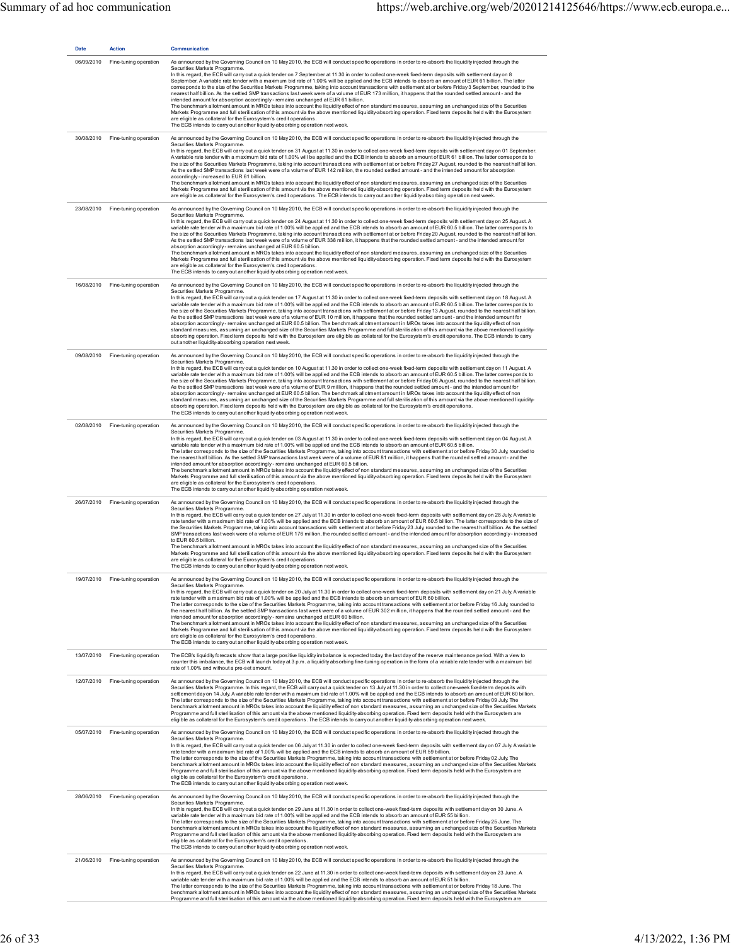| <b>Date</b> | <b>Action</b>                    | <b>Communication</b>                                                                                                                                                                                                                                                                                                                                                                                                                                                                                                                                                                                                                                                                                                                                                                                                                                                                                                                                                                                                                                                                                                                                                                                                                                                                                                                                                                                              |
|-------------|----------------------------------|-------------------------------------------------------------------------------------------------------------------------------------------------------------------------------------------------------------------------------------------------------------------------------------------------------------------------------------------------------------------------------------------------------------------------------------------------------------------------------------------------------------------------------------------------------------------------------------------------------------------------------------------------------------------------------------------------------------------------------------------------------------------------------------------------------------------------------------------------------------------------------------------------------------------------------------------------------------------------------------------------------------------------------------------------------------------------------------------------------------------------------------------------------------------------------------------------------------------------------------------------------------------------------------------------------------------------------------------------------------------------------------------------------------------|
| 06/09/2010  | Fine-tuning operation            | As announced by the Governing Council on 10 May 2010, the ECB will conduct specific operations in order to re-absorb the liquidity injected through the<br>Securities Markets Programme.<br>In this regard, the ECB will carry out a quick tender on 7 September at 11.30 in order to collect one-week fixed-term deposits with settlement day on 8<br>September. A variable rate tender with a maximum bid rate of 1.00% will be applied and the ECB intends to absorb an amount of EUR 61 billion. The latter<br>corresponds to the size of the Securities Markets Programme, taking into account transactions with settlement at or before Friday 3 September, rounded to the<br>nearest half billion. As the settled SMP transactions last week were of a volume of EUR 173 million, it happens that the rounded settled amount - and the<br>intended amount for absorption accordingly - remains unchanged at EUR 61 billion.<br>The benchmark allotment amount in MROs takes into account the liquidity effect of non standard measures, assuming an unchanged size of the Securities<br>Markets Programme and full sterilisation of this amount via the above mentioned liquidity-absorbing operation. Fixed term deposits held with the Eurosystem<br>are eligible as collateral for the Eurosystem's credit operations.<br>The ECB intends to carry out another liquidity-absorbing operation next week. |
| 30/08/2010  | Fine-tuning operation            | As announced by the Governing Council on 10 May 2010, the ECB will conduct specific operations in order to re-absorb the liquidity injected through the<br>Securities Markets Programme.<br>In this regard, the ECB will carry out a quick tender on 31 August at 11.30 in order to collect one-week fixed-term deposits with settlement day on 01 September.<br>A variable rate tender with a maximum bid rate of 1.00% will be applied and the ECB intends to absorb an amount of EUR 61 billion. The latter corresponds to<br>the size of the Securities Markets Programme, taking into account transactions with settlement at or before Friday 27 August, rounded to the nearest half billion.<br>As the settled SMP transactions last week were of a volume of EUR 142 million, the rounded settled amount - and the intended amount for absorption<br>accordingly - increased to EUR 61 billion.<br>The benchmark allotment amount in MROs takes into account the liquidity effect of non standard measures, assuming an unchanged size of the Securities<br>Markets Programme and full sterilisation of this amount via the above mentioned liquidity-absorbing operation. Fixed term deposits held with the Eurosystem<br>are eligible as collateral for the Eurosystem's credit operations. The ECB intends to carry out another liquidity-absorbing operation next week.                               |
| 23/08/2010  | Fine-tuning operation            | As announced by the Governing Council on 10 May 2010, the ECB will conduct specific operations in order to re-absorb the liquidity injected through the<br>Securities Markets Programme.<br>In this regard, the ECB will carry out a quick tender on 24 August at 11.30 in order to collect one-week fixed-term deposits with settlement day on 25 August. A<br>variable rate tender with a maximum bid rate of 1.00% will be applied and the ECB intends to absorb an amount of EUR 60.5 billion. The latter corresponds to<br>the size of the Securities Markets Programme, taking into account transactions with settlement at or before Friday 20 August, rounded to the nearest half billion.<br>As the settled SMP transactions last week were of a volume of EUR 338 million, it happens that the rounded settled amount - and the intended amount for<br>absorption accordingly-remains unchanged at EUR 60.5 billion.<br>The benchmark allotment amount in MROs takes into account the liquidity effect of non standard measures, assuming an unchanged size of the Securities<br>Markets Programme and full sterilisation of this amount via the above mentioned liquidity-absorbing operation. Fixed term deposits held with the Eurosystem<br>are eligible as collateral for the Eurosystem's credit operations.<br>The ECB intends to carry out another liquidity-absorbing operation next week.     |
| 16/08/2010  | Fine-tuning operation            | As announced by the Governing Council on 10 May 2010, the ECB will conduct specific operations in order to re-absorb the liquidity injected through the<br>Securities Markets Programme.<br>In this regard, the ECB will carry out a quick tender on 17 August at 11.30 in order to collect one-week fixed-term deposits with settlement day on 18 August. A<br>variable rate tender with a maximum bid rate of 1.00% will be applied and the ECB intends to absorb an amount of EUR 60.5 billion. The latter corresponds to<br>the size of the Securities Markets Programme, taking into account transactions with settlement at or before Friday 13 August, rounded to the nearest half billion.<br>As the settled SMP transactions last week were of a volume of EUR 10 million, it happens that the rounded settled amount - and the intended amount for<br>absorption accordingly-remains unchanged at EUR 60.5 billion. The benchmark allotment amount in MROs takes into account the liquidity effect of non<br>standard measures, assuming an unchanged size of the Securities Markets Programme and full sterilisation of this amount via the above mentioned liquidity-<br>absorbing operation. Fixed term deposits held with the Eurosystem are eligible as collateral for the Eurosystem's credit operations. The ECB intends to carry<br>out another liquidity-absorbing operation next week.        |
| 09/08/2010  | Fine-tuning operation            | As announced by the Governing Council on 10 May 2010, the ECB will conduct specific operations in order to re-absorb the liquidity injected through the<br>Securities Markets Programme.<br>In this regard, the ECB will carry out a quick tender on 10 August at 11.30 in order to collect one-week fixed-term deposits with settlement day on 11 August. A<br>variable rate tender with a maximum bid rate of 1.00% will be applied and the ECB intends to absorb an amount of EUR 60.5 billion. The latter corresponds to<br>the size of the Securities Markets Programme, taking into account transactions with settlement at or before Friday 06 August, rounded to the nearest half billion.<br>As the settled SMP transactions last week were of a volume of EUR 9 million, it happens that the rounded settled amount - and the intended amount for<br>absorption accordingly-remains unchanged at EUR 60.5 billion. The benchmark allotment amount in MROs takes into account the liquidity effect of non<br>standard measures, assuming an unchanged size of the Securities Markets Programme and full sterilisation of this amount via the above mentioned liquidity-<br>absorbing operation. Fixed term deposits held with the Eurosystem are eligible as collateral for the Eurosystem's credit operations.<br>The ECB intends to carry out another liquidity-absorbing operation next week.         |
| 02/08/2010  | Fine-tuning operation            | As announced by the Governing Council on 10 May 2010, the ECB will conduct specific operations in order to re-absorb the liquidity injected through the<br>Securities Markets Programme.<br>In this regard, the ECB will carry out a quick tender on 03 August at 11.30 in order to collect one-week fixed-term deposits with settlement day on 04 August. A<br>variable rate tender with a maximum bid rate of 1.00% will be applied and the ECB intends to absorb an amount of EUR 60.5 billion.<br>The latter corresponds to the size of the Securities Markets Programme, taking into account transactions with settlement at or before Friday 30 July, rounded to<br>the nearest half billion. As the settled SMP transactions last week were of a volume of EUR 81 million, it happens that the rounded settled amount - and the<br>intended amount for absorption accordingly - remains unchanged at EUR 60.5 billion.<br>The benchmark allotment amount in MROs takes into account the liquidity effect of non standard measures, assuming an unchanged size of the Securities<br>Markets Programme and full sterilisation of this amount via the above mentioned liquidity-absorbing operation. Fixed term deposits held with the Eurosystem<br>are eligible as collateral for the Eurosystem's credit operations.<br>The ECB intends to carry out another liquidity-absorbing operation next week.      |
| 26/07/2010  | Fine-tuning operation            | As announced by the Governing Council on 10 May 2010, the ECB will conduct specific operations in order to re-absorb the liquidity injected through the<br>Securities Markets Programme.<br>In this regard, the ECB will carry out a quick tender on 27 July at 11.30 in order to collect one-week fixed-term deposits with settlement day on 28 July. A variable<br>rate tender with a maximum bid rate of 1.00% will be applied and the ECB intends to absorb an amount of EUR 60.5 billion. The latter corresponds to the size of<br>the Securities Markets Programme, taking into account transactions with settlement at or before Friday 23 July, rounded to the nearest half billion. As the settled<br>SMP transactions last week were of a volume of EUR 176 million, the rounded settled amount - and the intended amount for absorption accordingly - increased<br>to EUR 60.5 billion.<br>The benchmark allotment amount in MROs takes into account the liquidity effect of non standard measures, assuming an unchanged size of the Securities<br>Markets Programme and full sterilisation of this amount via the above mentioned liquidity-absorbing operation. Fixed term deposits held with the Eurosystem<br>are eligible as collateral for the Eurosystem's credit operations.<br>The ECB intends to carry out another liquidity-absorbing operation next week.                                 |
|             | 19/07/2010 Fine-tuning operation | As announced by the Governing Council on 10 May 2010, the ECB will conduct specific operations in order to re-absorb the liquidity injected through the<br>Securities Markets Programme.<br>In this regard, the ECB will carry out a quick tender on 20 July at 11.30 in order to collect one-week fixed-term deposits with settlement day on 21 July. A variable<br>rate tender with a maximum bid rate of 1.00% will be applied and the ECB intends to absorb an amount of EUR 60 billion.<br>The latter corresponds to the size of the Securities Markets Programme, taking into account transactions with settlement at or before Friday 16 July, rounded to<br>the nearest half billion. As the settled SMP transactions last week were of a volume of EUR 302 million, it happens that the rounded settled amount - and the<br>intended amount for absorption accordingly - remains unchanged at EUR 60 billion.<br>The benchmark allotment amount in MROs takes into account the liquidity effect of non standard measures, assuming an unchanged size of the Securities<br>Markets Programme and full sterilisation of this amount via the above mentioned liquidity-absorbing operation. Fixed term deposits held with the Eurosystem<br>are eligible as collateral for the Eurosystem's credit operations.<br>The ECB intends to carry out another liquidity-absorbing operation next week.             |
| 13/07/2010  | Fine-tuning operation            | The ECB's liquidity forecasts show that a large positive liquidity imbalance is expected today, the last day of the reserve maintenance period. With a view to<br>counter this imbalance, the ECB will launch today at 3 p.m. a liquidity absorbing fine-tuning operation in the form of a variable rate tender with a maximum bid<br>rate of 1.00% and without a pre-set amount.                                                                                                                                                                                                                                                                                                                                                                                                                                                                                                                                                                                                                                                                                                                                                                                                                                                                                                                                                                                                                                 |
| 12/07/2010  | Fine-tuning operation            | As announced by the Governing Council on 10 May 2010, the ECB will conduct specific operations in order to re-absorb the liquidity injected through the<br>Securities Markets Programme. In this regard, the ECB will carry out a quick tender on 13 July at 11.30 in order to collect one-week fixed-term deposits with<br>settlement day on 14 July. A variable rate tender with a maximum bid rate of 1.00% will be applied and the ECB intends to absorb an amount of EUR 60 billion.<br>The latter corresponds to the size of the Securities Markets Programme, taking into account transactions with settlement at or before Friday 09 July. The<br>benchmark allotment amount in MROs takes into account the liquidity effect of non standard measures, assuming an unchanged size of the Securities Markets<br>Programme and full sterilisation of this amount via the above mentioned liquidity-absorbing operation. Fixed term deposits held with the Eurosystem are<br>eligible as collateral for the Eurosystem's credit operations. The ECB intends to carry out another liquidity-absorbing operation next week.                                                                                                                                                                                                                                                                                    |
| 05/07/2010  | Fine-tuning operation            | As announced by the Governing Council on 10 May 2010, the ECB will conduct specific operations in order to re-absorb the liquidity injected through the<br>Securities Markets Programme.<br>In this regard, the ECB will carry out a quick tender on 06 July at 11.30 in order to collect one-week fixed-term deposits with settlement day on 07 July. A variable<br>rate tender with a maximum bid rate of 1.00% will be applied and the ECB intends to absorb an amount of EUR 59 billion.<br>The latter corresponds to the size of the Securities Markets Programme, taking into account transactions with settlement at or before Friday 02 July. The<br>benchmark allotment amount in MROs takes into account the liquidity effect of non standard measures, assuming an unchanged size of the Securities Markets<br>Programme and full sterilisation of this amount via the above mentioned liquidity-absorbing operation. Fixed term deposits held with the Eurosystem are<br>eligible as collateral for the Eurosystem's credit operations.<br>The ECB intends to carry out another liquidity-absorbing operation next week.                                                                                                                                                                                                                                                                              |
| 28/06/2010  | Fine-tuning operation            | As announced by the Governing Council on 10 May 2010, the ECB will conduct specific operations in order to re-absorb the liquidity injected through the<br>Securities Markets Programme.<br>In this regard, the ECB will carry out a quick tender on 29 June at 11.30 in order to collect one-week fixed-term deposits with settlement day on 30 June. A<br>variable rate tender with a maximum bid rate of 1.00% will be applied and the ECB intends to absorb an amount of EUR 55 billion.<br>The latter corresponds to the size of the Securities Markets Programme, taking into account transactions with settlement at or before Friday 25 June. The<br>benchmark allotment amount in MROs takes into account the liquidity effect of non standard measures, assuming an unchanged size of the Securities Markets<br>Programme and full sterilisation of this amount via the above mentioned liquidity-absorbing operation. Fixed term deposits held with the Eurosystem are<br>eligible as collateral for the Eurosystem's credit operations.<br>The ECB intends to carry out another liquidity-absorbing operation next week.                                                                                                                                                                                                                                                                              |
| 21/06/2010  | Fine-tuning operation            | As announced by the Governing Council on 10 May 2010, the ECB will conduct specific operations in order to re-absorb the liquidity injected through the<br>Securities Markets Programme.<br>In this regard, the ECB will carry out a quick tender on 22 June at 11.30 in order to collect one-week fixed-term deposits with settlement day on 23 June. A<br>variable rate tender with a maximum bid rate of 1.00% will be applied and the ECB intends to absorb an amount of EUR 51 billion.<br>The latter corresponds to the size of the Securities Markets Programme, taking into account transactions with settlement at or before Friday 18 June. The<br>benchmark allotment amount in MROs takes into account the liquidity effect of non standard measures, assuming an unchanged size of the Securities Markets<br>Programme and full sterilisation of this amount via the above mentioned liquidity-absorbing operation. Fixed term deposits held with the Eurosystem are                                                                                                                                                                                                                                                                                                                                                                                                                                 |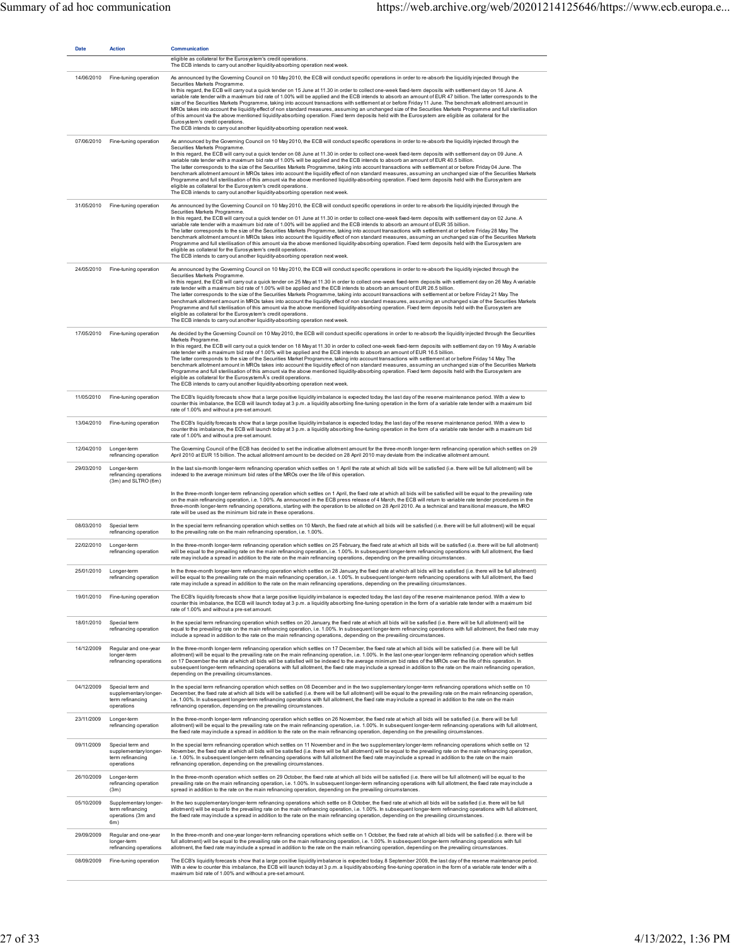| <b>Date</b> | <b>Action</b>                                                               | Communication<br>eligible as collateral for the Eurosystem's credit operations.<br>The ECB intends to carry out another liquidity-absorbing operation next week.                                                                                                                                                                                                                                                                                                                                                                                                                                                                                                                                                                                                                                                                                                                                                                                                                                                                                                                                                                       |
|-------------|-----------------------------------------------------------------------------|----------------------------------------------------------------------------------------------------------------------------------------------------------------------------------------------------------------------------------------------------------------------------------------------------------------------------------------------------------------------------------------------------------------------------------------------------------------------------------------------------------------------------------------------------------------------------------------------------------------------------------------------------------------------------------------------------------------------------------------------------------------------------------------------------------------------------------------------------------------------------------------------------------------------------------------------------------------------------------------------------------------------------------------------------------------------------------------------------------------------------------------|
| 14/06/2010  | Fine-tuning operation                                                       | As announced by the Governing Council on 10 May 2010, the ECB will conduct specific operations in order to re-absorb the liquidity injected through the<br>Securities Markets Programme.<br>In this regard, the ECB will carry out a quick tender on 15 June at 11.30 in order to collect one-week fixed-term deposits with settlement day on 16 June. A<br>variable rate tender with a maximum bid rate of 1.00% will be applied and the ECB intends to absorb an amount of EUR 47 billion. The latter corresponds to the<br>size of the Securities Markets Programme, taking into account transactions with settlement at or before Friday 11 June. The benchmark allotment amount in<br>MROs takes into account the liquidity effect of non standard measures, assuming an unchanged size of the Securities Markets Programme and full sterilisation<br>of this amount via the above mentioned liquidity-absorbing operation. Fixed term deposits held with the Eurosystem are eligible as collateral for the<br>Eurosystem's credit operations.<br>The ECB intends to carry out another liquidity-absorbing operation next week.   |
| 07/06/2010  | Fine-tuning operation                                                       | As announced by the Governing Council on 10 May 2010, the ECB will conduct specific operations in order to re-absorb the liquidity injected through the<br>Securities Markets Programme.<br>In this regard, the ECB will carry out a quick tender on 08 June at 11.30 in order to collect one-week fixed-term deposits with settlement day on 09 June. A<br>variable rate tender with a maximum bid rate of 1.00% will be applied and the ECB intends to absorb an amount of EUR 40.5 billion.<br>The latter corresponds to the size of the Securities Markets Programme, taking into account transactions with settlement at or before Friday 04 June. The<br>benchmark allotment amount in MROs takes into account the liquidity effect of non standard measures, assuming an unchanged size of the Securities Markets<br>Programme and full sterilisation of this amount via the above mentioned liquidity-absorbing operation. Fixed term deposits held with the Eurosystem are<br>eligible as collateral for the Eurosystem's credit operations.<br>The ECB intends to carry out another liquidity-absorbing operation next week. |
|             | 31/05/2010 Fine-tuning operation                                            | As announced by the Governing Council on 10 May 2010, the ECB will conduct specific operations in order to re-absorb the liquidity injected through the<br>Securities Markets Programme.<br>In this regard, the ECB will carry out a quick tender on 01 June at 11.30 in order to collect one-week fixed-term deposits with settlement day on 02 June. A<br>variable rate tender with a maximum bid rate of 1.00% will be applied and the ECB intends to absorb an amount of EUR 35 billion.<br>The latter corresponds to the size of the Securities Markets Programme, taking into account transactions with settlement at or before Friday 28 May. The<br>benchmark allotment amount in MROs takes into account the liquidity effect of non standard measures, assuming an unchanged size of the Securities Markets<br>Programme and full sterilisation of this amount via the above mentioned liquidity-absorbing operation. Fixed term deposits held with the Eurosystem are<br>eligible as collateral for the Eurosystem's credit operations.<br>The ECB intends to carry out another liquidity-absorbing operation next week.    |
|             | 24/05/2010 Fine-tuning operation                                            | As announced by the Governing Council on 10 May 2010, the ECB will conduct specific operations in order to re-absorb the liquidity injected through the<br>Securities Markets Programme.<br>In this regard, the ECB will carry out a quick tender on 25 May at 11.30 in order to collect one-week fixed-term deposits with settlement day on 26 May. A variable<br>rate tender with a maximum bid rate of 1.00% will be applied and the ECB intends to absorb an amount of EUR 26.5 billion.<br>The latter corresponds to the size of the Securities Markets Programme, taking into account transactions with settlement at or before Friday 21 May. The<br>benchmark allotment amount in MROs takes into account the liquidity effect of non standard measures, assuming an unchanged size of the Securities Markets<br>Programme and full sterilisation of this amount via the above mentioned liquidity-absorbing operation. Fixed term deposits held with the Eurosystem are<br>eligible as collateral for the Eurosystem's credit operations.<br>The ECB intends to carry out another liquidity-absorbing operation next week.    |
|             | 17/05/2010 Fine-tuning operation                                            | As decided by the Governing Council on 10 May 2010, the ECB will conduct specific operations in order to re-absorb the liquidity injected through the Securities<br>Markets Programme.<br>In this regard, the ECB will carry out a quick tender on 18 May at 11.30 in order to collect one-week fixed-term deposits with settlement day on 19 May. A variable<br>rate tender with a maximum bid rate of 1.00% will be applied and the ECB intends to absorb an amount of EUR 16.5 billion.<br>The latter corresponds to the size of the Securities Market Programme, taking into account transactions with settlement at or before Friday 14 May. The<br>benchmark allotment amount in MROs takes into account the liquidity effect of non standard measures, assuming an unchanged size of the Securities Markets<br>Programme and full sterilisation of this amount via the above mentioned liquidity-absorbing operation. Fixed term deposits held with the Eurosystem are<br>eligible as collateral for the Eurosystem A's credit operations.<br>The ECB intends to carry out another liquidity-absorbing operation next week.     |
| 11/05/2010  | Fine-tuning operation                                                       | The ECB's liquidity forecasts show that a large positive liquidity imbalance is expected today, the last day of the reserve maintenance period. With a view to<br>counter this imbalance, the ECB will launch today at 3 p.m. a liquidity absorbing fine-tuning operation in the form of a variable rate tender with a maximum bid<br>rate of 1.00% and without a pre-set amount.                                                                                                                                                                                                                                                                                                                                                                                                                                                                                                                                                                                                                                                                                                                                                      |
| 13/04/2010  | Fine-tuning operation                                                       | The ECB's liquidity forecasts show that a large positive liquidity imbalance is expected today, the last day of the reserve maintenance period. With a view to<br>counter this imbalance, the ECB will launch today at 3 p.m. a liquidity absorbing fine-tuning operation in the form of a variable rate tender with a maximum bid<br>rate of 1.00% and without a pre-set amount.                                                                                                                                                                                                                                                                                                                                                                                                                                                                                                                                                                                                                                                                                                                                                      |
| 12/04/2010  | Longer-term<br>refinancing operation                                        | The Governing Council of the ECB has decided to set the indicative allotment amount for the three-month longer-term refinancing operation which settles on 29<br>April 2010 at EUR 15 billion. The actual allotment amount to be decided on 28 April 2010 may deviate from the indicative allotment amount.                                                                                                                                                                                                                                                                                                                                                                                                                                                                                                                                                                                                                                                                                                                                                                                                                            |
| 29/03/2010  | Longer-term<br>refinancing operations<br>(3m) and SLTRO (6m)                | In the last six-month longer-term refinancing operation which settles on 1 April the rate at which all bids will be satisfied (i.e. there will be full allotment) will be<br>indexed to the average minimum bid rates of the MROs over the life of this operation.                                                                                                                                                                                                                                                                                                                                                                                                                                                                                                                                                                                                                                                                                                                                                                                                                                                                     |
|             |                                                                             | In the three-month longer-term refinancing operation which settles on 1 April, the fixed rate at which all bids will be satisfied will be equal to the prevailing rate<br>on the main refinancing operation, i.e. 1.00%. As announced in the ECB press release of 4 March, the ECB will return to variable rate tender procedures in the<br>three-month longer-term refinancing operations, starting with the operation to be allotted on 28 April 2010. As a technical and transitional measure, the MRO<br>rate will be used as the minimum bid rate in these operations.                                                                                                                                                                                                                                                                                                                                                                                                                                                                                                                                                            |
| 08/03/2010  | Special term<br>refinancing operation                                       | In the special term refinancing operation which settles on 10 March, the fixed rate at which all bids will be satisfied (i.e. there will be full allotment) will be equal<br>to the prevailing rate on the main refinancing operation, i.e. 1.00%.                                                                                                                                                                                                                                                                                                                                                                                                                                                                                                                                                                                                                                                                                                                                                                                                                                                                                     |
| 22/02/2010  | Longer-term<br>refinancing operation                                        | In the three-month longer-term refinancing operation which settles on 25 February, the fixed rate at which all bids will be satisfied (i.e. there will be full allotment)<br>will be equal to the prevailing rate on the main refinancing operation, i.e. 1.00%. In subsequent longer-term refinancing operations with full allotment, the fixed<br>rate may include a spread in addition to the rate on the main refinancing operations, depending on the prevailing circumstances.                                                                                                                                                                                                                                                                                                                                                                                                                                                                                                                                                                                                                                                   |
| 25/01/2010  | Longer-term<br>refinancing operation                                        | In the three-month longer-term refinancing operation which settles on 28 January, the fixed rate at which all bids will be satisfied (i.e. there will be full allotment)<br>will be equal to the prevailing rate on the main refinancing operation, i.e. 1.00%. In subsequent longer-term refinancing operations with full allotment, the fixed<br>rate may include a spread in addition to the rate on the main refinancing operations, depending on the prevailing circumstances.                                                                                                                                                                                                                                                                                                                                                                                                                                                                                                                                                                                                                                                    |
| 19/01/2010  | Fine-tuning operation                                                       | The ECB's liquidity forecasts show that a large positive liquidity imbalance is expected today, the last day of the reserve maintenance period. With a view to<br>counter this imbalance, the ECB will launch today at 3 p.m. a liquidity absorbing fine-tuning operation in the form of a variable rate tender with a maximum bid<br>rate of 1.00% and without a pre-set amount.                                                                                                                                                                                                                                                                                                                                                                                                                                                                                                                                                                                                                                                                                                                                                      |
| 18/01/2010  | Special term<br>refinancing operation                                       | In the special term refinancing operation which settles on 20 January, the fixed rate at which all bids will be satisfied (i.e. there will be full allotment) will be<br>equal to the prevailing rate on the main refinancing operation, i.e. 1.00%. In subsequent longer-term refinancing operations with full allotment, the fixed rate may<br>include a spread in addition to the rate on the main refinancing operations, depending on the prevailing circumstances.                                                                                                                                                                                                                                                                                                                                                                                                                                                                                                                                                                                                                                                               |
| 14/12/2009  | Regular and one-year<br>longer-term<br>refinancing operations               | In the three-month longer-term refinancing operation which settles on 17 December, the fixed rate at which all bids will be satisfied (i.e. there will be full<br>allotment) will be equal to the prevailing rate on the main refinancing operation, i.e. 1.00%. In the last one-year longer-term refinancing operation which settles<br>on 17 December the rate at which all bids will be satisfied will be indexed to the average minimum bid rates of the MROs over the life of this operation. In<br>subsequent longer-term refinancing operations with full allotment, the fixed rate may include a spread in addition to the rate on the main refinancing operation,<br>depending on the prevailing circumstances.                                                                                                                                                                                                                                                                                                                                                                                                               |
| 04/12/2009  | Special term and<br>supplementary longer-<br>term refinancing<br>operations | In the special term refinancing operation which settles on 08 December and in the two supplementary longer-term refinancing operations which settle on 10<br>December, the fixed rate at which all bids will be satisfied (i.e. there will be full allotment) will be equal to the prevailing rate on the main refinancing operation,<br>i.e. 1.00%. In subsequent longer-term refinancing operations with full allotment, the fixed rate may include a spread in addition to the rate on the main<br>refinancing operation, depending on the prevailing circumstances.                                                                                                                                                                                                                                                                                                                                                                                                                                                                                                                                                                |
| 23/11/2009  | Longer-term<br>refinancing operation                                        | In the three-month longer-term refinancing operation which settles on 26 November, the fixed rate at which all bids will be satisfied (i.e. there will be full<br>allotment) will be equal to the prevailing rate on the main refinancing operation, i.e. 1.00%. In subsequent longer-term refinancing operations with full allotment,<br>the fixed rate may include a spread in addition to the rate on the main refinancing operation, depending on the prevailing circumstances.                                                                                                                                                                                                                                                                                                                                                                                                                                                                                                                                                                                                                                                    |
| 09/11/2009  | Special term and<br>supplementary longer-<br>term refinancing<br>operations | In the special term refinancing operation which settles on 11 November and in the two supplementary longer-term refinancing operations which settle on 12<br>November, the fixed rate at which all bids will be satisfied (i.e. there will be full allotment) will be equal to the prevailing rate on the main refinancing operation,<br>i.e. 1.00%. In subsequent longer-term refinancing operations with full allotment the fixed rate may include a spread in addition to the rate on the main<br>refinancing operation, depending on the prevailing circumstances.                                                                                                                                                                                                                                                                                                                                                                                                                                                                                                                                                                 |
| 26/10/2009  | Longer-term<br>refinancing operation<br>(3m)                                | In the three-month operation which settles on 29 October, the fixed rate at which all bids will be satisfied (i.e. there will be full allotment) will be equal to the<br>prevailing rate on the main refinancing operation, i.e. 1.00%. In subsequent longer-term refinancing operations with full allotment, the fixed rate may include a<br>spread in addition to the rate on the main refinancing operation, depending on the prevailing circumstances.                                                                                                                                                                                                                                                                                                                                                                                                                                                                                                                                                                                                                                                                             |
| 05/10/2009  | Supplementary longer-<br>term refinancing<br>operations (3m and<br>6m)      | In the two supplementary longer-term refinancing operations which settle on 8 October, the fixed rate at which all bids will be satisfied (i.e. there will be full<br>allotment) will be equal to the prevailing rate on the main refinancing operation, i.e. 1.00%. In subsequent longer-term refinancing operations with full allotment,<br>the fixed rate may include a spread in addition to the rate on the main refinancing operation, depending on the prevailing circumstances.                                                                                                                                                                                                                                                                                                                                                                                                                                                                                                                                                                                                                                                |
| 29/09/2009  | Regular and one-year<br>longer-term<br>refinancing operations               | In the three-month and one-year longer-term refinancing operations which settle on 1 October, the fixed rate at which all bids will be satisfied (i.e. there will be<br>full allotment) will be equal to the prevailing rate on the main refinancing operation, i.e. 1.00%. In subsequent longer-term refinancing operations with full<br>allotment, the fixed rate may include a spread in addition to the rate on the main refinancing operation, depending on the prevailing circumstances.                                                                                                                                                                                                                                                                                                                                                                                                                                                                                                                                                                                                                                         |
| 08/09/2009  | Fine-tuning operation                                                       | The ECB's liquidity forecasts show that a large positive liquidity imbalance is expected today, 8 September 2009, the last day of the reserve maintenance period.<br>With a view to counter this imbalance, the ECB will launch today at 3 p.m. a liquidity absorbing fine-tuning operation in the form of a variable rate tender with a<br>maximum bid rate of 1,00% and without a pre-set amount.                                                                                                                                                                                                                                                                                                                                                                                                                                                                                                                                                                                                                                                                                                                                    |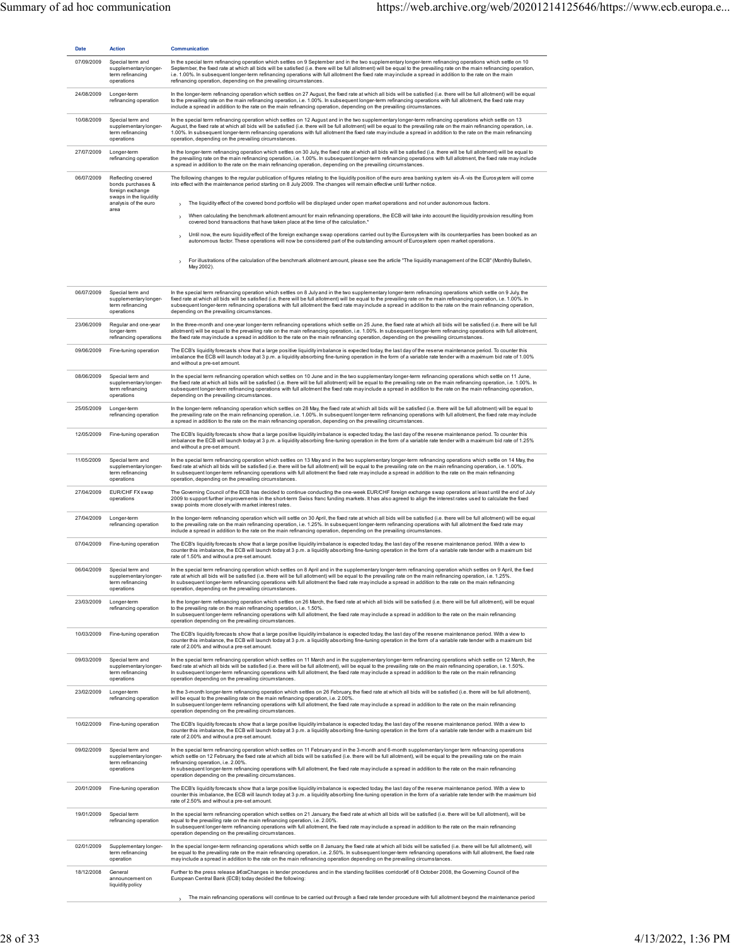| <b>Date</b> | <b>Action</b>                                                                                                         | Communication                                                                                                                                                                                                                                                                                                                                                                                                                                                                                                                                                                                                                                                                                                                                                                                                                                                                                                                                                                                                                   |
|-------------|-----------------------------------------------------------------------------------------------------------------------|---------------------------------------------------------------------------------------------------------------------------------------------------------------------------------------------------------------------------------------------------------------------------------------------------------------------------------------------------------------------------------------------------------------------------------------------------------------------------------------------------------------------------------------------------------------------------------------------------------------------------------------------------------------------------------------------------------------------------------------------------------------------------------------------------------------------------------------------------------------------------------------------------------------------------------------------------------------------------------------------------------------------------------|
| 07/09/2009  | Special term and<br>supplementary longer-<br>term refinancing<br>operations                                           | In the special term refinancing operation which settles on 9 September and in the two supplementary longer-term refinancing operations which settle on 10<br>September, the fixed rate at which all bids will be satisfied (i.e. there will be full allotment) will be equal to the prevailing rate on the main refinancing operation,<br>i.e. 1.00%. In subsequent longer-term refinancing operations with full allotment the fixed rate may include a spread in addition to the rate on the main<br>refinancing operation, depending on the prevailing circumstances.                                                                                                                                                                                                                                                                                                                                                                                                                                                         |
| 24/08/2009  | Longer-term<br>refinancing operation                                                                                  | In the longer-term refinancing operation which settles on 27 August, the fixed rate at which all bids will be satisfied (i.e. there will be full allotment) will be equal<br>to the prevailing rate on the main refinancing operation, i.e. 1.00%. In subsequent longer-term refinancing operations with full allotment, the fixed rate may<br>include a spread in addition to the rate on the main refinancing operation, depending on the prevailing circumstances.                                                                                                                                                                                                                                                                                                                                                                                                                                                                                                                                                           |
| 10/08/2009  | Special term and<br>supplementary longer-<br>term refinancing<br>operations                                           | In the special term refinancing operation which settles on 12 August and in the two supplementary longer-term refinancing operations which settle on 13<br>August, the fixed rate at which all bids will be satisfied (i.e. there will be full allotment) will be equal to the prevailing rate on the main refinancing operation, i.e.<br>1.00%. In subsequent longer-term refinancing operations with full allotment the fixed rate may include a spread in addition to the rate on the main refinancing<br>operation, depending on the prevailing circumstances.                                                                                                                                                                                                                                                                                                                                                                                                                                                              |
| 27/07/2009  | Longer-term<br>refinancing operation                                                                                  | In the longer-term refinancing operation which settles on 30 July, the fixed rate at which all bids will be satisfied (i.e. there will be full allotment) will be equal to<br>the prevailing rate on the main refinancing operation, i.e. 1.00%. In subsequent longer-term refinancing operations with full allotment, the fixed rate may include<br>a spread in addition to the rate on the main refinancing operation, depending on the prevailing circumstances.                                                                                                                                                                                                                                                                                                                                                                                                                                                                                                                                                             |
| 06/07/2009  | Reflecting covered<br>bonds purchases &<br>foreign exchange<br>swaps in the liquidity<br>analysis of the euro<br>area | The following changes to the regular publication of figures relating to the liquidity position of the euro area banking system vis-A-vis the Eurosystem will come<br>into effect with the maintenance period starting on 8 July 2009. The changes will remain effective until further notice.<br>The liquidity effect of the covered bond portfolio will be displayed under open market operations and not under autonomous factors.<br>$\mathbf{r}$<br>When calculating the benchmark allotment amount for main refinancing operations, the ECB will take into account the liquidity provision resulting from<br>$\lambda$<br>covered bond transactions that have taken place at the time of the calculation.*<br>Until now, the euro liquidity effect of the foreign exchange swap operations carried out by the Eurosystem with its counterparties has been booked as an<br>$\mathcal{E}$<br>autonomous factor. These operations will now be considered part of the outstanding amount of Eurosystem open market operations. |
|             |                                                                                                                       | For illustrations of the calculation of the benchmark allotment amount, please see the article "The liquidity management of the ECB" (Monthly Bulletin,<br>May 2002).                                                                                                                                                                                                                                                                                                                                                                                                                                                                                                                                                                                                                                                                                                                                                                                                                                                           |
| 06/07/2009  | Special term and<br>supplementary longer-<br>term refinancing<br>operations                                           | In the special term refinancing operation which settles on 8 July and in the two supplementary longer-term refinancing operations which settle on 9 July, the<br>fixed rate at which all bids will be satisfied (i.e. there will be full allotment) will be equal to the prevailing rate on the main refinancing operation, i.e. 1.00%. In<br>subsequent longer-term refinancing operations with full allotment the fixed rate may include a spread in addition to the rate on the main refinancing operation,<br>depending on the prevailing circumstances.                                                                                                                                                                                                                                                                                                                                                                                                                                                                    |
| 23/06/2009  | Regular and one-year<br>longer-term<br>refinancing operations                                                         | In the three-month and one-year longer-term refinancing operations which settle on 25 June, the fixed rate at which all bids will be satisfied (i.e. there will be full<br>allotment) will be equal to the prevailing rate on the main refinancing operation, i.e. 1.00%. In subsequent longer-term refinancing operations with full allotment,<br>the fixed rate may include a spread in addition to the rate on the main refinancing operation, depending on the prevailing circumstances.                                                                                                                                                                                                                                                                                                                                                                                                                                                                                                                                    |
| 09/06/2009  | Fine-tuning operation                                                                                                 | The ECB's liquidity forecasts show that a large positive liquidity imbalance is expected today, the last day of the reserve maintenance period. To counter this<br>imbalance the ECB will launch today at 3 p.m. a liquidity absorbing fine-tuning operation in the form of a variable rate tender with a maximum bid rate of 1.00%<br>and without a pre-set amount.                                                                                                                                                                                                                                                                                                                                                                                                                                                                                                                                                                                                                                                            |
| 08/06/2009  | Special term and<br>supplementary longer-<br>term refinancing<br>operations                                           | In the special term refinancing operation which settles on 10 June and in the two supplementary longer-term refinancing operations which settle on 11 June,<br>the fixed rate at which all bids will be satisfied (i.e. there will be full allotment) will be equal to the prevailing rate on the main refinancing operation, i.e. 1.00%. In<br>subsequent longer-term refinancing operations with full allotment the fixed rate may include a spread in addition to the rate on the main refinancing operation,<br>depending on the prevailing circumstances.                                                                                                                                                                                                                                                                                                                                                                                                                                                                  |
| 25/05/2009  | Longer-term<br>refinancing operation                                                                                  | In the longer-term refinancing operation which settles on 28 May, the fixed rate at which all bids will be satisfied (i.e. there will be full allotment) will be equal to<br>the prevailing rate on the main refinancing operation, i.e. 1.00%. In subsequent longer-term refinancing operations with full allotment, the fixed rate may include<br>a spread in addition to the rate on the main refinancing operation, depending on the prevailing circumstances.                                                                                                                                                                                                                                                                                                                                                                                                                                                                                                                                                              |
| 12/05/2009  | Fine-tuning operation                                                                                                 | The ECB's liquidity forecasts show that a large positive liquidity imbalance is expected today, the last day of the reserve maintenance period. To counter this<br>imbalance the ECB will launch today at 3 p.m. a liquidity absorbing fine-tuning operation in the form of a variable rate tender with a maximum bid rate of 1.25%<br>and without a pre-set amount.                                                                                                                                                                                                                                                                                                                                                                                                                                                                                                                                                                                                                                                            |
| 11/05/2009  | Special term and<br>supplementary longer-<br>term refinancing<br>operations                                           | In the special term refinancing operation which settles on 13 May and in the two supplementary longer-term refinancing operations which settle on 14 May, the<br>fixed rate at which all bids will be satisfied (i.e. there will be full allotment) will be equal to the prevailing rate on the main refinancing operation, i.e. 1.00%.<br>In subsequent longer-term refinancing operations with full allotment the fixed rate may include a spread in addition to the rate on the main refinancing<br>operation, depending on the prevailing circumstances.                                                                                                                                                                                                                                                                                                                                                                                                                                                                    |
| 27/04/2009  | EUR/CHF FX swap<br>operations                                                                                         | The Governing Council of the ECB has decided to continue conducting the one-week EUR/CHF foreign exchange swap operations at least until the end of July<br>2009 to support further improvements in the short-term Swiss franc funding markets. It has also agreed to align the interest rates used to calculate the fixed<br>swap points more closely with market interest rates.                                                                                                                                                                                                                                                                                                                                                                                                                                                                                                                                                                                                                                              |
| 27/04/2009  | Longer-term<br>refinancing operation                                                                                  | In the longer-term refinancing operation which will settle on 30 April, the fixed rate at which all bids will be satisfied (i.e. there will be full allotment) will be equal<br>to the prevailing rate on the main refinancing operation, i.e. 1.25%. In subsequent longer-term refinancing operations with full allotment the fixed rate may<br>include a spread in addition to the rate on the main refinancing operation, depending on the prevailing circumstances.                                                                                                                                                                                                                                                                                                                                                                                                                                                                                                                                                         |
| 07/04/2009  | Fine-tuning operation                                                                                                 | The ECB's liquidity forecasts show that a large positive liquidity imbalance is expected today, the last day of the reserve maintenance period. With a view to<br>counter this imbalance, the ECB will launch today at 3 p.m. a liquidity absorbing fine-tuning operation in the form of a variable rate tender with a maximum bid<br>rate of 1.50% and without a pre-set amount.                                                                                                                                                                                                                                                                                                                                                                                                                                                                                                                                                                                                                                               |
| 06/04/2009  | Special term and<br>supplementary longer-<br>term refinancing<br>operations                                           | In the special term refinancing operation which settles on 8 April and in the supplementary longer-term refinancing operation which settles on 9 April, the fixed<br>rate at which all bids will be satisfied (i.e. there will be full allotment) will be equal to the prevailing rate on the main refinancing operation, i.e. 1.25%.<br>In subsequent longer-term refinancing operations with full allotment the fixed rate may include a spread in addition to the rate on the main refinancing<br>operation, depending on the prevailing circumstances.                                                                                                                                                                                                                                                                                                                                                                                                                                                                      |
| 23/03/2009  | Longer-term<br>refinancing operation                                                                                  | In the longer-term refinancing operation which settles on 26 March, the fixed rate at which all bids will be satisfied (i.e. there will be full allotment), will be equal<br>to the prevailing rate on the main refinancing operation, i.e. 1.50%.<br>In subsequent longer-term refinancing operations with full allotment, the fixed rate may include a spread in addition to the rate on the main refinancing<br>operation depending on the prevailing circumstances.                                                                                                                                                                                                                                                                                                                                                                                                                                                                                                                                                         |
| 10/03/2009  | Fine-tuning operation                                                                                                 | The ECB's liquidity forecasts show that a large positive liquidity imbalance is expected today, the last day of the reserve maintenance period. With a view to<br>counter this imbalance, the ECB will launch today at 3 p.m. a liquidity absorbing fine-tuning operation in the form of a variable rate tender with a maximum bid<br>rate of 2.00% and without a pre-set amount.                                                                                                                                                                                                                                                                                                                                                                                                                                                                                                                                                                                                                                               |
| 09/03/2009  | Special term and<br>supplementary longer-<br>term refinancing<br>operations                                           | In the special term refinancing operation which settles on 11 March and in the supplementary longer-term refinancing operations which settle on 12 March, the<br>fixed rate at which all bids will be satisfied (i.e. there will be full allotment), will be equal to the prevailing rate on the main refinancing operation, i.e. 1.50%.<br>In subsequent longer-term refinancing operations with full allotment, the fixed rate may include a spread in addition to the rate on the main refinancing<br>operation depending on the prevailing circumstances.                                                                                                                                                                                                                                                                                                                                                                                                                                                                   |
| 23/02/2009  | Longer-term<br>refinancing operation                                                                                  | In the 3-month longer-term refinancing operation which settles on 26 February, the fixed rate at which all bids will be satisfied (i.e. there will be full allotment),<br>will be equal to the prevailing rate on the main refinancing operation, i.e. 2.00%.<br>In subsequent longer-term refinancing operations with full allotment, the fixed rate may include a spread in addition to the rate on the main refinancing<br>operation depending on the prevailing circumstances.                                                                                                                                                                                                                                                                                                                                                                                                                                                                                                                                              |
| 10/02/2009  | Fine-tuning operation                                                                                                 | The ECB's liquidity forecasts show that a large positive liquidity imbalance is expected today, the last day of the reserve maintenance period. With a view to<br>counter this imbalance, the ECB will launch today at 3 p.m. a liquidity absorbing fine-tuning operation in the form of a variable rate tender with a maximum bid<br>rate of 2.00% and without a pre-set amount.                                                                                                                                                                                                                                                                                                                                                                                                                                                                                                                                                                                                                                               |
| 09/02/2009  | Special term and<br>supplementary longer-<br>term refinancing<br>operations                                           | In the special term refinancing operation which settles on 11 February and in the 3-month and 6-month supplementary longer term refinancing operations<br>which settle on 12 February, the fixed rate at which all bids will be satisfied (i.e. there will be full allotment), will be equal to the prevailing rate on the main<br>refinancing operation, i.e. 2,00%.<br>In subsequent longer-term refinancing operations with full allotment, the fixed rate may include a spread in addition to the rate on the main refinancing<br>operation depending on the prevailing circumstances.                                                                                                                                                                                                                                                                                                                                                                                                                                      |
| 20/01/2009  | Fine-tuning operation                                                                                                 | The ECB's liquidity forecasts show that a large positive liquidity imbalance is expected today, the last day of the reserve maintenance period. With a view to<br>counter this imbalance, the ECB will launch today at 3 p.m. a liquidity absorbing fine-tuning operation in the form of a variable rate tender with the maximum bid<br>rate of 2.50% and without a pre-set amount.                                                                                                                                                                                                                                                                                                                                                                                                                                                                                                                                                                                                                                             |
| 19/01/2009  | Special term<br>refinancing operation                                                                                 | In the special term refinancing operation which settles on 21 January, the fixed rate at which all bids will be satisfied (i.e. there will be full allotment), will be<br>equal to the prevailing rate on the main refinancing operation, i.e. 2.00%.<br>In subsequent longer-term refinancing operations with full allotment, the fixed rate may include a spread in addition to the rate on the main refinancing<br>operation depending on the prevailing circumstances.                                                                                                                                                                                                                                                                                                                                                                                                                                                                                                                                                      |
| 02/01/2009  | Supplementary longer-<br>term refinancing<br>operation                                                                | In the special longer-term refinancing operations which settle on 8 January, the fixed rate at which all bids will be satisfied (i.e. there will be full allotment), will<br>be equal to the prevailing rate on the main refinancing operation, i.e. 2.50%. In subsequent longer-term refinancing operations with full allotment, the fixed rate<br>may include a spread in addition to the rate on the main refinancing operation depending on the prevailing circumstances.                                                                                                                                                                                                                                                                                                                                                                                                                                                                                                                                                   |
|             |                                                                                                                       |                                                                                                                                                                                                                                                                                                                                                                                                                                                                                                                                                                                                                                                                                                                                                                                                                                                                                                                                                                                                                                 |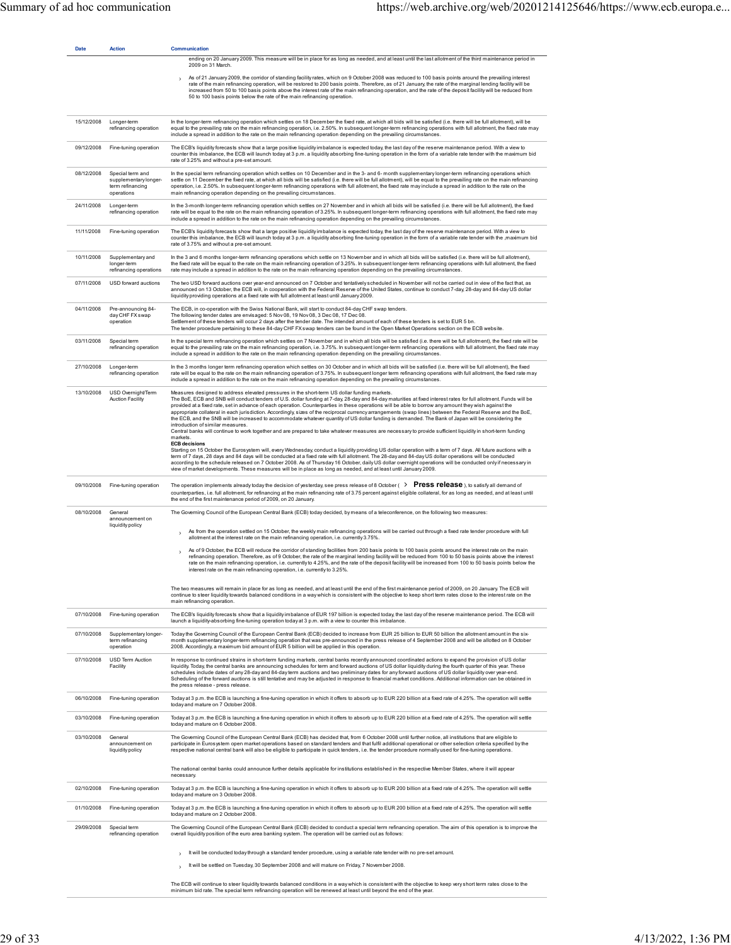| <b>Date</b> | <b>Action</b>                                                               | <b>Communication</b>                                                                                                                                                                                                                                                                                                                                                                                                                                                                                                                                                                                                                                                                                                                                                                                                                                                                                                                                                                                                                                                                                                                                                                                                                                                                                                                                                                                                                                                                      |
|-------------|-----------------------------------------------------------------------------|-------------------------------------------------------------------------------------------------------------------------------------------------------------------------------------------------------------------------------------------------------------------------------------------------------------------------------------------------------------------------------------------------------------------------------------------------------------------------------------------------------------------------------------------------------------------------------------------------------------------------------------------------------------------------------------------------------------------------------------------------------------------------------------------------------------------------------------------------------------------------------------------------------------------------------------------------------------------------------------------------------------------------------------------------------------------------------------------------------------------------------------------------------------------------------------------------------------------------------------------------------------------------------------------------------------------------------------------------------------------------------------------------------------------------------------------------------------------------------------------|
|             |                                                                             | ending on 20 January 2009. This measure will be in place for as long as needed, and at least until the last allotment of the third maintenance period in<br>2009 on 31 March.                                                                                                                                                                                                                                                                                                                                                                                                                                                                                                                                                                                                                                                                                                                                                                                                                                                                                                                                                                                                                                                                                                                                                                                                                                                                                                             |
|             |                                                                             | As of 21 January 2009, the corridor of standing facility rates, which on 9 October 2008 was reduced to 100 basis points around the prevailing interest<br>rate of the main refinancing operation, will be restored to 200 basis points. Therefore, as of 21 January, the rate of the marginal lending facility will be<br>increased from 50 to 100 basis points above the interest rate of the main refinancing operation, and the rate of the deposit facility will be reduced from<br>50 to 100 basis points below the rate of the main refinancing operation.                                                                                                                                                                                                                                                                                                                                                                                                                                                                                                                                                                                                                                                                                                                                                                                                                                                                                                                          |
| 15/12/2008  | Longer-term<br>refinancing operation                                        | In the longer-term refinancing operation which settles on 18 December the fixed rate, at which all bids will be satisfied (i.e. there will be full allotment), will be<br>equal to the prevailing rate on the main refinancing operation, i.e. 2.50%. In subsequent longer-term refinancing operations with full allotment, the fixed rate may<br>include a spread in addition to the rate on the main refinancing operation depending on the prevailing circumstances.                                                                                                                                                                                                                                                                                                                                                                                                                                                                                                                                                                                                                                                                                                                                                                                                                                                                                                                                                                                                                   |
| 09/12/2008  | Fine-tuning operation                                                       | The ECB's liquidity forecasts show that a large positive liquidity imbalance is expected today, the last day of the reserve maintenance period. With a view to<br>counter this imbalance, the ECB will launch today at 3 p.m. a liquidity absorbing fine-tuning operation in the form of a variable rate tender with the maximum bid<br>rate of 3.25% and without a pre-set amount.                                                                                                                                                                                                                                                                                                                                                                                                                                                                                                                                                                                                                                                                                                                                                                                                                                                                                                                                                                                                                                                                                                       |
| 08/12/2008  | Special term and<br>supplementary longer-<br>term refinancing<br>operations | In the special term refinancing operation which settles on 10 December and in the 3- and 6- month supplementary longer-term refinancing operations which<br>settle on 11 December the fixed rate, at which all bids will be satisfied (i.e. there will be full allotment), will be equal to the prevailing rate on the main refinancing<br>operation, i.e. 2.50%. In subsequent longer-term refinancing operations with full allotment, the fixed rate may include a spread in addition to the rate on the<br>main refinancing operation depending on the prevailing circumstances.                                                                                                                                                                                                                                                                                                                                                                                                                                                                                                                                                                                                                                                                                                                                                                                                                                                                                                       |
| 24/11/2008  | Longer-term<br>refinancing operation                                        | In the 3-month longer-term refinancing operation which settles on 27 November and in which all bids will be satisfied (i.e. there will be full allotment), the fixed<br>rate will be equal to the rate on the main refinancing operation of 3.25%. In subsequent longer-term refinancing operations with full allotment, the fixed rate may<br>include a spread in addition to the rate on the main refinancing operation depending on the prevailing circumstances.                                                                                                                                                                                                                                                                                                                                                                                                                                                                                                                                                                                                                                                                                                                                                                                                                                                                                                                                                                                                                      |
| 11/11/2008  | Fine-tuning operation                                                       | The ECB's liquidity forecasts show that a large positive liquidity imbalance is expected today, the last day of the reserve maintenance period. With a view to<br>counter this imbalance, the ECB will launch today at 3 p.m. a liquidity absorbing fine-tuning operation in the form of a variable rate tender with the ,maximum bid<br>rate of 3.75% and without a pre-set amount.                                                                                                                                                                                                                                                                                                                                                                                                                                                                                                                                                                                                                                                                                                                                                                                                                                                                                                                                                                                                                                                                                                      |
| 10/11/2008  | Supplementary and<br>longer-term<br>refinancing operations                  | In the 3 and 6 months longer-term refinancing operations which settle on 13 November and in which all bids will be satisfied (i.e. there will be full allotment),<br>the fixed rate will be equal to the rate on the main refinancing operation of 3.25%. In subsequent longer-term refinancing operations with full allotment, the fixed<br>rate may include a spread in addition to the rate on the main refinancing operation depending on the prevailing circumstances.                                                                                                                                                                                                                                                                                                                                                                                                                                                                                                                                                                                                                                                                                                                                                                                                                                                                                                                                                                                                               |
| 07/11/2008  | USD forward auctions                                                        | The two USD forward auctions over year-end announced on 7 October and tentatively scheduled in November will not be carried out in view of the fact that, as<br>announced on 13 October, the ECB will, in cooperation with the Federal Reserve of the United States, continue to conduct 7-day, 28-day and 84-day US dollar<br>liquidity providing operations at a fixed rate with full allotment at least until January 2009.                                                                                                                                                                                                                                                                                                                                                                                                                                                                                                                                                                                                                                                                                                                                                                                                                                                                                                                                                                                                                                                            |
| 04/11/2008  | Pre-announcing 84-<br>day CHF FX swap<br>operation                          | The ECB, in co-operation with the Swiss National Bank, will start to conduct 84-day CHF swap tenders.<br>The following tender dates are envisaged: 5 Nov 08, 19 Nov 08, 3 Dec 08, 17 Dec 08.<br>Settlement of these tenders will occur 2 days after the tender date. The intended amount of each of these tenders is set to EUR 5 bn.<br>The tender procedure pertaining to these 84-day CHF FX swap tenders can be found in the Open Market Operations section on the ECB website.                                                                                                                                                                                                                                                                                                                                                                                                                                                                                                                                                                                                                                                                                                                                                                                                                                                                                                                                                                                                       |
| 03/11/2008  | Special term<br>refinancing operation                                       | In the special term refinancing operation which settles on 7 November and in which all bids will be satisfied (i.e. there will be full allotment), the fixed rate will be<br>equal to the prevailing rate on the main refinancing operation, i.e. 3.75%. In subsequent longer-term refinancing operations with full allotment, the fixed rate may<br>include a spread in addition to the rate on the main refinancing operation depending on the prevailing circumstances.                                                                                                                                                                                                                                                                                                                                                                                                                                                                                                                                                                                                                                                                                                                                                                                                                                                                                                                                                                                                                |
| 27/10/2008  | Longer-term<br>refinancing operation                                        | In the 3 months longer term refinancing operation which settles on 30 October and in which all bids will be satisfied (i.e. there will be full allotment), the fixed<br>rate will be equal to the rate on the main refinancing operation of 3.75%. In subsequent longer term refinancing operations with full allotment, the fixed rate may<br>include a spread in addition to the rate on the main refinancing operation depending on the prevailing circumstances.                                                                                                                                                                                                                                                                                                                                                                                                                                                                                                                                                                                                                                                                                                                                                                                                                                                                                                                                                                                                                      |
| 13/10/2008  | USD Overnight/Term<br><b>Auction Facility</b>                               | Measures designed to address elevated pressures in the short-term US dollar funding markets.<br>The BoE, ECB and SNB will conduct tenders of U.S. dollar funding at 7-day, 28-day and 84-day maturities at fixed interest rates for full allotment. Funds will be<br>provided at a fixed rate, set in advance of each operation. Counterparties in these operations will be able to borrow any amount they wish against the<br>appropriate collateral in each jurisdiction. Accordingly, sizes of the reciprocal currency arrangements (swap lines) between the Federal Reserve and the BoE,<br>the ECB, and the SNB will be increased to accommodate whatever quantity of US dollar funding is demanded. The Bank of Japan will be considering the<br>introduction of similar measures<br>Central banks will continue to work together and are prepared to take whatever measures are necessary to provide sufficient liquidity in short-term funding<br>markets.<br><b>ECB decisions</b><br>Starting on 15 October the Eurosystem will, every Wednesday, conduct a liquidity providing US dollar operation with a term of 7 days. All future auctions with a<br>term of 7 days, 28 days and 84 days will be conducted at a fixed rate with full allotment. The 28-day and 84-day US dollar operations will be conducted<br>according to the schedule released on 7 October 2008. As of Thursday 16 October, daily US dollar overnight operations will be conducted only if necessary in |
| 09/10/2008  | Fine-tuning operation                                                       | view of market developments. These measures will be in place as long as needed, and at least until January 2009.<br>The operation implements already today the decision of yesterday, see press release of 8 October ( $\rightarrow$ Press release ), to satisfy all demand of<br>counterparties, i.e. full allotment, for refinancing at the main refinancing rate of 3.75 percent against eligible collateral, for as long as needed, and at least until<br>the end of the first maintenance period of 2009, on 20 January.                                                                                                                                                                                                                                                                                                                                                                                                                                                                                                                                                                                                                                                                                                                                                                                                                                                                                                                                                             |
| 08/10/2008  | General                                                                     | The Governing Council of the European Central Bank (ECB) today decided, by means of a teleconference, on the following two measures:                                                                                                                                                                                                                                                                                                                                                                                                                                                                                                                                                                                                                                                                                                                                                                                                                                                                                                                                                                                                                                                                                                                                                                                                                                                                                                                                                      |
|             | announcement on<br>liquidity policy                                         | As from the operation settled on 15 October, the weekly main refinancing operations will be carried out through a fixed rate tender procedure with full<br>$\mathbf{\mathcal{E}}$                                                                                                                                                                                                                                                                                                                                                                                                                                                                                                                                                                                                                                                                                                                                                                                                                                                                                                                                                                                                                                                                                                                                                                                                                                                                                                         |
|             |                                                                             | allotment at the interest rate on the main refinancing operation, i.e. currently 3.75%.<br>As of 9 October, the ECB will reduce the corridor of standing facilities from 200 basis points to 100 basis points around the interest rate on the main<br>$\rightarrow$<br>refinancing operation. Therefore, as of 9 October, the rate of the marginal lending facility will be reduced from 100 to 50 basis points above the interest<br>rate on the main refinancing operation, i.e. currently to 4.25%, and the rate of the deposit facility will be increased from 100 to 50 basis points below the<br>interest rate on the main refinancing operation, i.e. currently to 3.25%.                                                                                                                                                                                                                                                                                                                                                                                                                                                                                                                                                                                                                                                                                                                                                                                                          |
|             |                                                                             | The two measures will remain in place for as long as needed, and at least until the end of the first maintenance period of 2009, on 20 January. The ECB will<br>continue to steer liquidity towards balanced conditions in a way which is consistent with the objective to keep short term rates close to the interest rate on the<br>main refinancing operation.                                                                                                                                                                                                                                                                                                                                                                                                                                                                                                                                                                                                                                                                                                                                                                                                                                                                                                                                                                                                                                                                                                                         |
| 07/10/2008  | Fine-tuning operation                                                       | The ECB's liquidity forecasts show that a liquidity imbalance of EUR 197 billion is expected today, the last day of the reserve maintenance period. The ECB will<br>launch a liquidity-absorbing fine-tuning operation today at 3 p.m. with a view to counter this imbalance.                                                                                                                                                                                                                                                                                                                                                                                                                                                                                                                                                                                                                                                                                                                                                                                                                                                                                                                                                                                                                                                                                                                                                                                                             |
| 07/10/2008  | Supplementary longer-<br>term refinancing<br>operation                      | Today the Governing Council of the European Central Bank (ECB) decided to increase from EUR 25 billion to EUR 50 billion the allotment amount in the six-<br>month supplementary longer-term refinancing operation that was pre-announced in the press release of 4 September 2008 and will be allotted on 8 October<br>2008. Accordingly, a maximum bid amount of EUR 5 billion will be applied in this operation.                                                                                                                                                                                                                                                                                                                                                                                                                                                                                                                                                                                                                                                                                                                                                                                                                                                                                                                                                                                                                                                                       |
| 07/10/2008  | USD Term Auction<br>Facility                                                | In response to continued strains in short-term funding markets, central banks recently announced coordinated actions to expand the provision of US dollar<br>liquidity. Today, the central banks are announcing schedules for term and forward auctions of US dollar liquidity during the fourth quarter of this year. These<br>schedules include dates of any 28-day and 84-day term auctions and two preliminary dates for any forward auctions of US dollar liquidity over year-end.<br>Scheduling of the forward auctions is still tentative and may be adjusted in response to financial market conditions. Additional information can be obtained in<br>the press release - press release.                                                                                                                                                                                                                                                                                                                                                                                                                                                                                                                                                                                                                                                                                                                                                                                          |
| 06/10/2008  | Fine-tuning operation                                                       | Today at 3 p.m. the ECB is launching a fine-tuning operation in which it offers to absorb up to EUR 220 billion at a fixed rate of 4.25%. The operation will settle<br>today and mature on 7 October 2008.                                                                                                                                                                                                                                                                                                                                                                                                                                                                                                                                                                                                                                                                                                                                                                                                                                                                                                                                                                                                                                                                                                                                                                                                                                                                                |
| 03/10/2008  | Fine-tuning operation                                                       | Today at 3 p.m. the ECB is launching a fine-tuning operation in which it offers to absorb up to EUR 220 billion at a fixed rate of 4.25%. The operation will settle<br>today and mature on 6 October 2008.                                                                                                                                                                                                                                                                                                                                                                                                                                                                                                                                                                                                                                                                                                                                                                                                                                                                                                                                                                                                                                                                                                                                                                                                                                                                                |
| 03/10/2008  | General<br>announcement on<br>liquidity policy                              | The Governing Council of the European Central Bank (ECB) has decided that, from 6 October 2008 until further notice, all institutions that are eligible to<br>participate in Eurosystem open market operations based on standard tenders and that fulfil additional operational or other selection criteria specified by the<br>respective national central bank will also be eligible to participate in quick tenders, i.e. the tender procedure normally used for fine-tuning operations.                                                                                                                                                                                                                                                                                                                                                                                                                                                                                                                                                                                                                                                                                                                                                                                                                                                                                                                                                                                               |
|             |                                                                             | The national central banks could announce further details applicable for institutions established in the respective Member States, where it will appear<br>necessary.                                                                                                                                                                                                                                                                                                                                                                                                                                                                                                                                                                                                                                                                                                                                                                                                                                                                                                                                                                                                                                                                                                                                                                                                                                                                                                                     |
| 02/10/2008  | Fine-tuning operation                                                       | Today at 3 p.m. the ECB is launching a fine-tuning operation in which it offers to absorb up to EUR 200 billion at a fixed rate of 4.25%. The operation will settle<br>today and mature on 3 October 2008.                                                                                                                                                                                                                                                                                                                                                                                                                                                                                                                                                                                                                                                                                                                                                                                                                                                                                                                                                                                                                                                                                                                                                                                                                                                                                |
| 01/10/2008  | Fine-tuning operation                                                       | Today at 3 p.m. the ECB is launching a fine-tuning operation in which it offers to absorb up to EUR 200 billion at a fixed rate of 4.25%. The operation will settle<br>today and mature on 2 October 2008.                                                                                                                                                                                                                                                                                                                                                                                                                                                                                                                                                                                                                                                                                                                                                                                                                                                                                                                                                                                                                                                                                                                                                                                                                                                                                |
| 29/09/2008  | Special term<br>refinancing operation                                       | The Governing Council of the European Central Bank (ECB) decided to conduct a special term refinancing operation. The aim of this operation is to improve the<br>overall liquidity position of the euro area banking system. The operation will be carried out as follows:                                                                                                                                                                                                                                                                                                                                                                                                                                                                                                                                                                                                                                                                                                                                                                                                                                                                                                                                                                                                                                                                                                                                                                                                                |
|             |                                                                             | It will be conducted today through a standard tender procedure, using a variable rate tender with no pre-set amount.                                                                                                                                                                                                                                                                                                                                                                                                                                                                                                                                                                                                                                                                                                                                                                                                                                                                                                                                                                                                                                                                                                                                                                                                                                                                                                                                                                      |
|             |                                                                             | It will be settled on Tuesday, 30 September 2008 and will mature on Friday, 7 November 2008.                                                                                                                                                                                                                                                                                                                                                                                                                                                                                                                                                                                                                                                                                                                                                                                                                                                                                                                                                                                                                                                                                                                                                                                                                                                                                                                                                                                              |

The ECB will continue to steer liquidity towards balanced conditions in a way which is consistent with the objective to keep very short term rates close to the<br>minimum bid rate. The special term refinancing operation will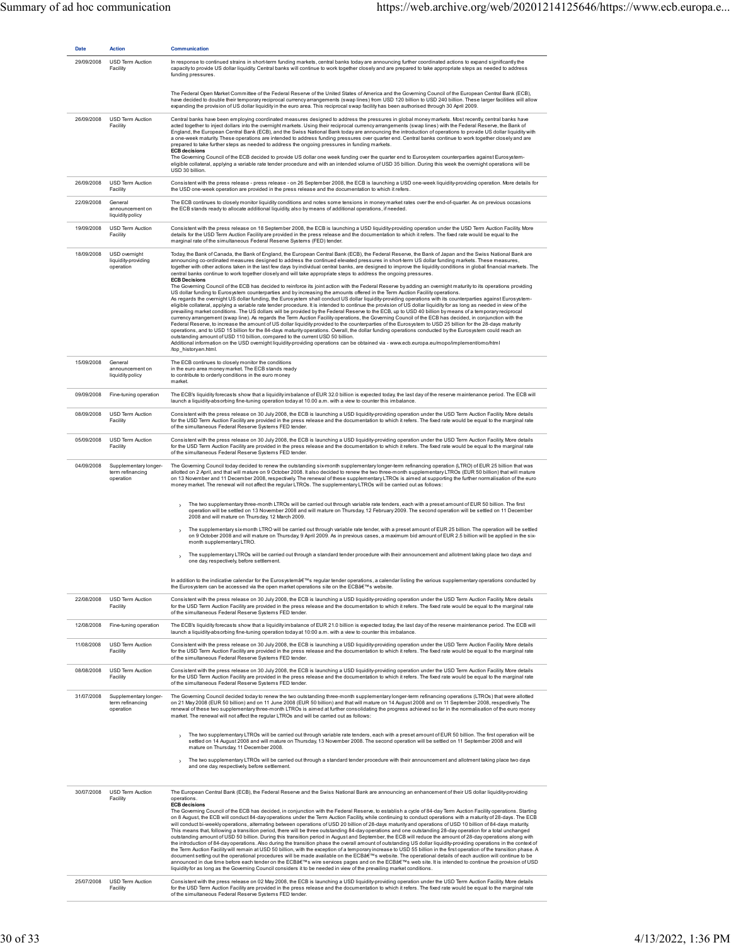| <b>Date</b>              | <b>Action</b>                                          | <b>Communication</b>                                                                                                                                                                                                                                                                                                                                                                                                                                                                                                                                                                                                                                                                                                                                                                                                                                                                                                                                                                                                                                                                                                                                                                                                                                                                                                                                                                                                                                                                                                                                                                                                                                                                                                                                                                                                                                                                                                                                                                                                                                                                                                                                                                    |
|--------------------------|--------------------------------------------------------|-----------------------------------------------------------------------------------------------------------------------------------------------------------------------------------------------------------------------------------------------------------------------------------------------------------------------------------------------------------------------------------------------------------------------------------------------------------------------------------------------------------------------------------------------------------------------------------------------------------------------------------------------------------------------------------------------------------------------------------------------------------------------------------------------------------------------------------------------------------------------------------------------------------------------------------------------------------------------------------------------------------------------------------------------------------------------------------------------------------------------------------------------------------------------------------------------------------------------------------------------------------------------------------------------------------------------------------------------------------------------------------------------------------------------------------------------------------------------------------------------------------------------------------------------------------------------------------------------------------------------------------------------------------------------------------------------------------------------------------------------------------------------------------------------------------------------------------------------------------------------------------------------------------------------------------------------------------------------------------------------------------------------------------------------------------------------------------------------------------------------------------------------------------------------------------------|
| 29/09/2008               | <b>USD Term Auction</b><br>Facility                    | In response to continued strains in short-term funding markets, central banks today are announcing further coordinated actions to expand significantly the<br>capacity to provide US dollar liquidity. Central banks will continue to work together closely and are prepared to take appropriate steps as needed to address<br>funding pressures.                                                                                                                                                                                                                                                                                                                                                                                                                                                                                                                                                                                                                                                                                                                                                                                                                                                                                                                                                                                                                                                                                                                                                                                                                                                                                                                                                                                                                                                                                                                                                                                                                                                                                                                                                                                                                                       |
|                          |                                                        | The Federal Open Market Committee of the Federal Reserve of the United States of America and the Governing Council of the European Central Bank (ECB),<br>have decided to double their temporary reciprocal currency arrangements (swap lines) from USD 120 billion to USD 240 billion. These larger facilities will allow<br>expanding the provision of US dollar liquidity in the euro area. This reciprocal swap facility has been authorised through 30 April 2009.                                                                                                                                                                                                                                                                                                                                                                                                                                                                                                                                                                                                                                                                                                                                                                                                                                                                                                                                                                                                                                                                                                                                                                                                                                                                                                                                                                                                                                                                                                                                                                                                                                                                                                                 |
| 26/09/2008               | USD Term Auction<br>Facility                           | Central banks have been employing coordinated measures designed to address the pressures in global money markets. Most recently, central banks have<br>acted together to inject dollars into the overnight markets. Using their reciprocal currency arrangements (swap lines) with the Federal Reserve, the Bank of<br>England, the European Central Bank (ECB), and the Swiss National Bank today are announcing the introduction of operations to provide US dollar liquidity with<br>a one-week maturity. These operations are intended to address funding pressures over quarter end. Central banks continue to work together closely and are<br>prepared to take further steps as needed to address the ongoing pressures in funding markets.<br><b>ECB decisions</b><br>The Governing Council of the ECB decided to provide US dollar one week funding over the quarter end to Eurosystem counterparties against Eurosystem-<br>eligible collateral, applying a variable rate tender procedure and with an intended volume of USD 35 billion. During this week the overnight operations will be<br>USD 30 billion.                                                                                                                                                                                                                                                                                                                                                                                                                                                                                                                                                                                                                                                                                                                                                                                                                                                                                                                                                                                                                                                                |
| 26/09/2008               | <b>USD Term Auction</b><br>Facility                    | Consistent with the press release - press release - on 26 September 2008, the ECB is launching a USD one-week liquidity-providing operation. More details for<br>the USD one-week operation are provided in the press release and the documentation to which it refers.                                                                                                                                                                                                                                                                                                                                                                                                                                                                                                                                                                                                                                                                                                                                                                                                                                                                                                                                                                                                                                                                                                                                                                                                                                                                                                                                                                                                                                                                                                                                                                                                                                                                                                                                                                                                                                                                                                                 |
| 22/09/2008               | General<br>announcement on<br>liquidity policy         | The ECB continues to closely monitor liquidity conditions and notes some tensions in money market rates over the end-of-quarter. As on previous occasions<br>the ECB stands ready to allocate additional liquidity, also by means of additional operations, if needed.                                                                                                                                                                                                                                                                                                                                                                                                                                                                                                                                                                                                                                                                                                                                                                                                                                                                                                                                                                                                                                                                                                                                                                                                                                                                                                                                                                                                                                                                                                                                                                                                                                                                                                                                                                                                                                                                                                                  |
| 19/09/2008               | USD Term Auction<br>Facility                           | Consistent with the press release on 18 September 2008, the ECB is launching a USD liquidity-providing operation under the USD Term Auction Facility. More<br>details for the USD Term Auction Facility are provided in the press release and the documentation to which it refers. The fixed rate would be equal to the<br>marginal rate of the simultaneous Federal Reserve Systems (FED) tender.                                                                                                                                                                                                                                                                                                                                                                                                                                                                                                                                                                                                                                                                                                                                                                                                                                                                                                                                                                                                                                                                                                                                                                                                                                                                                                                                                                                                                                                                                                                                                                                                                                                                                                                                                                                     |
| 18/09/2008               | USD overnight<br>liquidity-providing<br>operation      | Today, the Bank of Canada, the Bank of England, the European Central Bank (ECB), the Federal Reserve, the Bank of Japan and the Swiss National Bank are<br>announcing co-ordinated measures designed to address the continued elevated pressures in short-term US dollar funding markets. These measures,<br>together with other actions taken in the last few days by individual central banks, are designed to improve the liquidity conditions in global financial markets. The<br>central banks continue to work together closely and will take appropriate steps to address the ongoing pressures.<br><b>ECB Decisions</b><br>The Governing Council of the ECB has decided to reinforce its joint action with the Federal Reserve by adding an overnight maturity to its operations providing<br>US dollar funding to Eurosystem counterparties and by increasing the amounts offered in the Term Auction Facility operations.<br>As regards the overnight US dollar funding, the Eurosystem shall conduct US dollar liquidity-providing operations with its counterparties against Eurosystem-<br>eligible collateral, applying a variable rate tender procedure. It is intended to continue the provision of US dollar liquidity for as long as needed in view of the<br>prevailing market conditions. The US dollars will be provided by the Federal Reserve to the ECB, up to USD 40 billion by means of a temporary reciprocal<br>currency arrangement (swap line). As regards the Term Auction Facility operations, the Governing Council of the ECB has decided, in conjunction with the<br>Federal Reserve, to increase the amount of US dollar liquidity provided to the counterparties of the Eurosystem to USD 25 billion for the 28-days maturity<br>operations, and to USD 15 billion for the 84-days maturity operations. Overall, the dollar funding operations conducted by the Eurosystem could reach an<br>outstanding amount of USD 110 billion, compared to the current USD 50 billion.<br>Additional information on the USD overnight liquidity-providing operations can be obtained via - www.ecb.europa.eu/mopo/implement/omo/html<br>/top_history.en.html. |
| 15/09/2008               | General<br>announcement on<br>liquidity policy         | The ECB continues to closely monitor the conditions<br>in the euro area money market. The ECB stands ready<br>to contribute to orderly conditions in the euro money<br>market.                                                                                                                                                                                                                                                                                                                                                                                                                                                                                                                                                                                                                                                                                                                                                                                                                                                                                                                                                                                                                                                                                                                                                                                                                                                                                                                                                                                                                                                                                                                                                                                                                                                                                                                                                                                                                                                                                                                                                                                                          |
| 09/09/2008               | Fine-tuning operation                                  | The ECB's liquidity forecasts show that a liquidity imbalance of EUR 32.0 billion is expected today, the last day of the reserve maintenance period. The ECB will<br>launch a liquidity-absorbing fine-tuning operation today at 10.00 a.m. with a view to counter this imbalance.                                                                                                                                                                                                                                                                                                                                                                                                                                                                                                                                                                                                                                                                                                                                                                                                                                                                                                                                                                                                                                                                                                                                                                                                                                                                                                                                                                                                                                                                                                                                                                                                                                                                                                                                                                                                                                                                                                      |
| 08/09/2008               | USD Term Auction<br>Facility                           | Consistent with the press release on 30 July 2008, the ECB is launching a USD liquidity-providing operation under the USD Term Auction Facility. More details<br>for the USD Term Auction Facility are provided in the press release and the documentation to which it refers. The fixed rate would be equal to the marginal rate<br>of the simultaneous Federal Reserve Systems FED tender.                                                                                                                                                                                                                                                                                                                                                                                                                                                                                                                                                                                                                                                                                                                                                                                                                                                                                                                                                                                                                                                                                                                                                                                                                                                                                                                                                                                                                                                                                                                                                                                                                                                                                                                                                                                            |
| 05/09/2008               | USD Term Auction<br>Facility                           | Consistent with the press release on 30 July 2008, the ECB is launching a USD liquidity-providing operation under the USD Term Auction Facility. More details<br>for the USD Term Auction Facility are provided in the press release and the documentation to which it refers. The fixed rate would be equal to the marginal rate<br>of the simultaneous Federal Reserve Systems FED tender.                                                                                                                                                                                                                                                                                                                                                                                                                                                                                                                                                                                                                                                                                                                                                                                                                                                                                                                                                                                                                                                                                                                                                                                                                                                                                                                                                                                                                                                                                                                                                                                                                                                                                                                                                                                            |
| 04/09/2008               | Supplementary longer-<br>term refinancing<br>operation | The Governing Council today decided to renew the outstanding six-month supplementary longer-term refinancing operation (LTRO) of EUR 25 billion that was<br>allotted on 2 April, and that will mature on 9 October 2008. It also decided to renew the two three-month supplementary LTROs (EUR 50 billion) that will mature<br>on 13 November and 11 December 2008, respectively. The renewal of these supplementary LTROs is aimed at supporting the further normalisation of the euro<br>money market. The renewal will not affect the regular LTROs. The supplementary LTROs will be carried out as follows:                                                                                                                                                                                                                                                                                                                                                                                                                                                                                                                                                                                                                                                                                                                                                                                                                                                                                                                                                                                                                                                                                                                                                                                                                                                                                                                                                                                                                                                                                                                                                                         |
|                          |                                                        | The two supplementary three-month LTROs will be carried out through variable rate tenders, each with a preset amount of EUR 50 billion. The first<br>$\rightarrow$<br>operation will be settled on 13 November 2008 and will mature on Thursday, 12 February 2009. The second operation will be settled on 11 December<br>2008 and will mature on Thursday, 12 March 2009.                                                                                                                                                                                                                                                                                                                                                                                                                                                                                                                                                                                                                                                                                                                                                                                                                                                                                                                                                                                                                                                                                                                                                                                                                                                                                                                                                                                                                                                                                                                                                                                                                                                                                                                                                                                                              |
|                          |                                                        | The supplementary six-month LTRO will be carried out through variable rate tender, with a preset amount of EUR 25 billion. The operation will be settled<br>$\rightarrow$<br>on 9 October 2008 and will mature on Thursday, 9 April 2009. As in previous cases, a maximum bid amount of EUR 2.5 billion will be applied in the six-<br>month supplementary LTRO.                                                                                                                                                                                                                                                                                                                                                                                                                                                                                                                                                                                                                                                                                                                                                                                                                                                                                                                                                                                                                                                                                                                                                                                                                                                                                                                                                                                                                                                                                                                                                                                                                                                                                                                                                                                                                        |
|                          |                                                        | The supplementary LTROs will be carried out through a standard tender procedure with their announcement and allotment taking place two days and<br>one day, respectively, before settlement.                                                                                                                                                                                                                                                                                                                                                                                                                                                                                                                                                                                                                                                                                                                                                                                                                                                                                                                                                                                                                                                                                                                                                                                                                                                                                                                                                                                                                                                                                                                                                                                                                                                                                                                                                                                                                                                                                                                                                                                            |
|                          |                                                        | In addition to the indicative calendar for the Eurosystem's regular tender operations, a calendar listing the various supplementary operations conducted by<br>the Eurosystem can be accessed via the open market operations site on the ECB's website.                                                                                                                                                                                                                                                                                                                                                                                                                                                                                                                                                                                                                                                                                                                                                                                                                                                                                                                                                                                                                                                                                                                                                                                                                                                                                                                                                                                                                                                                                                                                                                                                                                                                                                                                                                                                                                                                                                                                 |
| 22/08/2008               | USD Term Auction<br>Facility                           | Consistent with the press release on 30 July 2008, the ECB is launching a USD liquidity-providing operation under the USD Term Auction Facility. More details<br>for the USD Term Auction Facility are provided in the press release and the documentation to which it refers. The fixed rate would be equal to the marginal rate<br>of the simultaneous Federal Reserve Systems FED tender.                                                                                                                                                                                                                                                                                                                                                                                                                                                                                                                                                                                                                                                                                                                                                                                                                                                                                                                                                                                                                                                                                                                                                                                                                                                                                                                                                                                                                                                                                                                                                                                                                                                                                                                                                                                            |
| 12/08/2008               | Fine-tuning operation                                  | The ECB's liquidity forecasts show that a liquidity imbalance of EUR 21.0 billion is expected today, the last day of the reserve maintenance period. The ECB will<br>launch a liquidity-absorbing fine-tuning operation today at 10:00 a.m. with a view to counter this imbalance.                                                                                                                                                                                                                                                                                                                                                                                                                                                                                                                                                                                                                                                                                                                                                                                                                                                                                                                                                                                                                                                                                                                                                                                                                                                                                                                                                                                                                                                                                                                                                                                                                                                                                                                                                                                                                                                                                                      |
| 11/08/2008               | USD Term Auction<br>Facility                           | Consistent with the press release on 30 July 2008, the ECB is launching a USD liquidity-providing operation under the USD Term Auction Facility. More details<br>for the USD Term Auction Facility are provided in the press release and the documentation to which it refers. The fixed rate would be equal to the marginal rate<br>of the simultaneous Federal Reserve Systems FED tender.                                                                                                                                                                                                                                                                                                                                                                                                                                                                                                                                                                                                                                                                                                                                                                                                                                                                                                                                                                                                                                                                                                                                                                                                                                                                                                                                                                                                                                                                                                                                                                                                                                                                                                                                                                                            |
| 08/08/2008               | USD Term Auction<br>Facility                           | Consistent with the press release on 30 July 2008, the ECB is launching a USD liquidity-providing operation under the USD Term Auction Facility. More details<br>for the USD Term Auction Facility are provided in the press release and the documentation to which it refers. The fixed rate would be equal to the marginal rate<br>of the simultaneous Federal Reserve Systems FED tender.                                                                                                                                                                                                                                                                                                                                                                                                                                                                                                                                                                                                                                                                                                                                                                                                                                                                                                                                                                                                                                                                                                                                                                                                                                                                                                                                                                                                                                                                                                                                                                                                                                                                                                                                                                                            |
| 31/07/2008               | Supplementary longer-<br>term refinancing<br>operation | The Governing Council decided today to renew the two outstanding three-month supplementary longer-term refinancing operations (LTROs) that were allotted<br>on 21 May 2008 (EUR 50 billion) and on 11 June 2008 (EUR 50 billion) and that will mature on 14 August 2008 and on 11 September 2008, respectively. The<br>renewal of these two supplementary three-month LTROs is aimed at further consolidating the progress achieved so far in the normalisation of the euro money<br>market. The renewal will not affect the regular LTROs and will be carried out as follows:                                                                                                                                                                                                                                                                                                                                                                                                                                                                                                                                                                                                                                                                                                                                                                                                                                                                                                                                                                                                                                                                                                                                                                                                                                                                                                                                                                                                                                                                                                                                                                                                          |
|                          |                                                        | The two supplementary LTROs will be carried out through variable rate tenders, each with a preset amount of EUR 50 billion. The first operation will be<br>settled on 14 August 2008 and will mature on Thursday, 13 November 2008. The second operation will be settled on 11 September 2008 and will<br>mature on Thursday, 11 December 2008.<br>The two supplementary LTROs will be carried out through a standard tender procedure with their announcement and allotment taking place two days<br>$\mathbf{\mathcal{E}}$<br>and one day, respectively, before settlement.                                                                                                                                                                                                                                                                                                                                                                                                                                                                                                                                                                                                                                                                                                                                                                                                                                                                                                                                                                                                                                                                                                                                                                                                                                                                                                                                                                                                                                                                                                                                                                                                           |
| 30/07/2008<br>25/07/2008 | USD Term Auction<br>Facility<br>USD Term Auction       | The European Central Bank (ECB), the Federal Reserve and the Swiss National Bank are announcing an enhancement of their US dollar liquidity-providing<br>operations.<br><b>ECB</b> decisions<br>The Governing Council of the ECB has decided, in conjunction with the Federal Reserve, to establish a cycle of 84-day Term Auction Facility operations. Starting<br>on 8 August, the ECB will conduct 84-day operations under the Term Auction Facility, while continuing to conduct operations with a maturity of 28-days. The ECB<br>will conduct bi-weekly operations, alternating between operations of USD 20 billion of 28-days maturity and operations of USD 10 billion of 84-days maturity.<br>This means that, following a transition period, there will be three outstanding 84-day operations and one outstanding 28-day operation for a total unchanged<br>outstanding amount of USD 50 billion. During this transition period in August and September, the ECB will reduce the amount of 28-day operations along with<br>the introduction of 84-day operations. Also during the transition phase the overall amount of outstanding US dollar liquidity-providing operations in the context of<br>the Term Auction Facility will remain at USD 50 billion, with the exception of a temporary increase to USD 55 billion in the first operation of the transition phase. A<br>document setting out the operational procedures will be made available on the ECB's website. The operational details of each auction will continue to be<br>announced in due time before each tender on the ECB's wire services pages and on the ECB's web site. It is intended to continue the provision of USD<br>liquidity for as long as the Governing Council considers it to be needed in view of the prevailing market conditions.<br>Consistent with the press release on 02 May 2008, the ECB is launching a USD liquidity-providing operation under the USD Term Auction Facility. More details                                                                                                                                                                                     |
|                          | Facility                                               | for the USD Term Auction Facility are provided in the press release and the documentation to which it refers. The fixed rate would be equal to the marginal rate<br>of the simultaneous Federal Reserve Systems FED tender.                                                                                                                                                                                                                                                                                                                                                                                                                                                                                                                                                                                                                                                                                                                                                                                                                                                                                                                                                                                                                                                                                                                                                                                                                                                                                                                                                                                                                                                                                                                                                                                                                                                                                                                                                                                                                                                                                                                                                             |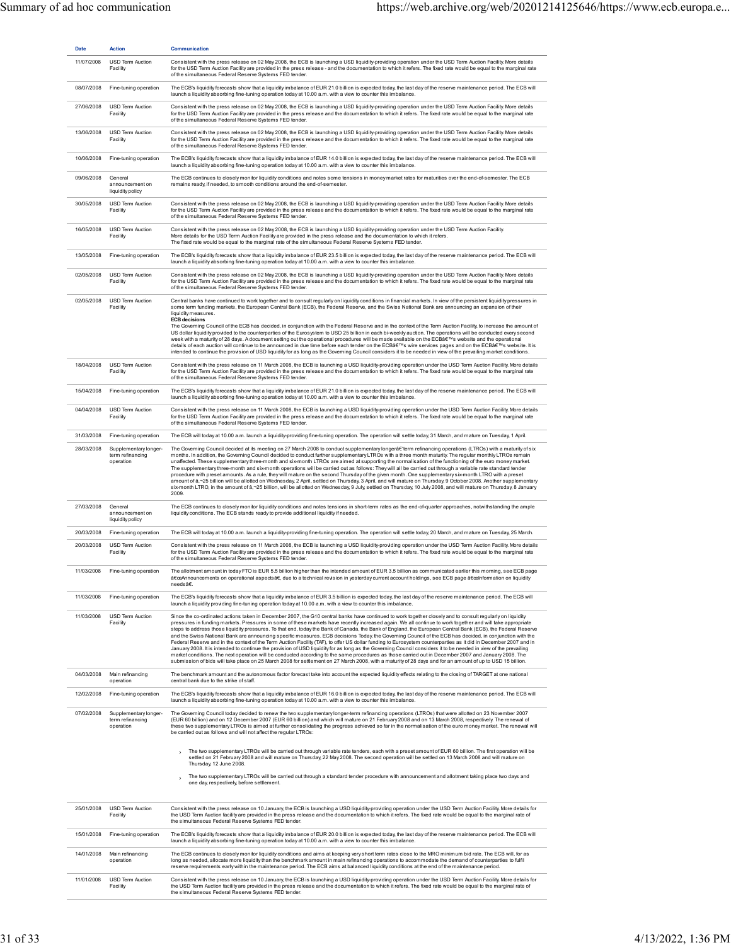| <b>Date</b> | <b>Action</b>                                          | Communication                                                                                                                                                                                                                                                                                                                                                                                                                                                                                                                                                                                                                                                                                                                                                                                                                                                                                                                                                                                                                                                                                                                                                                                                                                                                                                      |
|-------------|--------------------------------------------------------|--------------------------------------------------------------------------------------------------------------------------------------------------------------------------------------------------------------------------------------------------------------------------------------------------------------------------------------------------------------------------------------------------------------------------------------------------------------------------------------------------------------------------------------------------------------------------------------------------------------------------------------------------------------------------------------------------------------------------------------------------------------------------------------------------------------------------------------------------------------------------------------------------------------------------------------------------------------------------------------------------------------------------------------------------------------------------------------------------------------------------------------------------------------------------------------------------------------------------------------------------------------------------------------------------------------------|
| 11/07/2008  | USD Term Auction<br>Facility                           | Consistent with the press release on 02 May 2008, the ECB is launching a USD liquidity-providing operation under the USD Term Auction Facility. More details<br>for the USD Term Auction Facility are provided in the press release - and the documentation to which it refers. The fixed rate would be equal to the marginal rate<br>of the simultaneous Federal Reserve Systems FED tender.                                                                                                                                                                                                                                                                                                                                                                                                                                                                                                                                                                                                                                                                                                                                                                                                                                                                                                                      |
| 08/07/2008  | Fine-tuning operation                                  | The ECB's liquidity forecasts show that a liquidity imbalance of EUR 21.0 billion is expected today, the last day of the reserve maintenance period. The ECB will<br>launch a liquidity absorbing fine-tuning operation today at 10.00 a.m. with a view to counter this imbalance.                                                                                                                                                                                                                                                                                                                                                                                                                                                                                                                                                                                                                                                                                                                                                                                                                                                                                                                                                                                                                                 |
| 27/06/2008  | USD Term Auction<br>Facility                           | Consistent with the press release on 02 May 2008, the ECB is launching a USD liquidity-providing operation under the USD Term Auction Facility. More details<br>for the USD Term Auction Facility are provided in the press release and the documentation to which it refers. The fixed rate would be equal to the marginal rate<br>of the simultaneous Federal Reserve Systems FED tender.                                                                                                                                                                                                                                                                                                                                                                                                                                                                                                                                                                                                                                                                                                                                                                                                                                                                                                                        |
| 13/06/2008  | USD Term Auction<br>Facility                           | Consistent with the press release on 02 May 2008, the ECB is launching a USD liquidity-providing operation under the USD Term Auction Facility. More details<br>for the USD Term Auction Facility are provided in the press release and the documentation to which it refers. The fixed rate would be equal to the marginal rate<br>of the simultaneous Federal Reserve Systems FED tender.                                                                                                                                                                                                                                                                                                                                                                                                                                                                                                                                                                                                                                                                                                                                                                                                                                                                                                                        |
| 10/06/2008  | Fine-tuning operation                                  | The ECB's liquidity forecasts show that a liquidity imbalance of EUR 14.0 billion is expected today, the last day of the reserve maintenance period. The ECB will<br>launch a liquidity absorbing fine-tuning operation today at 10.00 a.m. with a view to counter this imbalance.                                                                                                                                                                                                                                                                                                                                                                                                                                                                                                                                                                                                                                                                                                                                                                                                                                                                                                                                                                                                                                 |
| 09/06/2008  | General<br>announcement on<br>liquidity policy         | The ECB continues to closely monitor liquidity conditions and notes some tensions in money market rates for maturities over the end-of-semester. The ECB<br>remains ready, if needed, to smooth conditions around the end-of-semester.                                                                                                                                                                                                                                                                                                                                                                                                                                                                                                                                                                                                                                                                                                                                                                                                                                                                                                                                                                                                                                                                             |
| 30/05/2008  | USD Term Auction<br>Facility                           | Consistent with the press release on 02 May 2008, the ECB is launching a USD liquidity-providing operation under the USD Term Auction Facility. More details<br>for the USD Term Auction Facility are provided in the press release and the documentation to which it refers. The fixed rate would be equal to the marginal rate<br>of the simultaneous Federal Reserve Systems FED tender.                                                                                                                                                                                                                                                                                                                                                                                                                                                                                                                                                                                                                                                                                                                                                                                                                                                                                                                        |
| 16/05/2008  | USD Term Auction<br>Facility                           | Consistent with the press release on 02 May 2008, the ECB is launching a USD liquidity-providing operation under the USD Term Auction Facility.<br>More details for the USD Term Auction Facility are provided in the press release and the documentation to which it refers.<br>The fixed rate would be equal to the marginal rate of the simultaneous Federal Reserve Systems FED tender.                                                                                                                                                                                                                                                                                                                                                                                                                                                                                                                                                                                                                                                                                                                                                                                                                                                                                                                        |
| 13/05/2008  | Fine-tuning operation                                  | The ECB's liquidity forecasts show that a liquidity imbalance of EUR 23.5 billion is expected today, the last day of the reserve maintenance period. The ECB will<br>launch a liquidity absorbing fine-tuning operation today at 10.00 a.m. with a view to counter this imbalance.                                                                                                                                                                                                                                                                                                                                                                                                                                                                                                                                                                                                                                                                                                                                                                                                                                                                                                                                                                                                                                 |
| 02/05/2008  | USD Term Auction<br>Facility                           | Consistent with the press release on 02 May 2008, the ECB is launching a USD liquidity-providing operation under the USD Term Auction Facility. More details<br>for the USD Term Auction Facility are provided in the press release and the documentation to which it refers. The fixed rate would be equal to the marginal rate<br>of the simultaneous Federal Reserve Systems FED tender.                                                                                                                                                                                                                                                                                                                                                                                                                                                                                                                                                                                                                                                                                                                                                                                                                                                                                                                        |
| 02/05/2008  | USD Term Auction<br>Facility                           | Central banks have continued to work together and to consult regularly on liquidity conditions in financial markets. In view of the persistent liquidity pressures in<br>some term funding markets, the European Central Bank (ECB), the Federal Reserve, and the Swiss National Bank are announcing an expansion of their<br>liquidity measures.<br><b>ECB decisions</b><br>The Governing Council of the ECB has decided, in conjunction with the Federal Reserve and in the context of the Term Auction Facility, to increase the amount of<br>US dollar liquidity provided to the counterparties of the Eurosystem to USD 25 billion in each bi-weekly auction. The operations will be conducted every second<br>week with a maturity of 28 days. A document setting out the operational procedures will be made available on the ECB's website and the operational<br>details of each auction will continue to be announced in due time before each tender on the ECB's wire services pages and on the ECB's website. It is<br>intended to continue the provision of USD liquidity for as long as the Governing Council considers it to be needed in view of the prevailing market conditions.                                                                                                                 |
| 18/04/2008  | USD Term Auction<br>Facility                           | Consistent with the press release on 11 March 2008, the ECB is launching a USD liquidity-providing operation under the USD Term Auction Facility. More details<br>for the USD Term Auction Facility are provided in the press release and the documentation to which it refers. The fixed rate would be equal to the marginal rate<br>of the simultaneous Federal Reserve Systems FED tender.                                                                                                                                                                                                                                                                                                                                                                                                                                                                                                                                                                                                                                                                                                                                                                                                                                                                                                                      |
| 15/04/2008  | Fine-tuning operation                                  | The ECB's liquidity forecasts show that a liquidity imbalance of EUR 21.0 billion is expected today, the last day of the reserve maintenance period. The ECB will<br>launch a liquidity absorbing fine-tuning operation today at 10.00 a.m. with a view to counter this imbalance.                                                                                                                                                                                                                                                                                                                                                                                                                                                                                                                                                                                                                                                                                                                                                                                                                                                                                                                                                                                                                                 |
| 04/04/2008  | USD Term Auction<br>Facility                           | Consistent with the press release on 11 March 2008, the ECB is launching a USD liquidity-providing operation under the USD Term Auction Facility. More details<br>for the USD Term Auction Facility are provided in the press release and the documentation to which it refers. The fixed rate would be equal to the marginal rate<br>of the simultaneous Federal Reserve Systems FED tender.                                                                                                                                                                                                                                                                                                                                                                                                                                                                                                                                                                                                                                                                                                                                                                                                                                                                                                                      |
| 31/03/2008  | Fine-tuning operation                                  | The ECB will today at 10.00 a.m. launch a liquidity-providing fine-tuning operation. The operation will settle today, 31 March, and mature on Tuesday, 1 April.                                                                                                                                                                                                                                                                                                                                                                                                                                                                                                                                                                                                                                                                                                                                                                                                                                                                                                                                                                                                                                                                                                                                                    |
| 28/03/2008  | Supplementary longer-<br>term refinancing<br>operation | The Governing Council decided at its meeting on 27 March 2008 to conduct supplementary longerå€'term refinancing operations (LTROs) with a maturity of six<br>months. In addition, the Governing Council decided to conduct further supplementary LTROs with a three month maturity. The regular monthly LTROs remain<br>unaffected. These supplementary three-month and six-month LTROs are aimed at supporting the normalisation of the functioning of the euro money market.<br>The supplementary three-month and six-month operations will be carried out as follows: They will all be carried out through a variable rate standard tender<br>procedure with preset amounts. As a rule, they will mature on the second Thursday of the given month. One supplementary six-month LTRO with a preset<br>amount of â,¬25 billion will be allotted on Wednesday, 2 April, settled on Thursday, 3 April, and will mature on Thursday, 9 October 2008. Another supplementary<br>six-month LTRO, in the amount of â,~25 billion, will be allotted on Wednesday, 9 July, settled on Thursday, 10 July 2008, and will mature on Thursday, 8 January<br>2009.                                                                                                                                                            |
| 27/03/2008  | General<br>announcement on<br>liquidity policy         | The ECB continues to closely monitor liquidity conditions and notes tensions in short-term rates as the end-of-quarter approaches, notwithstanding the ample<br>liquidity conditions. The ECB stands ready to provide additional liquidity if needed.                                                                                                                                                                                                                                                                                                                                                                                                                                                                                                                                                                                                                                                                                                                                                                                                                                                                                                                                                                                                                                                              |
| 20/03/2008  | Fine-tuning operation                                  | The ECB will today at 10.00 a.m. launch a liquidity-providing fine-tuning operation. The operation will settle today, 20 March, and mature on Tuesday, 25 March.                                                                                                                                                                                                                                                                                                                                                                                                                                                                                                                                                                                                                                                                                                                                                                                                                                                                                                                                                                                                                                                                                                                                                   |
| 20/03/2008  | USD Term Auction<br>Facility                           | Consistent with the press release on 11 March 2008, the ECB is launching a USD liquidity-providing operation under the USD Term Auction Facility. More details<br>for the USD Term Auction Facility are provided in the press release and the documentation to which it refers. The fixed rate would be equal to the marginal rate<br>of the simultaneous Federal Reserve Systems FED tender.                                                                                                                                                                                                                                                                                                                                                                                                                                                                                                                                                                                                                                                                                                                                                                                                                                                                                                                      |
| 11/03/2008  | Fine-tuning operation                                  | The allotment amount in today FTO is EUR 5.5 billion higher than the intended amount of EUR 3.5 billion as communicated earlier this morning, see ECB page<br>䀜Announcements on operational aspectsä€, due to a technical revision in yesterday current account holdings, see ECB page 䀜Information on liquidity<br>needsâ€.                                                                                                                                                                                                                                                                                                                                                                                                                                                                                                                                                                                                                                                                                                                                                                                                                                                                                                                                                                                       |
| 11/03/2008  | Fine-tuning operation                                  | The ECB's liquidity forecasts show that a liquidity imbalance of EUR 3.5 billion is expected today, the last day of the reserve maintenance period. The ECB will<br>launch a liquidity providing fine-tuning operation today at 10.00 a.m. with a view to counter this imbalance.                                                                                                                                                                                                                                                                                                                                                                                                                                                                                                                                                                                                                                                                                                                                                                                                                                                                                                                                                                                                                                  |
| 11/03/2008  | USD Term Auction<br>Facility                           | Since the co-ordinated actions taken in December 2007, the G10 central banks have continued to work together closely and to consult regularly on liquidity<br>pressures in funding markets. Pressures in some of these markets have recently increased again. We all continue to work together and will take appropriate<br>steps to address those liquidity pressures. To that end, today the Bank of Canada, the Bank of England, the European Central Bank (ECB), the Federal Reserve<br>and the Swiss National Bank are announcing specific measures. ECB decisions Today, the Governing Council of the ECB has decided, in conjunction with the<br>Federal Reserve and in the context of the Term Auction Facility (TAF), to offer US dollar funding to Eurosystem counterparties as it did in December 2007 and in<br>January 2008. It is intended to continue the provision of USD liquidity for as long as the Governing Council considers it to be needed in view of the prevailing<br>market conditions. The next operation will be conducted according to the same procedures as those carried out in December 2007 and January 2008. The<br>submission of bids will take place on 25 March 2008 for settlement on 27 March 2008, with a maturity of 28 days and for an amount of up to USD 15 billion. |
| 04/03/2008  | Main refinancing<br>operation                          | The benchmark amount and the autonomous factor forecast take into account the expected liquidity effects relating to the closing of TARGET at one national<br>central bank due to the strike of staff.                                                                                                                                                                                                                                                                                                                                                                                                                                                                                                                                                                                                                                                                                                                                                                                                                                                                                                                                                                                                                                                                                                             |
| 12/02/2008  | Fine-tuning operation                                  | The ECB's liquidity forecasts show that a liquidity imbalance of EUR 16.0 billion is expected today, the last day of the reserve maintenance period. The ECB will<br>launch a liquidity absorbing fine-tuning operation today at 10.00 a.m. with a view to counter this imbalance.                                                                                                                                                                                                                                                                                                                                                                                                                                                                                                                                                                                                                                                                                                                                                                                                                                                                                                                                                                                                                                 |
| 07/02/2008  | Supplementary longer-<br>term refinancing<br>operation | The Governing Council today decided to renew the two supplementary longer-term refinancing operations (LTROs) that were allotted on 23 November 2007<br>(EUR 60 billion) and on 12 December 2007 (EUR 60 billion) and which will mature on 21 February 2008 and on 13 March 2008, respectively. The renewal of<br>these two supplementary LTROs is aimed at further consolidating the progress achieved so far in the normalisation of the euro money market. The renewal will<br>be carried out as follows and will not affect the regular LTROs:                                                                                                                                                                                                                                                                                                                                                                                                                                                                                                                                                                                                                                                                                                                                                                 |
|             |                                                        | The two supplementary LTROs will be carried out through variable rate tenders, each with a preset amount of EUR 60 billion. The first operation will be<br>settled on 21 February 2008 and will mature on Thursday, 22 May 2008. The second operation will be settled on 13 March 2008 and will mature on<br>Thursday, 12 June 2008.                                                                                                                                                                                                                                                                                                                                                                                                                                                                                                                                                                                                                                                                                                                                                                                                                                                                                                                                                                               |
|             |                                                        | The two supplementary LTROs will be carried out through a standard tender procedure with announcement and allotment taking place two days and<br>$\rightarrow$<br>one day, respectively, before settlement.                                                                                                                                                                                                                                                                                                                                                                                                                                                                                                                                                                                                                                                                                                                                                                                                                                                                                                                                                                                                                                                                                                        |
| 25/01/2008  | USD Term Auction<br>Facility                           | Consistent with the press release on 10 January, the ECB is launching a USD liquidity-providing operation under the USD Term Auction Facility. More details for<br>the USD Term Auction facility are provided in the press release and the documentation to which it refers. The fixed rate would be equal to the marginal rate of<br>the simultaneous Federal Reserve Systems FED tender.                                                                                                                                                                                                                                                                                                                                                                                                                                                                                                                                                                                                                                                                                                                                                                                                                                                                                                                         |
| 15/01/2008  | Fine-tuning operation                                  | The ECB's liquidity forecasts show that a liquidity imbalance of EUR 20.0 billion is expected today, the last day of the reserve maintenance period. The ECB will<br>launch a liquidity absorbing fine-tuning operation today at 10.00 a.m. with a view to counter this imbalance.                                                                                                                                                                                                                                                                                                                                                                                                                                                                                                                                                                                                                                                                                                                                                                                                                                                                                                                                                                                                                                 |
| 14/01/2008  | Main refinancing<br>operation                          | The ECB continues to closely monitor liquidity conditions and aims at keeping very short term rates close to the MRO minimum bid rate. The ECB will, for as<br>long as needed, allocate more liquidity than the benchmark amount in main refinancing operations to accommodate the demand of counterparties to fulfil<br>reserve requirements early within the maintenance period. The ECB aims at balanced liquidity conditions at the end of the maintenance period.                                                                                                                                                                                                                                                                                                                                                                                                                                                                                                                                                                                                                                                                                                                                                                                                                                             |
| 11/01/2008  | USD Term Auction<br>Facility                           | Consistent with the press release on 10 January, the ECB is launching a USD liquidity-providing operation under the USD Term Auction Facility. More details for<br>the USD Term Auction facility are provided in the press release and the documentation to which it refers. The fixed rate would be equal to the marginal rate of<br>the simultaneous Federal Reserve Systems FED tender.                                                                                                                                                                                                                                                                                                                                                                                                                                                                                                                                                                                                                                                                                                                                                                                                                                                                                                                         |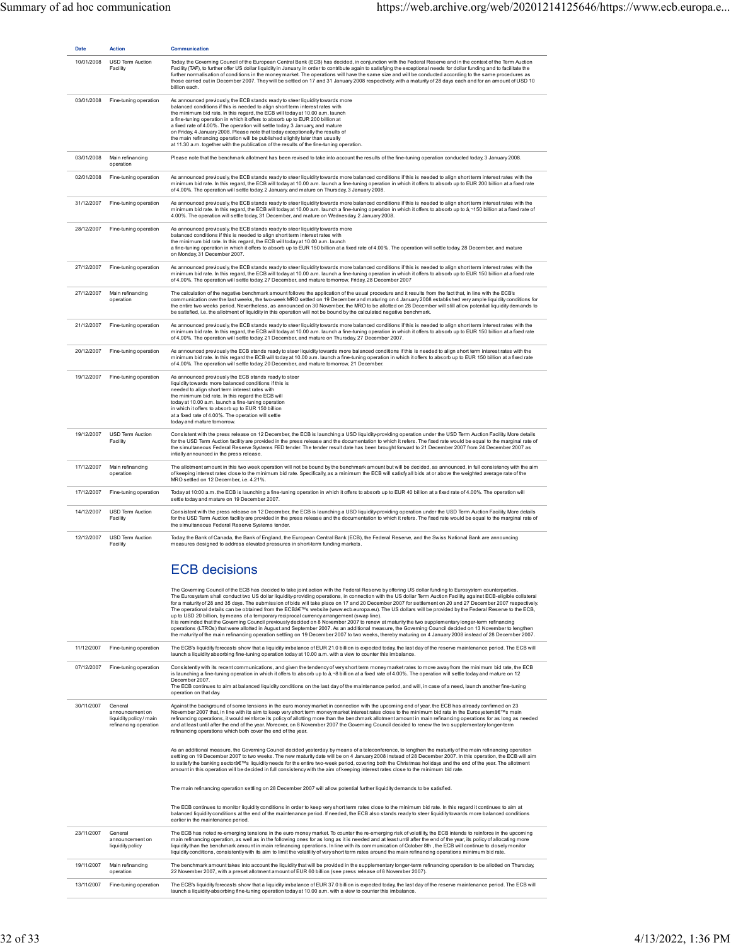| <b>Date</b> | <b>Action</b>                 | <b>Communication</b>                                                                                                                                                                                                                                                                                                                                                                                                                                                                                                                                                                                                                                                                    |
|-------------|-------------------------------|-----------------------------------------------------------------------------------------------------------------------------------------------------------------------------------------------------------------------------------------------------------------------------------------------------------------------------------------------------------------------------------------------------------------------------------------------------------------------------------------------------------------------------------------------------------------------------------------------------------------------------------------------------------------------------------------|
| 10/01/2008  | USD Term Auction<br>Facility  | Today, the Governing Council of the European Central Bank (ECB) has decided, in conjunction with the Federal Reserve and in the context of the Term Auction<br>Facility (TAF), to further offer US dollar liquidity in January, in order to contribute again to satisfying the exceptional needs for dollar funding and to facilitate the<br>further normalisation of conditions in the money market. The operations will have the same size and will be conducted according to the same procedures as<br>those carried out in December 2007. They will be settled on 17 and 31 January 2008 respectively, with a maturity of 28 days each and for an amount of USD 10<br>billion each. |
| 03/01/2008  | Fine-tuning operation         | As announced previously, the ECB stands ready to steer liquidity towards more<br>balanced conditions if this is needed to align short term interest rates with<br>the minimum bid rate. In this regard, the ECB will today at 10.00 a.m. launch<br>a fine-tuning operation in which it offers to absorb up to EUR 200 billion at<br>a fixed rate of 4.00%. The operation will settle today, 3 January, and mature<br>on Friday, 4 January 2008. Please note that today exceptionally the results of<br>the main refinancing operation will be published slightly later than usually<br>at 11.30 a.m. together with the publication of the results of the fine-tuning operation.         |
| 03/01/2008  | Main refinancing<br>operation | Please note that the benchmark allotment has been revised to take into account the results of the fine-tuning operation conducted today, 3 January 2008.                                                                                                                                                                                                                                                                                                                                                                                                                                                                                                                                |
| 02/01/2008  | Fine-tuning operation         | As announced previously, the ECB stands ready to steer liquidity towards more balanced conditions if this is needed to align short term interest rates with the<br>minimum bid rate. In this regard, the ECB will today at 10.00 a.m. launch a fine-tuning operation in which it offers to absorb up to EUR 200 billion at a fixed rate<br>of 4.00%. The operation will settle today, 2 January, and mature on Thursday, 3 January 2008.                                                                                                                                                                                                                                                |
| 31/12/2007  | Fine-tuning operation         | As announced previously, the ECB stands ready to steer liquidity towards more balanced conditions if this is needed to align short term interest rates with the<br>minimum bid rate. In this regard, the ECB will today at 10.00 a.m. launch a fine-tuning operation in which it offers to absorb up to â,~150 billion at a fixed rate of<br>4.00%. The operation will settle today, 31 December, and mature on Wednesday, 2 January 2008.                                                                                                                                                                                                                                              |
| 28/12/2007  | Fine-tuning operation         | As announced previously, the ECB stands ready to steer liquidity towards more<br>balanced conditions if this is needed to align short term interest rates with<br>the minimum bid rate. In this regard, the ECB will today at 10.00 a.m. launch<br>a fine-tuning operation in which it offers to absorb up to EUR 150 billion at a fixed rate of 4.00%. The operation will settle today, 28 December, and mature<br>on Monday, 31 December 2007.                                                                                                                                                                                                                                        |
| 27/12/2007  | Fine-tuning operation         | As announced previously, the ECB stands ready to steer liquidity towards more balanced conditions if this is needed to align short term interest rates with the<br>minimum bid rate. In this regard, the ECB will today at 10.00 a.m. launch a fine-tuning operation in which it offers to absorb up to EUR 150 billion at a fixed rate<br>of 4.00%. The operation will settle today, 27 December, and mature tomorrow, Friday, 28 December 2007                                                                                                                                                                                                                                        |
| 27/12/2007  | Main refinancing<br>operation | The calculation of the negative benchmark amount follows the application of the usual procedure and it results from the fact that, in line with the ECB's<br>communication over the last weeks, the two-week MRO settled on 19 December and maturing on 4 January 2008 established very ample liquidity conditions for<br>the entire two weeks period. Nevertheless, as announced on 30 November, the MRO to be allotted on 28 December will still allow potential liquidity demands to<br>be satisfied, i.e. the allotment of liquidity in this operation will not be bound by the calculated negative benchmark.                                                                      |
| 21/12/2007  | Fine-tuning operation         | As announced previously, the ECB stands ready to steer liquidity towards more balanced conditions if this is needed to align short term interest rates with the<br>minimum bid rate. In this regard, the ECB will today at 10.00 a.m. launch a fine-tuning operation in which it offers to absorb up to EUR 150 billion at a fixed rate<br>of 4.00%. The operation will settle today, 21 December, and mature on Thursday, 27 December 2007.                                                                                                                                                                                                                                            |
| 20/12/2007  | Fine-tuning operation         | As announced previously the ECB stands ready to steer liquidity towards more balanced conditions if this is needed to align short term interest rates with the<br>minimum bid rate. In this regard the ECB will today at 10.00 a.m. launch a fine-tuning operation in which it offers to absorb up to EUR 150 billion at a fixed rate<br>of 4.00%. The operation will settle today, 20 December, and mature tomorrow, 21 December.                                                                                                                                                                                                                                                      |
| 19/12/2007  | Fine-tuning operation         | As announced previously the ECB stands ready to steer<br>liquidity towards more balanced conditions if this is<br>needed to align short term interest rates with<br>the minimum bid rate. In this regard the ECB will<br>today at 10.00 a.m. launch a fine-tuning operation<br>in which it offers to absorb up to EUR 150 billion<br>at a fixed rate of 4.00%. The operation will settle<br>today and mature tomorrow.                                                                                                                                                                                                                                                                  |
| 19/12/2007  | USD Term Auction<br>Facility  | Consistent with the press release on 12 December, the ECB is launching a USD liquidity-providing operation under the USD Term Auction Facility. More details<br>for the USD Term Auction facility are provided in the press release and the documentation to which it refers. The fixed rate would be equal to the marginal rate of<br>the simultaneous Federal Reserve Systems FED tender. The tender result date has been brought forward to 21 December 2007 from 24 December 2007 as<br>intially announced in the press release.                                                                                                                                                    |
| 17/12/2007  | Main refinancing<br>operation | The allotment amount in this two week operation will not be bound by the benchmark amount but will be decided, as announced, in full consistency with the aim<br>of keeping interest rates close to the minimum bid rate. Specifically, as a minimum the ECB will satisfy all bids at or above the weighted average rate of the<br>MRO settled on 12 December, i.e. 4.21%.                                                                                                                                                                                                                                                                                                              |
| 17/12/2007  | Fine-tuning operation         | Today at 10:00 a.m. the ECB is launching a fine-tuning operation in which it offers to absorb up to EUR 40 billion at a fixed rate of 4.00%. The operation will<br>settle today and mature on 19 December 2007.                                                                                                                                                                                                                                                                                                                                                                                                                                                                         |
| 14/12/2007  | USD Term Auction<br>Facility  | Consistent with the press release on 12 December, the ECB is launching a USD liquidity-providing operation under the USD Term Auction Facility. More details<br>for the USD Term Auction facility are provided in the press release and the documentation to which it refers. The fixed rate would be equal to the marginal rate of<br>the simultaneous Federal Reserve Systems tender.                                                                                                                                                                                                                                                                                                 |
| 12/12/2007  | USD Term Auction<br>Facility  | Today, the Bank of Canada, the Bank of England, the European Central Bank (ECB), the Federal Reserve, and the Swiss National Bank are announcing<br>measures designed to address elevated pressures in short-term funding markets.                                                                                                                                                                                                                                                                                                                                                                                                                                                      |
|             |                               | <b>ECB decisions</b>                                                                                                                                                                                                                                                                                                                                                                                                                                                                                                                                                                                                                                                                    |
|             |                               | The Coverning Council of the FCR has decided to take inint action with the Federal Researce by offering US dollar funding to Eurosystem counterparties                                                                                                                                                                                                                                                                                                                                                                                                                                                                                                                                  |

|            |                                                                                | The Governing Council of the ECB has decided to take joint action with the Federal Reserve by offering US dollar funding to Eurosystem counterparties.<br>The Eurosystem shall conduct two US dollar liquidity-providing operations, in connection with the US dollar Term Auction Facility, against ECB-eligible collateral<br>for a maturity of 28 and 35 days. The submission of bids will take place on 17 and 20 December 2007 for settlement on 20 and 27 December 2007 respectively.<br>The operational details can be obtained from the ECB's website (www.ecb.europa.eu). The US dollars will be provided by the Federal Reserve to the ECB,<br>up to USD 20 billion, by means of a temporary reciprocal currency arrangement (swap line).<br>It is reminded that the Governing Council previously decided on 8 November 2007 to renew at maturity the two supplementary longer-term refinancing<br>operations (LTROs) that were allotted in August and September 2007. As an additional measure, the Governing Council decided on 13 November to lengthen<br>the maturity of the main refinancing operation settling on 19 December 2007 to two weeks, thereby maturing on 4 January 2008 instead of 28 December 2007. |
|------------|--------------------------------------------------------------------------------|----------------------------------------------------------------------------------------------------------------------------------------------------------------------------------------------------------------------------------------------------------------------------------------------------------------------------------------------------------------------------------------------------------------------------------------------------------------------------------------------------------------------------------------------------------------------------------------------------------------------------------------------------------------------------------------------------------------------------------------------------------------------------------------------------------------------------------------------------------------------------------------------------------------------------------------------------------------------------------------------------------------------------------------------------------------------------------------------------------------------------------------------------------------------------------------------------------------------------------|
| 11/12/2007 | Fine-tuning operation                                                          | The ECB's liquidity forecasts show that a liquidity imbalance of EUR 21.0 billion is expected today, the last day of the reserve maintenance period. The ECB will<br>launch a liquidity absorbing fine-tuning operation today at 10.00 a.m. with a view to counter this imbalance.                                                                                                                                                                                                                                                                                                                                                                                                                                                                                                                                                                                                                                                                                                                                                                                                                                                                                                                                               |
| 07/12/2007 | Fine-tuning operation                                                          | Consistently with its recent communications, and given the tendency of very short term money market rates to move away from the minimum bid rate, the ECB<br>is launching a fine-tuning operation in which it offers to absorb up to â, ~8 billion at a fixed rate of 4.00%. The operation will settle today and mature on 12<br>December 2007.<br>The ECB continues to aim at balanced liquidity conditions on the last day of the maintenance period, and will, in case of a need, launch another fine-tuning<br>operation on that day.                                                                                                                                                                                                                                                                                                                                                                                                                                                                                                                                                                                                                                                                                        |
| 30/11/2007 | General<br>announcement on<br>liquidity policy / main<br>refinancing operation | Against the background of some tensions in the euro money market in connection with the upcoming end of year, the ECB has already confirmed on 23<br>November 2007 that, in line with its aim to keep very short term money market interest rates close to the minimum bid rate in the Eurosystem's main<br>refinancing operations, it would reinforce its policy of allotting more than the benchmark allotment amount in main refinancing operations for as long as needed<br>and at least until after the end of the year. Moreover, on 8 November 2007 the Governing Council decided to renew the two supplementary longer-term<br>refinancing operations which both cover the end of the year.                                                                                                                                                                                                                                                                                                                                                                                                                                                                                                                              |
|            |                                                                                | As an additional measure, the Governing Council decided yesterday, by means of a teleconference, to lengthen the maturity of the main refinancing operation<br>settling on 19 December 2007 to two weeks. The new maturity date will be on 4 January 2008 instead of 28 December 2007. In this operation, the ECB will aim<br>to satisfy the banking sector's liquidity needs for the entire two-week period, covering both the Christmas holidays and the end of the year. The allotment<br>amount in this operation will be decided in full consistency with the aim of keeping interest rates close to the minimum bid rate.                                                                                                                                                                                                                                                                                                                                                                                                                                                                                                                                                                                                  |
|            |                                                                                | The main refinancing operation settling on 28 December 2007 will allow potential further liquidity demands to be satisfied.                                                                                                                                                                                                                                                                                                                                                                                                                                                                                                                                                                                                                                                                                                                                                                                                                                                                                                                                                                                                                                                                                                      |
|            |                                                                                | The ECB continues to monitor liquidity conditions in order to keep very short term rates close to the minimum bid rate. In this regard it continues to aim at<br>balanced liquidity conditions at the end of the maintenance period. If needed, the ECB also stands ready to steer liquidity towards more balanced conditions<br>earlier in the maintenance period.                                                                                                                                                                                                                                                                                                                                                                                                                                                                                                                                                                                                                                                                                                                                                                                                                                                              |
| 23/11/2007 | General<br>announcement on<br>liquidity policy                                 | The ECB has noted re-emerging tensions in the euro money market. To counter the re-emerging risk of volatility, the ECB intends to reinforce in the upcoming<br>main refinancing operation, as well as in the following ones for as long as it is needed and at least until after the end of the year, its policy of allocating more<br>liquidity than the benchmark amount in main refinancing operations. In line with its communication of October 8th, the ECB will continue to closely monitor<br>liquidity conditions, consistently with its aim to limit the volatility of very short term rates around the main refinancing operations minimum bid rate.                                                                                                                                                                                                                                                                                                                                                                                                                                                                                                                                                                 |
| 19/11/2007 | Main refinancing<br>operation                                                  | The benchmark amount takes into account the liquidity that will be provided in the supplementary longer-term refinancing operation to be allotted on Thursday,<br>22 November 2007, with a preset allotment amount of EUR 60 billion (see press release of 8 November 2007).                                                                                                                                                                                                                                                                                                                                                                                                                                                                                                                                                                                                                                                                                                                                                                                                                                                                                                                                                     |
| 13/11/2007 | Fine-tuning operation                                                          | The ECB's liquidity forecasts show that a liquidity imbalance of EUR 37.0 billion is expected today, the last day of the reserve maintenance period. The ECB will<br>launch a liquidity-absorbing fine-tuning operation today at 10.00 a.m. with a view to counter this imbalance.                                                                                                                                                                                                                                                                                                                                                                                                                                                                                                                                                                                                                                                                                                                                                                                                                                                                                                                                               |